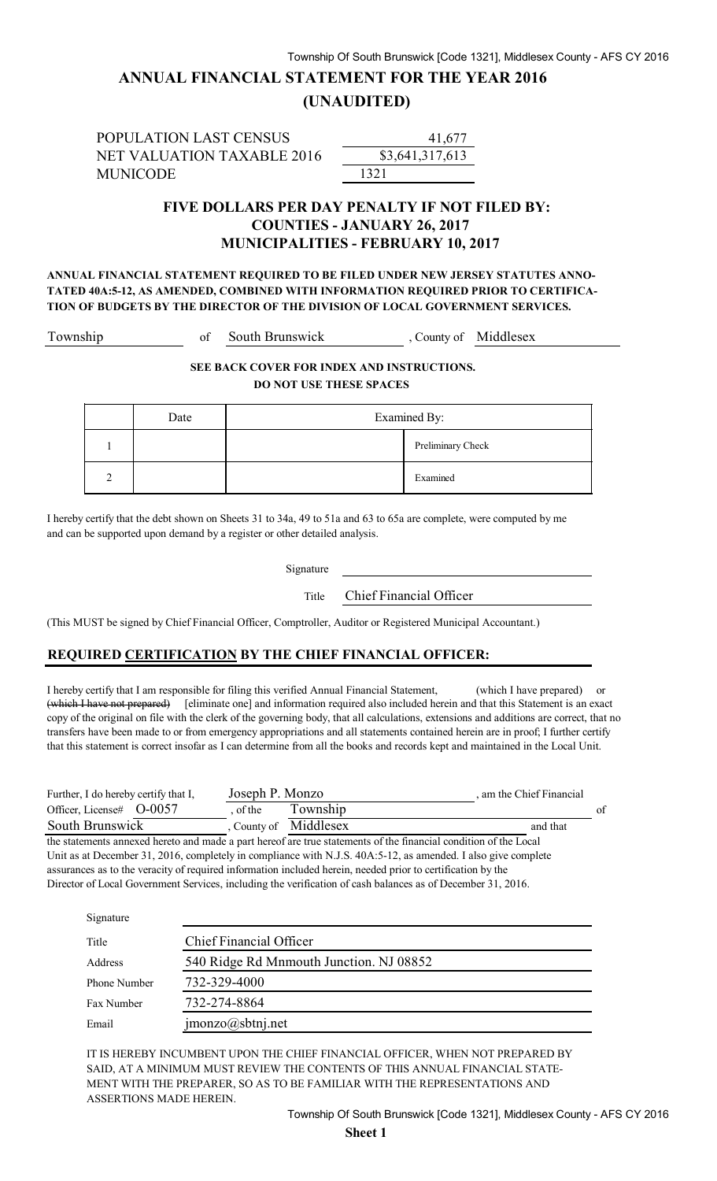## **ANNUAL FINANCIAL STATEMENT FOR THE YEAR 2016**

#### **(UNAUDITED)**

POPULATION LAST CENSUS NET VALUATION TAXABLE 2016 MUNICODE 1321

\$3,641 41,677

#### **FIVE DOLLARS PER DAY PENALTY IF NOT FILED BY: COUNTIES - JANUARY 26, 2017 MUNICIPALITIES - FEBRUARY 10, 2017**

**ANNUAL FINANCIAL STATEMENT REQUIRED TO BE FILED UNDER NEW JERSEY STATUTES ANNO-TATED 40A:5-12, AS AMENDED, COMBINED WITH INFORMATION REQUIRED PRIOR TO CERTIFICA-TION OF BUDGETS BY THE DIRECTOR OF THE DIVISION OF LOCAL GOVERNMENT SERVICES.**

Township of South Brunswick, County of Middlesex

**SEE BACK COVER FOR INDEX AND INSTRUCTIONS. DO NOT USE THESE SPACES** 

|          | Date | Examined By: |                   |
|----------|------|--------------|-------------------|
|          |      |              | Preliminary Check |
| $\gamma$ |      |              | Examined          |

I hereby certify that the debt shown on Sheets 31 to 34a, 49 to 51a and 63 to 65a are complete, were computed by me and can be supported upon demand by a register or other detailed analysis.

Signature

Title Chief Financial Officer

(This MUST be signed by Chief Financial Officer, Comptroller, Auditor or Registered Municipal Accountant.)

#### **REQUIRED CERTIFICATION BY THE CHIEF FINANCIAL OFFICER:**

I hereby certify that I am responsible for filing this verified Annual Financial Statement, (which I have prepared) or (which I have not prepared) [eliminate one] and information required also included herein and that this Statement is an exact copy of the original on file with the clerk of the governing body, that all calculations, extensions and additions are correct, that no transfers have been made to or from emergency appropriations and all statements contained herein are in proof; I further certify that this statement is correct insofar as I can determine from all the books and records kept and maintained in the Local Unit.

| Further, I do hereby certify that I, | Joseph P. Monzo |                     | am the Chief Financial |    |
|--------------------------------------|-----------------|---------------------|------------------------|----|
| Officer, License# $O$ -0057          | of the          | Township            |                        | of |
| South Brunswick                      |                 | County of Middlesex | and that               |    |

the statements annexed hereto and made a part hereof are true statements of the financial condition of the Local Unit as at December 31, 2016, completely in compliance with N.J.S. 40A:5-12, as amended. I also give complete assurances as to the veracity of required information included herein, needed prior to certification by the Director of Local Government Services, including the verification of cash balances as of December 31, 2016.

| Signature    |                                         |
|--------------|-----------------------------------------|
| Title        | <b>Chief Financial Officer</b>          |
| Address      | 540 Ridge Rd Mnmouth Junction. NJ 08852 |
| Phone Number | 732-329-4000                            |
| Fax Number   | 732-274-8864                            |
| Email        | jmonzo@sbtnj.net                        |

IT IS HEREBY INCUMBENT UPON THE CHIEF FINANCIAL OFFICER, WHEN NOT PREPARED BY SAID, AT A MINIMUM MUST REVIEW THE CONTENTS OF THIS ANNUAL FINANCIAL STATE-MENT WITH THE PREPARER, SO AS TO BE FAMILIAR WITH THE REPRESENTATIONS AND ASSERTIONS MADE HEREIN.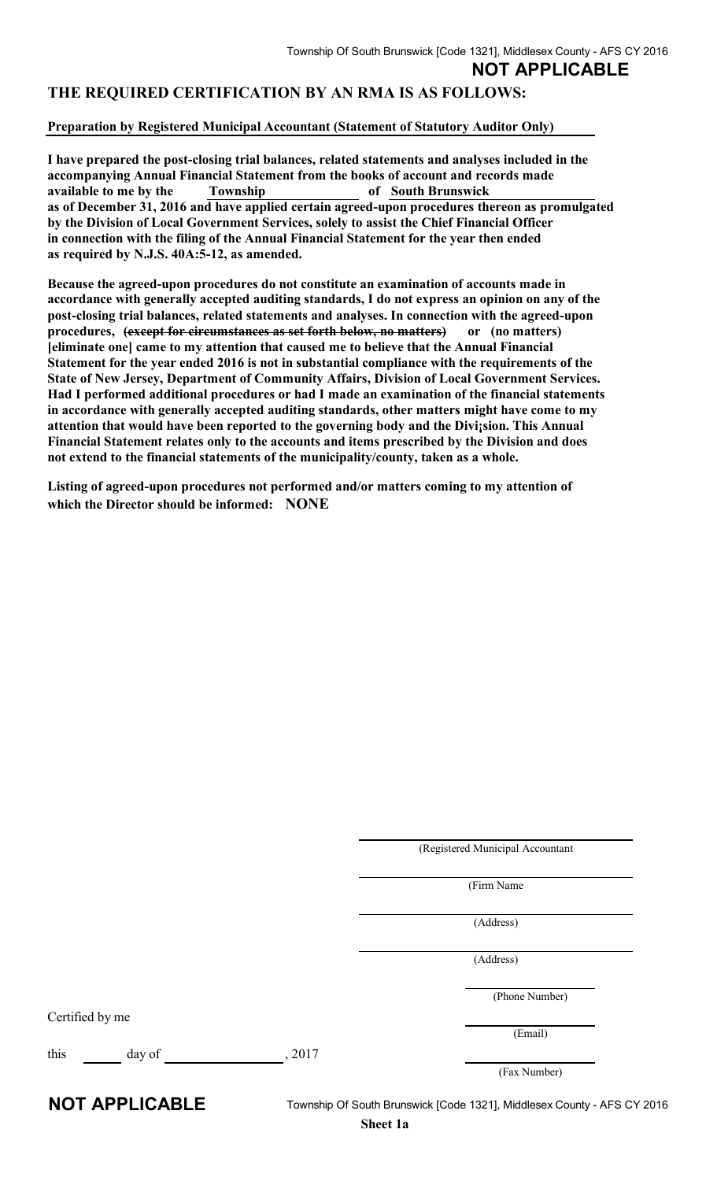### **THE REQUIRED CERTIFICATION BY AN RMA IS AS FOLLOWS:**

#### **Preparation by Registered Municipal Accountant (Statement of Statutory Auditor Only)**

**I have prepared the post-closing trial balances, related statements and analyses included in the accompanying Annual Financial Statement from the books of account and records made available to me by the Township of South Brunswick as of December 31, 2016 and have applied certain agreed-upon procedures thereon as promulgated by the Division of Local Government Services, solely to assist the Chief Financial Officer in connection with the filing of the Annual Financial Statement for the year then ended as required by N.J.S. 40A:5-12, as amended.** 

**Because the agreed-upon procedures do not constitute an examination of accounts made in accordance with generally accepted auditing standards, I do not express an opinion on any of the post-closing trial balances, related statements and analyses. In connection with the agreed-upon procedures, (except for circumstances as set forth below, no matters) or (no matters) [eliminate one] came to my attention that caused me to believe that the Annual Financial Statement for the year ended 2016 is not in substantial compliance with the requirements of the State of New Jersey, Department of Community Affairs, Division of Local Government Services. Had I performed additional procedures or had I made an examination of the financial statements in accordance with generally accepted auditing standards, other matters might have come to my attention that would have been reported to the governing body and the Divi¡sion. This Annual Financial Statement relates only to the accounts and items prescribed by the Division and does not extend to the financial statements of the municipality/county, taken as a whole.** 

**Listing of agreed-upon procedures not performed and/or matters coming to my attention of which the Director should be informed: NONE**

|                  | (Registered Municipal Accountant |
|------------------|----------------------------------|
|                  | (Firm Name                       |
|                  | (Address)                        |
|                  | (Address)                        |
|                  | (Phone Number)                   |
| Certified by me  |                                  |
|                  | (Email)                          |
| day of<br>, 2017 |                                  |

**NOT APPLICABLE** Township Of South Brunswick [Code 1321], Middlesex County - AFS CY 2016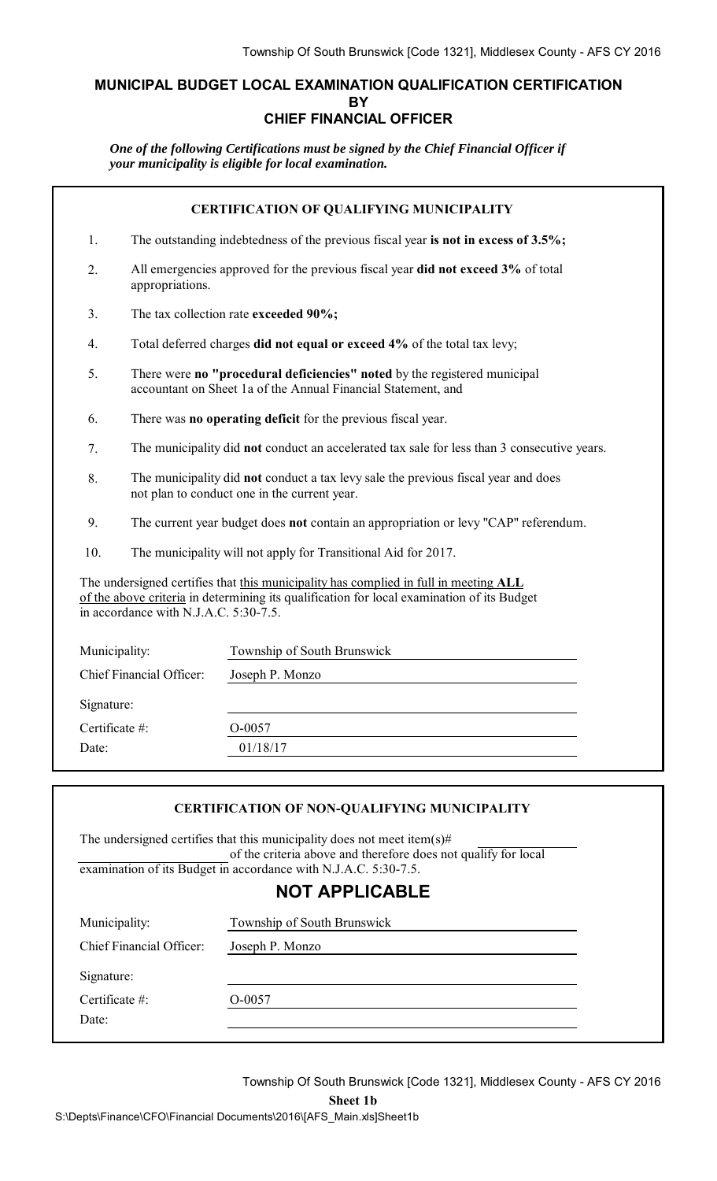### **MUNICIPAL BUDGET LOCAL EXAMINATION QUALIFICATION CERTIFICATION BY CHIEF FINANCIAL OFFICER**

*One of the following Certifications must be signed by the Chief Financial Officer if your municipality is eligible for local examination.*

| 1.<br>The outstanding indebtedness of the previous fiscal year is not in excess of 3.5%;<br>All emergencies approved for the previous fiscal year did not exceed 3% of total<br>2.<br>appropriations.<br>The tax collection rate exceeded 90%;<br>3.<br>Total deferred charges did not equal or exceed 4% of the total tax levy;<br>$\overline{4}$ .<br>5.<br>There were no "procedural deficiencies" noted by the registered municipal<br>accountant on Sheet 1a of the Annual Financial Statement, and<br>6.<br>There was no operating deficit for the previous fiscal year.<br>The municipality did not conduct an accelerated tax sale for less than 3 consecutive years.<br>7.<br>8.<br>The municipality did not conduct a tax levy sale the previous fiscal year and does<br>not plan to conduct one in the current year.<br>9.<br>The current year budget does not contain an appropriation or levy "CAP" referendum.<br>10.<br>The municipality will not apply for Transitional Aid for 2017.<br>The undersigned certifies that this municipality has complied in full in meeting ALL<br>of the above criteria in determining its qualification for local examination of its Budget<br>in accordance with N.J.A.C. 5:30-7.5. | <b>CERTIFICATION OF QUALIFYING MUNICIPALITY</b> |  |                             |  |  |
|--------------------------------------------------------------------------------------------------------------------------------------------------------------------------------------------------------------------------------------------------------------------------------------------------------------------------------------------------------------------------------------------------------------------------------------------------------------------------------------------------------------------------------------------------------------------------------------------------------------------------------------------------------------------------------------------------------------------------------------------------------------------------------------------------------------------------------------------------------------------------------------------------------------------------------------------------------------------------------------------------------------------------------------------------------------------------------------------------------------------------------------------------------------------------------------------------------------------------------------|-------------------------------------------------|--|-----------------------------|--|--|
|                                                                                                                                                                                                                                                                                                                                                                                                                                                                                                                                                                                                                                                                                                                                                                                                                                                                                                                                                                                                                                                                                                                                                                                                                                      |                                                 |  |                             |  |  |
|                                                                                                                                                                                                                                                                                                                                                                                                                                                                                                                                                                                                                                                                                                                                                                                                                                                                                                                                                                                                                                                                                                                                                                                                                                      |                                                 |  |                             |  |  |
|                                                                                                                                                                                                                                                                                                                                                                                                                                                                                                                                                                                                                                                                                                                                                                                                                                                                                                                                                                                                                                                                                                                                                                                                                                      |                                                 |  |                             |  |  |
|                                                                                                                                                                                                                                                                                                                                                                                                                                                                                                                                                                                                                                                                                                                                                                                                                                                                                                                                                                                                                                                                                                                                                                                                                                      |                                                 |  |                             |  |  |
|                                                                                                                                                                                                                                                                                                                                                                                                                                                                                                                                                                                                                                                                                                                                                                                                                                                                                                                                                                                                                                                                                                                                                                                                                                      |                                                 |  |                             |  |  |
|                                                                                                                                                                                                                                                                                                                                                                                                                                                                                                                                                                                                                                                                                                                                                                                                                                                                                                                                                                                                                                                                                                                                                                                                                                      |                                                 |  |                             |  |  |
|                                                                                                                                                                                                                                                                                                                                                                                                                                                                                                                                                                                                                                                                                                                                                                                                                                                                                                                                                                                                                                                                                                                                                                                                                                      |                                                 |  |                             |  |  |
|                                                                                                                                                                                                                                                                                                                                                                                                                                                                                                                                                                                                                                                                                                                                                                                                                                                                                                                                                                                                                                                                                                                                                                                                                                      |                                                 |  |                             |  |  |
|                                                                                                                                                                                                                                                                                                                                                                                                                                                                                                                                                                                                                                                                                                                                                                                                                                                                                                                                                                                                                                                                                                                                                                                                                                      |                                                 |  |                             |  |  |
|                                                                                                                                                                                                                                                                                                                                                                                                                                                                                                                                                                                                                                                                                                                                                                                                                                                                                                                                                                                                                                                                                                                                                                                                                                      |                                                 |  |                             |  |  |
|                                                                                                                                                                                                                                                                                                                                                                                                                                                                                                                                                                                                                                                                                                                                                                                                                                                                                                                                                                                                                                                                                                                                                                                                                                      |                                                 |  |                             |  |  |
|                                                                                                                                                                                                                                                                                                                                                                                                                                                                                                                                                                                                                                                                                                                                                                                                                                                                                                                                                                                                                                                                                                                                                                                                                                      | Municipality:                                   |  | Township of South Brunswick |  |  |
| Chief Financial Officer:<br>Joseph P. Monzo                                                                                                                                                                                                                                                                                                                                                                                                                                                                                                                                                                                                                                                                                                                                                                                                                                                                                                                                                                                                                                                                                                                                                                                          |                                                 |  |                             |  |  |
| Signature:                                                                                                                                                                                                                                                                                                                                                                                                                                                                                                                                                                                                                                                                                                                                                                                                                                                                                                                                                                                                                                                                                                                                                                                                                           |                                                 |  |                             |  |  |
| Certificate #:<br>O-0057                                                                                                                                                                                                                                                                                                                                                                                                                                                                                                                                                                                                                                                                                                                                                                                                                                                                                                                                                                                                                                                                                                                                                                                                             |                                                 |  |                             |  |  |
| 01/18/17<br>Date:                                                                                                                                                                                                                                                                                                                                                                                                                                                                                                                                                                                                                                                                                                                                                                                                                                                                                                                                                                                                                                                                                                                                                                                                                    |                                                 |  |                             |  |  |
|                                                                                                                                                                                                                                                                                                                                                                                                                                                                                                                                                                                                                                                                                                                                                                                                                                                                                                                                                                                                                                                                                                                                                                                                                                      |                                                 |  |                             |  |  |

#### **CERTIFICATION OF NON-QUALIFYING MUNICIPALITY**

The undersigned certifies that this municipality does not meet item(s)# of the criteria above and therefore does not qualify for local examination of its Budget in accordance with N.J.A.C. 5:30-7.5.

### **NOT APPLICABLE**

| Municipality:            | Township of South Brunswick |  |
|--------------------------|-----------------------------|--|
| Chief Financial Officer: | Joseph P. Monzo             |  |
| Signature:               |                             |  |
| Certificate $#$ :        | O-0057                      |  |
| Date:                    |                             |  |
|                          |                             |  |

Township Of South Brunswick [Code 1321], Middlesex County - AFS CY 2016

**Sheet 1b**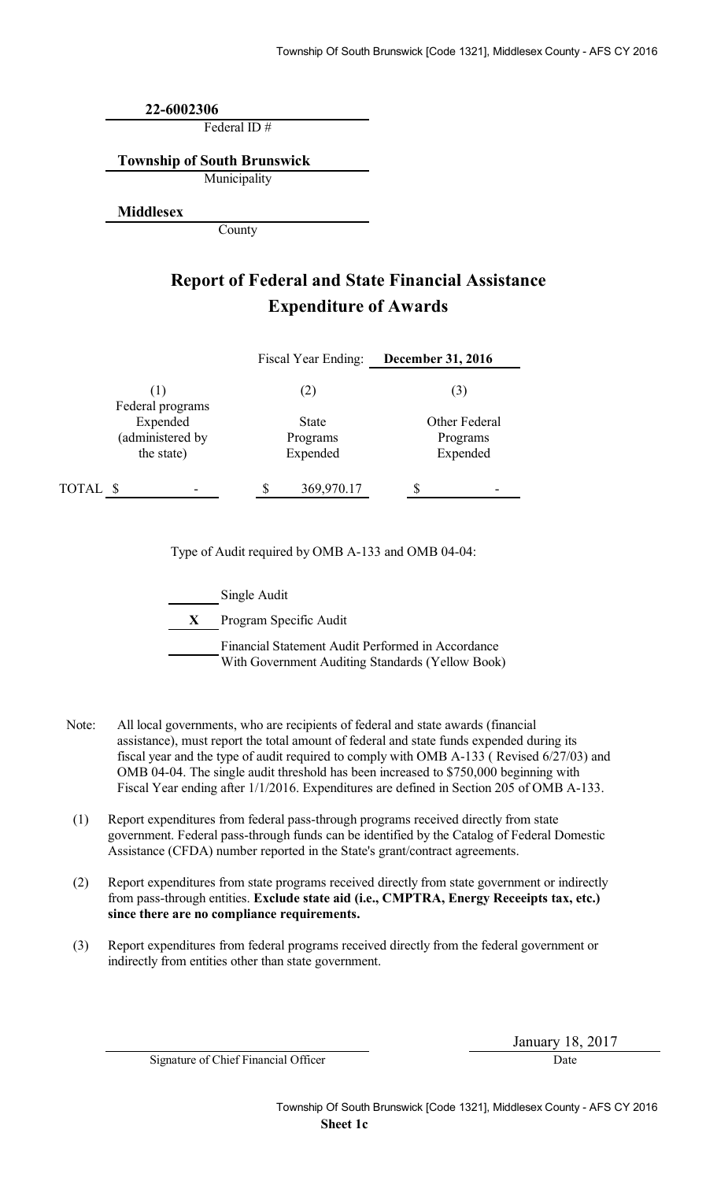**22-6002306**

Federal ID #

**Township of South Brunswick**

Municipality

**Middlesex**

County

## **Report of Federal and State Financial Assistance Expenditure of Awards**

|                                            | Fiscal Year Ending:                  | <b>December 31, 2016</b>              |
|--------------------------------------------|--------------------------------------|---------------------------------------|
| (1)<br>Federal programs                    | (2)                                  | (3)                                   |
| Expended<br>(administered by<br>the state) | <b>State</b><br>Programs<br>Expended | Other Federal<br>Programs<br>Expended |
| TOTAL \$                                   | 369,970.17                           |                                       |

Type of Audit required by OMB A-133 and OMB 04-04:

Single Audit

**X** Program Specific Audit

Financial Statement Audit Performed in Accordance With Government Auditing Standards (Yellow Book)

- Note: All local governments, who are recipients of federal and state awards (financial assistance), must report the total amount of federal and state funds expended during its fiscal year and the type of audit required to comply with OMB A-133 ( Revised 6/27/03) and OMB 04-04. The single audit threshold has been increased to \$750,000 beginning with Fiscal Year ending after 1/1/2016. Expenditures are defined in Section 205 of OMB A-133.
- (1) Report expenditures from federal pass-through programs received directly from state government. Federal pass-through funds can be identified by the Catalog of Federal Domestic Assistance (CFDA) number reported in the State's grant/contract agreements.
- (2) Report expenditures from state programs received directly from state government or indirectly from pass-through entities. **Exclude state aid (i.e., CMPTRA, Energy Receeipts tax, etc.) since there are no compliance requirements.**
- (3) Report expenditures from federal programs received directly from the federal government or indirectly from entities other than state government.

Signature of Chief Financial Officer Date

January 18, 2017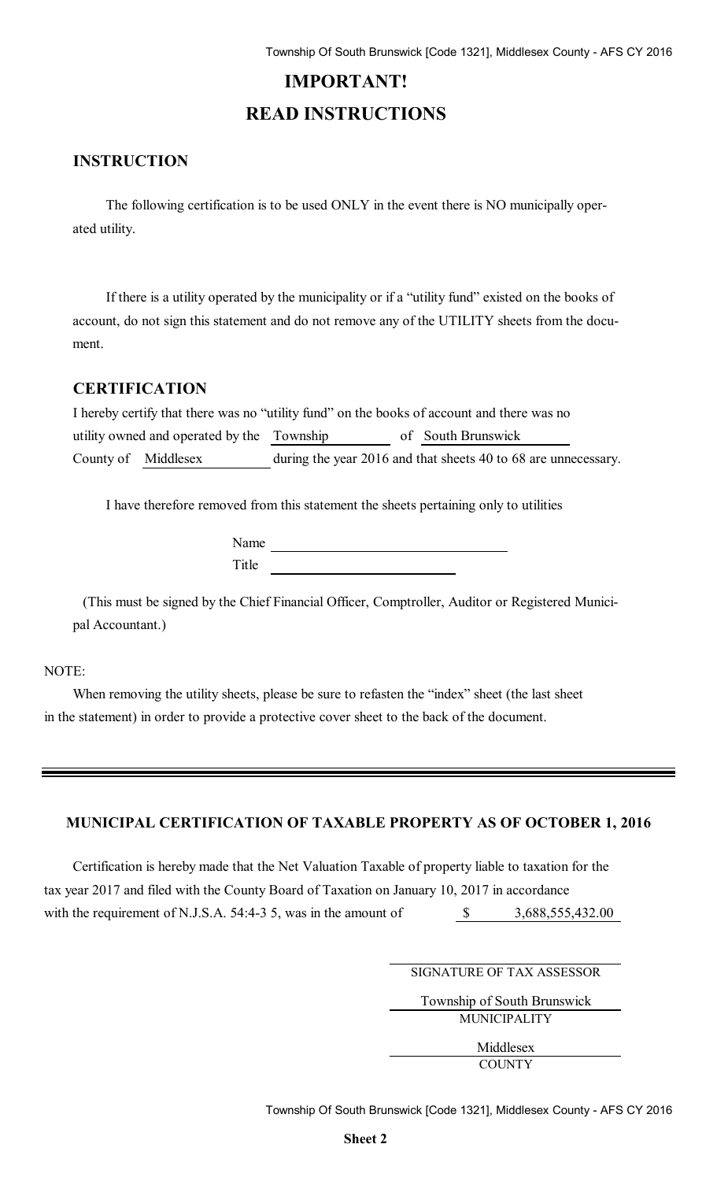# **IMPORTANT! READ INSTRUCTIONS**

### **INSTRUCTION**

The following certification is to be used ONLY in the event there is NO municipally operated utility.

If there is a utility operated by the municipality or if a "utility fund" existed on the books of account, do not sign this statement and do not remove any of the UTILITY sheets from the document.

#### **CERTIFICATION**

| I hereby certify that there was no "utility fund" on the books of account and there was no |  |                                                                |
|--------------------------------------------------------------------------------------------|--|----------------------------------------------------------------|
| utility owned and operated by the Township                                                 |  | of South Brunswick                                             |
| County of Middlesex                                                                        |  | during the year 2016 and that sheets 40 to 68 are unnecessary. |

I have therefore removed from this statement the sheets pertaining only to utilities

Name Title <u>the service</u> of the service of the service of the service of the service of the service of the service of the service of the service of the service of the service of the service of the service of the service of the

(This must be signed by the Chief Financial Officer, Comptroller, Auditor or Registered Municipal Accountant.)

#### NOTE:

When removing the utility sheets, please be sure to refasten the "index" sheet (the last sheet in the statement) in order to provide a protective cover sheet to the back of the document.

#### **MUNICIPAL CERTIFICATION OF TAXABLE PROPERTY AS OF OCTOBER 1, 2016**

Certification is hereby made that the Net Valuation Taxable of property liable to taxation for the tax year 2017 and filed with the County Board of Taxation on January 10, 2017 in accordance with the requirement of N.J.S.A. 54:4-3 5, was in the amount of \$ 3,688,555,432.00

SIGNATURE OF TAX ASSESSOR

Township of South Brunswick MUNICIPALITY

> Middlesex **COUNTY**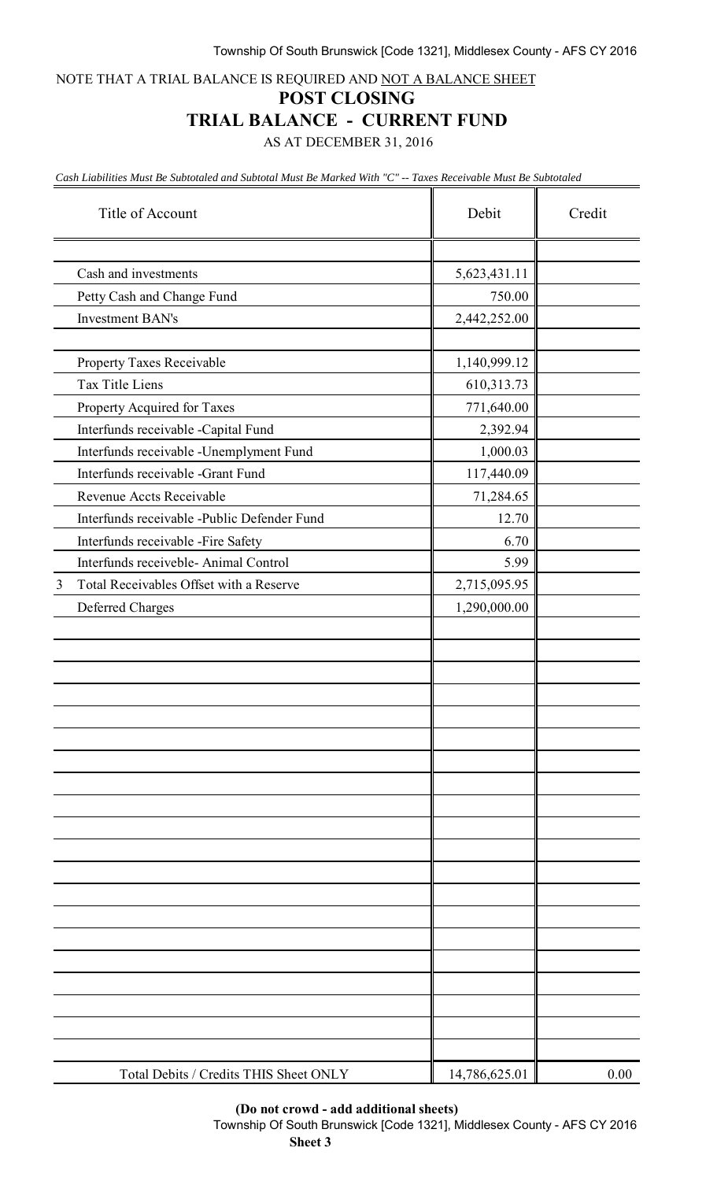NOTE THAT A TRIAL BALANCE IS REQUIRED AND NOT A BALANCE SHEET

#### **POST CLOSING**

### **TRIAL BALANCE - CURRENT FUND**

AS AT DECEMBER 31, 2016

*Cash Liabilities Must Be Subtotaled and Subtotal Must Be Marked With "C" -- Taxes Receivable Must Be Subtotaled*

|                | Title of Account                            | Debit         | Credit |
|----------------|---------------------------------------------|---------------|--------|
|                |                                             |               |        |
|                | Cash and investments                        | 5,623,431.11  |        |
|                | Petty Cash and Change Fund                  | 750.00        |        |
|                | <b>Investment BAN's</b>                     | 2,442,252.00  |        |
|                |                                             |               |        |
|                | Property Taxes Receivable                   | 1,140,999.12  |        |
|                | Tax Title Liens                             | 610,313.73    |        |
|                | Property Acquired for Taxes                 | 771,640.00    |        |
|                | Interfunds receivable -Capital Fund         | 2,392.94      |        |
|                | Interfunds receivable -Unemplyment Fund     | 1,000.03      |        |
|                | Interfunds receivable -Grant Fund           | 117,440.09    |        |
|                | Revenue Accts Receivable                    | 71,284.65     |        |
|                | Interfunds receivable -Public Defender Fund | 12.70         |        |
|                | Interfunds receivable -Fire Safety          | 6.70          |        |
|                | Interfunds receiveble- Animal Control       | 5.99          |        |
| $\mathfrak{Z}$ | Total Receivables Offset with a Reserve     | 2,715,095.95  |        |
|                | <b>Deferred Charges</b>                     | 1,290,000.00  |        |
|                |                                             |               |        |
|                |                                             |               |        |
|                |                                             |               |        |
|                |                                             |               |        |
|                |                                             |               |        |
|                |                                             |               |        |
|                |                                             |               |        |
|                |                                             |               |        |
|                |                                             |               |        |
|                |                                             |               |        |
|                |                                             |               |        |
|                |                                             |               |        |
|                |                                             |               |        |
|                |                                             |               |        |
|                |                                             |               |        |
|                |                                             |               |        |
|                |                                             |               |        |
|                |                                             |               |        |
|                |                                             |               |        |
|                |                                             |               |        |
|                | Total Debits / Credits THIS Sheet ONLY      | 14,786,625.01 | 0.00   |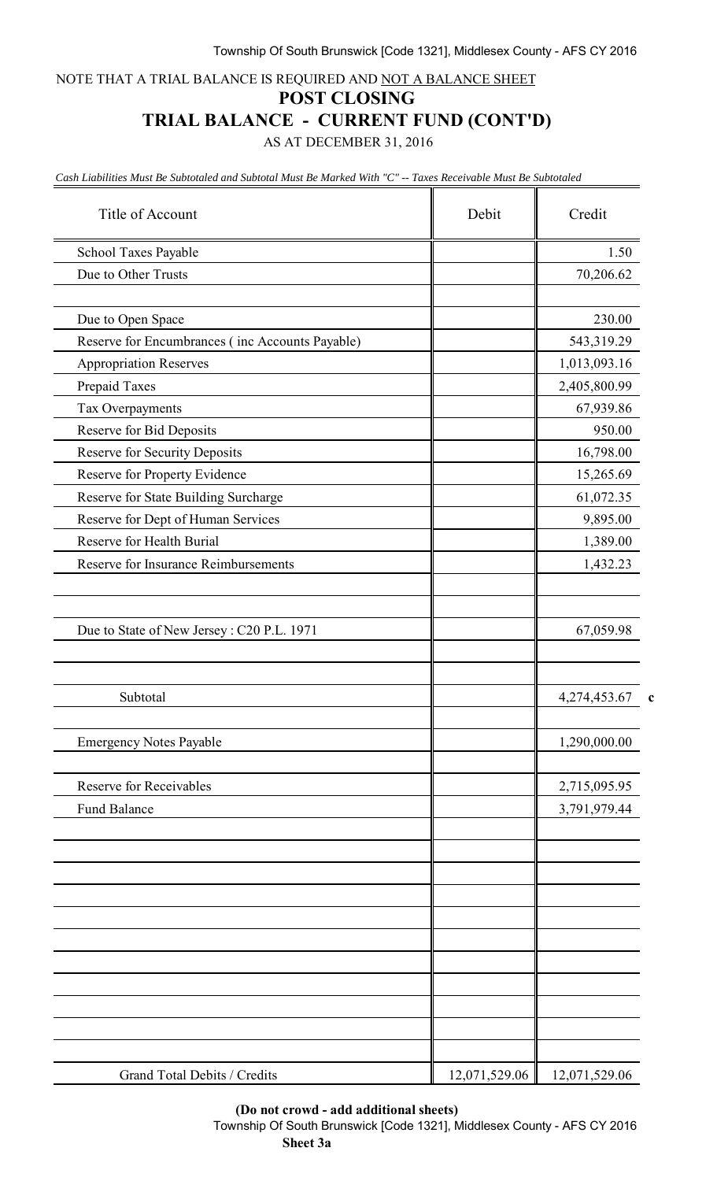NOTE THAT A TRIAL BALANCE IS REQUIRED AND NOT A BALANCE SHEET

#### **POST CLOSING**

### **TRIAL BALANCE - CURRENT FUND (CONT'D)**

AS AT DECEMBER 31, 2016

*Cash Liabilities Must Be Subtotaled and Subtotal Must Be Marked With "C" -- Taxes Receivable Must Be Subtotaled*

| Title of Account                                | Debit         | Credit        |  |
|-------------------------------------------------|---------------|---------------|--|
| School Taxes Payable                            |               | 1.50          |  |
| Due to Other Trusts                             |               | 70,206.62     |  |
| Due to Open Space                               |               | 230.00        |  |
| Reserve for Encumbrances (inc Accounts Payable) |               | 543,319.29    |  |
| <b>Appropriation Reserves</b>                   |               | 1,013,093.16  |  |
| Prepaid Taxes                                   |               | 2,405,800.99  |  |
| Tax Overpayments                                |               | 67,939.86     |  |
| Reserve for Bid Deposits                        |               | 950.00        |  |
| Reserve for Security Deposits                   |               | 16,798.00     |  |
| Reserve for Property Evidence                   |               | 15,265.69     |  |
| Reserve for State Building Surcharge            |               | 61,072.35     |  |
| Reserve for Dept of Human Services              |               | 9,895.00      |  |
| Reserve for Health Burial                       |               | 1,389.00      |  |
| Reserve for Insurance Reimbursements            |               | 1,432.23      |  |
|                                                 |               |               |  |
| Due to State of New Jersey: C20 P.L. 1971       |               | 67,059.98     |  |
| Subtotal                                        |               | 4,274,453.67  |  |
| <b>Emergency Notes Payable</b>                  |               | 1,290,000.00  |  |
| <b>Reserve for Receivables</b>                  |               | 2,715,095.95  |  |
| Fund Balance                                    |               | 3,791,979.44  |  |
|                                                 |               |               |  |
|                                                 |               |               |  |
|                                                 |               |               |  |
|                                                 |               |               |  |
|                                                 |               |               |  |
| Grand Total Debits / Credits                    | 12,071,529.06 | 12,071,529.06 |  |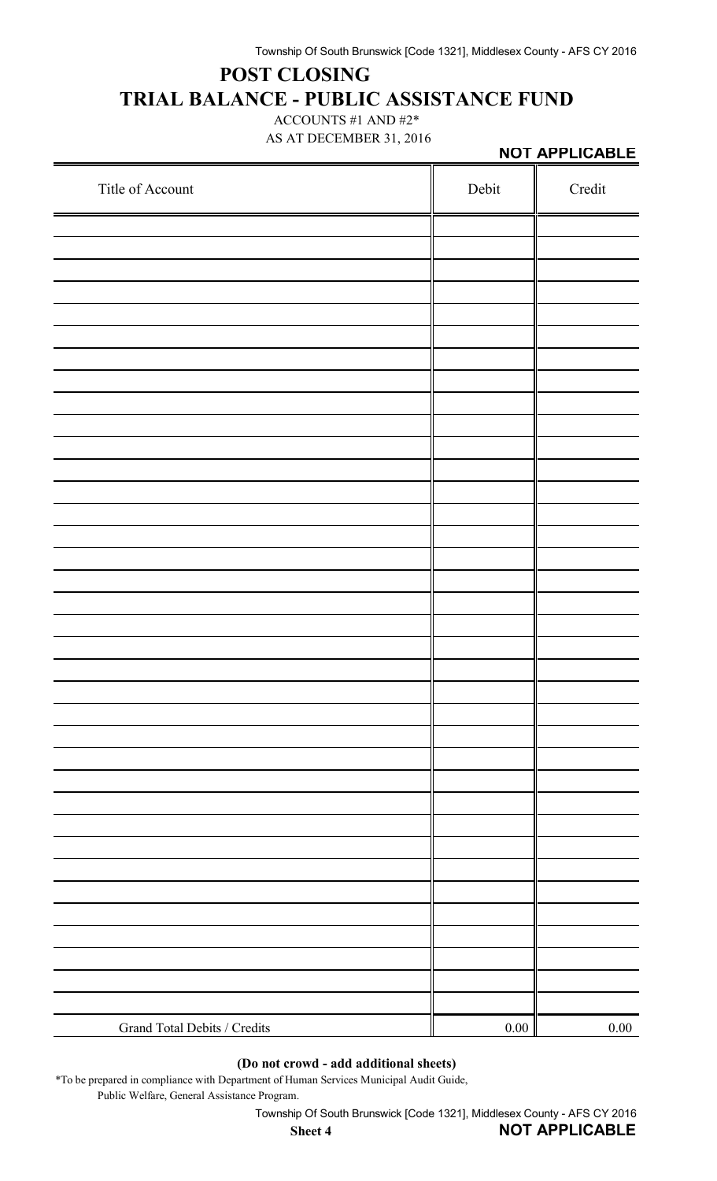# **POST CLOSING TRIAL BALANCE - PUBLIC ASSISTANCE FUND**

ACCOUNTS #1 AND #2\* AS AT DECEMBER 31, 2016

|                              |       | NOT APPLICABLE |
|------------------------------|-------|----------------|
| Title of Account             | Debit | Credit         |
|                              |       |                |
|                              |       |                |
|                              |       |                |
|                              |       |                |
|                              |       |                |
|                              |       |                |
|                              |       |                |
|                              |       |                |
|                              |       |                |
|                              |       |                |
|                              |       |                |
|                              |       |                |
|                              |       |                |
|                              |       |                |
|                              |       |                |
|                              |       |                |
|                              |       |                |
|                              |       |                |
|                              |       |                |
|                              |       |                |
|                              |       |                |
|                              |       |                |
|                              |       |                |
|                              |       |                |
| Grand Total Debits / Credits | 0.00  | 0.00           |
|                              |       |                |

#### **(Do not crowd - add additional sheets)**

\*To be prepared in compliance with Department of Human Services Municipal Audit Guide, Public Welfare, General Assistance Program.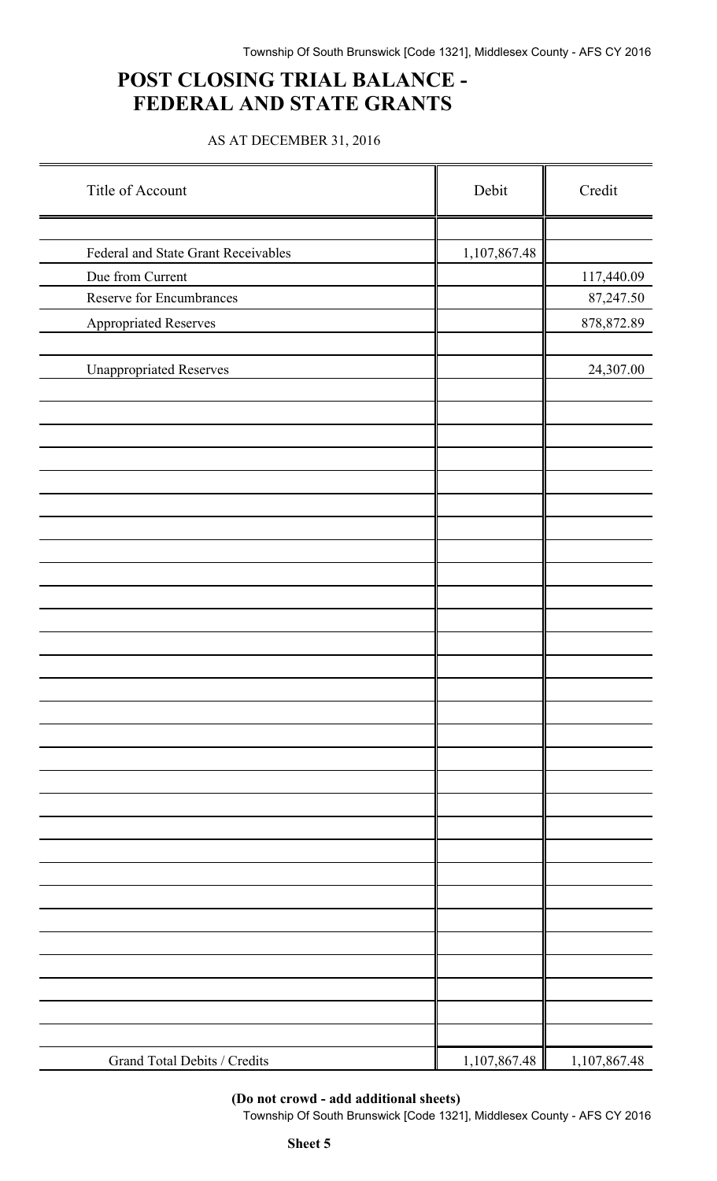## **POST CLOSING TRIAL BALANCE - FEDERAL AND STATE GRANTS**

### AS AT DECEMBER 31, 2016

| Title of Account                    | Debit        | Credit       |
|-------------------------------------|--------------|--------------|
|                                     |              |              |
| Federal and State Grant Receivables | 1,107,867.48 |              |
| Due from Current                    |              | 117,440.09   |
| Reserve for Encumbrances            |              | 87,247.50    |
| <b>Appropriated Reserves</b>        |              | 878, 872.89  |
| <b>Unappropriated Reserves</b>      |              | 24,307.00    |
|                                     |              |              |
|                                     |              |              |
|                                     |              |              |
|                                     |              |              |
|                                     |              |              |
|                                     |              |              |
|                                     |              |              |
|                                     |              |              |
|                                     |              |              |
|                                     |              |              |
|                                     |              |              |
|                                     |              |              |
|                                     |              |              |
|                                     |              |              |
|                                     |              |              |
|                                     |              |              |
| Grand Total Debits / Credits        | 1,107,867.48 | 1,107,867.48 |

**(Do not crowd - add additional sheets)**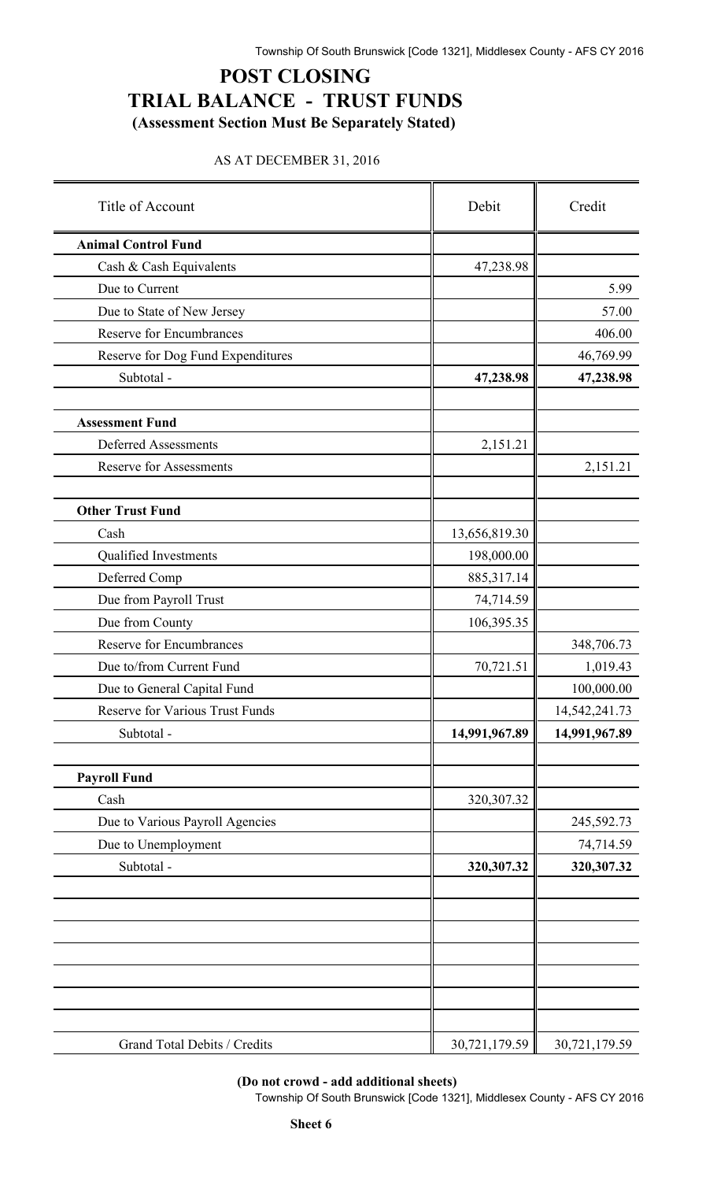## **POST CLOSING TRIAL BALANCE - TRUST FUNDS (Assessment Section Must Be Separately Stated)**

#### AS AT DECEMBER 31, 2016

| Title of Account                  | Debit         | Credit        |  |
|-----------------------------------|---------------|---------------|--|
| <b>Animal Control Fund</b>        |               |               |  |
| Cash & Cash Equivalents           | 47,238.98     |               |  |
| Due to Current                    |               | 5.99          |  |
| Due to State of New Jersey        |               | 57.00         |  |
| <b>Reserve for Encumbrances</b>   |               | 406.00        |  |
| Reserve for Dog Fund Expenditures |               | 46,769.99     |  |
| Subtotal -                        | 47,238.98     | 47,238.98     |  |
| <b>Assessment Fund</b>            |               |               |  |
| <b>Deferred Assessments</b>       | 2,151.21      |               |  |
| <b>Reserve for Assessments</b>    |               | 2,151.21      |  |
| <b>Other Trust Fund</b>           |               |               |  |
| Cash                              | 13,656,819.30 |               |  |
| Qualified Investments             | 198,000.00    |               |  |
| Deferred Comp                     | 885,317.14    |               |  |
| Due from Payroll Trust            | 74,714.59     |               |  |
| Due from County                   | 106,395.35    |               |  |
| <b>Reserve for Encumbrances</b>   |               | 348,706.73    |  |
| Due to/from Current Fund          | 70,721.51     | 1,019.43      |  |
| Due to General Capital Fund       |               | 100,000.00    |  |
| Reserve for Various Trust Funds   |               | 14,542,241.73 |  |
| Subtotal -                        | 14,991,967.89 | 14,991,967.89 |  |
| <b>Payroll Fund</b>               |               |               |  |
| Cash                              | 320,307.32    |               |  |
| Due to Various Payroll Agencies   |               | 245,592.73    |  |
| Due to Unemployment               |               | 74,714.59     |  |
| Subtotal -                        | 320,307.32    | 320,307.32    |  |
|                                   |               |               |  |
|                                   |               |               |  |
|                                   |               |               |  |
|                                   |               |               |  |
| Grand Total Debits / Credits      | 30,721,179.59 | 30,721,179.59 |  |

**(Do not crowd - add additional sheets)**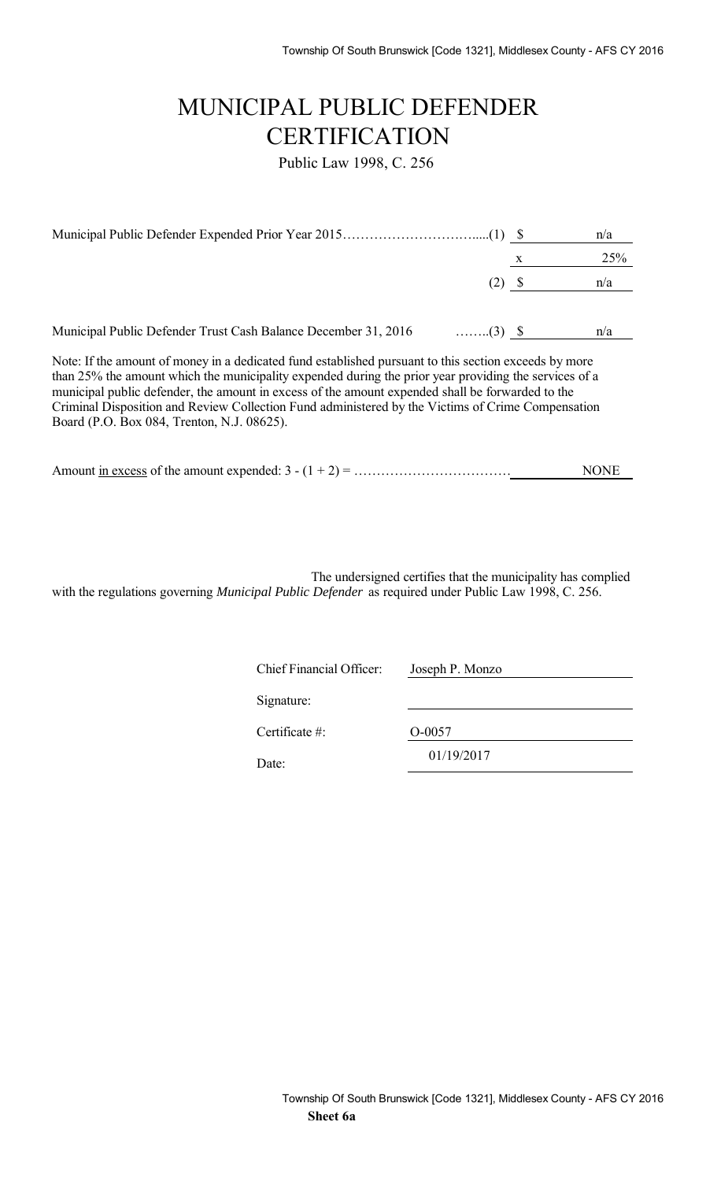# MUNICIPAL PUBLIC DEFENDER **CERTIFICATION**

Public Law 1998, C. 256

|                                                                                                                                                                                                                                                                                                                                                                                                                         |                 |   | n/a |
|-------------------------------------------------------------------------------------------------------------------------------------------------------------------------------------------------------------------------------------------------------------------------------------------------------------------------------------------------------------------------------------------------------------------------|-----------------|---|-----|
|                                                                                                                                                                                                                                                                                                                                                                                                                         |                 | X | 25% |
|                                                                                                                                                                                                                                                                                                                                                                                                                         | (2) S           |   | n/a |
|                                                                                                                                                                                                                                                                                                                                                                                                                         |                 |   |     |
| Municipal Public Defender Trust Cash Balance December 31, 2016                                                                                                                                                                                                                                                                                                                                                          | $\ldots$ (3) \$ |   | n/a |
| Note: If the amount of money in a dedicated fund established pursuant to this section exceeds by more<br>than 25% the amount which the municipality expended during the prior year providing the services of a<br>municipal public defender, the amount in excess of the amount expended shall be forwarded to the<br>Criminal Disposition and Review Collection Fund administered by the Victims of Crime Compensation |                 |   |     |

Board (P.O. Box 084, Trenton, N.J. 08625).

| Amount in excess of the amount expended: $3 - (1 + 2) =$ . |  | NONE |
|------------------------------------------------------------|--|------|
|                                                            |  |      |

The undersigned certifies that the municipality has complied with the regulations governing *Municipal Public Defender* as required under Public Law 1998, C. 256.

| <b>Chief Financial Officer:</b> | Joseph P. Monzo |
|---------------------------------|-----------------|
| Signature:                      |                 |
| Certificate $#$ :               | O-0057          |
| Date:                           | 01/19/2017      |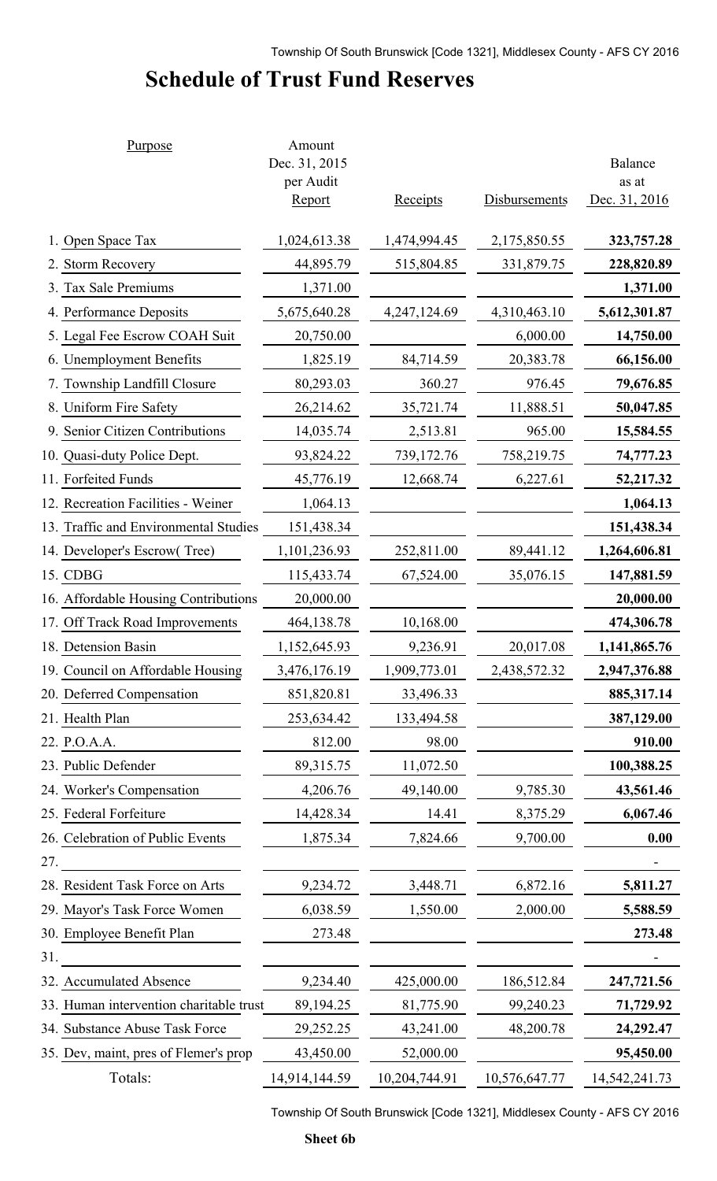# **Schedule of Trust Fund Reserves**

| Purpose                                 | Amount<br>Dec. 31, 2015<br>per Audit |                 |                      | Balance<br>as at |
|-----------------------------------------|--------------------------------------|-----------------|----------------------|------------------|
|                                         | <b>Report</b>                        | <b>Receipts</b> | <b>Disbursements</b> | Dec. 31, 2016    |
| 1. Open Space Tax                       | 1,024,613.38                         | 1,474,994.45    | 2,175,850.55         | 323,757.28       |
| 2. Storm Recovery                       | 44,895.79                            | 515,804.85      | 331,879.75           | 228,820.89       |
| 3. Tax Sale Premiums                    | 1,371.00                             |                 |                      | 1,371.00         |
| 4. Performance Deposits                 | 5,675,640.28                         | 4,247,124.69    | 4,310,463.10         | 5,612,301.87     |
| 5. Legal Fee Escrow COAH Suit           | 20,750.00                            |                 | 6,000.00             | 14,750.00        |
| 6. Unemployment Benefits                | 1,825.19                             | 84,714.59       | 20,383.78            | 66,156.00        |
| 7. Township Landfill Closure            | 80,293.03                            | 360.27          | 976.45               | 79,676.85        |
| 8. Uniform Fire Safety                  | 26,214.62                            | 35,721.74       | 11,888.51            | 50,047.85        |
| 9. Senior Citizen Contributions         | 14,035.74                            | 2,513.81        | 965.00               | 15,584.55        |
| 10. Quasi-duty Police Dept.             | 93,824.22                            | 739,172.76      | 758,219.75           | 74,777.23        |
| 11. Forfeited Funds                     | 45,776.19                            | 12,668.74       | 6,227.61             | 52,217.32        |
| 12. Recreation Facilities - Weiner      | 1,064.13                             |                 |                      | 1,064.13         |
| 13. Traffic and Environmental Studies   | 151,438.34                           |                 |                      | 151,438.34       |
| 14. Developer's Escrow(Tree)            | 1,101,236.93                         | 252,811.00      | 89,441.12            | 1,264,606.81     |
| 15. CDBG                                | 115,433.74                           | 67,524.00       | 35,076.15            | 147,881.59       |
| 16. Affordable Housing Contributions    | 20,000.00                            |                 |                      | 20,000.00        |
| 17. Off Track Road Improvements         | 464,138.78                           | 10,168.00       |                      | 474,306.78       |
| 18. Detension Basin                     | 1,152,645.93                         | 9,236.91        | 20,017.08            | 1,141,865.76     |
| 19. Council on Affordable Housing       | 3,476,176.19                         | 1,909,773.01    | 2,438,572.32         | 2,947,376.88     |
| 20. Deferred Compensation               | 851,820.81                           | 33,496.33       |                      | 885, 317. 14     |
| 21. Health Plan                         | 253,634.42                           | 133,494.58      |                      | 387,129.00       |
| 22. P.O.A.A.                            | 812.00                               | 98.00           |                      | 910.00           |
| 23. Public Defender                     | 89,315.75                            | 11,072.50       |                      | 100,388.25       |
| 24. Worker's Compensation               | 4,206.76                             | 49,140.00       | 9,785.30             | 43,561.46        |
| 25. Federal Forfeiture                  | 14,428.34                            | 14.41           | 8,375.29             | 6,067.46         |
| 26. Celebration of Public Events        | 1,875.34                             | 7,824.66        | 9,700.00             | 0.00             |
| 27.                                     |                                      |                 |                      |                  |
| 28. Resident Task Force on Arts         | 9,234.72                             | 3,448.71        | 6,872.16             | 5,811.27         |
| 29. Mayor's Task Force Women            | 6,038.59                             | 1,550.00        | 2,000.00             | 5,588.59         |
| 30. Employee Benefit Plan               | 273.48                               |                 |                      | 273.48           |
| 31.                                     |                                      |                 |                      |                  |
| 32. Accumulated Absence                 | 9,234.40                             | 425,000.00      | 186,512.84           | 247,721.56       |
| 33. Human intervention charitable trust | 89,194.25                            | 81,775.90       | 99,240.23            | 71,729.92        |
| 34. Substance Abuse Task Force          | 29,252.25                            | 43,241.00       | 48,200.78            | 24,292.47        |
| 35. Dev, maint, pres of Flemer's prop   | 43,450.00                            | 52,000.00       |                      | 95,450.00        |
| Totals:                                 | 14,914,144.59                        | 10,204,744.91   | 10,576,647.77        | 14, 542, 241. 73 |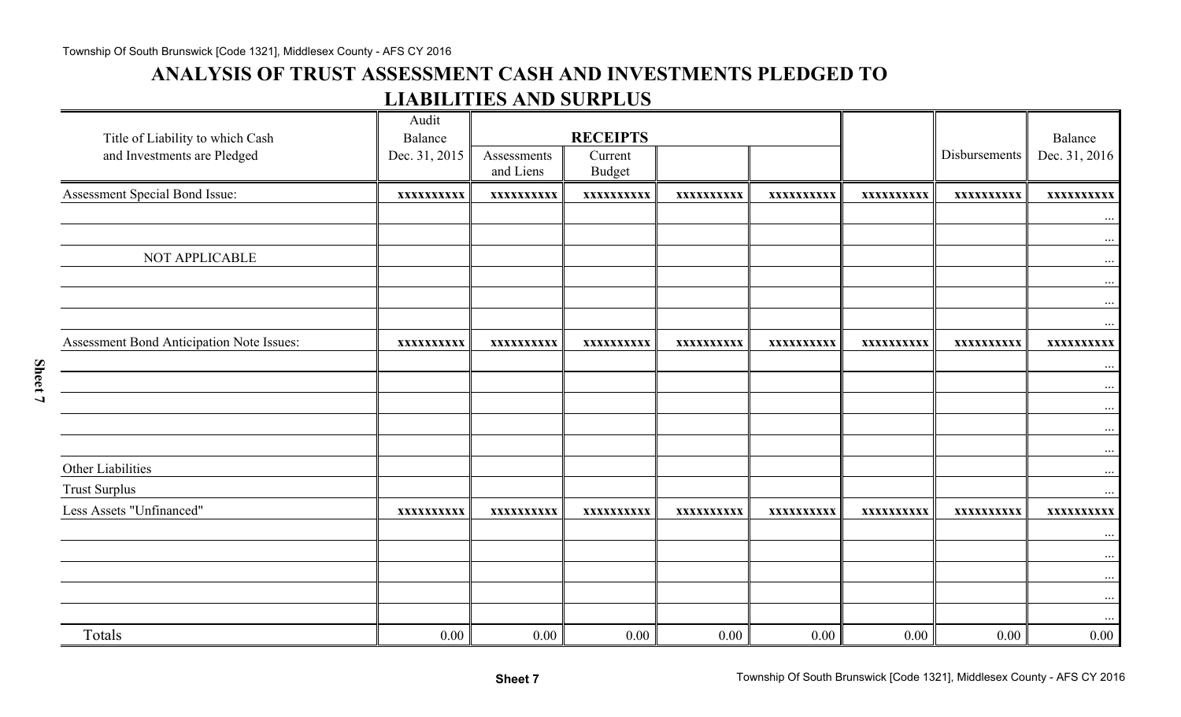## **ANALYSIS OF TRUST ASSESSMENT CASH AND INVESTMENTS PLEDGED TO LIABILITIES AND SURPLUS**

| Title of Liability to which Cash<br>and Investments are Pledged | Audit<br>Balance<br>Dec. 31, 2015 | Assessments<br>and Liens | <b>RECEIPTS</b><br>Current<br><b>Budget</b> |            |            |            | Disbursements | Balance<br>Dec. 31, 2016 |
|-----------------------------------------------------------------|-----------------------------------|--------------------------|---------------------------------------------|------------|------------|------------|---------------|--------------------------|
| Assessment Special Bond Issue:                                  | XXXXXXXXXX                        | XXXXXXXXXX               | XXXXXXXXXX                                  | XXXXXXXXXX | XXXXXXXXXX | XXXXXXXXXX | XXXXXXXXXX    | XXXXXXXXXX               |
|                                                                 |                                   |                          |                                             |            |            |            |               | $\cdots$                 |
| NOT APPLICABLE                                                  |                                   |                          |                                             |            |            |            |               | $\cdots$<br>$\cdots$     |
|                                                                 |                                   |                          |                                             |            |            |            |               | $\ldots$<br>$\cdots$     |
| Assessment Bond Anticipation Note Issues:                       | XXXXXXXXXX                        | XXXXXXXXXX               | XXXXXXXXXX                                  | XXXXXXXXXX | XXXXXXXXXX | XXXXXXXXXX | XXXXXXXXXX    | $\cdots$<br>XXXXXXXXXX   |
|                                                                 |                                   |                          |                                             |            |            |            |               | $\cdots$<br>$\cdots$     |
|                                                                 |                                   |                          |                                             |            |            |            |               | $\ddots$<br>$\cdots$     |
|                                                                 |                                   |                          |                                             |            |            |            |               | $\ldots$                 |
| Other Liabilities<br><b>Trust Surplus</b>                       |                                   |                          |                                             |            |            |            |               | $\ldots$<br>$\cdots$     |
| Less Assets "Unfinanced"                                        | XXXXXXXXXX                        | XXXXXXXXXX               | XXXXXXXXXX                                  | XXXXXXXXXX | XXXXXXXXXX | XXXXXXXXXX | XXXXXXXXXX    | XXXXXXXXXX               |
|                                                                 |                                   |                          |                                             |            |            |            |               | $\cdots$<br>$\cdots$     |
|                                                                 |                                   |                          |                                             |            |            |            |               | $\ldots$                 |
|                                                                 |                                   |                          |                                             |            |            |            |               | $\cdots$                 |
| Totals                                                          | 0.00                              | 0.00                     | 0.00                                        | 0.00       | 0.00       | 0.00       | 0.00          | .<br>$0.00\,$            |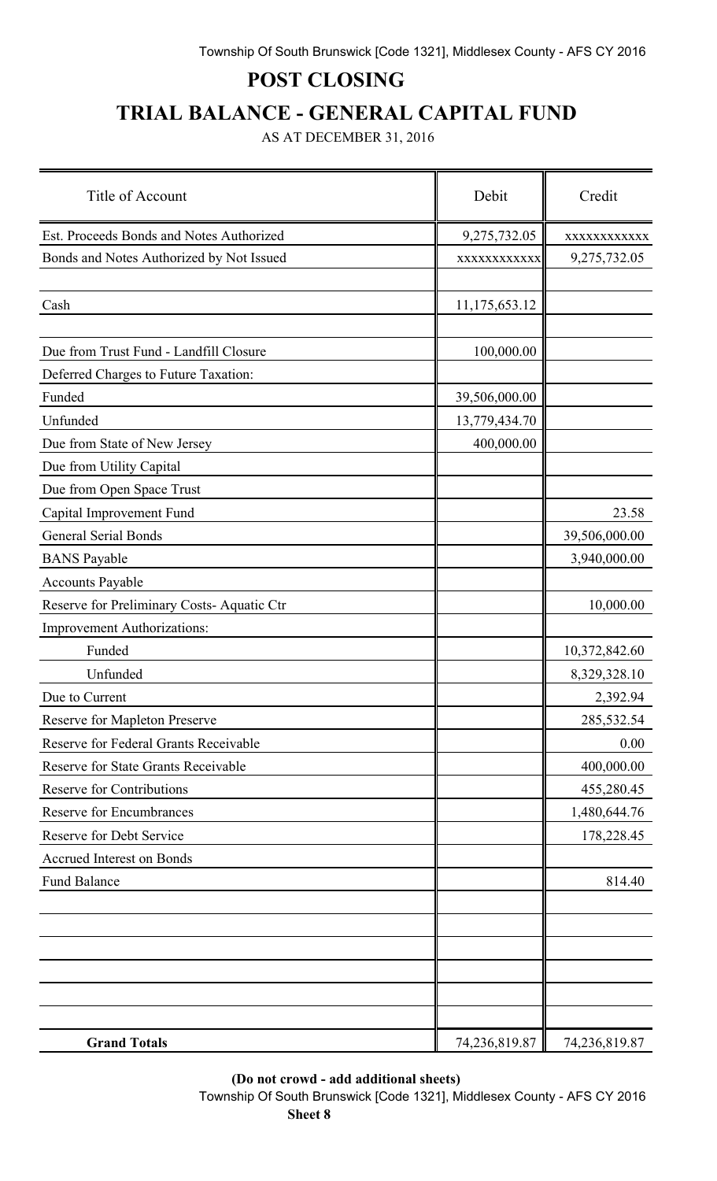# **POST CLOSING**

# **TRIAL BALANCE - GENERAL CAPITAL FUND**

AS AT DECEMBER 31, 2016

| Title of Account                           | Debit         | Credit        |
|--------------------------------------------|---------------|---------------|
| Est. Proceeds Bonds and Notes Authorized   | 9,275,732.05  | XXXXXXXXXXXX  |
| Bonds and Notes Authorized by Not Issued   | XXXXXXXXXXX   | 9,275,732.05  |
| Cash                                       | 11,175,653.12 |               |
| Due from Trust Fund - Landfill Closure     | 100,000.00    |               |
| Deferred Charges to Future Taxation:       |               |               |
| Funded                                     | 39,506,000.00 |               |
| Unfunded                                   | 13,779,434.70 |               |
| Due from State of New Jersey               | 400,000.00    |               |
| Due from Utility Capital                   |               |               |
| Due from Open Space Trust                  |               |               |
| Capital Improvement Fund                   |               | 23.58         |
| <b>General Serial Bonds</b>                |               | 39,506,000.00 |
| <b>BANS</b> Payable                        |               | 3,940,000.00  |
| Accounts Payable                           |               |               |
| Reserve for Preliminary Costs-Aquatic Ctr  |               | 10,000.00     |
| <b>Improvement Authorizations:</b>         |               |               |
| Funded                                     |               | 10,372,842.60 |
| Unfunded                                   |               | 8,329,328.10  |
| Due to Current                             |               | 2,392.94      |
| <b>Reserve for Mapleton Preserve</b>       |               | 285,532.54    |
| Reserve for Federal Grants Receivable      |               | 0.00          |
| <b>Reserve for State Grants Receivable</b> |               | 400,000.00    |
| <b>Reserve for Contributions</b>           |               | 455,280.45    |
| <b>Reserve for Encumbrances</b>            |               | 1,480,644.76  |
| <b>Reserve for Debt Service</b>            |               | 178,228.45    |
| Accrued Interest on Bonds                  |               |               |
| <b>Fund Balance</b>                        |               | 814.40        |
|                                            |               |               |
|                                            |               |               |
|                                            |               |               |
|                                            |               |               |
|                                            |               |               |
|                                            |               |               |
| <b>Grand Totals</b>                        | 74,236,819.87 | 74,236,819.87 |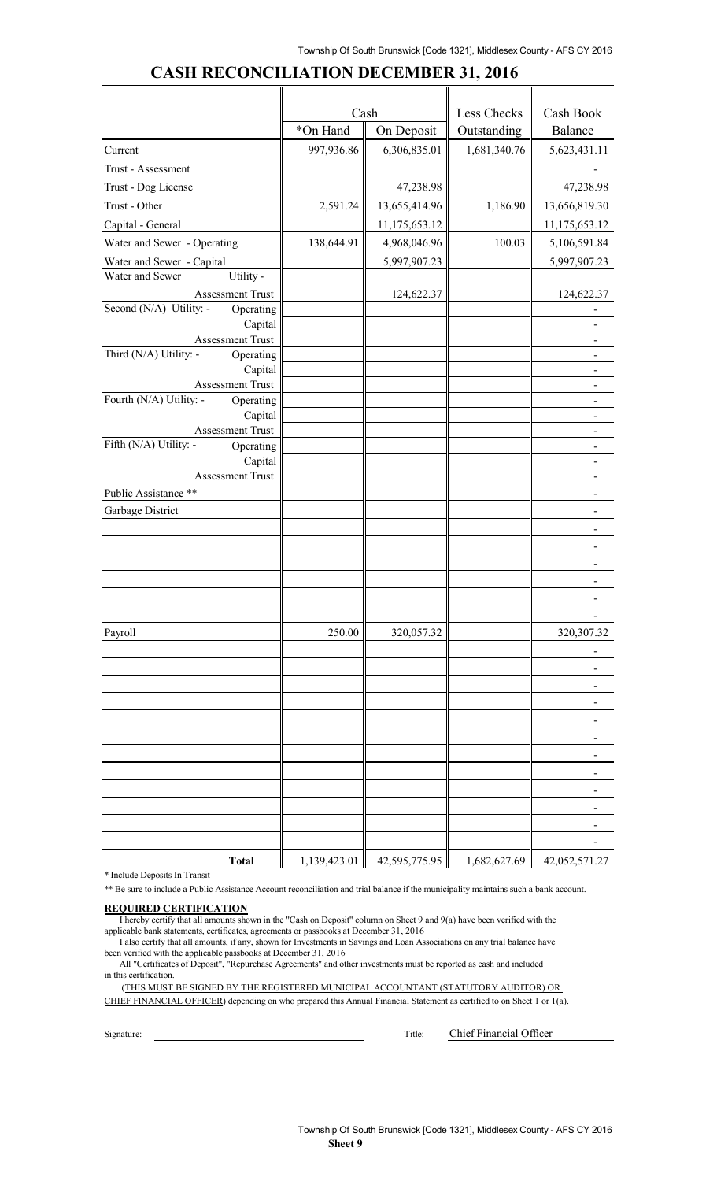|                                                         | Cash       |                              | Less Checks  | Cash Book                  |
|---------------------------------------------------------|------------|------------------------------|--------------|----------------------------|
|                                                         | *On Hand   | On Deposit                   | Outstanding  | Balance                    |
| Current                                                 | 997,936.86 | 6,306,835.01                 | 1,681,340.76 | 5,623,431.11               |
| Trust - Assessment                                      |            |                              |              |                            |
| Trust - Dog License                                     |            | 47,238.98                    |              | 47,238.98                  |
| Trust - Other                                           | 2,591.24   | 13,655,414.96                | 1,186.90     | 13,656,819.30              |
| Capital - General                                       |            | 11,175,653.12                |              | 11,175,653.12              |
| Water and Sewer - Operating                             | 138,644.91 | 4,968,046.96                 | 100.03       | 5,106,591.84               |
| Water and Sewer - Capital                               |            | 5,997,907.23                 |              | 5,997,907.23               |
| Utility -<br>Water and Sewer                            |            |                              |              |                            |
| Assessment Trust                                        |            | 124,622.37                   |              | 124,622.37                 |
| Second (N/A) Utility: -<br>Operating                    |            |                              |              |                            |
| Capital                                                 |            |                              |              |                            |
| Assessment Trust<br>Third (N/A) Utility: -<br>Operating |            |                              |              |                            |
| Capital                                                 |            |                              |              |                            |
| Assessment Trust                                        |            |                              |              |                            |
| Fourth (N/A) Utility: -<br>Operating                    |            |                              |              |                            |
| Capital                                                 |            |                              |              |                            |
| Assessment Trust                                        |            |                              |              |                            |
| Fifth (N/A) Utility: -<br>Operating<br>Capital          |            |                              |              |                            |
| Assessment Trust                                        |            |                              |              |                            |
| Public Assistance **                                    |            |                              |              |                            |
| Garbage District                                        |            |                              |              |                            |
|                                                         |            |                              |              |                            |
|                                                         |            |                              |              |                            |
|                                                         |            |                              |              |                            |
|                                                         |            |                              |              |                            |
|                                                         |            |                              |              |                            |
|                                                         |            |                              |              |                            |
| Payroll                                                 | 250.00     | 320,057.32                   |              | 320, 307. 32               |
|                                                         |            |                              |              |                            |
|                                                         |            |                              |              |                            |
|                                                         |            |                              |              |                            |
|                                                         |            |                              |              |                            |
|                                                         |            |                              |              |                            |
|                                                         |            |                              |              |                            |
|                                                         |            |                              |              |                            |
|                                                         |            |                              |              |                            |
|                                                         |            |                              |              |                            |
|                                                         |            |                              |              |                            |
|                                                         |            |                              |              |                            |
|                                                         |            |                              |              |                            |
| <b>Total</b>                                            |            | $1,139,423.01$ 42,595,775.95 |              | 1,682,627.69 42,052,571.27 |

#### **CASH RECONCILIATION DECEMBER 31, 2016**

\* Include Deposits In Transit

\*\* Be sure to include a Public Assistance Account reconciliation and trial balance if the municipality maintains such a bank account.

#### **REQUIRED CERTIFICATION**

I hereby certify that all amounts shown in the "Cash on Deposit" column on Sheet 9 and 9(a) have been verified with the applicable bank statements, certificates, agreements or passbooks at December 31, 2016

I also certify that all amounts, if any, shown for Investments in Savings and Loan Associations on any trial balance have been verified with the applicable passbooks at December 31, 2016

All "Certificates of Deposit", "Repurchase Agreements" and other investments must be reported as cash and included in this certification.

(THIS MUST BE SIGNED BY THE REGISTERED MUNICIPAL ACCOUNTANT (STATUTORY AUDITOR) OR CHIEF FINANCIAL OFFICER) depending on who prepared this Annual Financial Statement as certified to on Sheet 1 or 1(a).

Signature: Title: Chief Financial Officer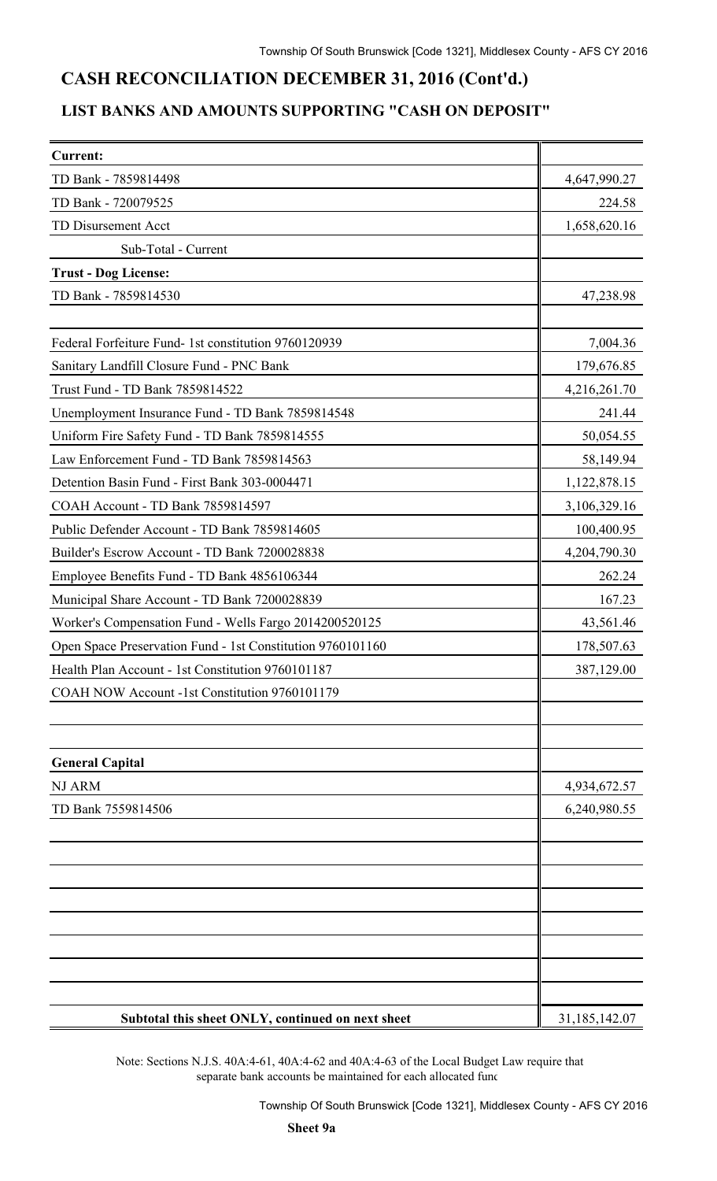## **CASH RECONCILIATION DECEMBER 31, 2016 (Cont'd.)**

### **LIST BANKS AND AMOUNTS SUPPORTING "CASH ON DEPOSIT"**

| <b>Current:</b>                                            |               |
|------------------------------------------------------------|---------------|
| TD Bank - 7859814498                                       | 4,647,990.27  |
| TD Bank - 720079525                                        | 224.58        |
| <b>TD Disursement Acct</b>                                 | 1,658,620.16  |
| Sub-Total - Current                                        |               |
| <b>Trust - Dog License:</b>                                |               |
| TD Bank - 7859814530                                       | 47,238.98     |
| Federal Forfeiture Fund- 1st constitution 9760120939       | 7,004.36      |
| Sanitary Landfill Closure Fund - PNC Bank                  | 179,676.85    |
| Trust Fund - TD Bank 7859814522                            | 4,216,261.70  |
| Unemployment Insurance Fund - TD Bank 7859814548           | 241.44        |
| Uniform Fire Safety Fund - TD Bank 7859814555              | 50,054.55     |
| Law Enforcement Fund - TD Bank 7859814563                  | 58,149.94     |
| Detention Basin Fund - First Bank 303-0004471              | 1,122,878.15  |
| COAH Account - TD Bank 7859814597                          | 3,106,329.16  |
| Public Defender Account - TD Bank 7859814605               | 100,400.95    |
| Builder's Escrow Account - TD Bank 7200028838              | 4,204,790.30  |
| Employee Benefits Fund - TD Bank 4856106344                | 262.24        |
| Municipal Share Account - TD Bank 7200028839               | 167.23        |
| Worker's Compensation Fund - Wells Fargo 2014200520125     | 43,561.46     |
| Open Space Preservation Fund - 1st Constitution 9760101160 | 178,507.63    |
| Health Plan Account - 1st Constitution 9760101187          | 387,129.00    |
| COAH NOW Account -1st Constitution 9760101179              |               |
|                                                            |               |
| <b>General Capital</b>                                     |               |
| <b>NJ ARM</b>                                              | 4,934,672.57  |
| TD Bank 7559814506                                         | 6,240,980.55  |
|                                                            |               |
|                                                            |               |
|                                                            |               |
|                                                            |               |
|                                                            |               |
| Subtotal this sheet ONLY, continued on next sheet          | 31,185,142.07 |

Note: Sections N.J.S. 40A:4-61, 40A:4-62 and 40A:4-63 of the Local Budget Law require that separate bank accounts be maintained for each allocated fund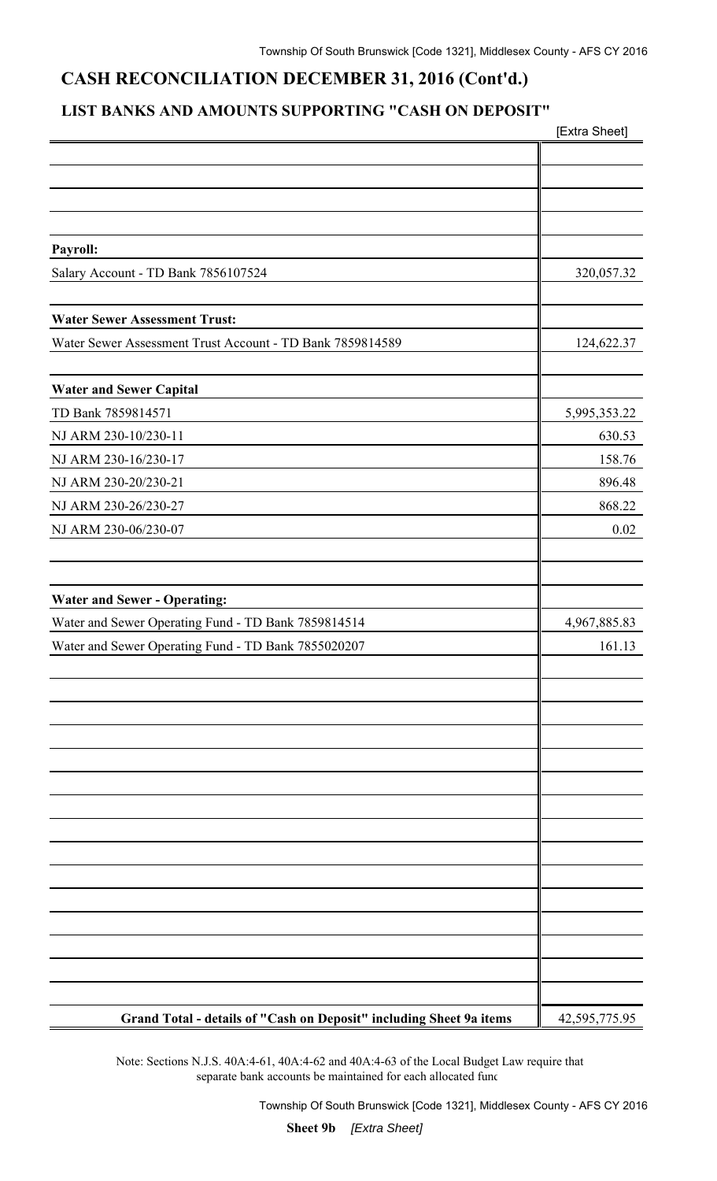## **CASH RECONCILIATION DECEMBER 31, 2016 (Cont'd.)**

### **LIST BANKS AND AMOUNTS SUPPORTING "CASH ON DEPOSIT"**

|                                                                     | [Extra Sheet] |
|---------------------------------------------------------------------|---------------|
|                                                                     |               |
|                                                                     |               |
|                                                                     |               |
|                                                                     |               |
| Payroll:                                                            |               |
| Salary Account - TD Bank 7856107524                                 | 320,057.32    |
|                                                                     |               |
| <b>Water Sewer Assessment Trust:</b>                                |               |
| Water Sewer Assessment Trust Account - TD Bank 7859814589           | 124,622.37    |
|                                                                     |               |
| <b>Water and Sewer Capital</b>                                      |               |
| TD Bank 7859814571                                                  | 5,995,353.22  |
| NJ ARM 230-10/230-11                                                | 630.53        |
| NJ ARM 230-16/230-17                                                | 158.76        |
| NJ ARM 230-20/230-21                                                | 896.48        |
| NJ ARM 230-26/230-27                                                | 868.22        |
| NJ ARM 230-06/230-07                                                | 0.02          |
|                                                                     |               |
|                                                                     |               |
| <b>Water and Sewer - Operating:</b>                                 |               |
| Water and Sewer Operating Fund - TD Bank 7859814514                 | 4,967,885.83  |
| Water and Sewer Operating Fund - TD Bank 7855020207                 | 161.13        |
|                                                                     |               |
|                                                                     |               |
|                                                                     |               |
|                                                                     |               |
|                                                                     |               |
|                                                                     |               |
|                                                                     |               |
|                                                                     |               |
|                                                                     |               |
|                                                                     |               |
|                                                                     |               |
|                                                                     |               |
|                                                                     |               |
|                                                                     |               |
|                                                                     |               |
| Grand Total - details of "Cash on Deposit" including Sheet 9a items | 42,595,775.95 |

Note: Sections N.J.S. 40A:4-61, 40A:4-62 and 40A:4-63 of the Local Budget Law require that separate bank accounts be maintained for each allocated func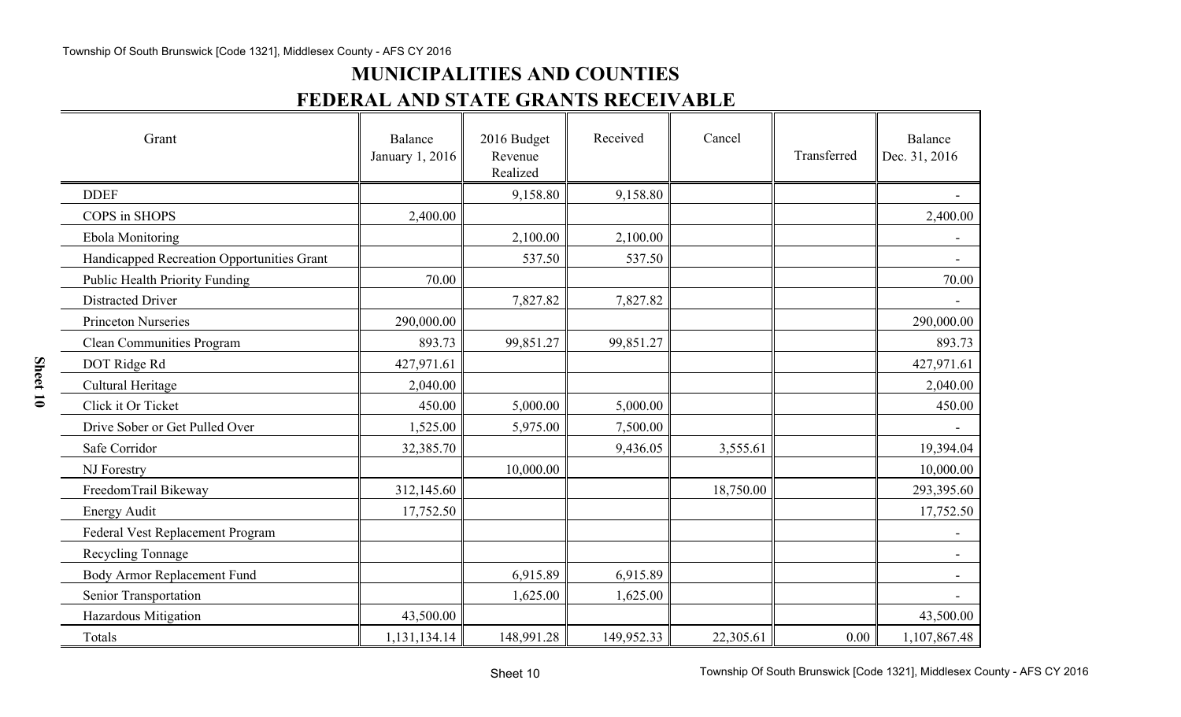# **MUNICIPALITIES AND COUNTIES FEDERAL AND STATE GRANTS RECEIVABLE**

| Grant                                      | Balance<br>January 1, 2016 | 2016 Budget<br>Revenue<br>Realized | Received   | Cancel    | Transferred | Balance<br>Dec. 31, 2016 |
|--------------------------------------------|----------------------------|------------------------------------|------------|-----------|-------------|--------------------------|
| <b>DDEF</b>                                |                            | 9,158.80                           | 9,158.80   |           |             |                          |
| COPS in SHOPS                              | 2,400.00                   |                                    |            |           |             | 2,400.00                 |
| <b>Ebola Monitoring</b>                    |                            | 2,100.00                           | 2,100.00   |           |             |                          |
| Handicapped Recreation Opportunities Grant |                            | 537.50                             | 537.50     |           |             |                          |
| <b>Public Health Priority Funding</b>      | 70.00                      |                                    |            |           |             | 70.00                    |
| <b>Distracted Driver</b>                   |                            | 7,827.82                           | 7,827.82   |           |             |                          |
| <b>Princeton Nurseries</b>                 | 290,000.00                 |                                    |            |           |             | 290,000.00               |
| <b>Clean Communities Program</b>           | 893.73                     | 99,851.27                          | 99,851.27  |           |             | 893.73                   |
| DOT Ridge Rd                               | 427,971.61                 |                                    |            |           |             | 427,971.61               |
| Cultural Heritage                          | 2,040.00                   |                                    |            |           |             | 2,040.00                 |
| Click it Or Ticket                         | 450.00                     | 5,000.00                           | 5,000.00   |           |             | 450.00                   |
| Drive Sober or Get Pulled Over             | 1,525.00                   | 5,975.00                           | 7,500.00   |           |             |                          |
| Safe Corridor                              | 32,385.70                  |                                    | 9,436.05   | 3,555.61  |             | 19,394.04                |
| NJ Forestry                                |                            | 10,000.00                          |            |           |             | 10,000.00                |
| FreedomTrail Bikeway                       | 312,145.60                 |                                    |            | 18,750.00 |             | 293,395.60               |
| <b>Energy Audit</b>                        | 17,752.50                  |                                    |            |           |             | 17,752.50                |
| <b>Federal Vest Replacement Program</b>    |                            |                                    |            |           |             |                          |
| Recycling Tonnage                          |                            |                                    |            |           |             |                          |
| Body Armor Replacement Fund                |                            | 6,915.89                           | 6,915.89   |           |             |                          |
| Senior Transportation                      |                            | 1,625.00                           | 1,625.00   |           |             |                          |
| Hazardous Mitigation                       | 43,500.00                  |                                    |            |           |             | 43,500.00                |
| Totals                                     | 1,131,134.14               | 148,991.28                         | 149,952.33 | 22,305.61 | 0.00        | 1,107,867.48             |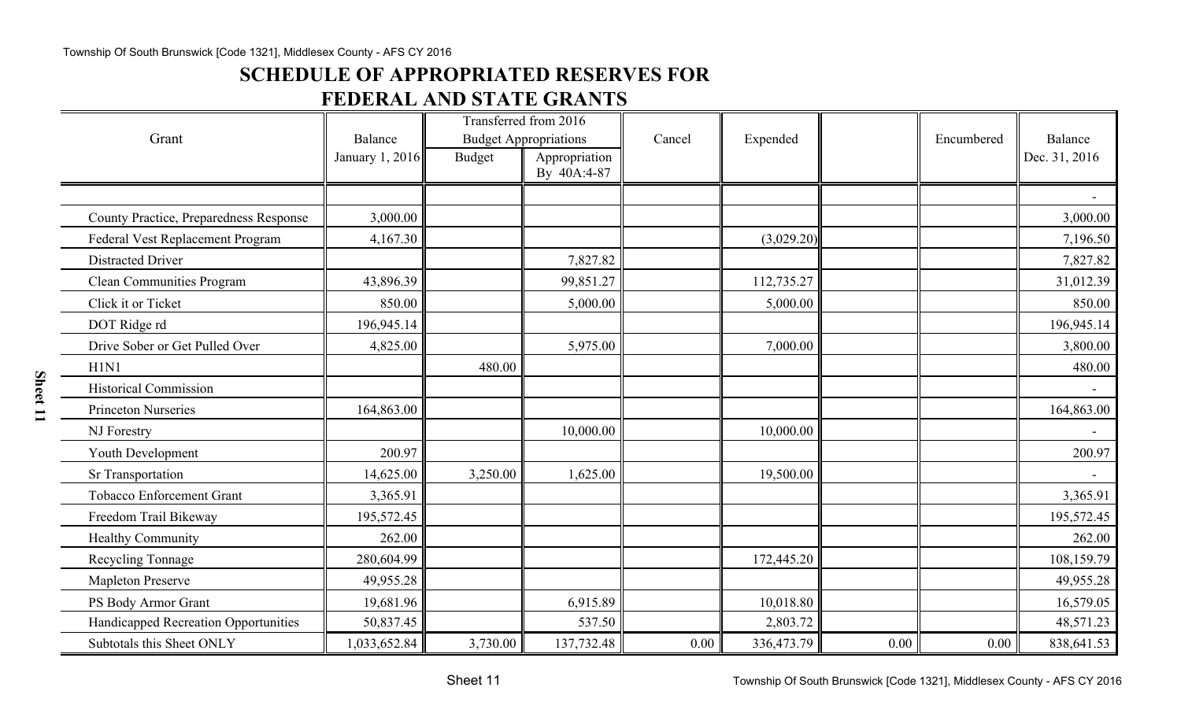### **SCHEDULE OF APPROPRIATED RESERVES FOR**

## **FEDERAL AND STATE GRANTS**

|                                        |                            |               | Transferred from 2016                         |        |            |      |            |                          |
|----------------------------------------|----------------------------|---------------|-----------------------------------------------|--------|------------|------|------------|--------------------------|
| Grant                                  | Balance<br>January 1, 2016 | <b>Budget</b> | <b>Budget Appropriations</b><br>Appropriation | Cancel | Expended   |      | Encumbered | Balance<br>Dec. 31, 2016 |
|                                        |                            |               | By 40A:4-87                                   |        |            |      |            |                          |
|                                        |                            |               |                                               |        |            |      |            |                          |
| County Practice, Preparedness Response | 3,000.00                   |               |                                               |        |            |      |            | 3,000.00                 |
| Federal Vest Replacement Program       | 4,167.30                   |               |                                               |        | (3,029.20) |      |            | 7,196.50                 |
| <b>Distracted Driver</b>               |                            |               | 7,827.82                                      |        |            |      |            | 7,827.82                 |
| <b>Clean Communities Program</b>       | 43,896.39                  |               | 99,851.27                                     |        | 112,735.27 |      |            | 31,012.39                |
| Click it or Ticket                     | 850.00                     |               | 5,000.00                                      |        | 5,000.00   |      |            | 850.00                   |
| DOT Ridge rd                           | 196,945.14                 |               |                                               |        |            |      |            | 196,945.14               |
| Drive Sober or Get Pulled Over         | 4,825.00                   |               | 5,975.00                                      |        | 7,000.00   |      |            | 3,800.00                 |
| H1N1                                   |                            | 480.00        |                                               |        |            |      |            | 480.00                   |
| <b>Historical Commission</b>           |                            |               |                                               |        |            |      |            |                          |
| <b>Princeton Nurseries</b>             | 164,863.00                 |               |                                               |        |            |      |            | 164,863.00               |
| NJ Forestry                            |                            |               | 10,000.00                                     |        | 10,000.00  |      |            |                          |
| Youth Development                      | 200.97                     |               |                                               |        |            |      |            | 200.97                   |
| Sr Transportation                      | 14,625.00                  | 3,250.00      | 1,625.00                                      |        | 19,500.00  |      |            |                          |
| <b>Tobacco Enforcement Grant</b>       | 3,365.91                   |               |                                               |        |            |      |            | 3,365.91                 |
| Freedom Trail Bikeway                  | 195,572.45                 |               |                                               |        |            |      |            | 195,572.45               |
| <b>Healthy Community</b>               | 262.00                     |               |                                               |        |            |      |            | 262.00                   |
| Recycling Tonnage                      | 280,604.99                 |               |                                               |        | 172,445.20 |      |            | 108,159.79               |
| <b>Mapleton Preserve</b>               | 49,955.28                  |               |                                               |        |            |      |            | 49,955.28                |
| PS Body Armor Grant                    | 19,681.96                  |               | 6,915.89                                      |        | 10,018.80  |      |            | 16,579.05                |
| Handicapped Recreation Opportunities   | 50,837.45                  |               | 537.50                                        |        | 2,803.72   |      |            | 48,571.23                |
| Subtotals this Sheet ONLY              | 1,033,652.84               | 3,730.00      | 137,732.48                                    | 0.00   | 336,473.79 | 0.00 | 0.00       | 838,641.53               |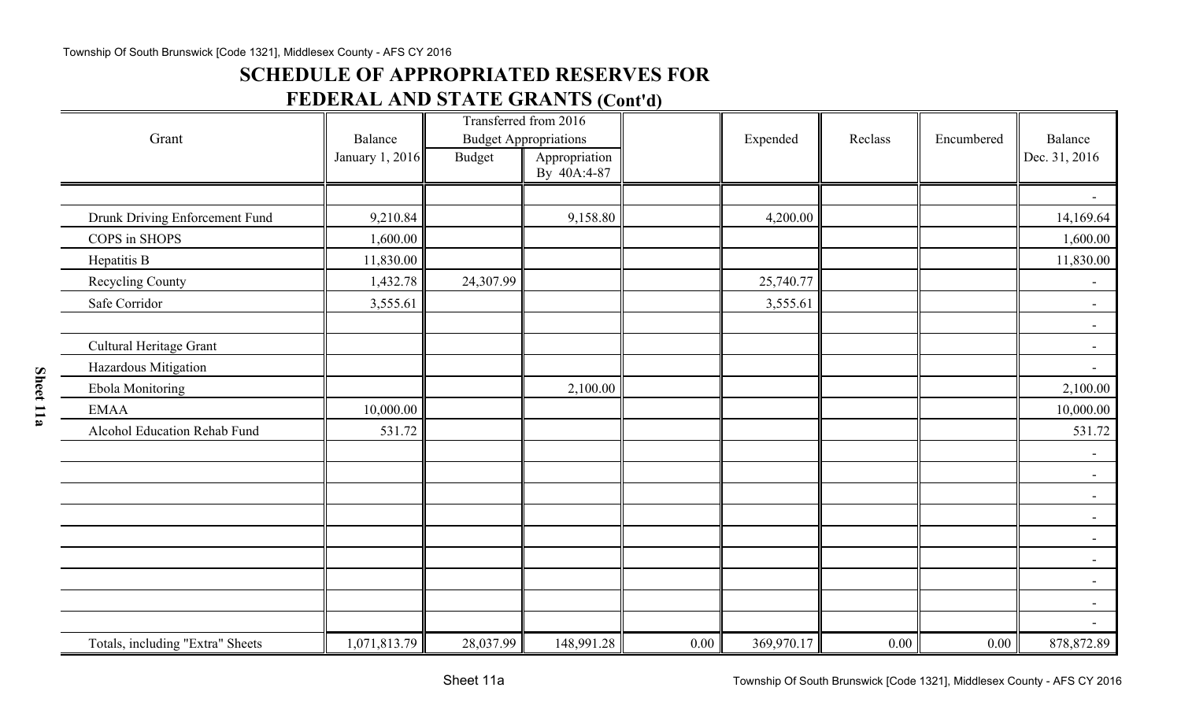### **SCHEDULE OF APPROPRIATED RESERVES FOR**

## **FEDERAL AND STATE GRANTS (Cont'd)**

| Grant                            | Transferred from 2016<br><b>Budget Appropriations</b><br>Balance |           |               |      | Reclass    | Encumbered | Balance |                          |
|----------------------------------|------------------------------------------------------------------|-----------|---------------|------|------------|------------|---------|--------------------------|
|                                  | January 1, 2016                                                  | Budget    | Appropriation |      | Expended   |            |         | Dec. 31, 2016            |
|                                  |                                                                  |           | By 40A:4-87   |      |            |            |         |                          |
|                                  |                                                                  |           |               |      |            |            |         |                          |
| Drunk Driving Enforcement Fund   | 9,210.84                                                         |           | 9,158.80      |      | 4,200.00   |            |         | 14,169.64                |
| COPS in SHOPS                    | 1,600.00                                                         |           |               |      |            |            |         | 1,600.00                 |
| Hepatitis B                      | 11,830.00                                                        |           |               |      |            |            |         | 11,830.00                |
| <b>Recycling County</b>          | 1,432.78                                                         | 24,307.99 |               |      | 25,740.77  |            |         |                          |
| Safe Corridor                    | 3,555.61                                                         |           |               |      | 3,555.61   |            |         | $ \,$                    |
|                                  |                                                                  |           |               |      |            |            |         | $\blacksquare$           |
| Cultural Heritage Grant          |                                                                  |           |               |      |            |            |         | $ \,$                    |
| Hazardous Mitigation             |                                                                  |           |               |      |            |            |         | $\blacksquare$           |
| Ebola Monitoring                 |                                                                  |           | 2,100.00      |      |            |            |         | 2,100.00                 |
| <b>EMAA</b>                      | 10,000.00                                                        |           |               |      |            |            |         | 10,000.00                |
| Alcohol Education Rehab Fund     | 531.72                                                           |           |               |      |            |            |         | 531.72                   |
|                                  |                                                                  |           |               |      |            |            |         | $\blacksquare$           |
|                                  |                                                                  |           |               |      |            |            |         | $-$                      |
|                                  |                                                                  |           |               |      |            |            |         | $\blacksquare$           |
|                                  |                                                                  |           |               |      |            |            |         | $\blacksquare$           |
|                                  |                                                                  |           |               |      |            |            |         | $\overline{\phantom{a}}$ |
|                                  |                                                                  |           |               |      |            |            |         | $-$                      |
|                                  |                                                                  |           |               |      |            |            |         | $\overline{\phantom{a}}$ |
|                                  |                                                                  |           |               |      |            |            |         | $\blacksquare$           |
|                                  |                                                                  |           |               |      |            |            |         | $\blacksquare$           |
| Totals, including "Extra" Sheets | 1,071,813.79                                                     | 28,037.99 | 148,991.28    | 0.00 | 369,970.17 | 0.00       | 0.00    | 878,872.89               |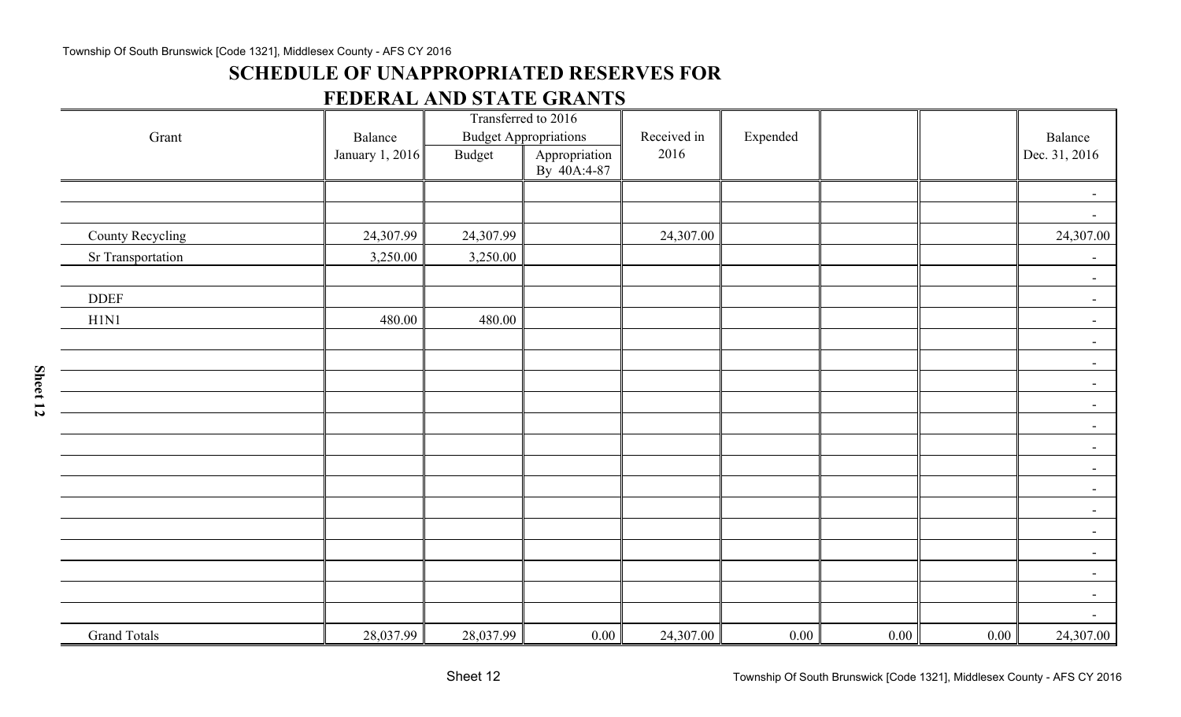### **SCHEDULE OF UNAPPROPRIATED RESERVES FOR**

### **FEDERAL AND STATE GRANTS**

| Grant               | Balance         |               | Transferred to 2016<br><b>Budget Appropriations</b> | Received in | Expended |      |          | Balance                  |
|---------------------|-----------------|---------------|-----------------------------------------------------|-------------|----------|------|----------|--------------------------|
|                     | January 1, 2016 | <b>Budget</b> | Appropriation<br>By 40A:4-87                        | 2016        |          |      |          | Dec. 31, 2016            |
|                     |                 |               |                                                     |             |          |      |          | $\overline{\phantom{a}}$ |
|                     |                 |               |                                                     |             |          |      |          | $\overline{\phantom{a}}$ |
| County Recycling    | 24,307.99       | 24,307.99     |                                                     | 24,307.00   |          |      |          | 24,307.00                |
| Sr Transportation   | 3,250.00        | 3,250.00      |                                                     |             |          |      |          | $\overline{\phantom{a}}$ |
|                     |                 |               |                                                     |             |          |      |          | $\blacksquare$           |
| <b>DDEF</b>         |                 |               |                                                     |             |          |      |          | $\blacksquare$           |
| H1N1                | 480.00          | 480.00        |                                                     |             |          |      |          | $\blacksquare$           |
|                     |                 |               |                                                     |             |          |      |          | $\blacksquare$           |
|                     |                 |               |                                                     |             |          |      |          | $\blacksquare$           |
|                     |                 |               |                                                     |             |          |      |          | $ \,$                    |
|                     |                 |               |                                                     |             |          |      |          | $\blacksquare$           |
|                     |                 |               |                                                     |             |          |      |          | $\blacksquare$           |
|                     |                 |               |                                                     |             |          |      |          | $\sim$                   |
|                     |                 |               |                                                     |             |          |      |          | $\blacksquare$           |
|                     |                 |               |                                                     |             |          |      |          | $\overline{\phantom{a}}$ |
|                     |                 |               |                                                     |             |          |      |          | $\blacksquare$           |
|                     |                 |               |                                                     |             |          |      |          | $\blacksquare$           |
|                     |                 |               |                                                     |             |          |      |          | $\blacksquare$           |
|                     |                 |               |                                                     |             |          |      |          | $\blacksquare$           |
|                     |                 |               |                                                     |             |          |      |          | $\blacksquare$           |
|                     |                 |               |                                                     |             |          |      |          | $\blacksquare$           |
| <b>Grand Totals</b> | 28,037.99       | 28,037.99     | 0.00                                                | 24,307.00   | 0.00     | 0.00 | $0.00\,$ | 24,307.00                |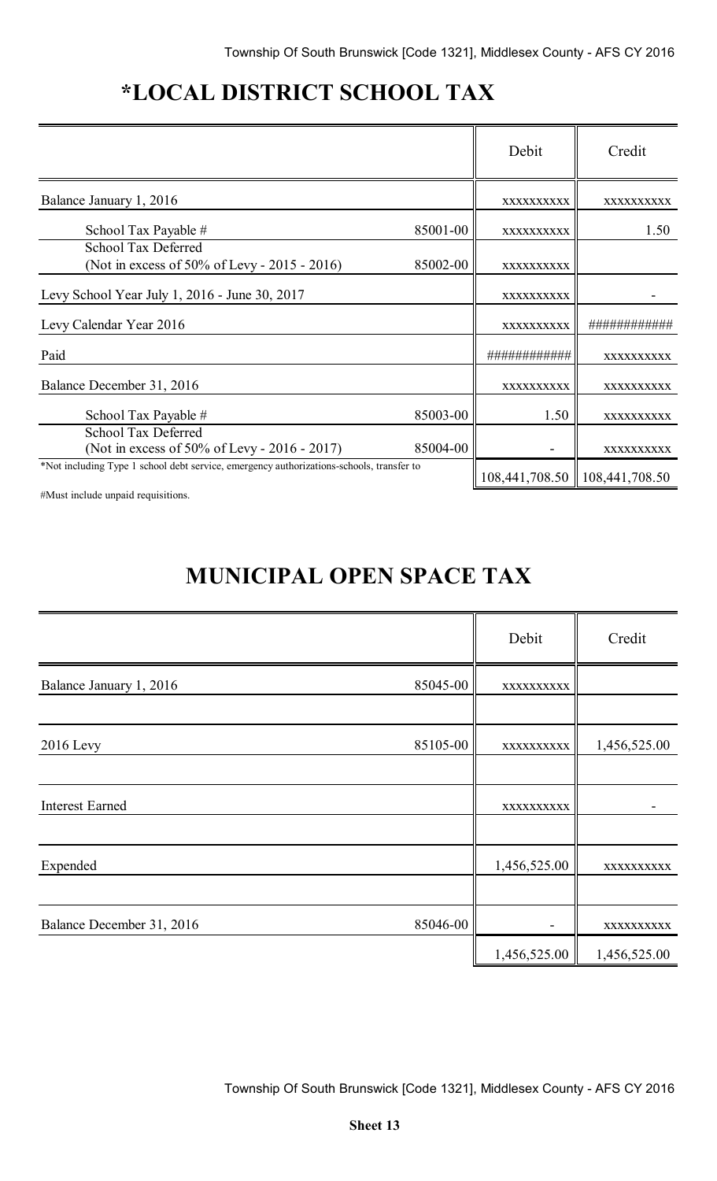# **\*LOCAL DISTRICT SCHOOL TAX**

|                                                                                          |          | Debit        | Credit                          |
|------------------------------------------------------------------------------------------|----------|--------------|---------------------------------|
| Balance January 1, 2016                                                                  |          | XXXXXXXXXX   | XXXXXXXXXX                      |
| School Tax Payable #                                                                     | 85001-00 | XXXXXXXXXX   | 1.50                            |
| School Tax Deferred<br>(Not in excess of 50% of Levy - 2015 - 2016)                      | 85002-00 | XXXXXXXXXX   |                                 |
| Levy School Year July 1, 2016 - June 30, 2017                                            |          | XXXXXXXXXX   |                                 |
| Levy Calendar Year 2016                                                                  |          | XXXXXXXXXX   | <i>1##########</i>              |
| Paid                                                                                     |          | ############ | XXXXXXXXXX                      |
| Balance December 31, 2016                                                                |          | XXXXXXXXXX   | XXXXXXXXXX                      |
| School Tax Payable #                                                                     | 85003-00 | 1.50         | XXXXXXXXXX                      |
| School Tax Deferred<br>(Not in excess of 50% of Levy - 2016 - 2017)                      | 85004-00 |              | XXXXXXXXXX                      |
| *Not including Type 1 school debt service, emergency authorizations-schools, transfer to |          |              | 108,441,708.50   108,441,708.50 |

#Must include unpaid requisitions.

# **MUNICIPAL OPEN SPACE TAX**

|                           |          | Debit        | Credit       |
|---------------------------|----------|--------------|--------------|
| Balance January 1, 2016   | 85045-00 | XXXXXXXXXX   |              |
|                           |          |              |              |
| <b>2016</b> Levy          | 85105-00 | XXXXXXXXXX   | 1,456,525.00 |
|                           |          |              |              |
| <b>Interest Earned</b>    |          | XXXXXXXXXX   |              |
|                           |          |              |              |
| Expended                  |          | 1,456,525.00 | XXXXXXXXX    |
|                           |          |              |              |
| Balance December 31, 2016 | 85046-00 |              | XXXXXXXXX    |
|                           |          | 1,456,525.00 | 1,456,525.00 |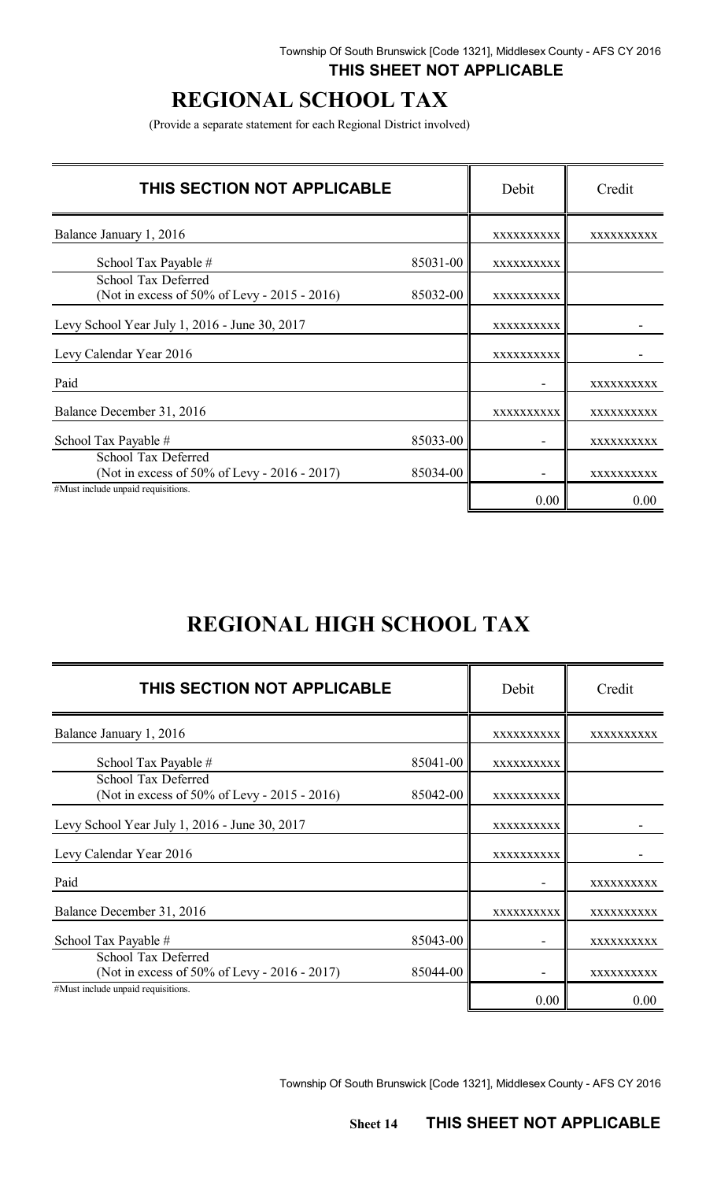### **THIS SHEET NOT APPLICABLE**

# **REGIONAL SCHOOL TAX**

(Provide a separate statement for each Regional District involved)

| THIS SECTION NOT APPLICABLE                                         |          | Debit             | Credit            |
|---------------------------------------------------------------------|----------|-------------------|-------------------|
| Balance January 1, 2016                                             |          | XXXXXXXXXX        | XXXXXXXXXX        |
| School Tax Payable #                                                | 85031-00 | XXXXXXXXXX        |                   |
| School Tax Deferred<br>(Not in excess of 50% of Levy - 2015 - 2016) | 85032-00 | XXXXXXXXXX        |                   |
| Levy School Year July 1, 2016 - June 30, 2017                       |          | <b>XXXXXXXXXX</b> |                   |
| Levy Calendar Year 2016                                             |          | XXXXXXXXXX        |                   |
| Paid                                                                |          |                   | XXXXXXXXXX        |
| Balance December 31, 2016                                           |          | XXXXXXXXXX        | XXXXXXXXXX        |
| School Tax Payable #                                                | 85033-00 |                   | <b>XXXXXXXXXX</b> |
| School Tax Deferred<br>(Not in excess of 50% of Levy - 2016 - 2017) | 85034-00 |                   | XXXXXXXXX         |
| #Must include unpaid requisitions.                                  |          | 0.00              | 0.00              |

# **REGIONAL HIGH SCHOOL TAX**

| THIS SECTION NOT APPLICABLE                                         |              | Debit             | Credit     |
|---------------------------------------------------------------------|--------------|-------------------|------------|
| Balance January 1, 2016                                             |              | XXXXXXXXXX        | XXXXXXXXXX |
| School Tax Payable #                                                | $85041 - 00$ | XXXXXXXXXX        |            |
| School Tax Deferred<br>(Not in excess of 50% of Levy - 2015 - 2016) | 85042-00     | XXXXXXXXXX        |            |
| Levy School Year July 1, 2016 - June 30, 2017                       |              | XXXXXXXXXX        |            |
| Levy Calendar Year 2016                                             |              | XXXXXXXXXX        |            |
| Paid                                                                |              |                   | XXXXXXXXXX |
| Balance December 31, 2016                                           |              | <b>XXXXXXXXXX</b> | XXXXXXXXXX |
| School Tax Payable #                                                | 85043-00     |                   | XXXXXXXXXX |
| School Tax Deferred<br>(Not in excess of 50% of Levy - 2016 - 2017) | 85044-00     |                   | xxxxxxxxxx |
| #Must include unpaid requisitions.                                  |              | 0.00              | 0.00       |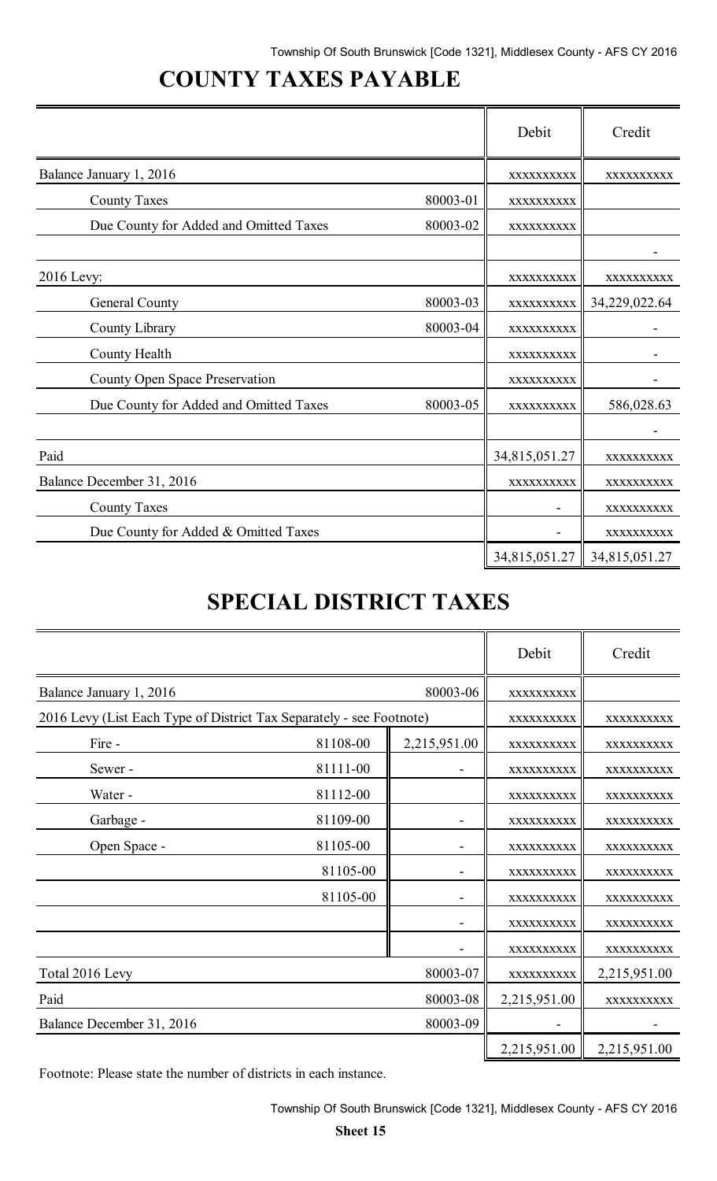# **COUNTY TAXES PAYABLE**

|                                        |          | Debit         | Credit        |
|----------------------------------------|----------|---------------|---------------|
| Balance January 1, 2016                |          | XXXXXXXXXX    | XXXXXXXXXX    |
| <b>County Taxes</b>                    | 80003-01 | XXXXXXXXXX    |               |
| Due County for Added and Omitted Taxes | 80003-02 | XXXXXXXXXX    |               |
|                                        |          |               |               |
| 2016 Levy:                             |          | XXXXXXXXXX    | XXXXXXXXXX    |
| General County                         | 80003-03 | XXXXXXXXXX    | 34,229,022.64 |
| County Library                         | 80003-04 | XXXXXXXXXX    |               |
| County Health                          |          | XXXXXXXXXX    |               |
| <b>County Open Space Preservation</b>  |          | XXXXXXXXXX    |               |
| Due County for Added and Omitted Taxes | 80003-05 | XXXXXXXXXX    | 586,028.63    |
|                                        |          |               |               |
| Paid                                   |          | 34,815,051.27 | XXXXXXXXXX    |
| Balance December 31, 2016              |          | XXXXXXXXXX    | XXXXXXXXXX    |
| <b>County Taxes</b>                    |          |               | XXXXXXXXXX    |
| Due County for Added & Omitted Taxes   |          |               | XXXXXXXXXX    |
|                                        |          | 34,815,051.27 | 34,815,051.27 |

# **SPECIAL DISTRICT TAXES**

|                                                                      |          |              | Debit        | Credit       |
|----------------------------------------------------------------------|----------|--------------|--------------|--------------|
| Balance January 1, 2016                                              | 80003-06 |              | XXXXXXXXXX   |              |
| 2016 Levy (List Each Type of District Tax Separately - see Footnote) |          |              | XXXXXXXXXX   | XXXXXXXXXX   |
| Fire -                                                               | 81108-00 | 2,215,951.00 | XXXXXXXXXX   | XXXXXXXXXX   |
| Sewer-                                                               | 81111-00 |              | XXXXXXXXXX   | XXXXXXXXXX   |
| Water -                                                              | 81112-00 |              | XXXXXXXXXX   | XXXXXXXXXX   |
| Garbage -                                                            | 81109-00 |              | XXXXXXXXXX   | XXXXXXXXXX   |
| Open Space -                                                         | 81105-00 |              | XXXXXXXXXX   | XXXXXXXXXX   |
|                                                                      | 81105-00 |              | XXXXXXXXXX   | XXXXXXXXXX   |
|                                                                      | 81105-00 |              | XXXXXXXXXX   | XXXXXXXXXX   |
|                                                                      |          |              | XXXXXXXXXX   | XXXXXXXXXX   |
|                                                                      |          |              | XXXXXXXXXX   | XXXXXXXXXX   |
| Total 2016 Levy                                                      |          | 80003-07     | XXXXXXXXXX   | 2,215,951.00 |
| Paid                                                                 |          | 80003-08     | 2,215,951.00 | XXXXXXXXXX   |
| Balance December 31, 2016                                            |          | 80003-09     |              |              |
|                                                                      |          |              | 2,215,951.00 | 2,215,951.00 |

Footnote: Please state the number of districts in each instance.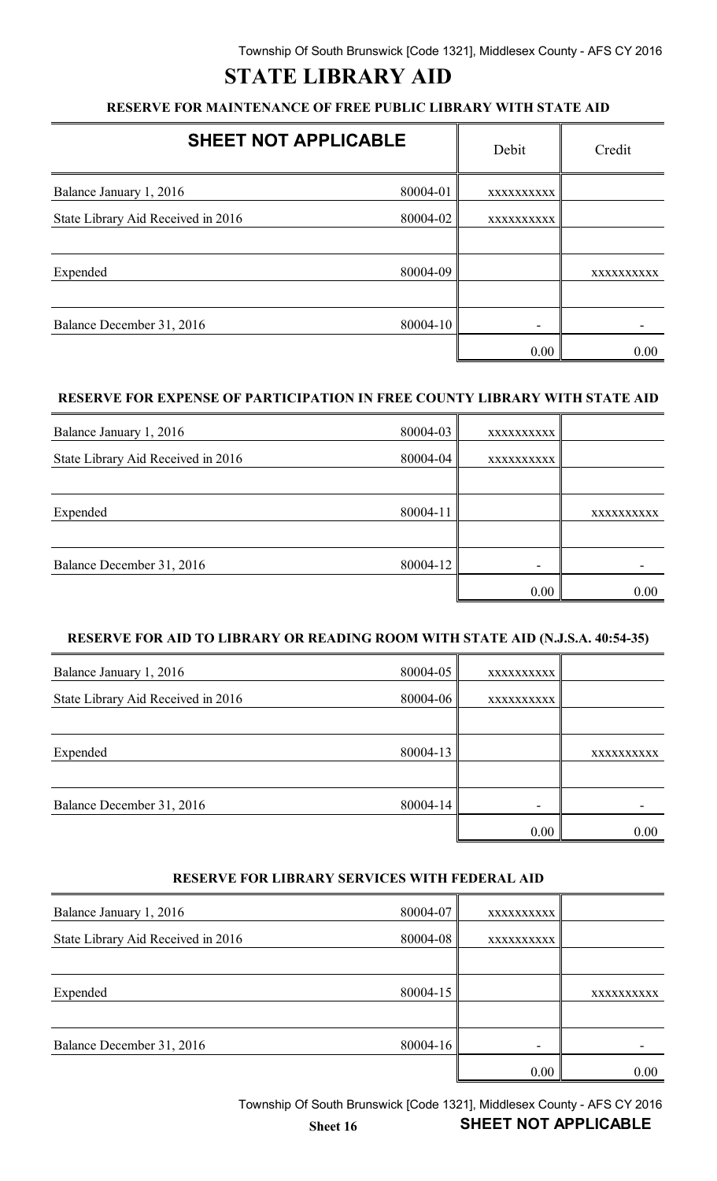# **STATE LIBRARY AID**

### **RESERVE FOR MAINTENANCE OF FREE PUBLIC LIBRARY WITH STATE AID**

| <b>SHEET NOT APPLICABLE</b>        |          | Debit      | Credit     |
|------------------------------------|----------|------------|------------|
| Balance January 1, 2016            | 80004-01 | XXXXXXXXXX |            |
| State Library Aid Received in 2016 | 80004-02 | XXXXXXXXXX |            |
|                                    |          |            |            |
| Expended                           | 80004-09 |            | XXXXXXXXXX |
| Balance December 31, 2016          | 80004-10 |            |            |
|                                    |          | 0.00       | 0.00       |

#### **RESERVE FOR EXPENSE OF PARTICIPATION IN FREE COUNTY LIBRARY WITH STATE AID**

| Balance January 1, 2016            | 80004-03     | XXXXXXXXXX |            |
|------------------------------------|--------------|------------|------------|
| State Library Aid Received in 2016 | $80004 - 04$ | XXXXXXXXXX |            |
|                                    |              |            |            |
| Expended                           | 80004-11     |            | XXXXXXXXXX |
|                                    |              |            |            |
| Balance December 31, 2016          | 80004-12     |            |            |
|                                    |              | 0.00       | 0.00       |

#### **RESERVE FOR AID TO LIBRARY OR READING ROOM WITH STATE AID (N.J.S.A. 40:54-35)**

| Balance January 1, 2016            | $80004 - 05$ | XXXXXXXXXX               |            |
|------------------------------------|--------------|--------------------------|------------|
| State Library Aid Received in 2016 | 80004-06     | XXXXXXXXXX               |            |
|                                    |              |                          |            |
| Expended                           | $80004 - 13$ |                          | XXXXXXXXXX |
|                                    |              |                          |            |
| Balance December 31, 2016          | 80004-14     | $\overline{\phantom{0}}$ |            |
|                                    |              | 0.00                     | 0.00       |

#### **RESERVE FOR LIBRARY SERVICES WITH FEDERAL AID**

| Balance January 1, 2016            | 80004-07 | XXXXXXXXXX |            |
|------------------------------------|----------|------------|------------|
| State Library Aid Received in 2016 | 80004-08 | XXXXXXXXXX |            |
|                                    |          |            |            |
| Expended                           | 80004-15 |            | XXXXXXXXXX |
|                                    |          |            |            |
| Balance December 31, 2016          | 80004-16 |            |            |
|                                    |          | 0.00       | 0.00       |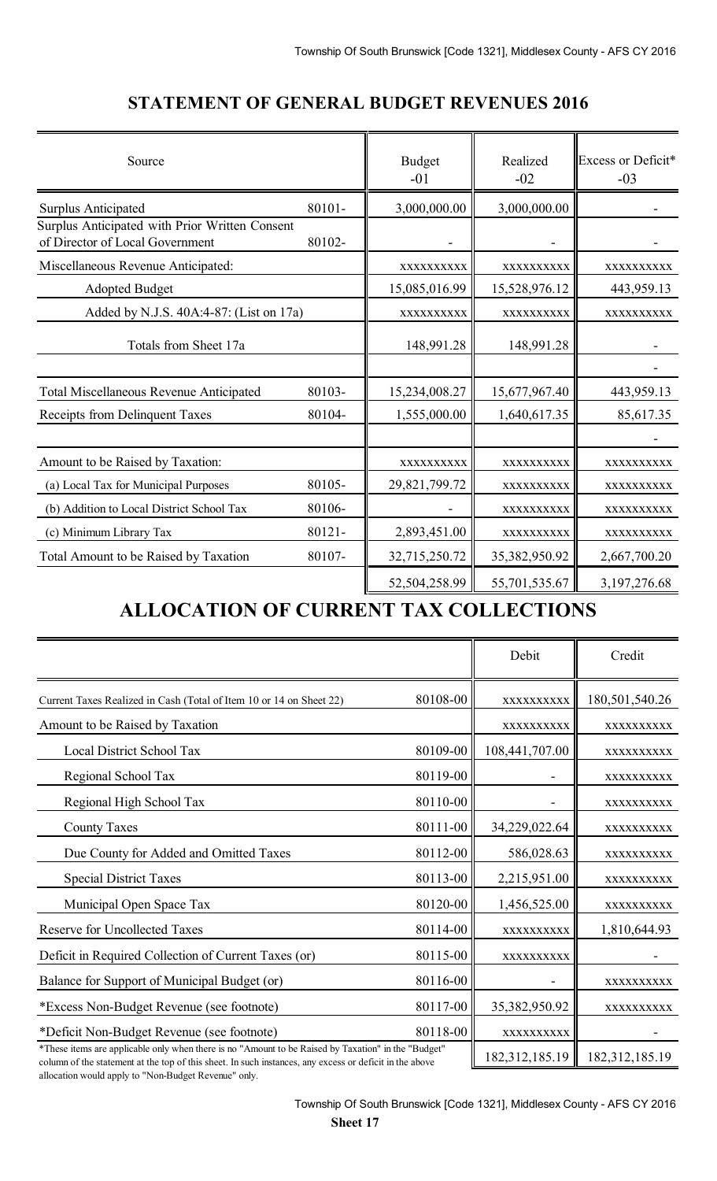| Source                                                                            |        | <b>Budget</b><br>$-01$ | Realized<br>$-02$ | Excess or Deficit*<br>$-03$ |  |
|-----------------------------------------------------------------------------------|--------|------------------------|-------------------|-----------------------------|--|
| <b>Surplus Anticipated</b>                                                        | 80101- | 3,000,000.00           | 3,000,000.00      |                             |  |
| Surplus Anticipated with Prior Written Consent<br>of Director of Local Government | 80102- |                        |                   |                             |  |
| Miscellaneous Revenue Anticipated:                                                |        | XXXXXXXXX              | XXXXXXXXX         | XXXXXXXXX                   |  |
| <b>Adopted Budget</b>                                                             |        | 15,085,016.99          | 15,528,976.12     | 443,959.13                  |  |
| Added by N.J.S. 40A:4-87: (List on 17a)                                           |        | XXXXXXXXXX             | XXXXXXXXXX        | XXXXXXXXXX                  |  |
| Totals from Sheet 17a                                                             |        | 148,991.28             | 148,991.28        |                             |  |
| <b>Total Miscellaneous Revenue Anticipated</b>                                    | 80103- | 15,234,008.27          | 15,677,967.40     | 443,959.13                  |  |
| Receipts from Delinquent Taxes                                                    | 80104- | 1,555,000.00           | 1,640,617.35      | 85,617.35                   |  |
|                                                                                   |        |                        |                   |                             |  |
| Amount to be Raised by Taxation:                                                  |        | XXXXXXXXXX             | XXXXXXXXXX        | XXXXXXXXXX                  |  |
| (a) Local Tax for Municipal Purposes                                              | 80105- | 29,821,799.72          | XXXXXXXXXX        | XXXXXXXXXX                  |  |
| (b) Addition to Local District School Tax                                         | 80106- |                        | XXXXXXXXXX        | XXXXXXXXXX                  |  |
| (c) Minimum Library Tax                                                           | 80121- | 2,893,451.00           | XXXXXXXXXX        | XXXXXXXXXX                  |  |
| Total Amount to be Raised by Taxation                                             | 80107- | 32,715,250.72          | 35,382,950.92     | 2,667,700.20                |  |
|                                                                                   |        | 52,504,258.99          | 55,701,535.67     | 3,197,276.68                |  |

## **STATEMENT OF GENERAL BUDGET REVENUES 2016**

# **ALLOCATION OF CURRENT TAX COLLECTIONS**

|                                                                                                                                                                                                                |          | Debit          | Credit         |
|----------------------------------------------------------------------------------------------------------------------------------------------------------------------------------------------------------------|----------|----------------|----------------|
| Current Taxes Realized in Cash (Total of Item 10 or 14 on Sheet 22)                                                                                                                                            | 80108-00 | XXXXXXXXXX     | 180,501,540.26 |
| Amount to be Raised by Taxation                                                                                                                                                                                |          | XXXXXXXXX      | XXXXXXXXX      |
| <b>Local District School Tax</b>                                                                                                                                                                               | 80109-00 | 108,441,707.00 | XXXXXXXXX      |
| Regional School Tax                                                                                                                                                                                            | 80119-00 |                | XXXXXXXXX      |
| Regional High School Tax                                                                                                                                                                                       | 80110-00 |                | XXXXXXXXXX     |
| <b>County Taxes</b>                                                                                                                                                                                            | 80111-00 | 34,229,022.64  | XXXXXXXXXX     |
| Due County for Added and Omitted Taxes                                                                                                                                                                         | 80112-00 | 586,028.63     | XXXXXXXXXX     |
| <b>Special District Taxes</b>                                                                                                                                                                                  | 80113-00 | 2,215,951.00   | XXXXXXXXXX     |
| Municipal Open Space Tax                                                                                                                                                                                       | 80120-00 | 1,456,525.00   | XXXXXXXXXX     |
| <b>Reserve for Uncollected Taxes</b>                                                                                                                                                                           | 80114-00 | XXXXXXXXXX     | 1,810,644.93   |
| Deficit in Required Collection of Current Taxes (or)                                                                                                                                                           | 80115-00 | XXXXXXXXXX     |                |
| Balance for Support of Municipal Budget (or)                                                                                                                                                                   | 80116-00 |                | XXXXXXXXX      |
| *Excess Non-Budget Revenue (see footnote)                                                                                                                                                                      | 80117-00 | 35,382,950.92  | XXXXXXXXXX     |
| *Deficit Non-Budget Revenue (see footnote)                                                                                                                                                                     | 80118-00 | XXXXXXXXXX     |                |
| *These items are applicable only when there is no "Amount to be Raised by Taxation" in the "Budget"<br>column of the statement at the top of this sheet. In such instances, any excess or deficit in the above |          | 182,312,185.19 | 182,312,185.19 |

column of the statement at the top of this sheet. In such instances, any excess or deficit in the above allocation would apply to "Non-Budget Revenue" only.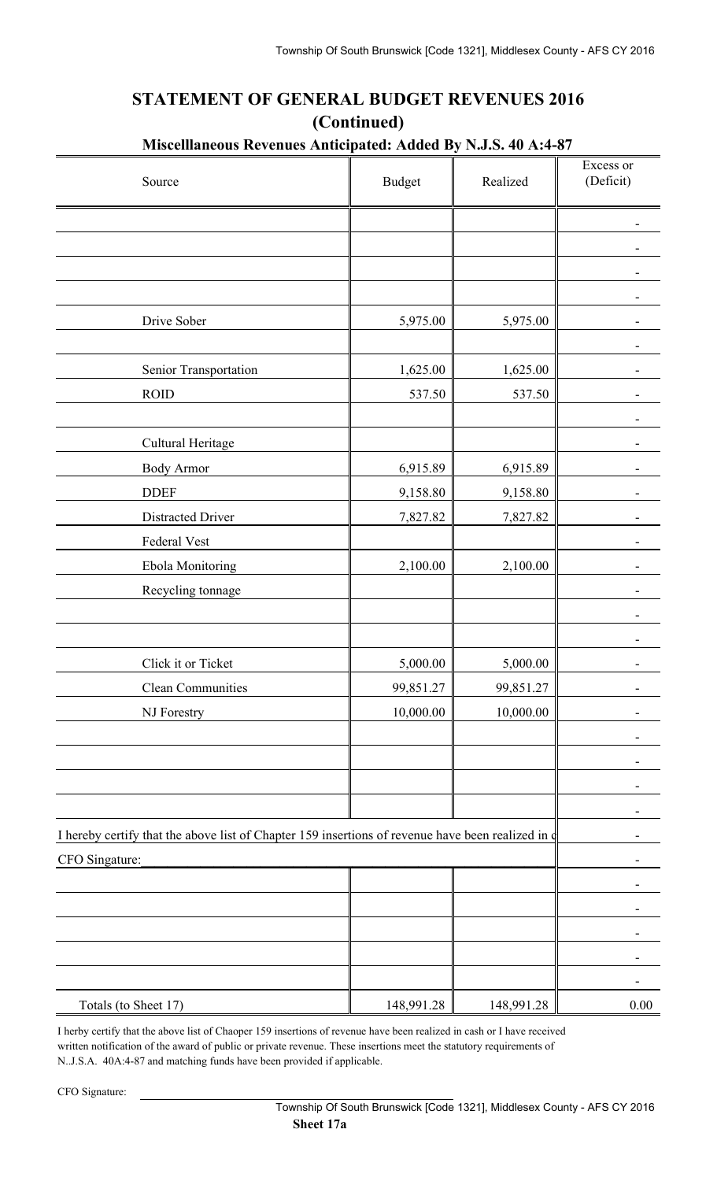## **STATEMENT OF GENERAL BUDGET REVENUES 2016 (Continued)**

| Source                                                                                            | <b>Budget</b> | Realized   | Excess or<br>(Deficit) |
|---------------------------------------------------------------------------------------------------|---------------|------------|------------------------|
|                                                                                                   |               |            |                        |
|                                                                                                   |               |            |                        |
|                                                                                                   |               |            |                        |
|                                                                                                   |               |            |                        |
| Drive Sober                                                                                       | 5,975.00      | 5,975.00   |                        |
|                                                                                                   |               |            |                        |
| Senior Transportation                                                                             | 1,625.00      | 1,625.00   |                        |
| <b>ROID</b>                                                                                       | 537.50        | 537.50     |                        |
|                                                                                                   |               |            |                        |
| Cultural Heritage                                                                                 |               |            |                        |
| <b>Body Armor</b>                                                                                 | 6,915.89      | 6,915.89   |                        |
| <b>DDEF</b>                                                                                       | 9,158.80      | 9,158.80   |                        |
| Distracted Driver                                                                                 | 7,827.82      | 7,827.82   |                        |
| Federal Vest                                                                                      |               |            |                        |
| Ebola Monitoring                                                                                  | 2,100.00      | 2,100.00   |                        |
| Recycling tonnage                                                                                 |               |            |                        |
|                                                                                                   |               |            |                        |
|                                                                                                   |               |            |                        |
| Click it or Ticket                                                                                | 5,000.00      | 5,000.00   |                        |
| <b>Clean Communities</b>                                                                          | 99,851.27     | 99,851.27  | -                      |
| NJ Forestry                                                                                       | 10,000.00     | 10,000.00  |                        |
|                                                                                                   |               |            |                        |
|                                                                                                   |               |            |                        |
|                                                                                                   |               |            |                        |
|                                                                                                   |               |            |                        |
| I hereby certify that the above list of Chapter 159 insertions of revenue have been realized in d |               |            |                        |
| CFO Singature:                                                                                    |               |            |                        |
|                                                                                                   |               |            |                        |
|                                                                                                   |               |            |                        |
|                                                                                                   |               |            |                        |
|                                                                                                   |               |            |                        |
|                                                                                                   |               |            |                        |
| Totals (to Sheet 17)                                                                              | 148,991.28    | 148,991.28 | 0.00                   |

I herby certify that the above list of Chaoper 159 insertions of revenue have been realized in cash or I have received written notification of the award of public or private revenue. These insertions meet the statutory requirements of N..J.S.A. 40A:4-87 and matching funds have been provided if applicable.

CFO Signature: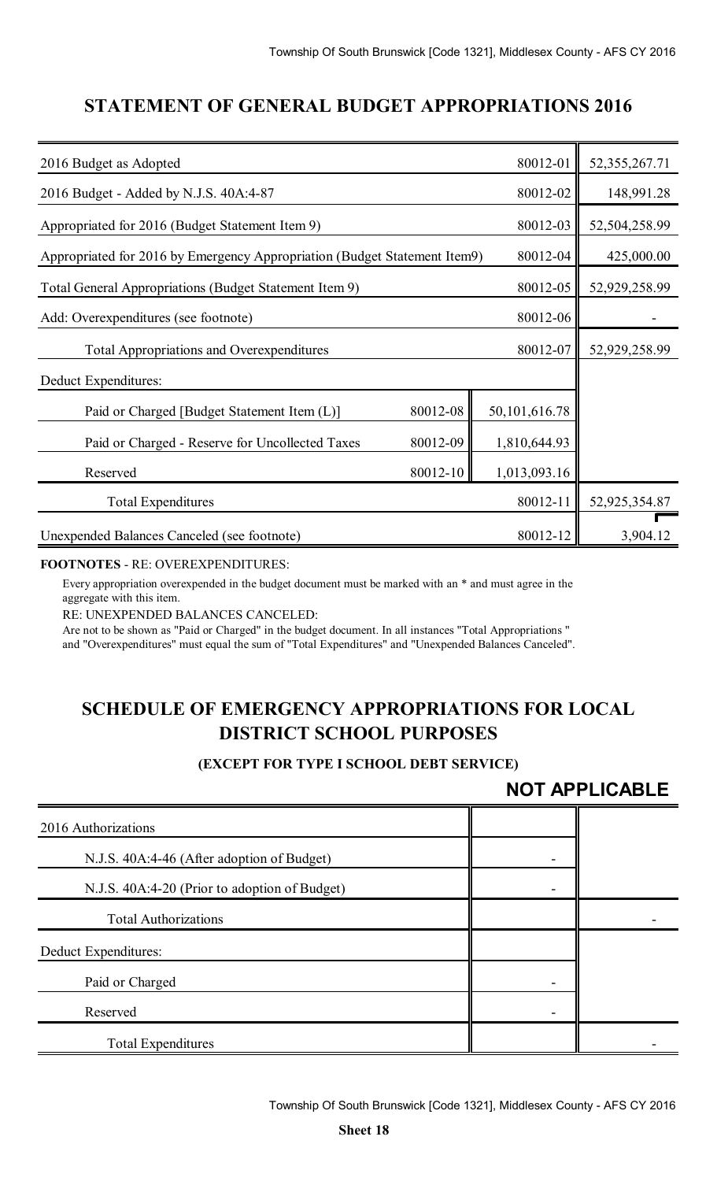### **STATEMENT OF GENERAL BUDGET APPROPRIATIONS 2016**

| 2016 Budget as Adopted                                                    |          | 80012-01      | 52, 355, 267. 71 |
|---------------------------------------------------------------------------|----------|---------------|------------------|
| 2016 Budget - Added by N.J.S. 40A:4-87                                    |          | 80012-02      | 148,991.28       |
| Appropriated for 2016 (Budget Statement Item 9)                           |          | 80012-03      | 52,504,258.99    |
| Appropriated for 2016 by Emergency Appropriation (Budget Statement Item9) |          | 80012-04      | 425,000.00       |
| Total General Appropriations (Budget Statement Item 9)                    |          | 80012-05      | 52,929,258.99    |
| Add: Overexpenditures (see footnote)                                      |          | 80012-06      |                  |
| <b>Total Appropriations and Overexpenditures</b>                          |          | 80012-07      | 52,929,258.99    |
| Deduct Expenditures:                                                      |          |               |                  |
| Paid or Charged [Budget Statement Item (L)]                               | 80012-08 | 50,101,616.78 |                  |
| Paid or Charged - Reserve for Uncollected Taxes                           | 80012-09 | 1,810,644.93  |                  |
| Reserved                                                                  | 80012-10 | 1,013,093.16  |                  |
| <b>Total Expenditures</b>                                                 |          | 80012-11      | 52,925,354.87    |
| Unexpended Balances Canceled (see footnote)                               |          | 80012-12      | 3,904.12         |

#### **FOOTNOTES** - RE: OVEREXPENDITURES:

Every appropriation overexpended in the budget document must be marked with an \* and must agree in the aggregate with this item.

RE: UNEXPENDED BALANCES CANCELED:

Are not to be shown as "Paid or Charged" in the budget document. In all instances "Total Appropriations " and "Overexpenditures" must equal the sum of "Total Expenditures" and "Unexpended Balances Canceled".

## **SCHEDULE OF EMERGENCY APPROPRIATIONS FOR LOCAL DISTRICT SCHOOL PURPOSES**

#### **(EXCEPT FOR TYPE I SCHOOL DEBT SERVICE)**

### **NOT APPLICABLE**

| 2016 Authorizations                           |  |
|-----------------------------------------------|--|
| N.J.S. 40A:4-46 (After adoption of Budget)    |  |
| N.J.S. 40A:4-20 (Prior to adoption of Budget) |  |
| <b>Total Authorizations</b>                   |  |
| Deduct Expenditures:                          |  |
| Paid or Charged                               |  |
| Reserved                                      |  |
| <b>Total Expenditures</b>                     |  |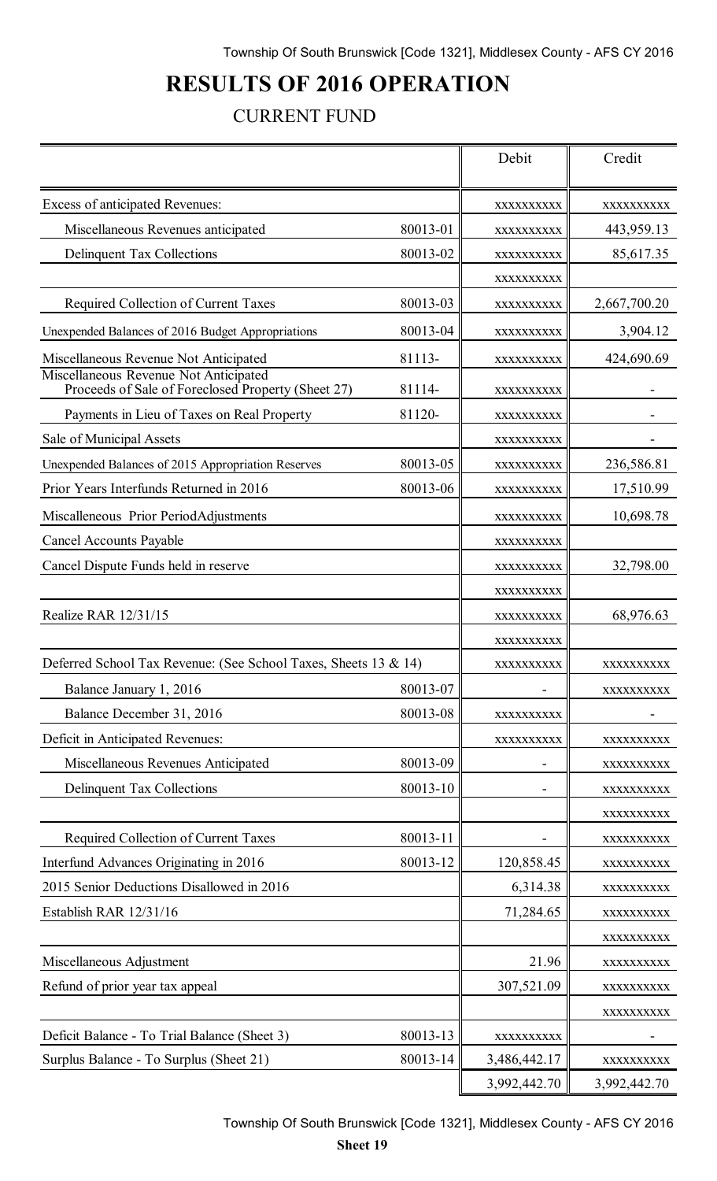# **RESULTS OF 2016 OPERATION**

## CURRENT FUND

|                                                                                             |          | Debit        | Credit                   |
|---------------------------------------------------------------------------------------------|----------|--------------|--------------------------|
| Excess of anticipated Revenues:                                                             |          | XXXXXXXXXX   | XXXXXXXXXX               |
| Miscellaneous Revenues anticipated                                                          | 80013-01 | XXXXXXXXXX   | 443,959.13               |
| <b>Delinquent Tax Collections</b>                                                           | 80013-02 | XXXXXXXXXX   | 85,617.35                |
|                                                                                             |          | XXXXXXXXXX   |                          |
| <b>Required Collection of Current Taxes</b>                                                 | 80013-03 | XXXXXXXXXX   | 2,667,700.20             |
| Unexpended Balances of 2016 Budget Appropriations                                           | 80013-04 | XXXXXXXXXX   | 3,904.12                 |
| Miscellaneous Revenue Not Anticipated                                                       | 81113-   | XXXXXXXXXX   | 424,690.69               |
| Miscellaneous Revenue Not Anticipated<br>Proceeds of Sale of Foreclosed Property (Sheet 27) | 81114-   | XXXXXXXXXX   |                          |
| Payments in Lieu of Taxes on Real Property                                                  | 81120-   | XXXXXXXXXX   |                          |
| Sale of Municipal Assets                                                                    |          | XXXXXXXXXX   |                          |
| Unexpended Balances of 2015 Appropriation Reserves                                          | 80013-05 | XXXXXXXXXX   | 236,586.81               |
| Prior Years Interfunds Returned in 2016                                                     | 80013-06 | XXXXXXXXXX   | 17,510.99                |
| Miscalleneous Prior PeriodAdjustments                                                       |          | XXXXXXXXXX   | 10,698.78                |
| <b>Cancel Accounts Payable</b>                                                              |          | XXXXXXXXXX   |                          |
| Cancel Dispute Funds held in reserve                                                        |          | XXXXXXXXXX   | 32,798.00                |
|                                                                                             |          | XXXXXXXXXX   |                          |
| Realize RAR 12/31/15                                                                        |          | XXXXXXXXXX   | 68,976.63                |
|                                                                                             |          | XXXXXXXXXX   |                          |
| Deferred School Tax Revenue: (See School Taxes, Sheets 13 & 14)                             |          | XXXXXXXXXX   | XXXXXXXXXX               |
| Balance January 1, 2016                                                                     | 80013-07 |              | XXXXXXXXXX               |
| Balance December 31, 2016                                                                   | 80013-08 | XXXXXXXXXX   |                          |
| Deficit in Anticipated Revenues:                                                            |          | XXXXXXXXXX   | XXXXXXXXX                |
| Miscellaneous Revenues Anticipated                                                          | 80013-09 |              | XXXXXXXXXX               |
| <b>Delinquent Tax Collections</b>                                                           | 80013-10 |              | XXXXXXXXXX               |
|                                                                                             |          |              | XXXXXXXXXX               |
| Required Collection of Current Taxes                                                        | 80013-11 |              | XXXXXXXXXX               |
| Interfund Advances Originating in 2016                                                      | 80013-12 | 120,858.45   | XXXXXXXXXX               |
| 2015 Senior Deductions Disallowed in 2016                                                   |          | 6,314.38     | XXXXXXXXX                |
| Establish RAR 12/31/16                                                                      |          | 71,284.65    | XXXXXXXXXX               |
| Miscellaneous Adjustment                                                                    |          | 21.96        | XXXXXXXXXX               |
| Refund of prior year tax appeal                                                             |          | 307,521.09   | XXXXXXXXXX               |
|                                                                                             |          |              | XXXXXXXXXX<br>XXXXXXXXXX |
| Deficit Balance - To Trial Balance (Sheet 3)                                                | 80013-13 | XXXXXXXXXX   |                          |
| Surplus Balance - To Surplus (Sheet 21)                                                     | 80013-14 | 3,486,442.17 | XXXXXXXXXX               |
|                                                                                             |          | 3,992,442.70 | 3,992,442.70             |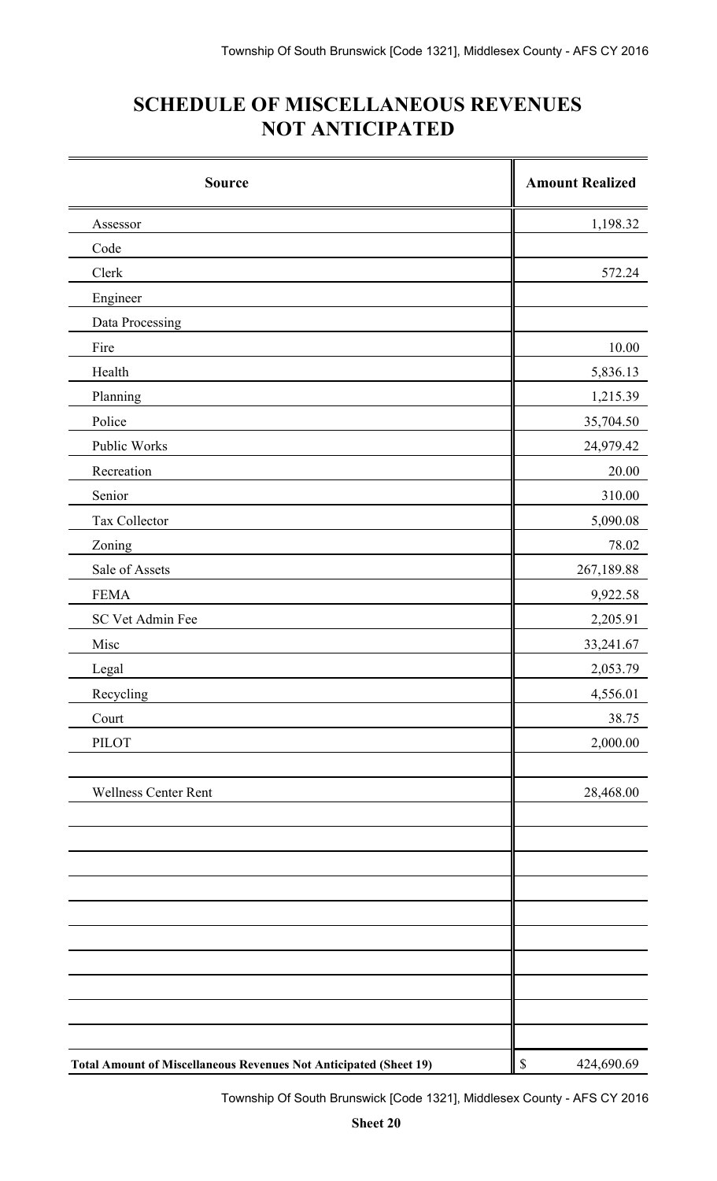# **SCHEDULE OF MISCELLANEOUS REVENUES NOT ANTICIPATED**

| <b>Source</b>                                                            | <b>Amount Realized</b> |
|--------------------------------------------------------------------------|------------------------|
| Assessor                                                                 | 1,198.32               |
| Code                                                                     |                        |
| Clerk                                                                    | 572.24                 |
| Engineer                                                                 |                        |
| Data Processing                                                          |                        |
| Fire                                                                     | 10.00                  |
| Health                                                                   | 5,836.13               |
| Planning                                                                 | 1,215.39               |
| Police                                                                   | 35,704.50              |
| Public Works                                                             | 24,979.42              |
| Recreation                                                               | 20.00                  |
| Senior                                                                   | 310.00                 |
| Tax Collector                                                            | 5,090.08               |
| Zoning                                                                   | 78.02                  |
| Sale of Assets                                                           | 267,189.88             |
| <b>FEMA</b>                                                              | 9,922.58               |
| SC Vet Admin Fee                                                         | 2,205.91               |
| Misc                                                                     | 33,241.67              |
| Legal                                                                    | 2,053.79               |
| Recycling                                                                | 4,556.01               |
| Court                                                                    | 38.75                  |
| <b>PILOT</b>                                                             | 2,000.00               |
| <b>Wellness Center Rent</b>                                              | 28,468.00              |
|                                                                          |                        |
|                                                                          |                        |
|                                                                          |                        |
|                                                                          |                        |
|                                                                          |                        |
|                                                                          |                        |
| <b>Total Amount of Miscellaneous Revenues Not Anticipated (Sheet 19)</b> | \$<br>424,690.69       |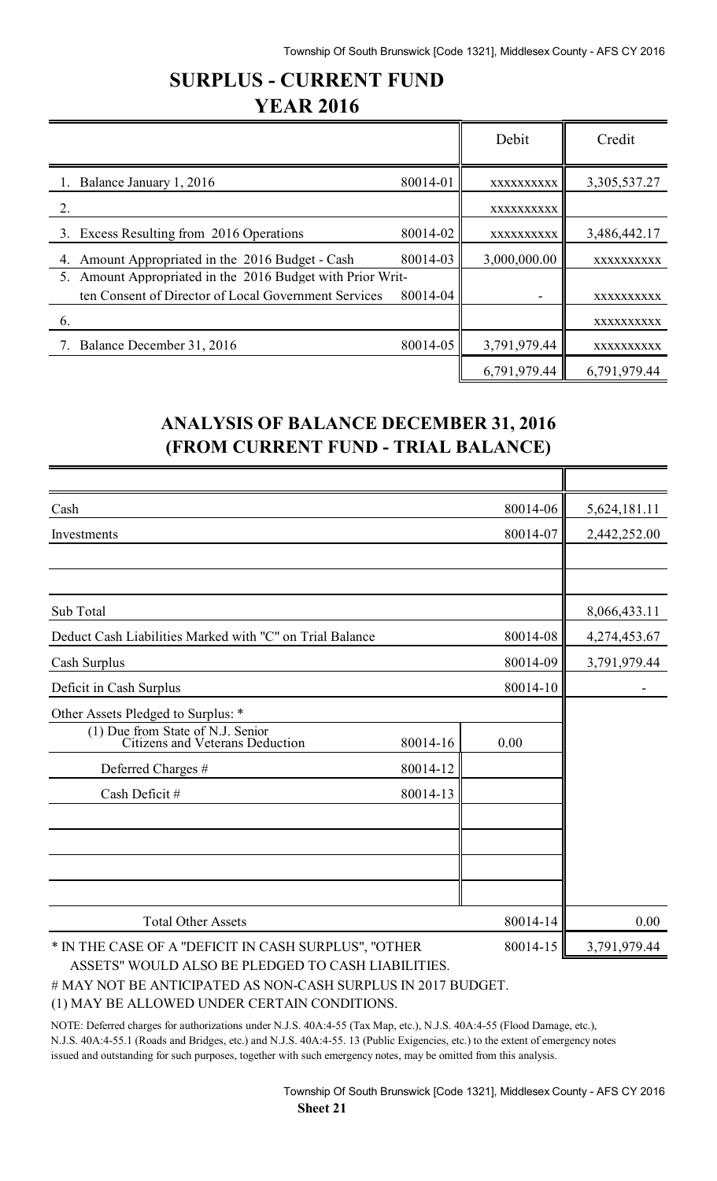## **SURPLUS - CURRENT FUND YEAR 2016**

|                                                               |          | Debit        | Credit       |
|---------------------------------------------------------------|----------|--------------|--------------|
| Balance January 1, 2016                                       | 80014-01 | XXXXXXXXXX   | 3,305,537.27 |
|                                                               |          | XXXXXXXXXX   |              |
| 3. Excess Resulting from 2016 Operations                      | 80014-02 | XXXXXXXXXX   | 3,486,442.17 |
| Amount Appropriated in the 2016 Budget - Cash<br>4.           | 80014-03 | 3,000,000.00 | XXXXXXXXXX   |
| Amount Appropriated in the 2016 Budget with Prior Writ-<br>5. |          |              |              |
| ten Consent of Director of Local Government Services          | 80014-04 |              | XXXXXXXXXX   |
| 6.                                                            |          |              | XXXXXXXXXX   |
| Balance December 31, 2016                                     | 80014-05 | 3,791,979.44 | XXXXXXXXXX   |
|                                                               |          | 6,791,979.44 | 6,791,979.44 |

## **ANALYSIS OF BALANCE DECEMBER 31, 2016 (FROM CURRENT FUND - TRIAL BALANCE)**

| Cash                                                                 |          | 80014-06 | 5,624,181.11 |
|----------------------------------------------------------------------|----------|----------|--------------|
| Investments                                                          |          | 80014-07 | 2,442,252.00 |
|                                                                      |          |          |              |
|                                                                      |          |          |              |
| Sub Total                                                            |          |          | 8,066,433.11 |
| Deduct Cash Liabilities Marked with "C" on Trial Balance             |          | 80014-08 | 4,274,453.67 |
| Cash Surplus                                                         |          | 80014-09 | 3,791,979.44 |
| Deficit in Cash Surplus                                              |          | 80014-10 |              |
| Other Assets Pledged to Surplus: *                                   |          |          |              |
| (1) Due from State of N.J. Senior<br>Citizens and Veterans Deduction | 80014-16 | 0.00     |              |
| Deferred Charges #                                                   | 80014-12 |          |              |
| Cash Deficit #                                                       | 80014-13 |          |              |
|                                                                      |          |          |              |
|                                                                      |          |          |              |
|                                                                      |          |          |              |
|                                                                      |          |          |              |
| <b>Total Other Assets</b>                                            |          | 80014-14 | 0.00         |
| * IN THE CASE OF A "DEFICIT IN CASH SURPLUS", "OTHER                 |          | 80014-15 | 3,791,979.44 |
| ASSETS" WOULD ALSO BE PLEDGED TO CASH LIABILITIES.                   |          |          |              |

# MAY NOT BE ANTICIPATED AS NON-CASH SURPLUS IN 2017 BUDGET.

(1) MAY BE ALLOWED UNDER CERTAIN CONDITIONS.

NOTE: Deferred charges for authorizations under N.J.S. 40A:4-55 (Tax Map, etc.), N.J.S. 40A:4-55 (Flood Damage, etc.), N.J.S. 40A:4-55.1 (Roads and Bridges, etc.) and N.J.S. 40A:4-55. 13 (Public Exigencies, etc.) to the extent of emergency notes issued and outstanding for such purposes, together with such emergency notes, may be omitted from this analysis.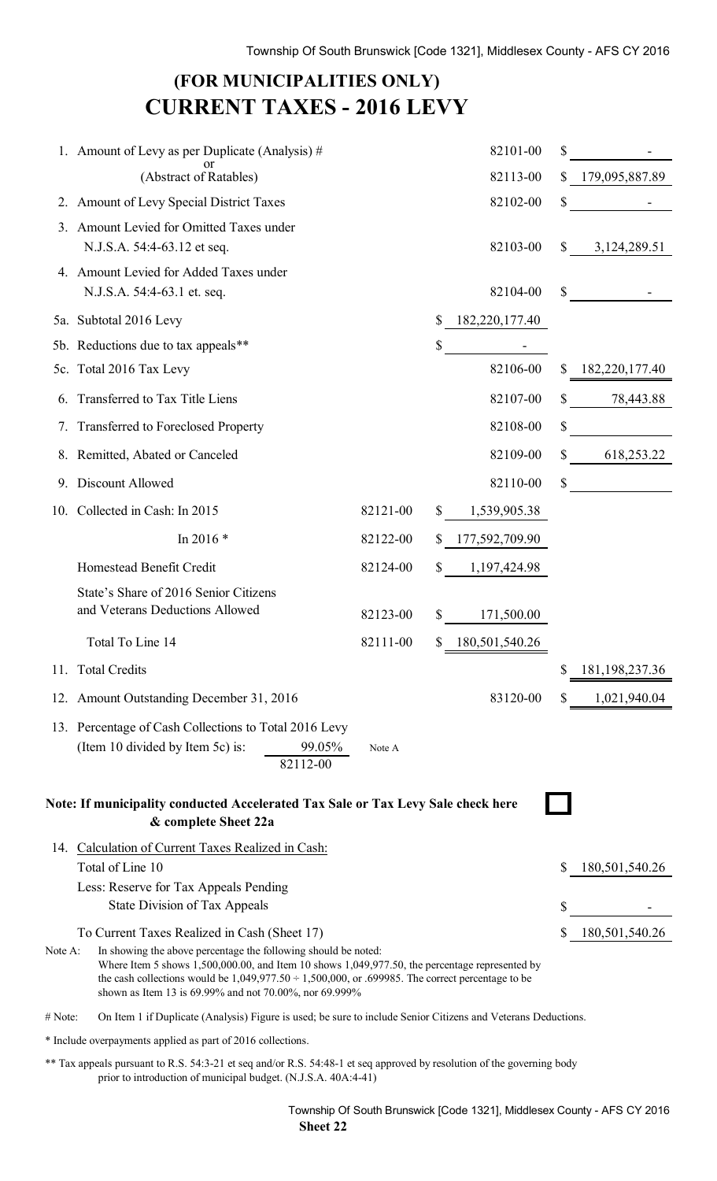# **(FOR MUNICIPALITIES ONLY) CURRENT TAXES - 2016 LEVY**

|                | 1. Amount of Levy as per Duplicate (Analysis) $#$                                                                                                                                                                                                                        |          | 82101-00             | \$ |                  |
|----------------|--------------------------------------------------------------------------------------------------------------------------------------------------------------------------------------------------------------------------------------------------------------------------|----------|----------------------|----|------------------|
|                | (Abstract of Ratables)                                                                                                                                                                                                                                                   |          | 82113-00             | \$ | 179,095,887.89   |
|                | 2. Amount of Levy Special District Taxes                                                                                                                                                                                                                                 |          | 82102-00             | S  |                  |
| 3 <sub>1</sub> | Amount Levied for Omitted Taxes under                                                                                                                                                                                                                                    |          |                      |    |                  |
|                | N.J.S.A. 54:4-63.12 et seq.                                                                                                                                                                                                                                              |          | 82103-00             | S  | 3,124,289.51     |
|                | 4. Amount Levied for Added Taxes under                                                                                                                                                                                                                                   |          |                      |    |                  |
|                | N.J.S.A. 54:4-63.1 et. seq.                                                                                                                                                                                                                                              |          | 82104-00             | \$ |                  |
|                | 5a. Subtotal 2016 Levy                                                                                                                                                                                                                                                   |          | \$<br>182,220,177.40 |    |                  |
|                | 5b. Reductions due to tax appeals**                                                                                                                                                                                                                                      |          | \$                   |    |                  |
|                | 5c. Total 2016 Tax Levy                                                                                                                                                                                                                                                  |          | 82106-00             | S  | 182,220,177.40   |
|                | 6. Transferred to Tax Title Liens                                                                                                                                                                                                                                        |          | 82107-00             | S  | 78,443.88        |
|                | 7. Transferred to Foreclosed Property                                                                                                                                                                                                                                    |          | 82108-00             | \$ |                  |
|                | 8. Remitted, Abated or Canceled                                                                                                                                                                                                                                          |          | 82109-00             | S  | 618,253.22       |
| 9.             | Discount Allowed                                                                                                                                                                                                                                                         |          | 82110-00             | \$ |                  |
|                | 10. Collected in Cash: In 2015                                                                                                                                                                                                                                           | 82121-00 | 1,539,905.38         |    |                  |
|                | In 2016*                                                                                                                                                                                                                                                                 | 82122-00 | 177,592,709.90       |    |                  |
|                | Homestead Benefit Credit                                                                                                                                                                                                                                                 | 82124-00 | 1,197,424.98         |    |                  |
|                | State's Share of 2016 Senior Citizens                                                                                                                                                                                                                                    |          |                      |    |                  |
|                | and Veterans Deductions Allowed                                                                                                                                                                                                                                          | 82123-00 | \$<br>171,500.00     |    |                  |
|                | Total To Line 14                                                                                                                                                                                                                                                         | 82111-00 | \$<br>180,501,540.26 |    |                  |
|                | 11. Total Credits                                                                                                                                                                                                                                                        |          |                      |    | \$181,198,237.36 |
|                | 12. Amount Outstanding December 31, 2016                                                                                                                                                                                                                                 |          | 83120-00             |    | \$1,021,940.04   |
|                | 13. Percentage of Cash Collections to Total 2016 Levy                                                                                                                                                                                                                    |          |                      |    |                  |
|                | (Item 10 divided by Item 5c) is:<br>99.05%                                                                                                                                                                                                                               | Note A   |                      |    |                  |
|                | 82112-00                                                                                                                                                                                                                                                                 |          |                      |    |                  |
|                | Note: If municipality conducted Accelerated Tax Sale or Tax Levy Sale check here                                                                                                                                                                                         |          |                      |    |                  |
|                | & complete Sheet 22a                                                                                                                                                                                                                                                     |          |                      |    |                  |
|                | 14. Calculation of Current Taxes Realized in Cash:                                                                                                                                                                                                                       |          |                      |    |                  |
|                | Total of Line 10                                                                                                                                                                                                                                                         |          |                      |    | 180,501,540.26   |
|                | Less: Reserve for Tax Appeals Pending<br>State Division of Tax Appeals                                                                                                                                                                                                   |          |                      |    |                  |
|                | To Current Taxes Realized in Cash (Sheet 17)                                                                                                                                                                                                                             |          |                      |    | 180,501,540.26   |
| Note A:        | In showing the above percentage the following should be noted:                                                                                                                                                                                                           |          |                      |    |                  |
|                | Where Item 5 shows $1,500,000.00$ , and Item 10 shows $1,049,977.50$ , the percentage represented by<br>the cash collections would be $1,049,977.50 \div 1,500,000$ , or .699985. The correct percentage to be<br>shown as Item 13 is 69.99% and not 70.00%, nor 69.999% |          |                      |    |                  |
| # Note:        | On Item 1 if Duplicate (Analysis) Figure is used; be sure to include Senior Citizens and Veterans Deductions.                                                                                                                                                            |          |                      |    |                  |
|                | * Include overpayments applied as part of 2016 collections.                                                                                                                                                                                                              |          |                      |    |                  |

\*\* Tax appeals pursuant to R.S. 54:3-21 et seq and/or R.S. 54:48-1 et seq approved by resolution of the governing body prior to introduction of municipal budget. (N.J.S.A. 40A:4-41)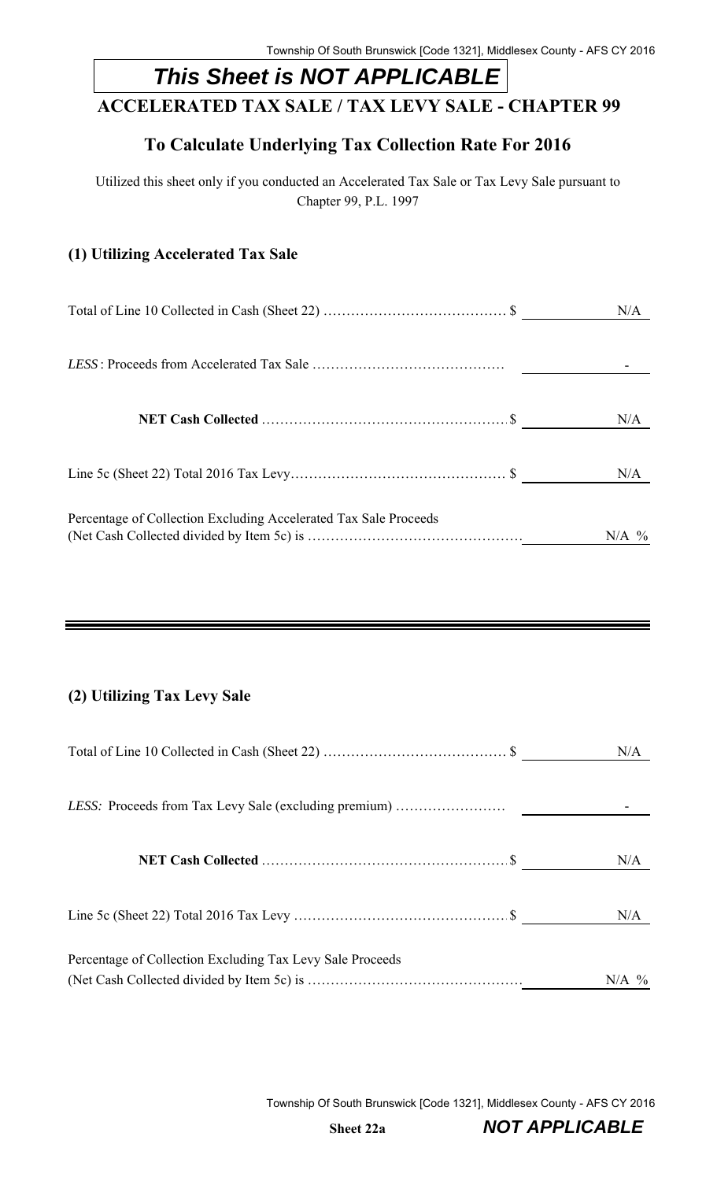# *This Sheet is NOT APPLICABLE*

## **ACCELERATED TAX SALE / TAX LEVY SALE - CHAPTER 99**

## **To Calculate Underlying Tax Collection Rate For 2016**

Utilized this sheet only if you conducted an Accelerated Tax Sale or Tax Levy Sale pursuant to Chapter 99, P.L. 1997

### **(1) Utilizing Accelerated Tax Sale**

|                                                                  | N/A     |
|------------------------------------------------------------------|---------|
|                                                                  |         |
|                                                                  | N/A     |
|                                                                  | N/A     |
| Percentage of Collection Excluding Accelerated Tax Sale Proceeds | $N/A$ % |

### **(2) Utilizing Tax Levy Sale**

|                                                           | N/A     |
|-----------------------------------------------------------|---------|
|                                                           |         |
|                                                           | N/A     |
|                                                           | N/A     |
| Percentage of Collection Excluding Tax Levy Sale Proceeds | $N/A$ % |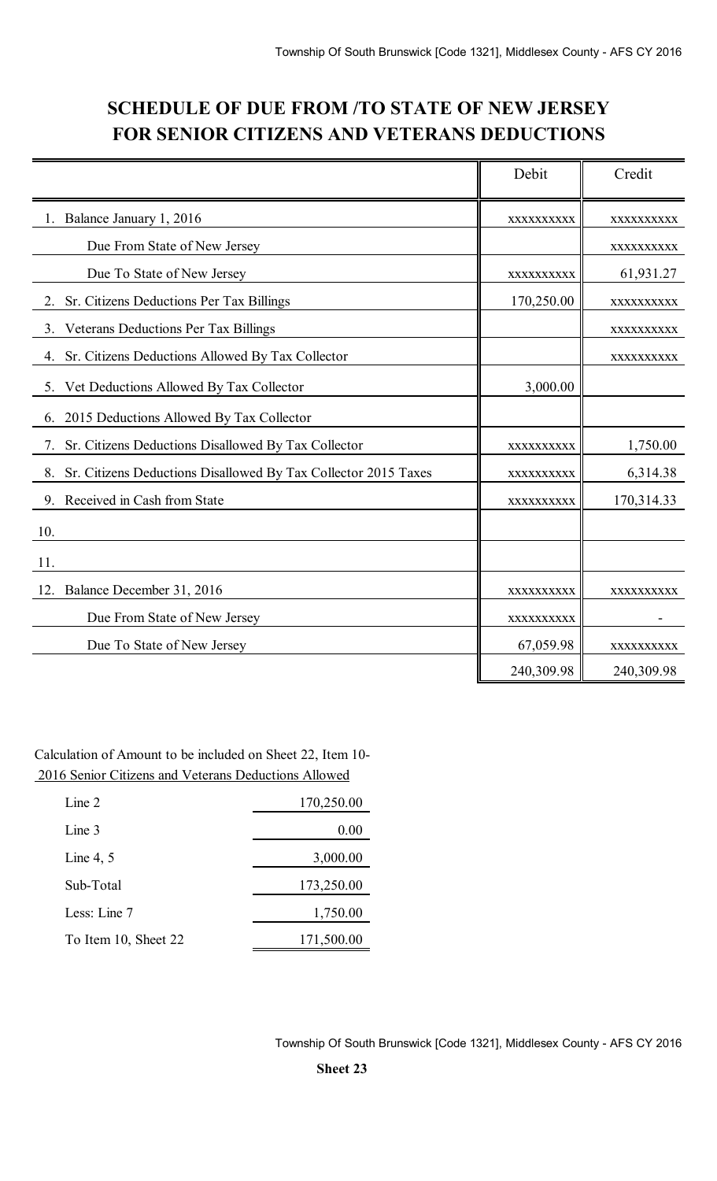## **SCHEDULE OF DUE FROM /TO STATE OF NEW JERSEY FOR SENIOR CITIZENS AND VETERANS DEDUCTIONS**

|                                                                      | Debit      | Credit     |
|----------------------------------------------------------------------|------------|------------|
| Balance January 1, 2016                                              | XXXXXXXXXX | XXXXXXXXX  |
| Due From State of New Jersey                                         |            | XXXXXXXXXX |
| Due To State of New Jersey                                           | XXXXXXXXXX | 61,931.27  |
| Sr. Citizens Deductions Per Tax Billings                             | 170,250.00 | XXXXXXXXXX |
| Veterans Deductions Per Tax Billings<br>3.                           |            | XXXXXXXXXX |
| 4. Sr. Citizens Deductions Allowed By Tax Collector                  |            | XXXXXXXXXX |
| 5. Vet Deductions Allowed By Tax Collector                           | 3,000.00   |            |
| 2015 Deductions Allowed By Tax Collector<br>6.                       |            |            |
| Sr. Citizens Deductions Disallowed By Tax Collector<br>7.            | XXXXXXXXXX | 1,750.00   |
| Sr. Citizens Deductions Disallowed By Tax Collector 2015 Taxes<br>8. | XXXXXXXXXX | 6,314.38   |
| Received in Cash from State<br>9.                                    | XXXXXXXXXX | 170,314.33 |
| 10.                                                                  |            |            |
| 11.                                                                  |            |            |
| Balance December 31, 2016<br>12.                                     | XXXXXXXXXX | XXXXXXXXXX |
| Due From State of New Jersey                                         | XXXXXXXXXX |            |
| Due To State of New Jersey                                           | 67,059.98  | XXXXXXXXXX |
|                                                                      | 240,309.98 | 240,309.98 |

Calculation of Amount to be included on Sheet 22, Item 10- 2016 Senior Citizens and Veterans Deductions Allowed

| Line 2               | 170,250.00 |
|----------------------|------------|
| Line 3               | 0.00       |
| Line 4, $5$          | 3,000.00   |
| Sub-Total            | 173,250.00 |
| Less: Line 7         | 1,750.00   |
| To Item 10, Sheet 22 | 171,500.00 |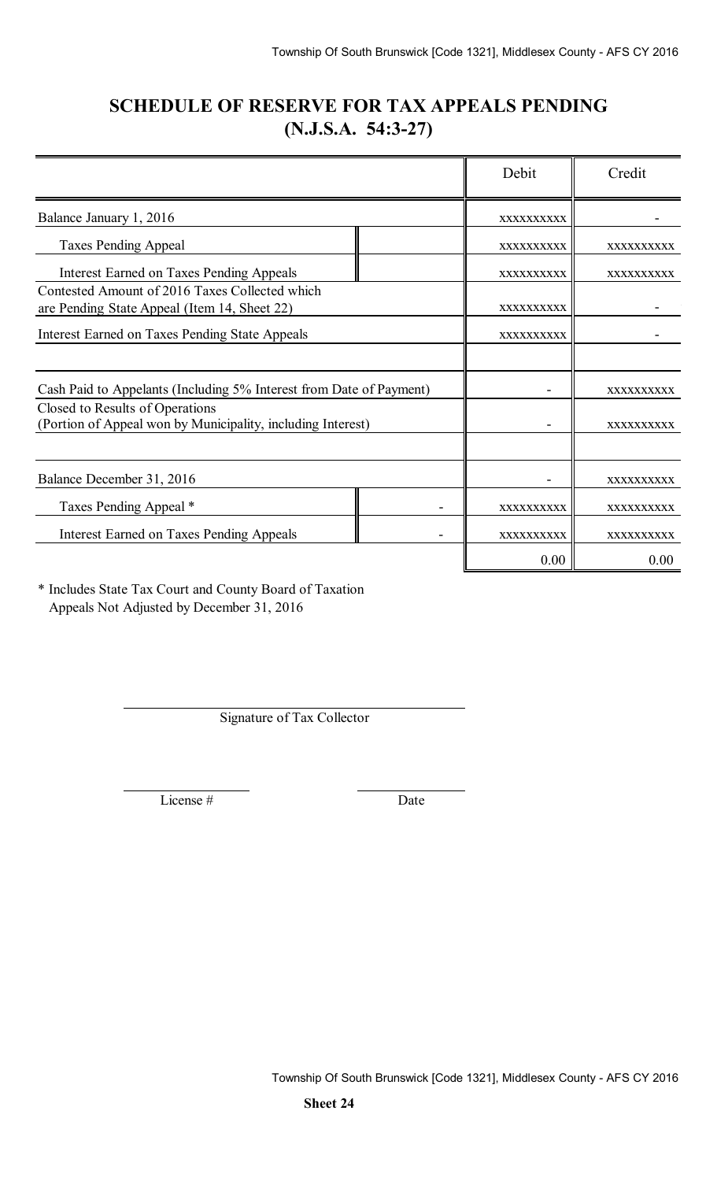## **SCHEDULE OF RESERVE FOR TAX APPEALS PENDING (N.J.S.A. 54:3-27)**

|                                                                                                |            | Debit      | Credit     |
|------------------------------------------------------------------------------------------------|------------|------------|------------|
| Balance January 1, 2016                                                                        |            | XXXXXXXXXX |            |
| <b>Taxes Pending Appeal</b>                                                                    |            | XXXXXXXXXX | XXXXXXXXXX |
| <b>Interest Earned on Taxes Pending Appeals</b>                                                |            | XXXXXXXXXX | XXXXXXXXXX |
| Contested Amount of 2016 Taxes Collected which<br>are Pending State Appeal (Item 14, Sheet 22) | XXXXXXXXXX |            |            |
| <b>Interest Earned on Taxes Pending State Appeals</b>                                          |            | XXXXXXXXXX |            |
|                                                                                                |            |            |            |
| Cash Paid to Appelants (Including 5% Interest from Date of Payment)                            |            |            | XXXXXXXXXX |
| Closed to Results of Operations<br>(Portion of Appeal won by Municipality, including Interest) |            |            | XXXXXXXXXX |
| Balance December 31, 2016                                                                      |            |            | XXXXXXXXXX |
| Taxes Pending Appeal *                                                                         |            | XXXXXXXXXX | XXXXXXXXXX |
| <b>Interest Earned on Taxes Pending Appeals</b>                                                |            | XXXXXXXXXX | XXXXXXXXXX |
|                                                                                                |            | 0.00       | 0.00       |

\* Includes State Tax Court and County Board of Taxation Appeals Not Adjusted by December 31, 2016

Signature of Tax Collector

License # Date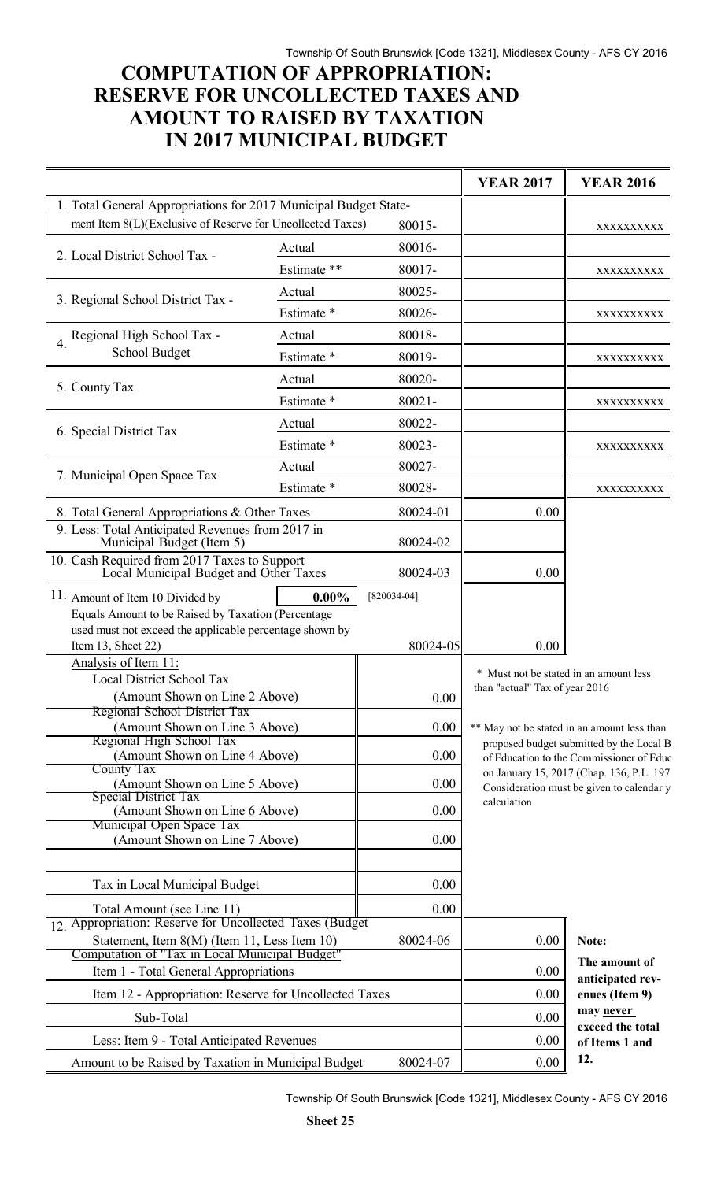## **COMPUTATION OF APPROPRIATION: RESERVE FOR UNCOLLECTED TAXES AND AMOUNT TO RAISED BY TAXATION IN 2017 MUNICIPAL BUDGET**

|                                                                                        |                       |               | <b>YEAR 2017</b>                       | <b>YEAR 2016</b>                                                                      |
|----------------------------------------------------------------------------------------|-----------------------|---------------|----------------------------------------|---------------------------------------------------------------------------------------|
| 1. Total General Appropriations for 2017 Municipal Budget State-                       |                       |               |                                        |                                                                                       |
| ment Item 8(L)(Exclusive of Reserve for Uncollected Taxes)                             |                       | 80015-        |                                        | XXXXXXXXX                                                                             |
| 2. Local District School Tax -                                                         | Actual                | 80016-        |                                        |                                                                                       |
|                                                                                        | Estimate **           | 80017-        |                                        | XXXXXXXXXX                                                                            |
| 3. Regional School District Tax -                                                      | Actual                | 80025-        |                                        |                                                                                       |
|                                                                                        | Estimate *            | 80026-        |                                        | XXXXXXXXXX                                                                            |
| 4. Regional High School Tax -                                                          | Actual                | 80018-        |                                        |                                                                                       |
| <b>School Budget</b>                                                                   | Estimate <sup>*</sup> | 80019-        |                                        | XXXXXXXXXX                                                                            |
| 5. County Tax                                                                          | Actual                | 80020-        |                                        |                                                                                       |
|                                                                                        | Estimate *            | $80021 -$     |                                        | XXXXXXXXX                                                                             |
|                                                                                        | Actual                | 80022-        |                                        |                                                                                       |
| 6. Special District Tax                                                                | Estimate *            | 80023-        |                                        | XXXXXXXXXX                                                                            |
|                                                                                        | Actual                | 80027-        |                                        |                                                                                       |
| 7. Municipal Open Space Tax                                                            | Estimate *            | 80028-        |                                        | XXXXXXXXX                                                                             |
| 8. Total General Appropriations & Other Taxes                                          |                       | 80024-01      | 0.00                                   |                                                                                       |
| 9. Less: Total Anticipated Revenues from 2017 in                                       |                       |               |                                        |                                                                                       |
| Municipal Budget (Item 5)                                                              |                       | 80024-02      |                                        |                                                                                       |
| 10. Cash Required from 2017 Taxes to Support<br>Local Municipal Budget and Other Taxes |                       | 80024-03      | 0.00                                   |                                                                                       |
| 11. Amount of Item 10 Divided by                                                       | $0.00\%$              | $[820034-04]$ |                                        |                                                                                       |
| Equals Amount to be Raised by Taxation (Percentage                                     |                       |               |                                        |                                                                                       |
| used must not exceed the applicable percentage shown by                                |                       | 80024-05      | 0.00                                   |                                                                                       |
| Item 13, Sheet 22)<br>Analysis of Item 11:                                             |                       |               |                                        |                                                                                       |
| <b>Local District School Tax</b>                                                       |                       |               | * Must not be stated in an amount less |                                                                                       |
| (Amount Shown on Line 2 Above)                                                         |                       | 0.00          | than "actual" Tax of year 2016         |                                                                                       |
| Regional School District Tax<br>(Amount Shown on Line 3 Above)                         |                       | 0.00          |                                        | ** May not be stated in an amount less than                                           |
| Regional High School Tax                                                               |                       |               |                                        | proposed budget submitted by the Local B                                              |
| (Amount Shown on Line 4 Above)<br>County Tax                                           |                       | 0.00          |                                        | of Education to the Commissioner of Educ                                              |
| (Amount Shown on Line 5 Above)                                                         |                       | 0.00          |                                        | on January 15, 2017 (Chap. 136, P.L. 197<br>Consideration must be given to calendar y |
| Special District Tax<br>calculation<br>(Amount Shown on Line 6 Above)<br>0.00          |                       |               |                                        |                                                                                       |
| Municipal Open Space Tax                                                               |                       |               |                                        |                                                                                       |
| (Amount Shown on Line 7 Above)                                                         |                       | 0.00          |                                        |                                                                                       |
|                                                                                        |                       |               |                                        |                                                                                       |
| Tax in Local Municipal Budget                                                          |                       | 0.00          |                                        |                                                                                       |
| Total Amount (see Line 11)<br>12. Appropriation: Reserve for Uncollected Taxes (Budget |                       | 0.00          |                                        |                                                                                       |
| Statement, Item 8(M) (Item 11, Less Item 10)                                           |                       | 80024-06      | 0.00                                   | Note:                                                                                 |
| Computation of "Tax in Local Municipal Budget"                                         |                       |               | The amount of                          |                                                                                       |
| Item 1 - Total General Appropriations                                                  |                       | 0.00          | anticipated rev-                       |                                                                                       |
| Item 12 - Appropriation: Reserve for Uncollected Taxes                                 |                       | 0.00          | enues (Item 9)                         |                                                                                       |
| Sub-Total                                                                              |                       | 0.00          | may never<br>exceed the total          |                                                                                       |
| Less: Item 9 - Total Anticipated Revenues                                              |                       |               | 0.00                                   | of Items 1 and                                                                        |
| 80024-07<br>Amount to be Raised by Taxation in Municipal Budget                        |                       | 0.00          | 12.                                    |                                                                                       |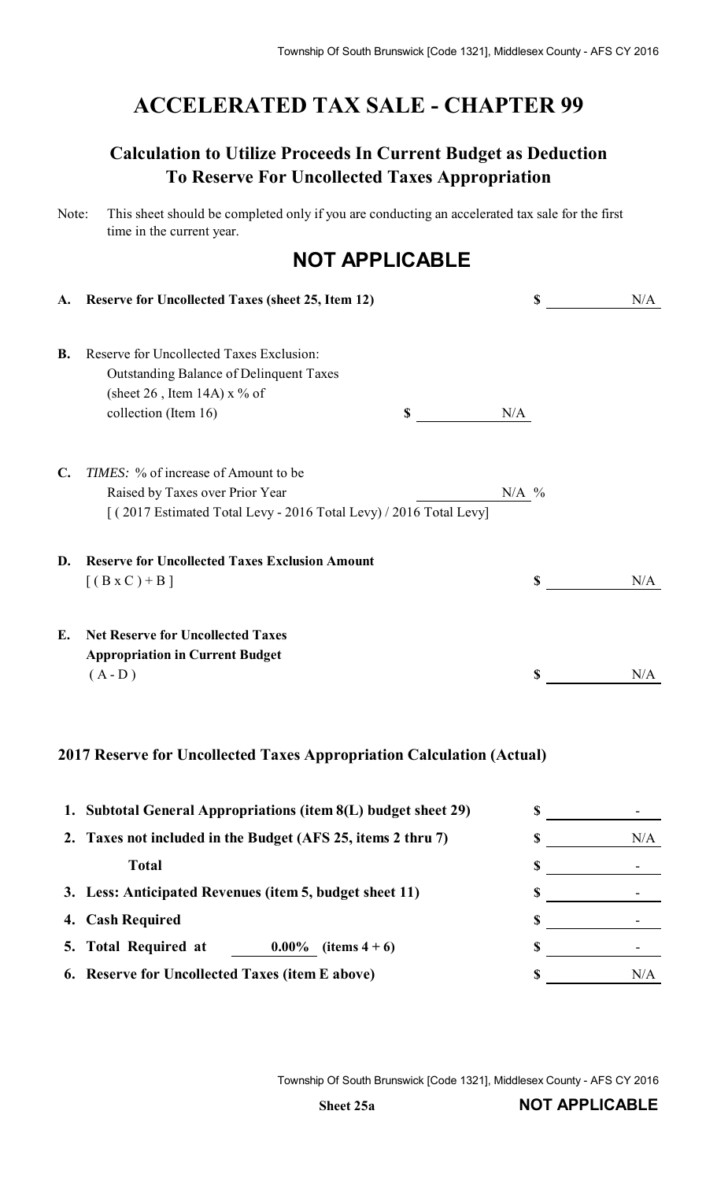# **ACCELERATED TAX SALE - CHAPTER 99**

## **Calculation to Utilize Proceeds In Current Budget as Deduction To Reserve For Uncollected Taxes Appropriation**

| Note: | This sheet should be completed only if you are conducting an accelerated tax sale for the first |
|-------|-------------------------------------------------------------------------------------------------|
|       | time in the current year.                                                                       |

# **NOT APPLICABLE**

| A.             | <b>Reserve for Uncollected Taxes (sheet 25, Item 12)</b>                                                                              |           | \$<br>N/A |
|----------------|---------------------------------------------------------------------------------------------------------------------------------------|-----------|-----------|
| <b>B.</b>      | Reserve for Uncollected Taxes Exclusion:<br><b>Outstanding Balance of Delinquent Taxes</b><br>(sheet 26, Item 14A) $x \frac{9}{6}$ of |           |           |
|                | collection (Item 16)                                                                                                                  | \$<br>N/A |           |
| $\mathbf{C}$ . | <i>TIMES</i> : % of increase of Amount to be                                                                                          |           |           |
|                | Raised by Taxes over Prior Year<br>[(2017 Estimated Total Levy - 2016 Total Levy) / 2016 Total Levy]                                  | $N/A$ %   |           |
| D.             | <b>Reserve for Uncollected Taxes Exclusion Amount</b>                                                                                 |           |           |
|                | $[(B \times C) + B]$                                                                                                                  |           | \$<br>N/A |
| Е.             | <b>Net Reserve for Uncollected Taxes</b>                                                                                              |           |           |
|                | <b>Appropriation in Current Budget</b><br>$(A - D)$                                                                                   |           | N/A       |
|                |                                                                                                                                       |           |           |

### **2017 Reserve for Uncollected Taxes Appropriation Calculation (Actual)**

|    | 1. Subtotal General Appropriations (item 8(L) budget sheet 29) |     |
|----|----------------------------------------------------------------|-----|
|    | 2. Taxes not included in the Budget (AFS 25, items 2 thru 7)   | N/A |
|    | <b>Total</b>                                                   |     |
|    | 3. Less: Anticipated Revenues (item 5, budget sheet 11)        |     |
| 4. | <b>Cash Required</b>                                           |     |
|    | 5. Total Required at<br>$0.00\%$<br>(items $4+6$ )             |     |
|    | 6. Reserve for Uncollected Taxes (item E above)                | N/A |

Township Of South Brunswick [Code 1321], Middlesex County - AFS CY 2016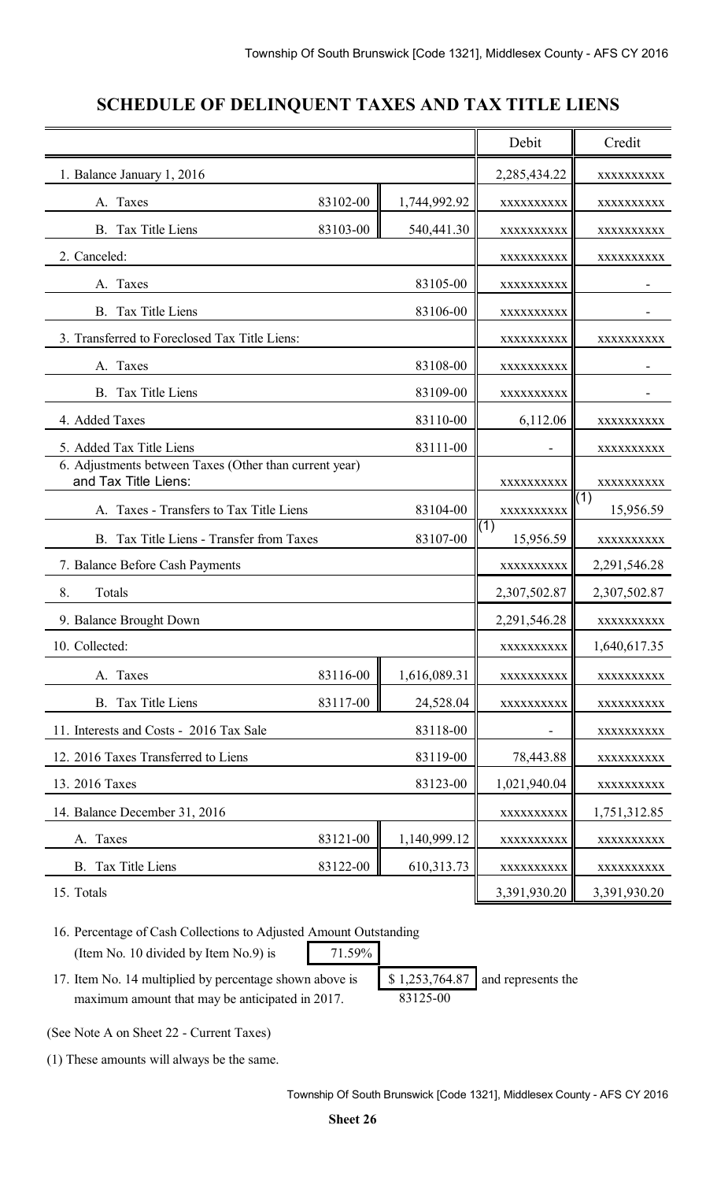### **SCHEDULE OF DELINQUENT TAXES AND TAX TITLE LIENS**

|                                                                                | Debit        | Credit       |                  |                               |
|--------------------------------------------------------------------------------|--------------|--------------|------------------|-------------------------------|
| 1. Balance January 1, 2016                                                     |              |              | 2,285,434.22     | XXXXXXXXX                     |
| A. Taxes                                                                       | 83102-00     | 1,744,992.92 | XXXXXXXXXX       | XXXXXXXXX                     |
| <b>B.</b> Tax Title Liens                                                      | 83103-00     | 540,441.30   | XXXXXXXXXX       | XXXXXXXXX                     |
| 2. Canceled:                                                                   | XXXXXXXXX    | XXXXXXXXX    |                  |                               |
| A. Taxes                                                                       |              | 83105-00     | XXXXXXXXXX       |                               |
| <b>B.</b> Tax Title Liens                                                      |              | 83106-00     | XXXXXXXXX        |                               |
| 3. Transferred to Foreclosed Tax Title Liens:                                  |              |              | XXXXXXXXX        | XXXXXXXXX                     |
| A. Taxes                                                                       |              | 83108-00     | XXXXXXXXX        |                               |
| <b>B.</b> Tax Title Liens                                                      |              | 83109-00     | XXXXXXXXX        |                               |
| 4. Added Taxes                                                                 |              | 83110-00     | 6,112.06         | XXXXXXXXX                     |
| 5. Added Tax Title Liens                                                       |              | 83111-00     |                  | XXXXXXXXX                     |
| 6. Adjustments between Taxes (Other than current year)<br>and Tax Title Liens: |              |              | XXXXXXXXXX       | XXXXXXXXX                     |
| A. Taxes - Transfers to Tax Title Liens                                        |              | 83104-00     | XXXXXXXXXX       | $\overline{(1)}$<br>15,956.59 |
| B. Tax Title Liens - Transfer from Taxes                                       |              | 83107-00     | (1)<br>15,956.59 | XXXXXXXXX                     |
| 7. Balance Before Cash Payments                                                |              |              | XXXXXXXXXX       | 2,291,546.28                  |
| 8.<br>Totals                                                                   |              |              | 2,307,502.87     | 2,307,502.87                  |
| 9. Balance Brought Down                                                        |              |              | 2,291,546.28     | XXXXXXXXX                     |
| 10. Collected:                                                                 |              |              | XXXXXXXXX        | 1,640,617.35                  |
| A. Taxes                                                                       | 83116-00     | 1,616,089.31 | XXXXXXXXXX       | XXXXXXXXX                     |
| <b>B.</b> Tax Title Liens                                                      | 83117-00     | 24,528.04    | XXXXXXXXX        | XXXXXXXXX                     |
| 11. Interests and Costs - 2016 Tax Sale                                        |              | 83118-00     |                  | XXXXXXXXX                     |
| 12. 2016 Taxes Transferred to Liens                                            |              | 83119-00     | 78,443.88        | XXXXXXXXX                     |
| 13. 2016 Taxes                                                                 | 1,021,940.04 | XXXXXXXXXX   |                  |                               |
| 14. Balance December 31, 2016                                                  | XXXXXXXXXX   | 1,751,312.85 |                  |                               |
| A. Taxes                                                                       | 83121-00     | 1,140,999.12 | XXXXXXXXX        | XXXXXXXXX                     |
| <b>B.</b> Tax Title Liens                                                      | 83122-00     | 610,313.73   | XXXXXXXXXX       | XXXXXXXXX                     |
| 15. Totals                                                                     |              |              | 3,391,930.20     | 3,391,930.20                  |

16. Percentage of Cash Collections to Adjusted Amount Outstanding (Item No. 10 divided by Item No.9) is 71.59%

17. Item No. 14 multiplied by percentage shown above is  $\left[ \begin{array}{cc} 1,253,764.87 \end{array} \right]$  and represents the maximum amount that may be anticipated in 2017. 83125-00

(See Note A on Sheet 22 - Current Taxes)

(1) These amounts will always be the same.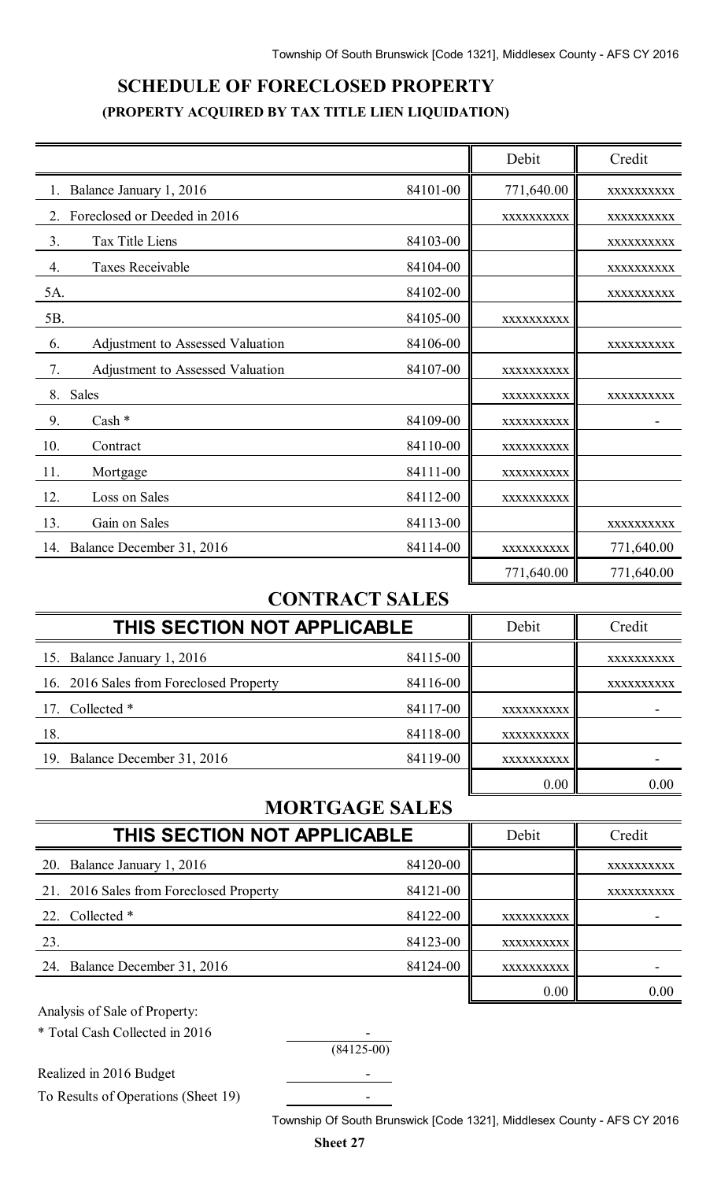# **SCHEDULE OF FORECLOSED PROPERTY (PROPERTY ACQUIRED BY TAX TITLE LIEN LIQUIDATION)**

|                                             |          | Debit      | Credit     |
|---------------------------------------------|----------|------------|------------|
| Balance January 1, 2016                     | 84101-00 | 771,640.00 | XXXXXXXXXX |
| Foreclosed or Deeded in 2016<br>2.          |          | XXXXXXXXXX | XXXXXXXXXX |
| 3.<br>Tax Title Liens                       | 84103-00 |            | XXXXXXXXXX |
| $\overline{4}$ .<br><b>Taxes Receivable</b> | 84104-00 |            | XXXXXXXXXX |
| 5A.                                         | 84102-00 |            | XXXXXXXXXX |
| 5B.                                         | 84105-00 | XXXXXXXXXX |            |
| 6.<br>Adjustment to Assessed Valuation      | 84106-00 |            | XXXXXXXXXX |
| 7.<br>Adjustment to Assessed Valuation      | 84107-00 | XXXXXXXXXX |            |
| 8.<br>Sales                                 |          | XXXXXXXXXX | XXXXXXXXXX |
| 9.<br>Cash *                                | 84109-00 | XXXXXXXXXX |            |
| 10.<br>Contract                             | 84110-00 | XXXXXXXXXX |            |
| 11.<br>Mortgage                             | 84111-00 | XXXXXXXXXX |            |
| 12.<br>Loss on Sales                        | 84112-00 | XXXXXXXXXX |            |
| 13.<br>Gain on Sales                        | 84113-00 |            | XXXXXXXXXX |
| 14. Balance December 31, 2016               | 84114-00 | XXXXXXXXXX | 771,640.00 |
|                                             |          | 771,640.00 | 771,640.00 |

### **CONTRACT SALES**

| THIS SECTION NOT APPLICABLE             |          | Debit      | Credit     |
|-----------------------------------------|----------|------------|------------|
| 15. Balance January 1, 2016             | 84115-00 |            | XXXXXXXXXX |
| 16. 2016 Sales from Foreclosed Property | 84116-00 |            | XXXXXXXXXX |
| 17. Collected *                         | 84117-00 | XXXXXXXXXX |            |
| 18.                                     | 84118-00 | XXXXXXXXXX |            |
| 19. Balance December 31, 2016           | 84119-00 | XXXXXXXXXX |            |
|                                         |          | 0.00       | 0.00       |

### **MORTGAGE SALES**

| THIS SECTION NOT APPLICABLE             |          | Debit      | Credit     |
|-----------------------------------------|----------|------------|------------|
| 20. Balance January 1, 2016             | 84120-00 |            | XXXXXXXXXX |
| 21. 2016 Sales from Foreclosed Property | 84121-00 |            | XXXXXXXXXX |
| 22. Collected *                         | 84122-00 | XXXXXXXXXX |            |
| 23.                                     | 84123-00 | XXXXXXXXXX |            |
| 24. Balance December 31, 2016           | 84124-00 | XXXXXXXXXX |            |
|                                         |          | 0.00       | 0.00       |

Analysis of Sale of Property:

\* Total Cash Collected in 2016 -

 $(84125-00)$ 

Realized in 2016 Budget To Results of Operations (Sheet 19) -

Township Of South Brunswick [Code 1321], Middlesex County - AFS CY 2016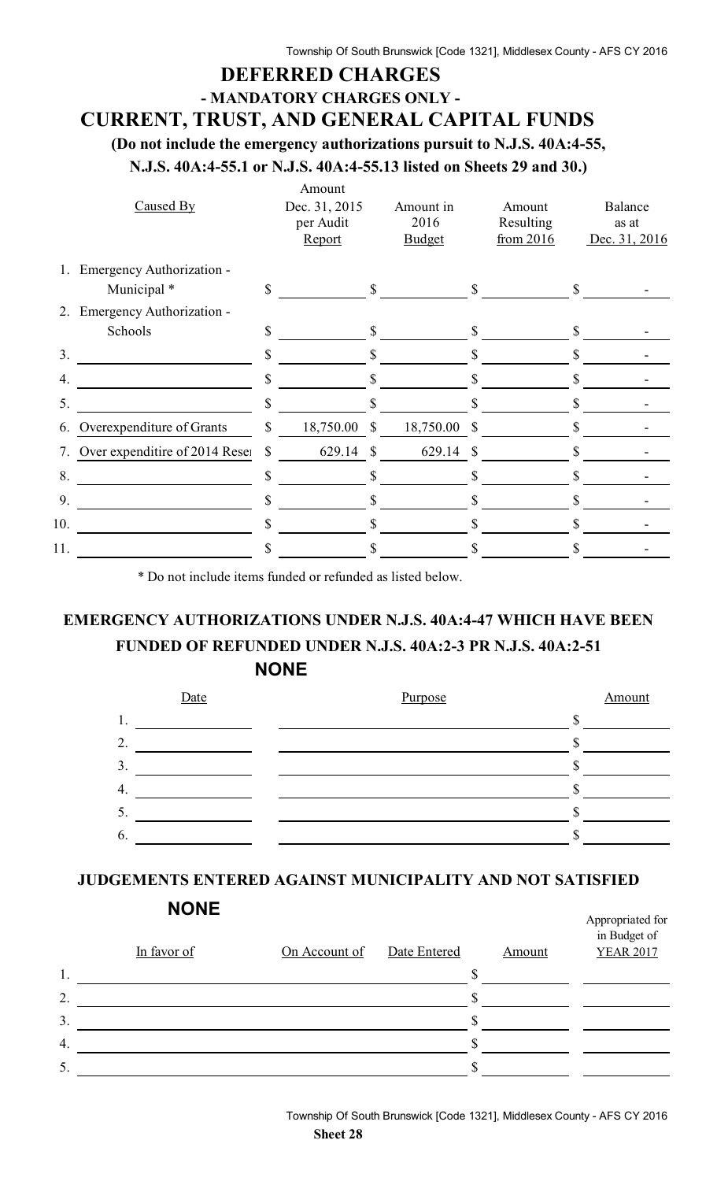### **DEFERRED CHARGES - MANDATORY CHARGES ONLY -**

# **CURRENT, TRUST, AND GENERAL CAPITAL FUNDS**

**(Do not include the emergency authorizations pursuit to N.J.S. 40A:4-55,**

**N.J.S. 40A:4-55.1 or N.J.S. 40A:4-55.13 listed on Sheets 29 and 30.)**

|                | Caused By                      | Amount<br>Dec. 31, 2015<br>per Audit<br>Report |               | Amount in<br>2016<br><b>Budget</b> |               | Amount<br>Resulting<br>from 2016 |              | Balance<br>as at<br>Dec. 31, 2016 |
|----------------|--------------------------------|------------------------------------------------|---------------|------------------------------------|---------------|----------------------------------|--------------|-----------------------------------|
| $1_{\cdot}$    | Emergency Authorization -      |                                                |               |                                    |               |                                  |              |                                   |
|                | Municipal *                    | \$                                             | $\mathbf S$   |                                    | $\mathbb{S}$  |                                  | $\mathbb{S}$ |                                   |
| 2.             | Emergency Authorization -      |                                                |               |                                    |               |                                  |              |                                   |
|                | Schools                        | \$                                             | \$            |                                    |               |                                  |              |                                   |
| 3 <sub>1</sub> |                                | \$                                             | S             |                                    | \$            |                                  |              |                                   |
| 4.             |                                | \$                                             |               |                                    |               |                                  |              |                                   |
| 5.             |                                | \$                                             |               |                                    |               |                                  | S            |                                   |
| 6.             | Overexpenditure of Grants      | \$<br>18,750.00                                | $\mathcal{S}$ | 18,750.00                          | $\mathcal{S}$ |                                  |              |                                   |
| 7.             | Over expenditire of 2014 Reser | \$<br>629.14                                   | -S            | 629.14 \$                          |               |                                  |              |                                   |
| 8.             |                                | \$                                             |               |                                    |               |                                  |              |                                   |
| 9.             |                                | \$                                             |               |                                    |               |                                  |              |                                   |
| 10.            |                                | \$                                             | S             |                                    |               |                                  | S            |                                   |
| 11.            |                                | \$                                             |               |                                    |               |                                  |              |                                   |

\* Do not include items funded or refunded as listed below.

### **EMERGENCY AUTHORIZATIONS UNDER N.J.S. 40A:4-47 WHICH HAVE BEEN FUNDED OF REFUNDED UNDER N.J.S. 40A:2-3 PR N.J.S. 40A:2-51 NONE**



### **JUDGEMENTS ENTERED AGAINST MUNICIPALITY AND NOT SATISFIED**

|                  | In favor of | On Account of | Date Entered | Amount | in Budget of<br><b>YEAR 2017</b> |
|------------------|-------------|---------------|--------------|--------|----------------------------------|
| 1.               |             |               |              |        |                                  |
| 2.               |             |               |              |        |                                  |
| 3.               |             |               |              |        |                                  |
| $\overline{4}$ . |             |               |              |        |                                  |
| 5.               |             |               |              |        |                                  |

Appropriated for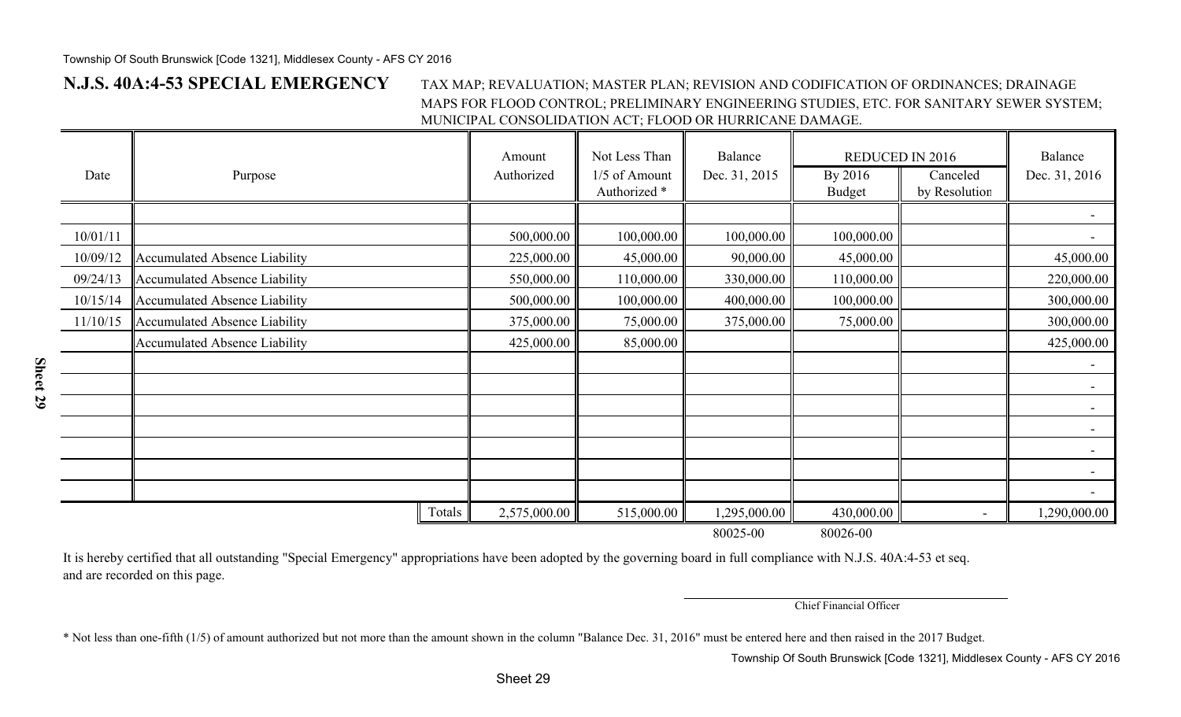**Sheet 29**

#### **N.J.S. 40A:4-53 SPECIAL EMERGENCY** TAX MAP; REVALUATION; MASTER PLAN; REVISION AND CODIFICATION OF ORDINANCES; DRAINAGE MAPS FOR FLOOD CONTROL; PRELIMINARY ENGINEERING STUDIES, ETC. FOR SANITARY SEWER SYSTEM; MUNICIPAL CONSOLIDATION ACT; FLOOD OR HURRICANE DAMAGE.

| Date     | Purpose                              |        | Amount<br>Authorized | Not Less Than<br>1/5 of Amount<br>Authorized <sup>*</sup> | Balance<br>Dec. 31, 2015 | <b>REDUCED IN 2016</b><br>By 2016<br><b>Budget</b> | Canceled<br>by Resolution | Balance<br>Dec. 31, 2016 |
|----------|--------------------------------------|--------|----------------------|-----------------------------------------------------------|--------------------------|----------------------------------------------------|---------------------------|--------------------------|
|          |                                      |        |                      |                                                           |                          |                                                    |                           |                          |
| 10/01/11 |                                      |        | 500,000.00           | 100,000.00                                                | 100,000.00               | 100,000.00                                         |                           |                          |
| 10/09/12 | Accumulated Absence Liability        |        | 225,000.00           | 45,000.00                                                 | 90,000.00                | 45,000.00                                          |                           | 45,000.00                |
| 09/24/13 | Accumulated Absence Liability        |        | 550,000.00           | 110,000.00                                                | 330,000.00               | 110,000.00                                         |                           | 220,000.00               |
| 10/15/14 | Accumulated Absence Liability        |        | 500,000.00           | 100,000.00                                                | 400,000.00               | 100,000.00                                         |                           | 300,000.00               |
| 11/10/15 | Accumulated Absence Liability        |        | 375,000.00           | 75,000.00                                                 | 375,000.00               | 75,000.00                                          |                           | 300,000.00               |
|          | <b>Accumulated Absence Liability</b> |        | 425,000.00           | 85,000.00                                                 |                          |                                                    |                           | 425,000.00               |
|          |                                      |        |                      |                                                           |                          |                                                    |                           |                          |
|          |                                      |        |                      |                                                           |                          |                                                    |                           |                          |
|          |                                      |        |                      |                                                           |                          |                                                    |                           |                          |
|          |                                      |        |                      |                                                           |                          |                                                    |                           |                          |
|          |                                      |        |                      |                                                           |                          |                                                    |                           |                          |
|          |                                      |        |                      |                                                           |                          |                                                    |                           |                          |
|          |                                      |        |                      |                                                           |                          |                                                    |                           |                          |
|          |                                      | Totals | 2,575,000.00         | 515,000.00                                                | 295,000.00               | 430,000.00                                         |                           | 1,290,000.00             |
|          |                                      |        |                      |                                                           | 80025-00                 | 80026-00                                           |                           |                          |

It is hereby certified that all outstanding "Special Emergency" appropriations have been adopted by the governing board in full compliance with N.J.S. 40A:4-53 et seq. and are recorded on this page.

Chief Financial Officer

\* Not less than one-fifth (1/5) of amount authorized but not more than the amount shown in the column "Balance Dec. 31, 2016" must be entered here and then raised in the 2017 Budget.

Township Of South Brunswick [Code 1321], Middlesex County - AFS CY 2016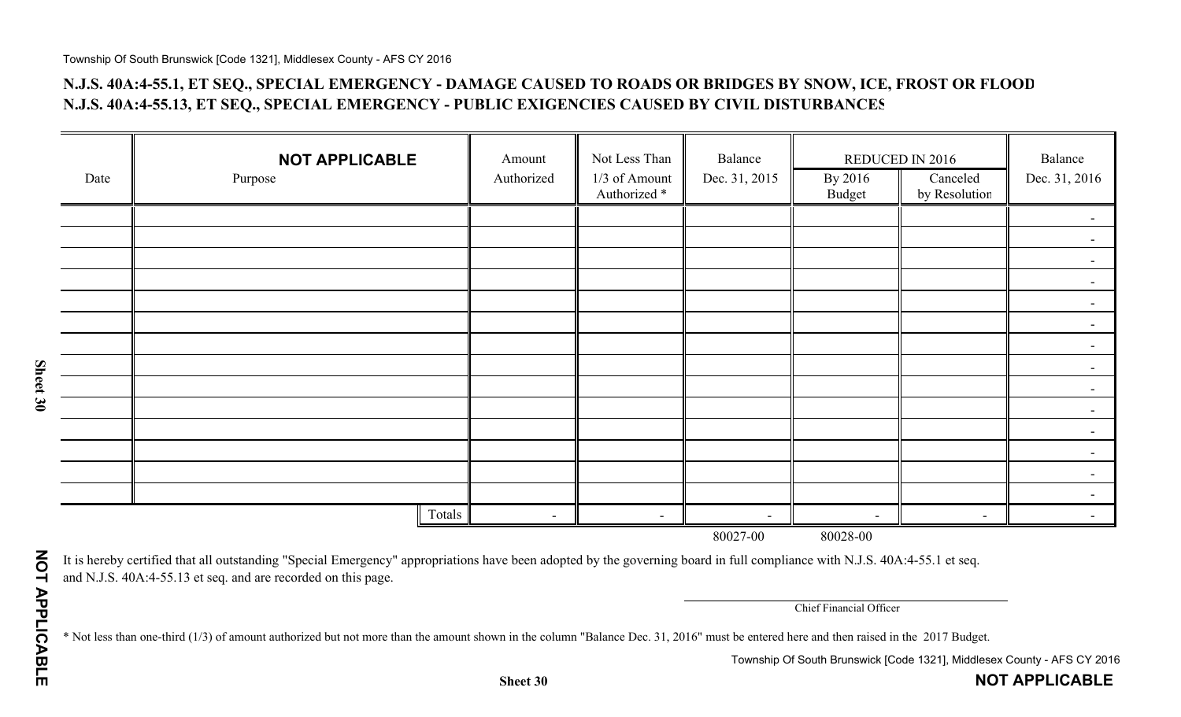### **N.J.S. 40A:4-55.1, ET SEQ., SPECIAL EMERGENCY - DAMAGE CAUSED TO ROADS OR BRIDGES BY SNOW, ICE, FROST OR FLOOD N.J.S. 40A:4-55.13, ET SEQ., SPECIAL EMERGENCY - PUBLIC EXIGENCIES CAUSED BY CIVIL DISTURBANCES**

|      | <b>NOT APPLICABLE</b> | Amount         | Not Less Than                            | Balance                  | REDUCED IN 2016          |                           | Balance                  |  |  |  |  |
|------|-----------------------|----------------|------------------------------------------|--------------------------|--------------------------|---------------------------|--------------------------|--|--|--|--|
| Date | Purpose               | Authorized     | 1/3 of Amount<br>Authorized <sup>*</sup> | Dec. 31, 2015            | By 2016<br><b>Budget</b> | Canceled<br>by Resolution | Dec. 31, 2016            |  |  |  |  |
|      |                       |                |                                          |                          |                          |                           |                          |  |  |  |  |
|      |                       |                |                                          |                          |                          |                           |                          |  |  |  |  |
|      |                       |                |                                          |                          |                          |                           | $\blacksquare$           |  |  |  |  |
|      |                       |                |                                          |                          |                          |                           |                          |  |  |  |  |
|      |                       |                |                                          |                          |                          |                           | $\overline{\phantom{0}}$ |  |  |  |  |
|      |                       |                |                                          |                          |                          |                           |                          |  |  |  |  |
|      |                       |                |                                          |                          |                          |                           | $ \,$                    |  |  |  |  |
|      |                       |                |                                          |                          |                          |                           | $\overline{\phantom{0}}$ |  |  |  |  |
|      |                       |                |                                          |                          |                          |                           | $\overline{\phantom{a}}$ |  |  |  |  |
|      |                       |                |                                          |                          |                          |                           |                          |  |  |  |  |
|      |                       |                |                                          |                          |                          |                           | $\overline{\phantom{a}}$ |  |  |  |  |
|      |                       |                |                                          |                          |                          |                           | $\overline{\phantom{0}}$ |  |  |  |  |
|      |                       |                |                                          |                          |                          |                           |                          |  |  |  |  |
|      |                       |                |                                          |                          |                          |                           |                          |  |  |  |  |
|      | Totals                | $\blacksquare$ | $\blacksquare$                           | $\overline{\phantom{a}}$ | $\overline{\phantom{a}}$ | $\blacksquare$            |                          |  |  |  |  |
|      | 80027-00<br>80028-00  |                |                                          |                          |                          |                           |                          |  |  |  |  |

It is hereby certified that all outstanding "Special Emergency" appropriations have been adopted by the governing board in full compliance with N.J.S. 40A:4-55.1 et seq. and N.J.S. 40A:4-55.13 et seq. and are recorded on this page.

Chief Financial Officer

\* Not less than one-third (1/3) of amount authorized but not more than the amount shown in the column "Balance Dec. 31, 2016" must be entered here and then raised in the 2017 Budget.

Township Of South Brunswick [Code 1321], Middlesex County - AFS CY 2016

**NOT APPLICABLE**

**Sheet 30**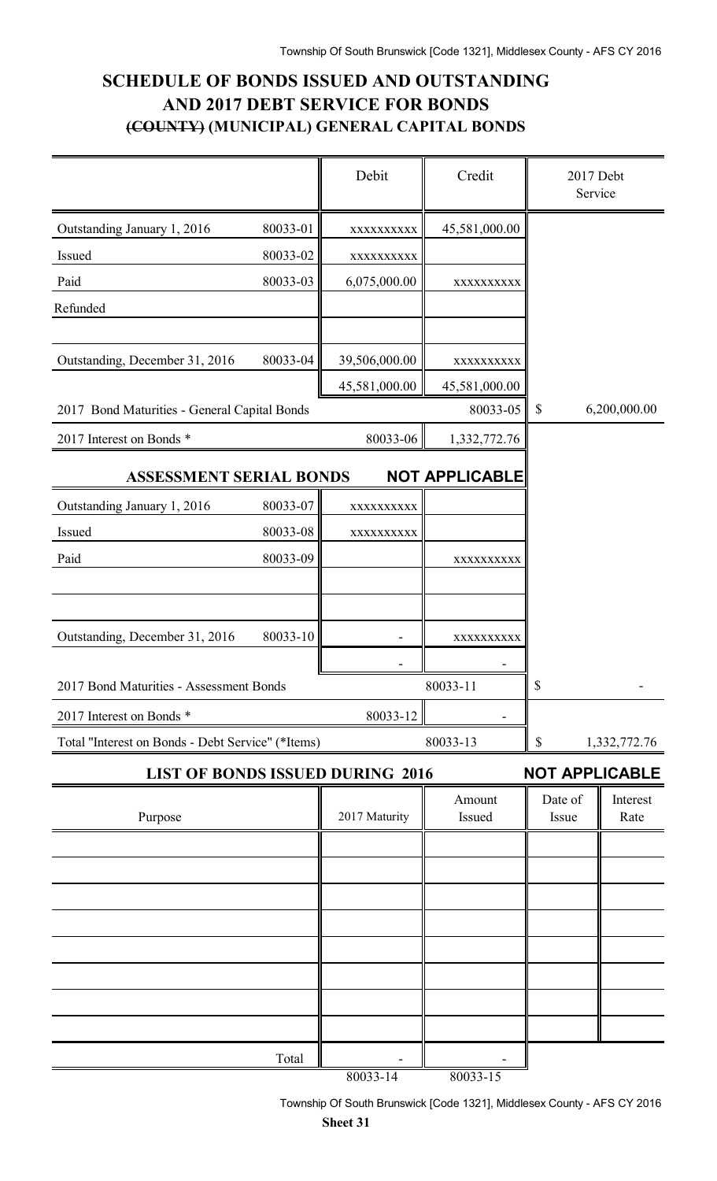### **SCHEDULE OF BONDS ISSUED AND OUTSTANDING AND 2017 DEBT SERVICE FOR BONDS (COUNTY) (MUNICIPAL) GENERAL CAPITAL BONDS**

|                                                   |          | Debit         | Credit                | 2017 Debt<br>Service      |                  |
|---------------------------------------------------|----------|---------------|-----------------------|---------------------------|------------------|
| Outstanding January 1, 2016                       | 80033-01 | XXXXXXXXXX    | 45,581,000.00         |                           |                  |
| Issued                                            | 80033-02 | XXXXXXXXXX    |                       |                           |                  |
| Paid                                              | 80033-03 | 6,075,000.00  | XXXXXXXXX             |                           |                  |
| Refunded                                          |          |               |                       |                           |                  |
|                                                   |          |               |                       |                           |                  |
| Outstanding, December 31, 2016                    | 80033-04 | 39,506,000.00 | XXXXXXXXXX            |                           |                  |
|                                                   |          | 45,581,000.00 | 45,581,000.00         |                           |                  |
| 2017 Bond Maturities - General Capital Bonds      |          |               | 80033-05              | $\boldsymbol{\mathsf{S}}$ | 6,200,000.00     |
| 2017 Interest on Bonds *                          |          | 80033-06      | 1,332,772.76          |                           |                  |
| <b>ASSESSMENT SERIAL BONDS</b>                    |          |               | <b>NOT APPLICABLE</b> |                           |                  |
| Outstanding January 1, 2016                       | 80033-07 | XXXXXXXXXX    |                       |                           |                  |
| Issued                                            | 80033-08 | XXXXXXXXXX    |                       |                           |                  |
| Paid                                              | 80033-09 |               | XXXXXXXXXX            |                           |                  |
|                                                   |          |               |                       |                           |                  |
|                                                   |          |               |                       |                           |                  |
| Outstanding, December 31, 2016                    | 80033-10 |               | XXXXXXXXXX            |                           |                  |
|                                                   |          |               |                       |                           |                  |
| 2017 Bond Maturities - Assessment Bonds           |          |               | 80033-11              | \$                        |                  |
| 2017 Interest on Bonds *                          |          | 80033-12      |                       |                           |                  |
| Total "Interest on Bonds - Debt Service" (*Items) |          |               | 80033-13              | \$                        | 1,332,772.76     |
| <b>LIST OF BONDS ISSUED DURING 2016</b>           |          |               |                       | <b>NOT APPLICABLE</b>     |                  |
| Purpose                                           |          | 2017 Maturity | Amount<br>Issued      | Date of<br>Issue          | Interest<br>Rate |
|                                                   |          |               |                       |                           |                  |
|                                                   |          |               |                       |                           |                  |
|                                                   |          |               |                       |                           |                  |
|                                                   |          |               |                       |                           |                  |
|                                                   |          |               |                       |                           |                  |
|                                                   |          |               |                       |                           |                  |
|                                                   |          |               |                       |                           |                  |
|                                                   |          |               |                       |                           |                  |
|                                                   | Total    |               |                       |                           |                  |
|                                                   |          | 80033-14      | $80033 - 15$          |                           |                  |

Township Of South Brunswick [Code 1321], Middlesex County - AFS CY 2016 **Sheet 31**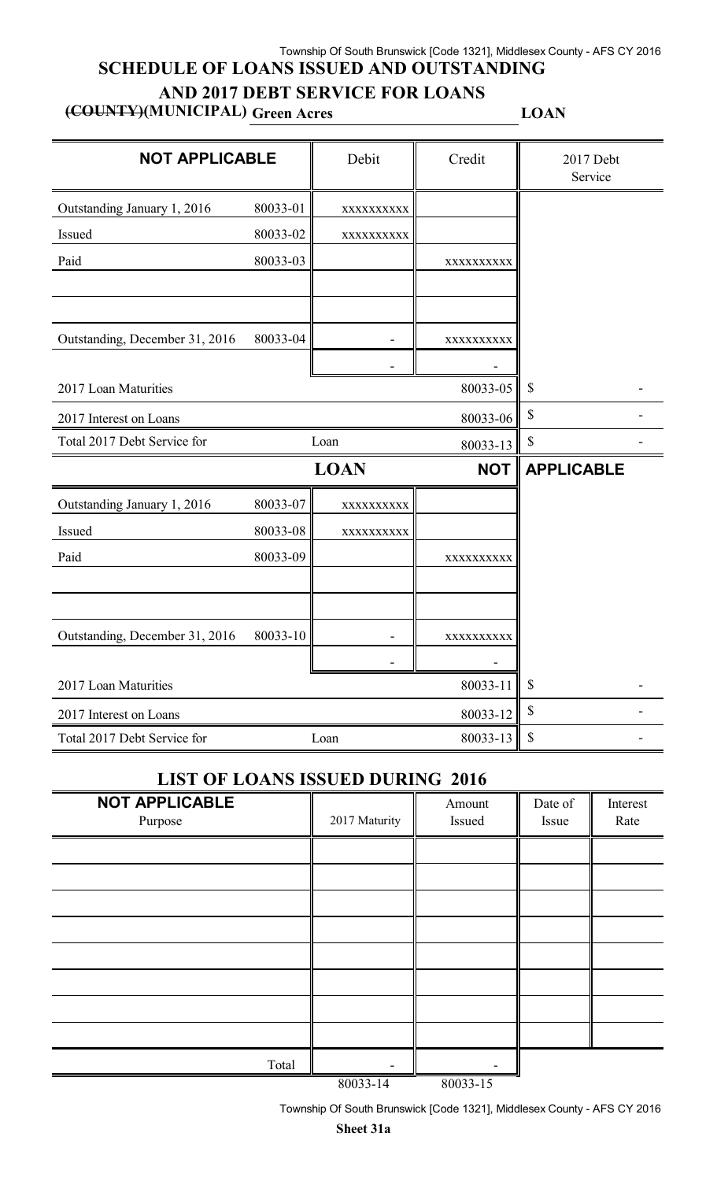#### Township Of South Brunswick [Code 1321], Middlesex County - AFS CY 2016 **SCHEDULE OF LOANS ISSUED AND OUTSTANDING**

### **AND 2017 DEBT SERVICE FOR LOANS**

**(COUNTY)(MUNICIPAL) Green Acres LOAN**

| <b>NOT APPLICABLE</b>          |          | Debit       | Credit     | 2017 Debt<br>Service      |
|--------------------------------|----------|-------------|------------|---------------------------|
| Outstanding January 1, 2016    | 80033-01 | XXXXXXXXX   |            |                           |
| Issued                         | 80033-02 | XXXXXXXXXX  |            |                           |
| Paid                           | 80033-03 |             | XXXXXXXXX  |                           |
|                                |          |             |            |                           |
| Outstanding, December 31, 2016 | 80033-04 |             | XXXXXXXXXX |                           |
|                                |          |             |            |                           |
| 2017 Loan Maturities           |          |             | 80033-05   | $\boldsymbol{\mathsf{S}}$ |
| 2017 Interest on Loans         |          |             | 80033-06   | $\boldsymbol{\mathsf{S}}$ |
| Total 2017 Debt Service for    |          | Loan        | 80033-13   | \$                        |
|                                |          | <b>LOAN</b> | <b>NOT</b> | <b>APPLICABLE</b>         |
| Outstanding January 1, 2016    | 80033-07 | XXXXXXXXXX  |            |                           |
| Issued                         | 80033-08 | XXXXXXXXXX  |            |                           |
| Paid                           | 80033-09 |             | XXXXXXXXX  |                           |
|                                |          |             |            |                           |
| Outstanding, December 31, 2016 | 80033-10 |             | XXXXXXXXX  |                           |
|                                |          |             |            |                           |
| 2017 Loan Maturities           | \$       |             |            |                           |
| 2017 Interest on Loans         | \$       |             |            |                           |
| Total 2017 Debt Service for    |          | Loan        | 80033-13   | \$                        |

### **LIST OF LOANS ISSUED DURING 2016**

| <b>NOT APPLICABLE</b><br>Purpose | 2017 Maturity    | Amount<br>Issued | Date of<br>Issue | Interest<br>Rate |
|----------------------------------|------------------|------------------|------------------|------------------|
|                                  |                  |                  |                  |                  |
|                                  |                  |                  |                  |                  |
|                                  |                  |                  |                  |                  |
|                                  |                  |                  |                  |                  |
|                                  |                  |                  |                  |                  |
|                                  |                  |                  |                  |                  |
|                                  |                  |                  |                  |                  |
|                                  |                  |                  |                  |                  |
|                                  |                  |                  |                  |                  |
| Total                            |                  |                  |                  |                  |
|                                  | $0.0022 \pm 1.4$ | $0.0022 \pm 7$   |                  |                  |

80033-14 80033-15

Township Of South Brunswick [Code 1321], Middlesex County - AFS CY 2016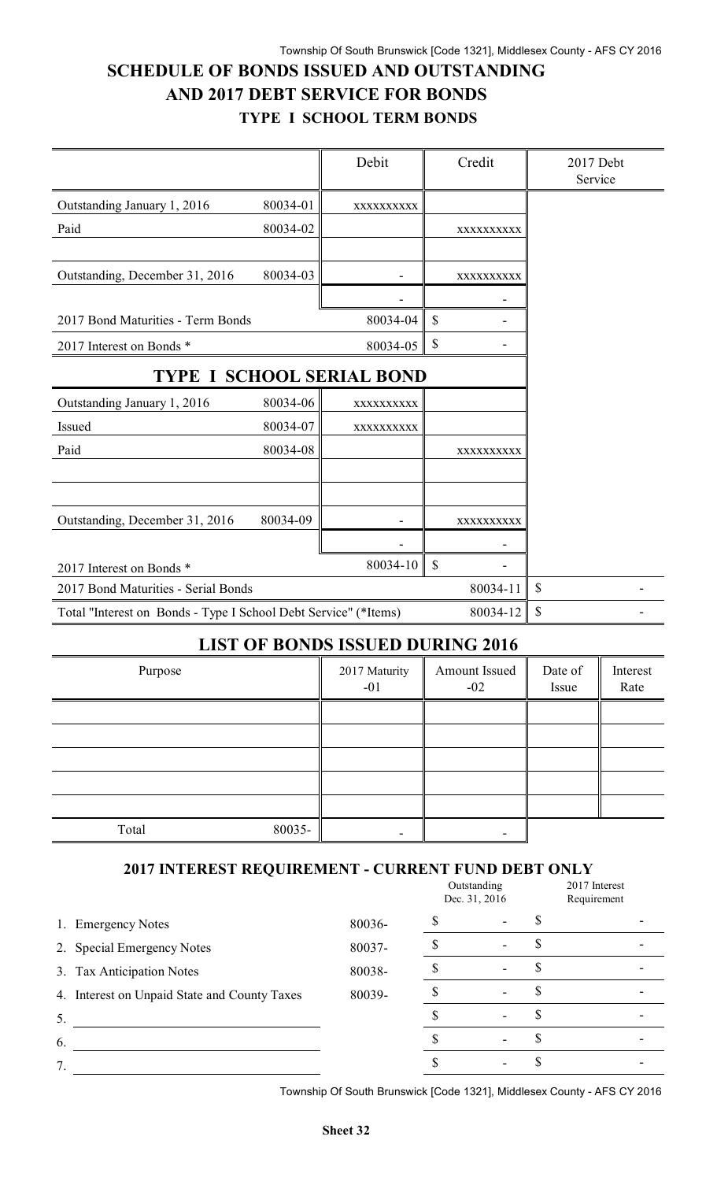### **SCHEDULE OF BONDS ISSUED AND OUTSTANDING AND 2017 DEBT SERVICE FOR BONDS TYPE I SCHOOL TERM BONDS**

|                                                                 |                          | Debit                           | Credit       | 2017 Debt<br>Service |
|-----------------------------------------------------------------|--------------------------|---------------------------------|--------------|----------------------|
| Outstanding January 1, 2016                                     | 80034-01                 | XXXXXXXXXX                      |              |                      |
| Paid                                                            | 80034-02                 |                                 | XXXXXXXXXX   |                      |
|                                                                 |                          |                                 |              |                      |
| Outstanding, December 31, 2016                                  | 80034-03                 |                                 | XXXXXXXXXX   |                      |
|                                                                 |                          |                                 |              |                      |
| 2017 Bond Maturities - Term Bonds                               |                          | 80034-04                        | $\mathbf S$  |                      |
| 2017 Interest on Bonds *                                        |                          | 80034-05                        | \$           |                      |
| <b>TYPE I SCHOOL SERIAL BOND</b>                                |                          |                                 |              |                      |
| Outstanding January 1, 2016                                     | 80034-06                 | XXXXXXXXXX                      |              |                      |
| Issued                                                          | 80034-07                 | XXXXXXXXXX                      |              |                      |
| Paid                                                            | 80034-08                 |                                 | XXXXXXXXXX   |                      |
|                                                                 |                          |                                 |              |                      |
|                                                                 |                          |                                 |              |                      |
| Outstanding, December 31, 2016                                  | 80034-09                 |                                 | XXXXXXXXXX   |                      |
|                                                                 |                          |                                 |              |                      |
| 2017 Interest on Bonds *                                        |                          | 80034-10                        | \$           |                      |
| 2017 Bond Maturities - Serial Bonds                             |                          | 80034-11                        | $\mathbb{S}$ |                      |
| Total "Interest on Bonds - Type I School Debt Service" (*Items) | $\mathbb{S}$<br>80034-12 |                                 |              |                      |
|                                                                 |                          | <b>I JOHN OF BOATBO JOOJIER</b> |              |                      |

#### **LIST OF BONDS ISSUED DURING 2016**

| Purpose         | 2017 Maturity<br>$-01$ | Amount Issued<br>$-02$ | Date of<br>Issue | Interest<br>Rate |
|-----------------|------------------------|------------------------|------------------|------------------|
|                 |                        |                        |                  |                  |
|                 |                        |                        |                  |                  |
|                 |                        |                        |                  |                  |
|                 |                        |                        |                  |                  |
|                 |                        |                        |                  |                  |
| 80035-<br>Total |                        |                        |                  |                  |

### **2017 INTEREST REQUIREMENT - CURRENT FUND DEBT ONLY**

|                                              |        | Outstanding<br>Dec. 31, 2016 |    | 2017 Interest<br>Requirement |  |
|----------------------------------------------|--------|------------------------------|----|------------------------------|--|
| 1. Emergency Notes                           | 80036- |                              |    |                              |  |
| 2. Special Emergency Notes                   | 80037- |                              | ۰D |                              |  |
| 3. Tax Anticipation Notes                    | 80038- |                              |    |                              |  |
| 4. Interest on Unpaid State and County Taxes | 80039- |                              |    |                              |  |
| 5.                                           |        |                              |    |                              |  |
| 6.                                           |        |                              |    |                              |  |
|                                              |        |                              |    |                              |  |

Township Of South Brunswick [Code 1321], Middlesex County - AFS CY 2016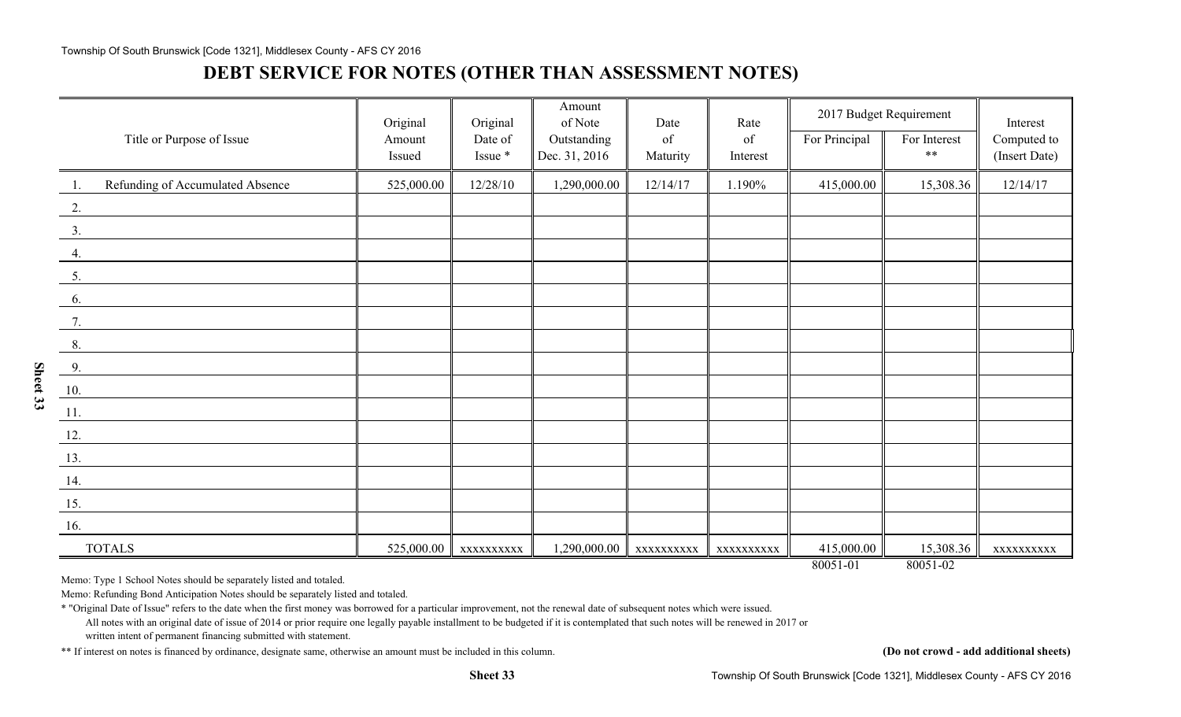#### Township Of South Brunswick [Code 1321], Middlesex County - AFS CY 2016

### **DEBT SERVICE FOR NOTES (OTHER THAN ASSESSMENT NOTES)**

|                                                      | Original   | Original  | Amount<br>of Note | Date      | Rate      | 2017 Budget Requirement |              | Interest      |
|------------------------------------------------------|------------|-----------|-------------------|-----------|-----------|-------------------------|--------------|---------------|
| Title or Purpose of Issue                            | Amount     | Date of   | Outstanding       | of        | of        | For Principal           | For Interest | Computed to   |
|                                                      | Issued     | Issue *   | Dec. 31, 2016     | Maturity  | Interest  |                         | $**$         | (Insert Date) |
| Refunding of Accumulated Absence<br>$\overline{1}$ . | 525,000.00 | 12/28/10  | 1,290,000.00      | 12/14/17  | 1.190%    | 415,000.00              | 15,308.36    | 12/14/17      |
| $\overline{2}$ .                                     |            |           |                   |           |           |                         |              |               |
| 3.                                                   |            |           |                   |           |           |                         |              |               |
| 4.                                                   |            |           |                   |           |           |                         |              |               |
| 5.                                                   |            |           |                   |           |           |                         |              |               |
| 6.                                                   |            |           |                   |           |           |                         |              |               |
| $\overline{7}$ .                                     |            |           |                   |           |           |                         |              |               |
| 8.                                                   |            |           |                   |           |           |                         |              |               |
| $\frac{9}{2}$                                        |            |           |                   |           |           |                         |              |               |
| 10.                                                  |            |           |                   |           |           |                         |              |               |
| $\underline{\phantom{a}11}$ .                        |            |           |                   |           |           |                         |              |               |
| 12.                                                  |            |           |                   |           |           |                         |              |               |
| 13.                                                  |            |           |                   |           |           |                         |              |               |
| 14.                                                  |            |           |                   |           |           |                         |              |               |
| $\underline{15}$ .                                   |            |           |                   |           |           |                         |              |               |
| 16.                                                  |            |           |                   |           |           |                         |              |               |
| <b>TOTALS</b>                                        | 525,000.00 | XXXXXXXXX | 1,290,000.00      | XXXXXXXXX | XXXXXXXXX | 415,000.00              | 15,308.36    | XXXXXXXXX     |
|                                                      |            |           |                   |           |           | 80051-01                | 80051-02     |               |

Memo: Type 1 School Notes should be separately listed and totaled.

Memo: Refunding Bond Anticipation Notes should be separately listed and totaled.

\* "Original Date of Issue" refers to the date when the first money was borrowed for a particular improvement, not the renewal date of subsequent notes which were issued.

All notes with an original date of issue of 2014 or prior require one legally payable installment to be budgeted if it is contemplated that such notes will be renewed in 2017 or written intent of permanent financing submitted with statement.

**Sheet 33**

\*\* If interest on notes is financed by ordinance, designate same, otherwise an amount must be included in this column. **(Do not crowd - add additional sheets)**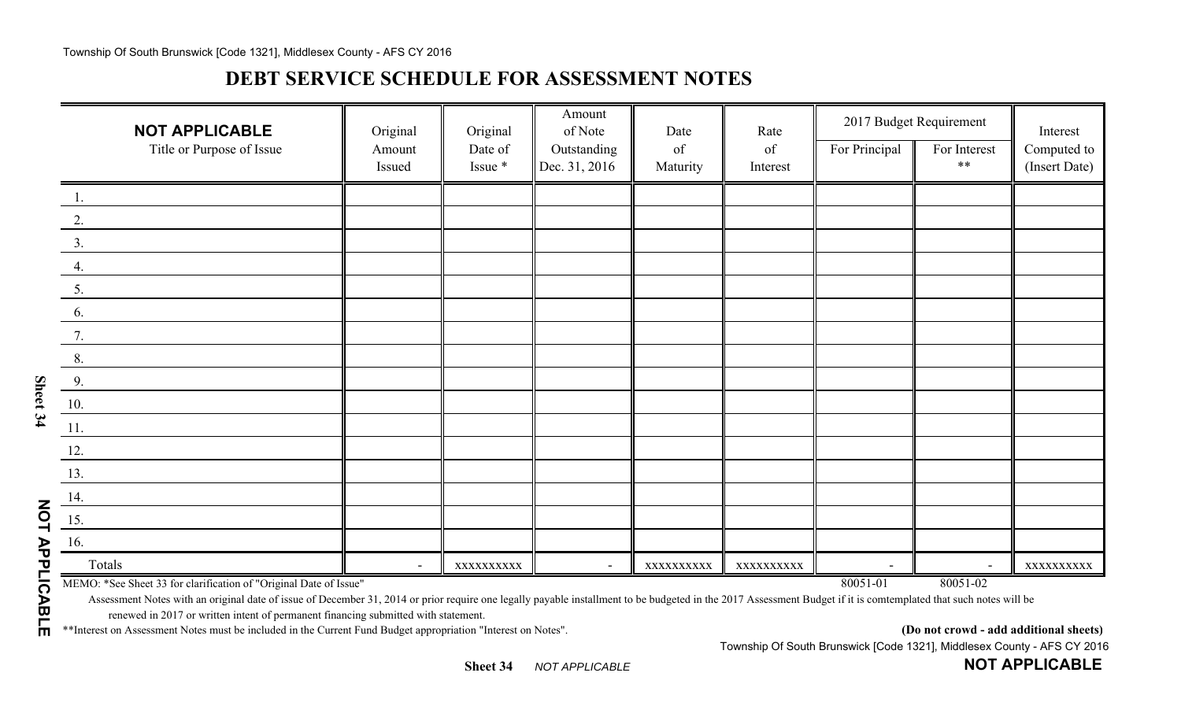## **DEBT SERVICE SCHEDULE FOR ASSESSMENT NOTES**

| <b>NOT APPLICABLE</b>                                             | Original | Original   | Amount<br>of Note        | Date       | Rate       |                          | 2017 Budget Requirement  | Interest      |
|-------------------------------------------------------------------|----------|------------|--------------------------|------------|------------|--------------------------|--------------------------|---------------|
| Title or Purpose of Issue                                         | Amount   | Date of    | Outstanding              | of         | of         | For Principal            | For Interest             | Computed to   |
|                                                                   | Issued   | Issue *    | Dec. 31, 2016            | Maturity   | Interest   |                          | $***$                    | (Insert Date) |
| $\boxed{1}$ .                                                     |          |            |                          |            |            |                          |                          |               |
| 2.                                                                |          |            |                          |            |            |                          |                          |               |
| 3.                                                                |          |            |                          |            |            |                          |                          |               |
| 4.                                                                |          |            |                          |            |            |                          |                          |               |
| 5.                                                                |          |            |                          |            |            |                          |                          |               |
| 6.                                                                |          |            |                          |            |            |                          |                          |               |
| 7.                                                                |          |            |                          |            |            |                          |                          |               |
| 8.                                                                |          |            |                          |            |            |                          |                          |               |
| 9.                                                                |          |            |                          |            |            |                          |                          |               |
| 10.                                                               |          |            |                          |            |            |                          |                          |               |
| $\underline{11}.$                                                 |          |            |                          |            |            |                          |                          |               |
| 12.                                                               |          |            |                          |            |            |                          |                          |               |
| 13.                                                               |          |            |                          |            |            |                          |                          |               |
| 14.                                                               |          |            |                          |            |            |                          |                          |               |
| $\underline{15}$ .                                                |          |            |                          |            |            |                          |                          |               |
| 16.                                                               |          |            |                          |            |            |                          |                          |               |
| Totals                                                            | $\sim$   | XXXXXXXXXX | $\overline{\phantom{a}}$ | XXXXXXXXXX | XXXXXXXXXX | $\overline{\phantom{a}}$ | $\overline{\phantom{a}}$ | XXXXXXXXXX    |
| MEMO: *See Sheet 33 for clarification of "Original Date of Issue" |          |            |                          |            |            | 80051-01                 | 80051-02                 |               |

Assessment Notes with an original date of issue of December 31, 2014 or prior require one legally payable installment to be budgeted in the 2017 Assessment Budget if it is comtemplated that such notes will be renewed in 2017 or written intent of permanent financing submitted with statement.

\*\*Interest on Assessment Notes must be included in the Current Fund Budget appropriation "Interest on Notes". **(Do not crowd - add additional sheets)**

**NOT APPLICABLE**

Township Of South Brunswick [Code 1321], Middlesex County - AFS CY 2016

**NOT APPLICABLE**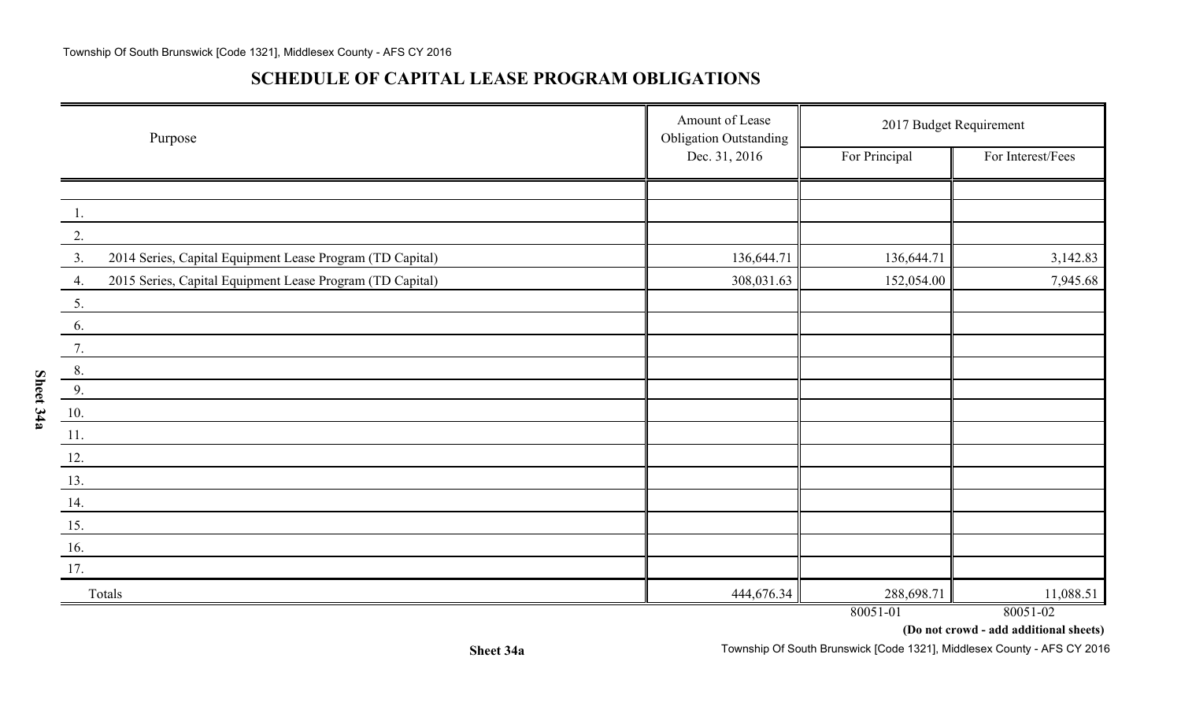**Sheet 34a**

### **SCHEDULE OF CAPITAL LEASE PROGRAM OBLIGATIONS**

| Purpose                                                         | Amount of Lease<br><b>Obligation Outstanding</b> | 2017 Budget Requirement |                   |
|-----------------------------------------------------------------|--------------------------------------------------|-------------------------|-------------------|
|                                                                 | Dec. 31, 2016                                    | For Principal           | For Interest/Fees |
|                                                                 |                                                  |                         |                   |
| 1.                                                              |                                                  |                         |                   |
| 2.                                                              |                                                  |                         |                   |
| 3.<br>2014 Series, Capital Equipment Lease Program (TD Capital) | 136,644.71                                       | 136,644.71              | 3,142.83          |
| 2015 Series, Capital Equipment Lease Program (TD Capital)<br>4. | 308,031.63                                       | 152,054.00              | 7,945.68          |
| 5.                                                              |                                                  |                         |                   |
| 6.                                                              |                                                  |                         |                   |
| 7.                                                              |                                                  |                         |                   |
| 8.                                                              |                                                  |                         |                   |
| 9.                                                              |                                                  |                         |                   |
| 10.                                                             |                                                  |                         |                   |
| 11.                                                             |                                                  |                         |                   |
| 12.                                                             |                                                  |                         |                   |
| 13.                                                             |                                                  |                         |                   |
| 14.                                                             |                                                  |                         |                   |
| 15.                                                             |                                                  |                         |                   |
| 16.                                                             |                                                  |                         |                   |
| 17.                                                             |                                                  |                         |                   |
| Totals                                                          | 444,676.34                                       | 288,698.71              | 11,088.51         |
|                                                                 |                                                  | 80051-01                | 80051-02          |

**(Do not crowd - add additional sheets)**

Township Of South Brunswick [Code 1321], Middlesex County - AFS CY 2016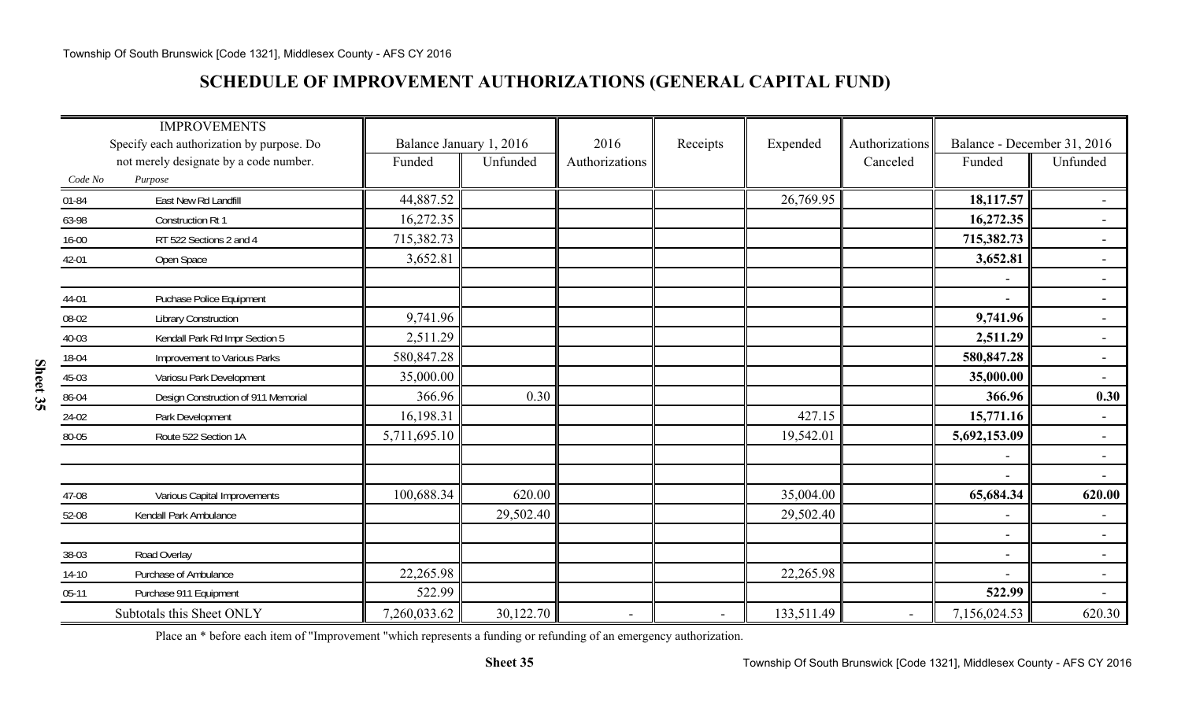### **SCHEDULE OF IMPROVEMENT AUTHORIZATIONS (GENERAL CAPITAL FUND)**

|           | <b>IMPROVEMENTS</b>                       |                         |           |                |                          |            |                          |                          |                             |
|-----------|-------------------------------------------|-------------------------|-----------|----------------|--------------------------|------------|--------------------------|--------------------------|-----------------------------|
|           | Specify each authorization by purpose. Do | Balance January 1, 2016 |           | 2016           | Receipts                 | Expended   | Authorizations           |                          | Balance - December 31, 2016 |
|           | not merely designate by a code number.    | Funded                  | Unfunded  | Authorizations |                          |            | Canceled                 | Funded                   | Unfunded                    |
| Code No   | Purpose                                   |                         |           |                |                          |            |                          |                          |                             |
| 01-84     | East New Rd Landfill                      | 44,887.52               |           |                |                          | 26,769.95  |                          | 18,117.57                | $\overline{\phantom{0}}$    |
| 63-98     | Construction Rt 1                         | 16,272.35               |           |                |                          |            |                          | 16,272.35                | $\overline{a}$              |
| $16 - 00$ | RT 522 Sections 2 and 4                   | 715,382.73              |           |                |                          |            |                          | 715,382.73               | $\overline{\phantom{a}}$    |
| 42-01     | Open Space                                | 3,652.81                |           |                |                          |            |                          | 3,652.81                 |                             |
|           |                                           |                         |           |                |                          |            |                          |                          |                             |
| 44-01     | Puchase Police Equipment                  |                         |           |                |                          |            |                          | $\overline{\phantom{a}}$ |                             |
| 08-02     | <b>Library Construction</b>               | 9,741.96                |           |                |                          |            |                          | 9,741.96                 | $\blacksquare$              |
| 40-03     | Kendall Park Rd Impr Section 5            | 2,511.29                |           |                |                          |            |                          | 2,511.29                 | $\overline{a}$              |
| 18-04     | Improvement to Various Parks              | 580,847.28              |           |                |                          |            |                          | 580,847.28               | $\sim$                      |
| 45-03     | Variosu Park Development                  | 35,000.00               |           |                |                          |            |                          | 35,000.00                | $\sim$                      |
| 86-04     | Design Construction of 911 Memorial       | 366.96                  | 0.30      |                |                          |            |                          | 366.96                   | 0.30                        |
| 24-02     | Park Development                          | 16,198.31               |           |                |                          | 427.15     |                          | 15,771.16                | $\sim$                      |
| 80-05     | Route 522 Section 1A                      | 5,711,695.10            |           |                |                          | 19,542.01  |                          | 5,692,153.09             |                             |
|           |                                           |                         |           |                |                          |            |                          | $\overline{\phantom{a}}$ | $\blacksquare$              |
|           |                                           |                         |           |                |                          |            |                          |                          |                             |
| 47-08     | Various Capital Improvements              | 100,688.34              | 620.00    |                |                          | 35,004.00  |                          | 65,684.34                | 620.00                      |
| 52-08     | Kendall Park Ambulance                    |                         | 29,502.40 |                |                          | 29,502.40  |                          | $\blacksquare$           |                             |
|           |                                           |                         |           |                |                          |            |                          | $\blacksquare$           |                             |
| 38-03     | Road Overlay                              |                         |           |                |                          |            |                          | $\overline{\phantom{a}}$ | $\sim$                      |
| $14-10$   | Purchase of Ambulance                     | 22,265.98               |           |                |                          | 22,265.98  |                          | $\overline{\phantom{a}}$ | $\sim$                      |
| $05-11$   | Purchase 911 Equipment                    | 522.99                  |           |                |                          |            |                          | 522.99                   | $\blacksquare$              |
|           | Subtotals this Sheet ONLY                 | 7,260,033.62            | 30,122.70 | $\blacksquare$ | $\overline{\phantom{a}}$ | 133,511.49 | $\overline{\phantom{a}}$ | 7,156,024.53             | 620.30                      |

Place an \* before each item of "Improvement "which represents a funding or refunding of an emergency authorization.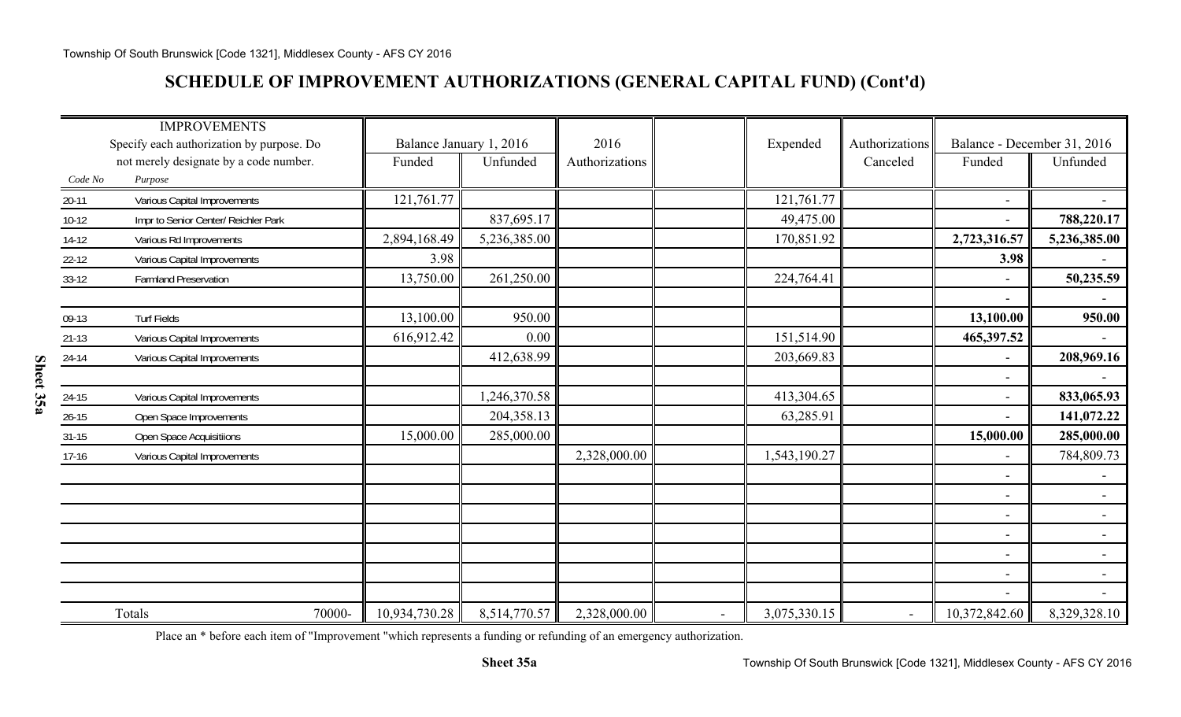### **SCHEDULE OF IMPROVEMENT AUTHORIZATIONS (GENERAL CAPITAL FUND) (Cont'd)**

|           | <b>IMPROVEMENTS</b>                       |                         |                         |                |                |              |                |                          |                             |
|-----------|-------------------------------------------|-------------------------|-------------------------|----------------|----------------|--------------|----------------|--------------------------|-----------------------------|
|           | Specify each authorization by purpose. Do |                         | Balance January 1, 2016 | 2016           |                | Expended     | Authorizations |                          | Balance - December 31, 2016 |
|           | not merely designate by a code number.    | Funded                  | Unfunded                | Authorizations |                |              | Canceled       | Funded                   | Unfunded                    |
| Code No   | Purpose                                   |                         |                         |                |                |              |                |                          |                             |
| $20-11$   | Various Capital Improvements              | 121,761.77              |                         |                |                | 121,761.77   |                | $\overline{\phantom{a}}$ |                             |
| $10-12$   | Impr to Senior Center/ Reichler Park      |                         | 837,695.17              |                |                | 49,475.00    |                |                          | 788,220.17                  |
| $14-12$   | Various Rd Improvements                   | 2,894,168.49            | 5,236,385.00            |                |                | 170,851.92   |                | 2,723,316.57             | 5,236,385.00                |
| $22 - 12$ | Various Capital Improvements              | 3.98                    |                         |                |                |              |                | 3.98                     |                             |
| $33-12$   | <b>Farmland Preservation</b>              | 13,750.00               | 261,250.00              |                |                | 224,764.41   |                | $\overline{\phantom{a}}$ | 50,235.59                   |
|           |                                           |                         |                         |                |                |              |                | $\overline{\phantom{a}}$ |                             |
| 09-13     | <b>Turf Fields</b>                        | 13,100.00               | 950.00                  |                |                |              |                | 13,100.00                | 950.00                      |
| $21 - 13$ | Various Capital Improvements              | 616,912.42              | 0.00                    |                |                | 151,514.90   |                | 465,397.52               | $\sim$                      |
| 24-14     | Various Capital Improvements              |                         | 412,638.99              |                |                | 203,669.83   |                | $\overline{\phantom{a}}$ | 208,969.16                  |
|           |                                           |                         |                         |                |                |              |                | $\overline{\phantom{a}}$ | $\blacksquare$              |
| $24-15$   | Various Capital Improvements              |                         | 1,246,370.58            |                |                | 413,304.65   |                | $\overline{\phantom{a}}$ | 833,065.93                  |
| $26 - 15$ | Open Space Improvements                   |                         | 204,358.13              |                |                | 63,285.91    |                |                          | 141,072.22                  |
| $31 - 15$ | Open Space Acquisitiions                  | 15,000.00               | 285,000.00              |                |                |              |                | 15,000.00                | 285,000.00                  |
| $17-16$   | Various Capital Improvements              |                         |                         | 2,328,000.00   |                | 1,543,190.27 |                | $\overline{\phantom{a}}$ | 784,809.73                  |
|           |                                           |                         |                         |                |                |              |                | $\overline{\phantom{a}}$ |                             |
|           |                                           |                         |                         |                |                |              |                | $\overline{\phantom{a}}$ | $\blacksquare$              |
|           |                                           |                         |                         |                |                |              |                | $\overline{\phantom{a}}$ | $\sim$                      |
|           |                                           |                         |                         |                |                |              |                | $\overline{\phantom{a}}$ | $\sim$                      |
|           |                                           |                         |                         |                |                |              |                | $\overline{\phantom{a}}$ | $\blacksquare$              |
|           |                                           |                         |                         |                |                |              |                | $\overline{\phantom{a}}$ | $\blacksquare$              |
|           |                                           |                         |                         |                |                |              |                |                          |                             |
|           | Totals                                    | 70000-<br>10,934,730.28 | 8,514,770.57            | 2,328,000.00   | $\blacksquare$ | 3,075,330.15 |                | 10,372,842.60            | 8,329,328.10                |

Place an \* before each item of "Improvement "which represents a funding or refunding of an emergency authorization.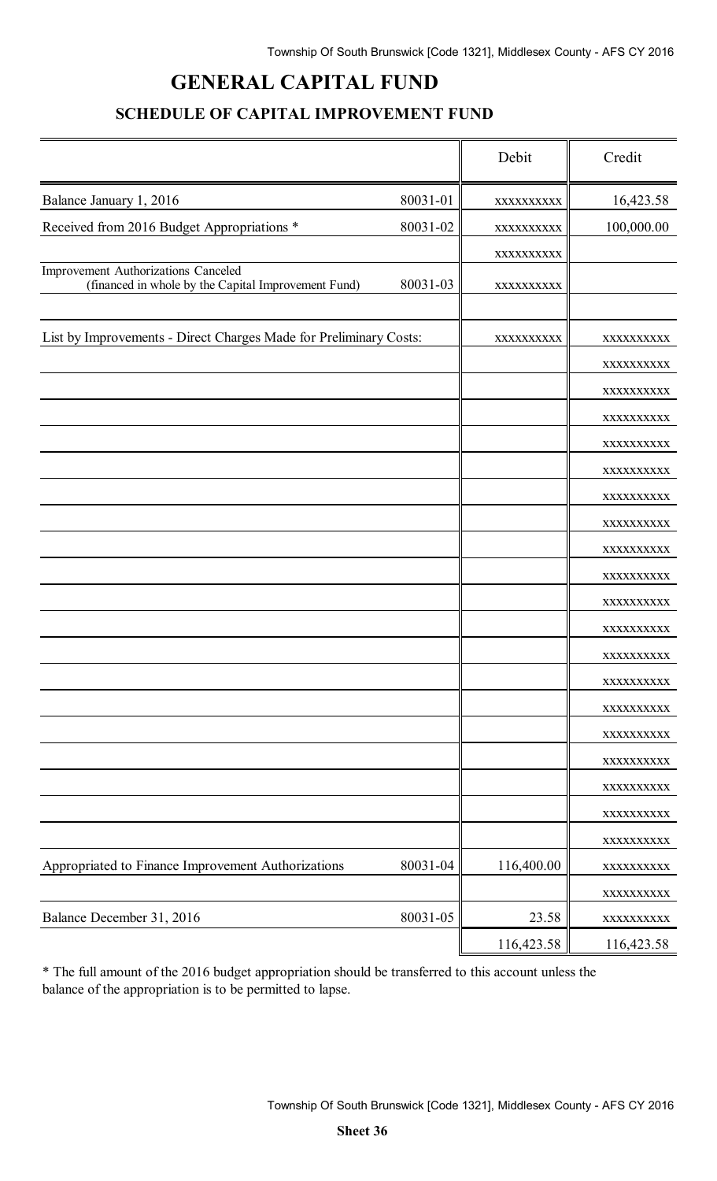# **GENERAL CAPITAL FUND**

### **SCHEDULE OF CAPITAL IMPROVEMENT FUND**

|                                                                                            |          | Debit      | Credit                   |
|--------------------------------------------------------------------------------------------|----------|------------|--------------------------|
| Balance January 1, 2016                                                                    | 80031-01 | XXXXXXXXXX | 16,423.58                |
| Received from 2016 Budget Appropriations *                                                 | 80031-02 | XXXXXXXXXX | 100,000.00               |
|                                                                                            |          | XXXXXXXXXX |                          |
| Improvement Authorizations Canceled<br>(financed in whole by the Capital Improvement Fund) | 80031-03 | XXXXXXXXXX |                          |
|                                                                                            |          |            |                          |
| List by Improvements - Direct Charges Made for Preliminary Costs:                          |          | XXXXXXXXXX | XXXXXXXXXX               |
|                                                                                            |          |            | XXXXXXXXXX               |
|                                                                                            |          |            | XXXXXXXXXX               |
|                                                                                            |          |            | XXXXXXXXXX               |
|                                                                                            |          |            | XXXXXXXXXX               |
|                                                                                            |          |            | XXXXXXXXXX<br>XXXXXXXXXX |
|                                                                                            |          |            | XXXXXXXXXX               |
|                                                                                            |          |            | XXXXXXXXXX               |
|                                                                                            |          |            | XXXXXXXXXX               |
|                                                                                            |          |            | XXXXXXXXXX               |
|                                                                                            |          |            | XXXXXXXXXX               |
|                                                                                            |          |            | XXXXXXXXXX               |
|                                                                                            |          |            | XXXXXXXXXX               |
|                                                                                            |          |            | XXXXXXXXXX               |
|                                                                                            |          |            | XXXXXXXXXX               |
|                                                                                            |          |            | XXXXXXXXXX               |
|                                                                                            |          |            | XXXXXXXXXX               |
|                                                                                            |          |            | XXXXXXXXXX               |
|                                                                                            |          |            | XXXXXXXXXX               |
| Appropriated to Finance Improvement Authorizations                                         | 80031-04 | 116,400.00 | XXXXXXXXXX               |
|                                                                                            |          |            | XXXXXXXXXX               |
| Balance December 31, 2016                                                                  | 80031-05 | 23.58      | XXXXXXXXXX               |
|                                                                                            |          | 116,423.58 | 116,423.58               |

\* The full amount of the 2016 budget appropriation should be transferred to this account unless the balance of the appropriation is to be permitted to lapse.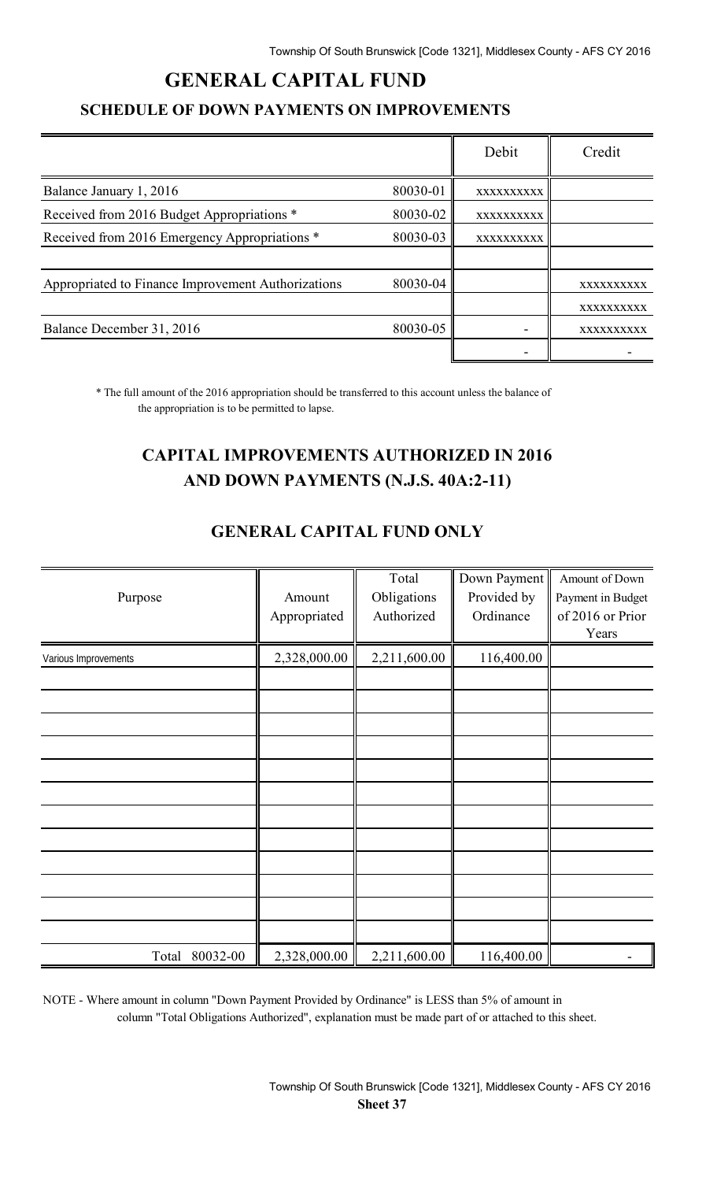## **GENERAL CAPITAL FUND**

#### **SCHEDULE OF DOWN PAYMENTS ON IMPROVEMENTS**

|                                                    |          | Debit      | Credit     |
|----------------------------------------------------|----------|------------|------------|
| Balance January 1, 2016                            | 80030-01 | XXXXXXXXXX |            |
| Received from 2016 Budget Appropriations *         | 80030-02 | XXXXXXXXXX |            |
| Received from 2016 Emergency Appropriations *      | 80030-03 | XXXXXXXXXX |            |
|                                                    |          |            |            |
| Appropriated to Finance Improvement Authorizations | 80030-04 |            | XXXXXXXXXX |
|                                                    |          |            | XXXXXXXXXX |
| Balance December 31, 2016                          | 80030-05 |            | XXXXXXXXXX |
|                                                    |          |            |            |

\* The full amount of the 2016 appropriation should be transferred to this account unless the balance of the appropriation is to be permitted to lapse.

# **CAPITAL IMPROVEMENTS AUTHORIZED IN 2016 AND DOWN PAYMENTS (N.J.S. 40A:2-11)**

| Purpose              | Amount<br>Appropriated | Total<br>Obligations<br>Authorized | Down Payment<br>Provided by<br>Ordinance | Amount of Down<br>Payment in Budget<br>of 2016 or Prior<br>Years |
|----------------------|------------------------|------------------------------------|------------------------------------------|------------------------------------------------------------------|
| Various Improvements | 2,328,000.00           | 2,211,600.00                       | 116,400.00                               |                                                                  |
|                      |                        |                                    |                                          |                                                                  |
|                      |                        |                                    |                                          |                                                                  |
|                      |                        |                                    |                                          |                                                                  |
|                      |                        |                                    |                                          |                                                                  |
|                      |                        |                                    |                                          |                                                                  |
|                      |                        |                                    |                                          |                                                                  |
|                      |                        |                                    |                                          |                                                                  |
|                      |                        |                                    |                                          |                                                                  |
|                      |                        |                                    |                                          |                                                                  |
|                      |                        |                                    |                                          |                                                                  |
| 80032-00<br>Total    | 2,328,000.00           | 2,211,600.00                       | 116,400.00                               |                                                                  |

### **GENERAL CAPITAL FUND ONLY**

NOTE - Where amount in column "Down Payment Provided by Ordinance" is LESS than 5% of amount in column "Total Obligations Authorized", explanation must be made part of or attached to this sheet.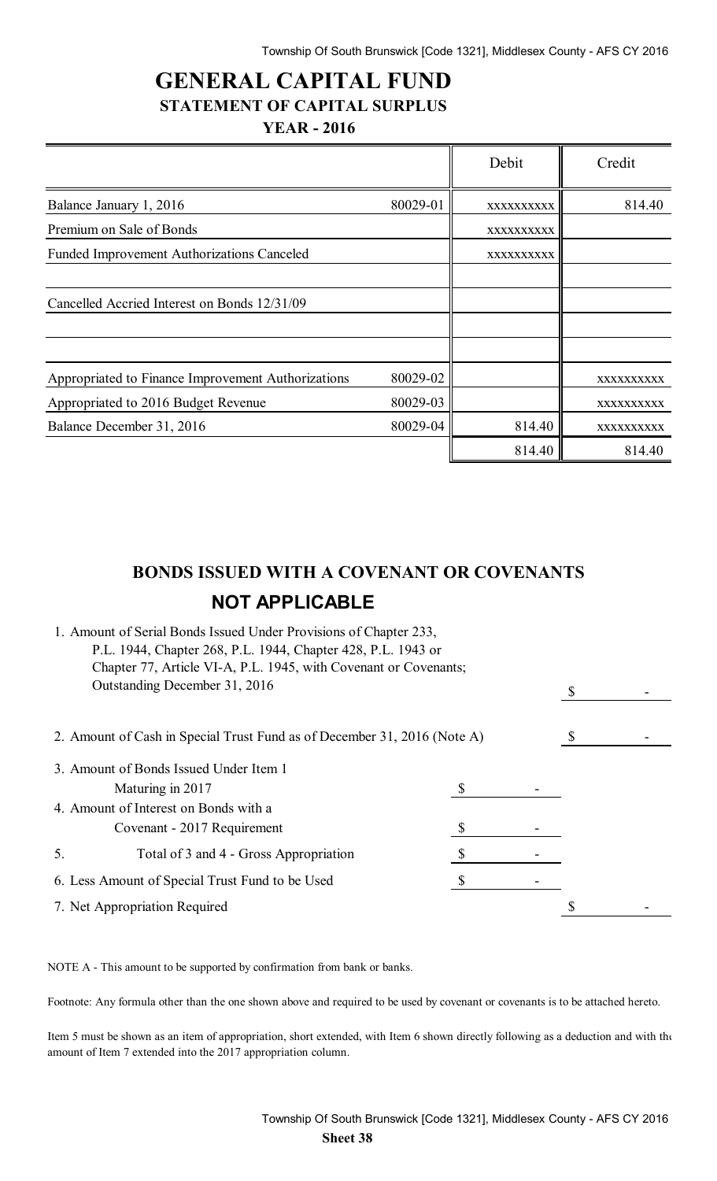$\overline{\mathbf{r}}$ 

 $\overline{r}$ 

### **GENERAL CAPITAL FUND STATEMENT OF CAPITAL SURPLUS YEAR - 2016**

|                                                    |          | Debit      | Credit            |
|----------------------------------------------------|----------|------------|-------------------|
| Balance January 1, 2016                            | 80029-01 | XXXXXXXXXX | 814.40            |
| Premium on Sale of Bonds                           |          | XXXXXXXXXX |                   |
| <b>Funded Improvement Authorizations Canceled</b>  |          | XXXXXXXXXX |                   |
| Cancelled Accried Interest on Bonds 12/31/09       |          |            |                   |
| Appropriated to Finance Improvement Authorizations | 80029-02 |            | XXXXXXXXXX        |
| Appropriated to 2016 Budget Revenue                | 80029-03 |            | <b>XXXXXXXXXX</b> |
| Balance December 31, 2016                          | 80029-04 | 814.40     | XXXXXXXXXX        |
|                                                    |          | 814.40     | 814.40            |

# **BONDS ISSUED WITH A COVENANT OR COVENANTS NOT APPLICABLE**

| 1. Amount of Serial Bonds Issued Under Provisions of Chapter 233,<br>P.L. 1944, Chapter 268, P.L. 1944, Chapter 428, P.L. 1943 or<br>Chapter 77, Article VI-A, P.L. 1945, with Covenant or Covenants; |  |  |
|-------------------------------------------------------------------------------------------------------------------------------------------------------------------------------------------------------|--|--|
| Outstanding December 31, 2016                                                                                                                                                                         |  |  |
| 2. Amount of Cash in Special Trust Fund as of December 31, 2016 (Note A)                                                                                                                              |  |  |
| 3. Amount of Bonds Issued Under Item 1                                                                                                                                                                |  |  |
| Maturing in 2017                                                                                                                                                                                      |  |  |
| 4. Amount of Interest on Bonds with a                                                                                                                                                                 |  |  |
| Covenant - 2017 Requirement                                                                                                                                                                           |  |  |
| Total of 3 and 4 - Gross Appropriation<br>5.                                                                                                                                                          |  |  |
| 6. Less Amount of Special Trust Fund to be Used                                                                                                                                                       |  |  |
| 7. Net Appropriation Required                                                                                                                                                                         |  |  |
|                                                                                                                                                                                                       |  |  |

NOTE A - This amount to be supported by confirmation from bank or banks.

Footnote: Any formula other than the one shown above and required to be used by covenant or covenants is to be attached hereto.

Item 5 must be shown as an item of appropriation, short extended, with Item 6 shown directly following as a deduction and with the amount of Item 7 extended into the 2017 appropriation column.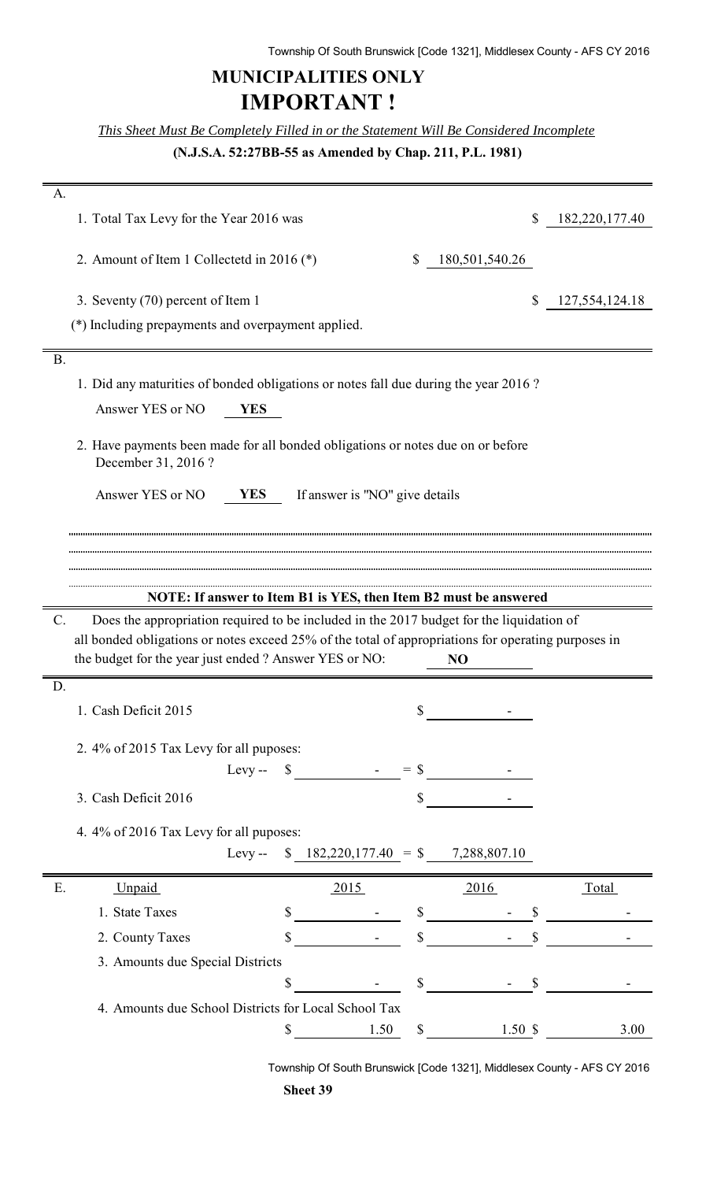# **MUNICIPALITIES ONLY IMPORTANT !**

*This Sheet Must Be Completely Filled in or the Statement Will Be Considered Incomplete*

**(N.J.S.A. 52:27BB-55 as Amended by Chap. 211, P.L. 1981)**

| A.              |                                                                                                                                                               |                                                                  |              |                         |                |
|-----------------|---------------------------------------------------------------------------------------------------------------------------------------------------------------|------------------------------------------------------------------|--------------|-------------------------|----------------|
|                 | 1. Total Tax Levy for the Year 2016 was                                                                                                                       |                                                                  |              | \$                      | 182,220,177.40 |
|                 | 2. Amount of Item 1 Collectetd in 2016 $(*)$                                                                                                                  |                                                                  | \$           | 180,501,540.26          |                |
|                 | 3. Seventy (70) percent of Item 1                                                                                                                             |                                                                  |              | \$                      | 127,554,124.18 |
|                 | (*) Including prepayments and overpayment applied.                                                                                                            |                                                                  |              |                         |                |
| B.              |                                                                                                                                                               |                                                                  |              |                         |                |
|                 | 1. Did any maturities of bonded obligations or notes fall due during the year 2016?                                                                           |                                                                  |              |                         |                |
|                 | Answer YES or NO<br><b>YES</b>                                                                                                                                |                                                                  |              |                         |                |
|                 |                                                                                                                                                               |                                                                  |              |                         |                |
|                 | 2. Have payments been made for all bonded obligations or notes due on or before<br>December 31, 2016?                                                         |                                                                  |              |                         |                |
|                 | Answer YES or NO<br><b>YES</b>                                                                                                                                | If answer is "NO" give details                                   |              |                         |                |
|                 |                                                                                                                                                               |                                                                  |              |                         |                |
|                 |                                                                                                                                                               |                                                                  |              |                         |                |
|                 |                                                                                                                                                               |                                                                  |              |                         |                |
|                 |                                                                                                                                                               | NOTE: If answer to Item B1 is YES, then Item B2 must be answered |              |                         |                |
|                 |                                                                                                                                                               |                                                                  |              |                         |                |
| $\mathcal{C}$ . | Does the appropriation required to be included in the 2017 budget for the liquidation of                                                                      |                                                                  |              |                         |                |
|                 | all bonded obligations or notes exceed 25% of the total of appropriations for operating purposes in<br>the budget for the year just ended ? Answer YES or NO: |                                                                  |              | NO                      |                |
| D.              |                                                                                                                                                               |                                                                  |              |                         |                |
|                 | 1. Cash Deficit 2015                                                                                                                                          |                                                                  | \$           |                         |                |
|                 | 2. 4% of 2015 Tax Levy for all puposes:                                                                                                                       |                                                                  |              |                         |                |
|                 |                                                                                                                                                               | Levy-- $\$$ - = \$                                               |              |                         |                |
|                 | 3. Cash Deficit 2016                                                                                                                                          |                                                                  | \$           |                         |                |
|                 |                                                                                                                                                               |                                                                  |              |                         |                |
|                 | 4.4% of 2016 Tax Levy for all puposes:                                                                                                                        | Levy -- $$182,220,177.40 = $7,288,807.10$                        |              |                         |                |
| Ε.              | Unpaid                                                                                                                                                        | 2015                                                             |              | 2016                    | <b>Total</b>   |
|                 | 1. State Taxes                                                                                                                                                | \$                                                               | \$           | \$                      |                |
|                 | 2. County Taxes                                                                                                                                               | \$                                                               | $\mathbb{S}$ |                         |                |
|                 | 3. Amounts due Special Districts                                                                                                                              |                                                                  |              |                         |                |
|                 |                                                                                                                                                               | \$                                                               | $\mathbb{S}$ | $\sqrt[6]{\frac{1}{2}}$ |                |
|                 | 4. Amounts due School Districts for Local School Tax                                                                                                          |                                                                  |              |                         |                |

Township Of South Brunswick [Code 1321], Middlesex County - AFS CY 2016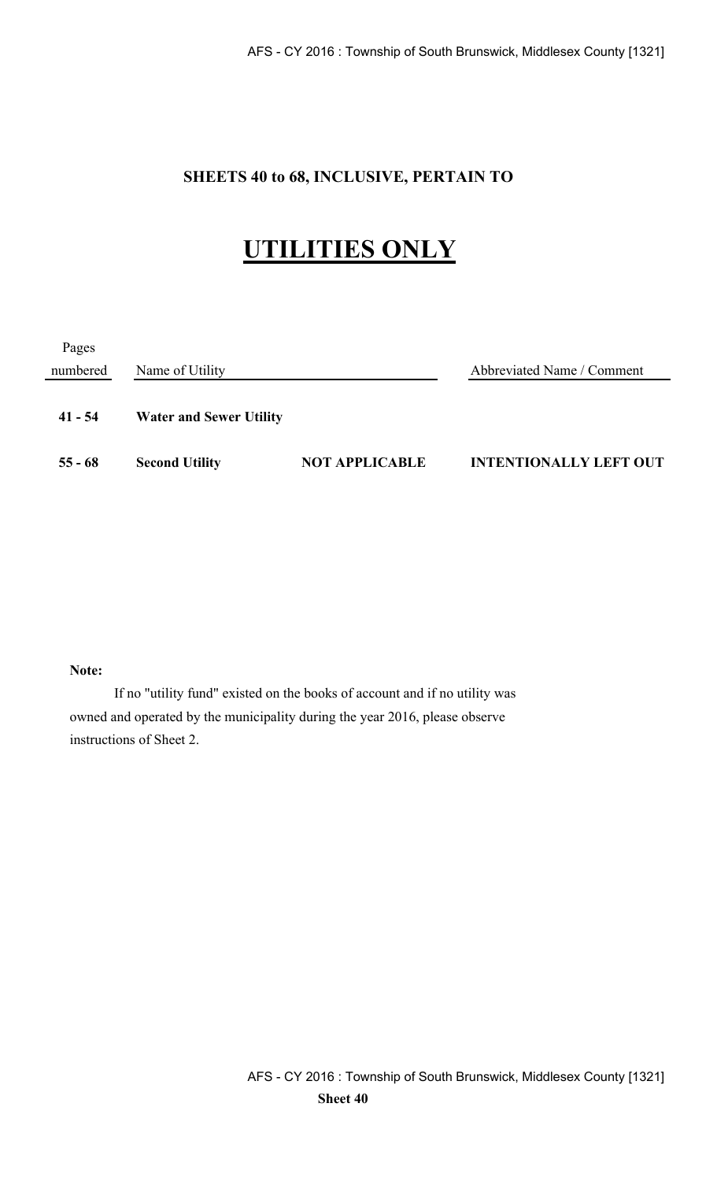### **SHEETS 40 to 68, INCLUSIVE, PERTAIN TO**

# **UTILITIES ONLY**

| Pages     |                                |                       |                               |
|-----------|--------------------------------|-----------------------|-------------------------------|
| numbered  | Name of Utility                |                       | Abbreviated Name / Comment    |
| $41 - 54$ | <b>Water and Sewer Utility</b> |                       |                               |
| $55 - 68$ | <b>Second Utility</b>          | <b>NOT APPLICABLE</b> | <b>INTENTIONALLY LEFT OUT</b> |

#### **Note:**

If no "utility fund" existed on the books of account and if no utility was owned and operated by the municipality during the year 2016, please observe instructions of Sheet 2.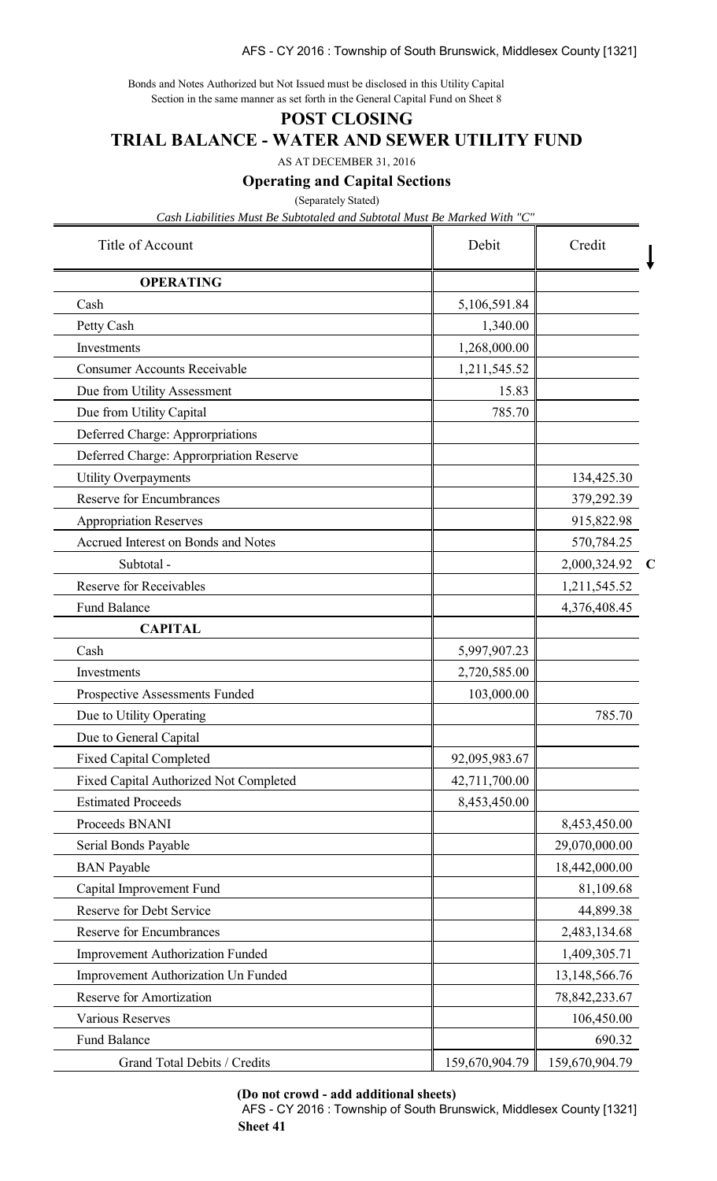AFS - CY 2016 : Township of South Brunswick, Middlesex County [1321]

Bonds and Notes Authorized but Not Issued must be disclosed in this Utility Capital Section in the same manner as set forth in the General Capital Fund on Sheet 8

#### **POST CLOSING**

#### **TRIAL BALANCE - WATER AND SEWER UTILITY FUND**

AS AT DECEMBER 31, 2016

#### **Operating and Capital Sections**

(Separately Stated)

*Cash Liabilities Must Be Subtotaled and Subtotal Must Be Marked With "C"*

| Title of Account                              | Debit          | Credit                      |
|-----------------------------------------------|----------------|-----------------------------|
| <b>OPERATING</b>                              |                |                             |
| Cash                                          | 5,106,591.84   |                             |
| Petty Cash                                    | 1,340.00       |                             |
| Investments                                   | 1,268,000.00   |                             |
| <b>Consumer Accounts Receivable</b>           | 1,211,545.52   |                             |
| Due from Utility Assessment                   | 15.83          |                             |
| Due from Utility Capital                      | 785.70         |                             |
| Deferred Charge: Approrpriations              |                |                             |
| Deferred Charge: Approrpriation Reserve       |                |                             |
| <b>Utility Overpayments</b>                   |                | 134,425.30                  |
| <b>Reserve for Encumbrances</b>               |                | 379,292.39                  |
| <b>Appropriation Reserves</b>                 |                | 915,822.98                  |
| <b>Accrued Interest on Bonds and Notes</b>    |                | 570,784.25                  |
| Subtotal -                                    |                | 2,000,324.92<br>$\mathbf C$ |
| <b>Reserve for Receivables</b>                |                | 1,211,545.52                |
| <b>Fund Balance</b>                           |                | 4,376,408.45                |
| <b>CAPITAL</b>                                |                |                             |
| Cash                                          | 5,997,907.23   |                             |
| Investments                                   | 2,720,585.00   |                             |
| <b>Prospective Assessments Funded</b>         | 103,000.00     |                             |
| Due to Utility Operating                      |                | 785.70                      |
| Due to General Capital                        |                |                             |
| <b>Fixed Capital Completed</b>                | 92,095,983.67  |                             |
| <b>Fixed Capital Authorized Not Completed</b> | 42,711,700.00  |                             |
| <b>Estimated Proceeds</b>                     | 8,453,450.00   |                             |
| Proceeds BNANI                                |                | 8,453,450.00                |
| Serial Bonds Payable                          |                | 29,070,000.00               |
| <b>BAN</b> Payable                            |                | 18,442,000.00               |
| Capital Improvement Fund                      |                | 81,109.68                   |
| Reserve for Debt Service                      |                | 44,899.38                   |
| <b>Reserve for Encumbrances</b>               |                | 2,483,134.68                |
| <b>Improvement Authorization Funded</b>       |                | 1,409,305.71                |
| <b>Improvement Authorization Un Funded</b>    |                | 13,148,566.76               |
| <b>Reserve for Amortization</b>               |                | 78, 842, 233. 67            |
| <b>Various Reserves</b>                       |                | 106,450.00                  |
| <b>Fund Balance</b>                           |                | 690.32                      |
| Grand Total Debits / Credits                  | 159,670,904.79 | 159,670,904.79              |

**(Do not crowd - add additional sheets)**

AFS - CY 2016 : Township of South Brunswick, Middlesex County [1321] **Sheet 41**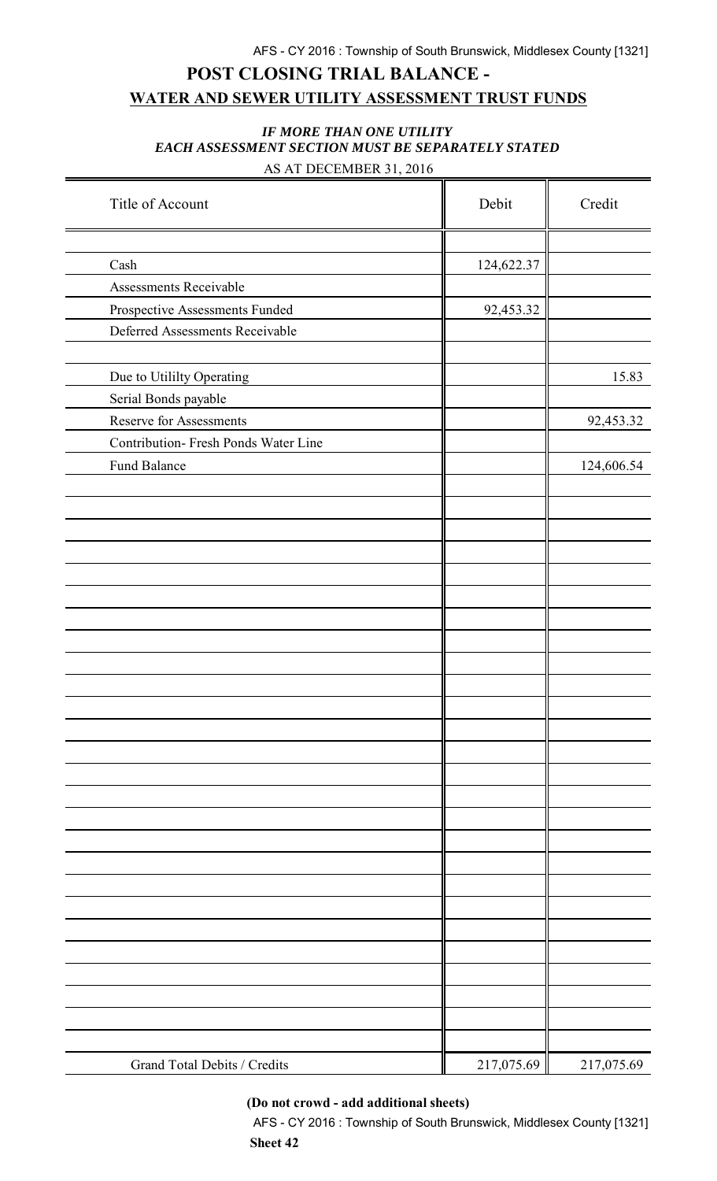# **POST CLOSING TRIAL BALANCE - WATER AND SEWER UTILITY ASSESSMENT TRUST FUNDS**

#### *IF MORE THAN ONE UTILITY EACH ASSESSMENT SECTION MUST BE SEPARATELY STATED* AS AT DECEMBER 31, 2016

| Title of Account                     | Debit      | Credit     |
|--------------------------------------|------------|------------|
|                                      |            |            |
| Cash                                 | 124,622.37 |            |
| Assessments Receivable               |            |            |
| Prospective Assessments Funded       | 92,453.32  |            |
| Deferred Assessments Receivable      |            |            |
|                                      |            |            |
| Due to Utililty Operating            |            | 15.83      |
| Serial Bonds payable                 |            |            |
| Reserve for Assessments              |            | 92,453.32  |
| Contribution- Fresh Ponds Water Line |            |            |
| Fund Balance                         |            | 124,606.54 |
|                                      |            |            |
|                                      |            |            |
|                                      |            |            |
|                                      |            |            |
|                                      |            |            |
|                                      |            |            |
|                                      |            |            |
|                                      |            |            |
|                                      |            |            |
|                                      |            |            |
|                                      |            |            |
|                                      |            |            |
|                                      |            |            |
|                                      |            |            |
|                                      |            |            |
|                                      |            |            |
|                                      |            |            |
|                                      |            |            |
|                                      |            |            |
|                                      |            |            |
|                                      |            |            |
|                                      |            |            |
|                                      |            |            |
|                                      |            |            |
|                                      |            |            |
|                                      |            |            |
| Grand Total Debits / Credits         | 217,075.69 | 217,075.69 |

#### **(Do not crowd - add additional sheets)**

AFS - CY 2016 : Township of South Brunswick, Middlesex County [1321] **Sheet 42**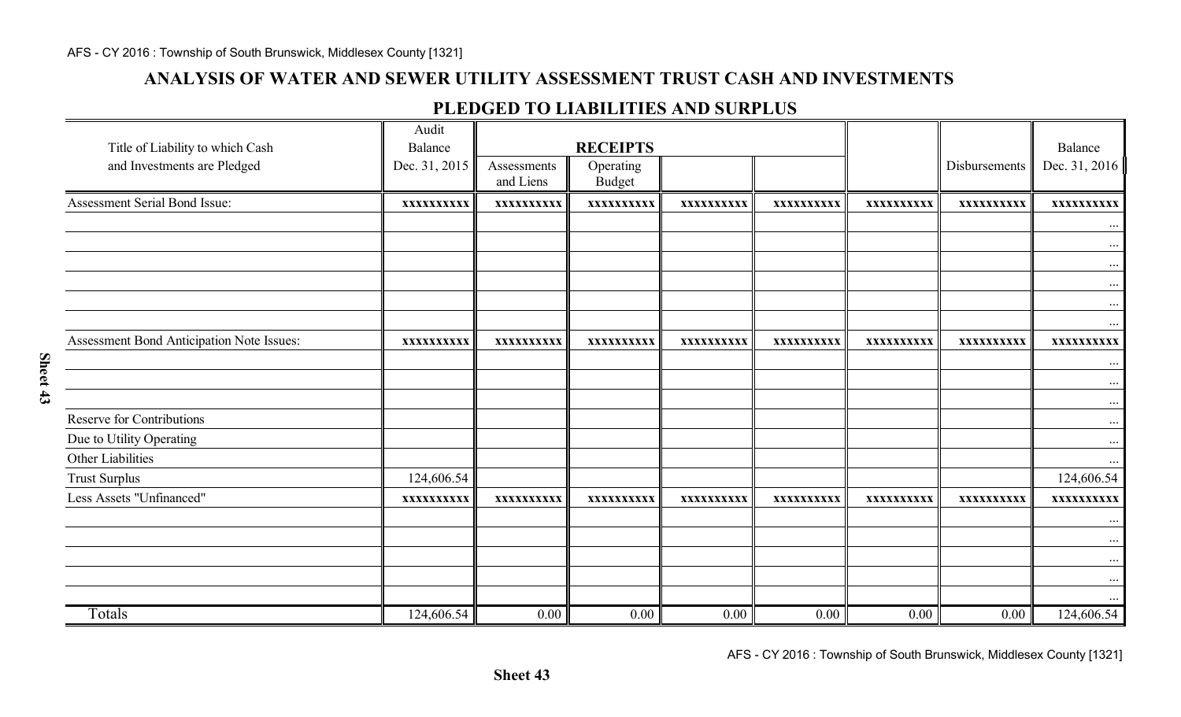### **ANALYSIS OF WATER AND SEWER UTILITY ASSESSMENT TRUST CASH AND INVESTMENTS**

#### **PLEDGED TO LIABILITIES AND SURPLUS**

| Title of Liability to which Cash          | Audit<br><b>Balance</b> |                          | <b>RECEIPTS</b>            |            |            |            |               | Balance                |
|-------------------------------------------|-------------------------|--------------------------|----------------------------|------------|------------|------------|---------------|------------------------|
| and Investments are Pledged               | Dec. 31, 2015           | Assessments<br>and Liens | Operating<br><b>Budget</b> |            |            |            | Disbursements | Dec. 31, 2016          |
| Assessment Serial Bond Issue:             | XXXXXXXXXX              | XXXXXXXXXX               | XXXXXXXXXX                 | XXXXXXXXXX | XXXXXXXXXX | XXXXXXXXXX | XXXXXXXXXX    | XXXXXXXXXX             |
|                                           |                         |                          |                            |            |            |            |               | $\dots$                |
|                                           |                         |                          |                            |            |            |            |               | $\cdots$               |
|                                           |                         |                          |                            |            |            |            |               | $\dots$                |
|                                           |                         |                          |                            |            |            |            |               | $\cdots$               |
|                                           |                         |                          |                            |            |            |            |               | $\cdots$               |
|                                           |                         |                          |                            |            |            |            |               | $\dots$                |
| Assessment Bond Anticipation Note Issues: | XXXXXXXXXX              | XXXXXXXXXX               | XXXXXXXXXX                 | XXXXXXXXXX | XXXXXXXXXX | XXXXXXXXXX | XXXXXXXXXX    | XXXXXXXXXX             |
|                                           |                         |                          |                            |            |            |            |               | $\ldots$               |
|                                           |                         |                          |                            |            |            |            |               | $\dots$                |
|                                           |                         |                          |                            |            |            |            |               | $\dots$                |
| Reserve for Contributions                 |                         |                          |                            |            |            |            |               | $\cdots$               |
| Due to Utility Operating                  |                         |                          |                            |            |            |            |               | $\dots$                |
| Other Liabilities                         |                         |                          |                            |            |            |            |               |                        |
| <b>Trust Surplus</b>                      | 124,606.54              |                          |                            |            |            |            |               | 124,606.54             |
| Less Assets "Unfinanced"                  | XXXXXXXXXX              | XXXXXXXXXX               | XXXXXXXXXX                 | XXXXXXXXXX | XXXXXXXXXX | XXXXXXXXXX | XXXXXXXXXX    | XXXXXXXXXX             |
|                                           |                         |                          |                            |            |            |            |               | $\cdots$               |
|                                           |                         |                          |                            |            |            |            |               | $\dots$                |
|                                           |                         |                          |                            |            |            |            |               | $\dots$                |
|                                           |                         |                          |                            |            |            |            |               | $\ldots$               |
| Totals                                    | 124,606.54              | 0.00                     | 0.00                       | 0.00       | 0.00       | 0.00       | 0.00          | $\cdots$<br>124,606.54 |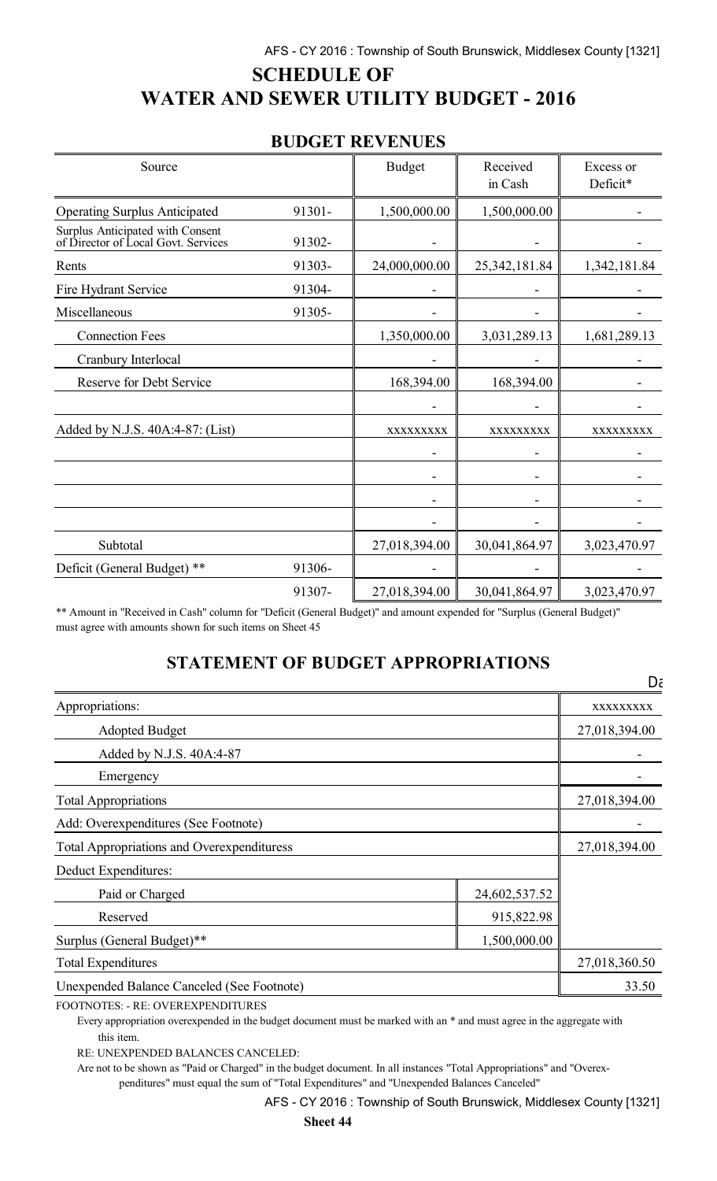# **SCHEDULE OF WATER AND SEWER UTILITY BUDGET - 2016**

### **BUDGET REVENUES**

| Source                                                                  |        | <b>Budget</b> | Received<br>in Cash | Excess or<br>Deficit* |
|-------------------------------------------------------------------------|--------|---------------|---------------------|-----------------------|
| <b>Operating Surplus Anticipated</b>                                    | 91301- | 1,500,000.00  | 1,500,000.00        |                       |
| Surplus Anticipated with Consent<br>of Director of Local Govt. Services | 91302- |               |                     |                       |
| Rents                                                                   | 91303- | 24,000,000.00 | 25, 342, 181.84     | 1,342,181.84          |
| Fire Hydrant Service                                                    | 91304- |               |                     |                       |
| Miscellaneous                                                           | 91305- |               |                     |                       |
| <b>Connection Fees</b>                                                  |        | 1,350,000.00  | 3,031,289.13        | 1,681,289.13          |
| Cranbury Interlocal                                                     |        |               |                     |                       |
| <b>Reserve for Debt Service</b>                                         |        | 168,394.00    | 168,394.00          |                       |
|                                                                         |        |               |                     |                       |
| Added by N.J.S. 40A:4-87: (List)                                        |        | XXXXXXXXX     | XXXXXXXXX           | XXXXXXXXX             |
|                                                                         |        |               |                     |                       |
|                                                                         |        |               |                     |                       |
|                                                                         |        |               |                     |                       |
|                                                                         |        |               |                     |                       |
| Subtotal                                                                |        | 27,018,394.00 | 30,041,864.97       | 3,023,470.97          |
| Deficit (General Budget) **                                             | 91306- |               |                     |                       |
|                                                                         | 91307- | 27,018,394.00 | 30,041,864.97       | 3,023,470.97          |

\*\* Amount in "Received in Cash" column for "Deficit (General Budget)" and amount expended for "Surplus (General Budget)" must agree with amounts shown for such items on Sheet 45

### **STATEMENT OF BUDGET APPROPRIATIONS**

| Appropriations:                                   |               | XXXXXXXXX     |
|---------------------------------------------------|---------------|---------------|
| <b>Adopted Budget</b>                             |               | 27,018,394.00 |
| Added by N.J.S. 40A:4-87                          |               |               |
| Emergency                                         |               |               |
| <b>Total Appropriations</b>                       | 27,018,394.00 |               |
| Add: Overexpenditures (See Footnote)              |               |               |
| <b>Total Appropriations and Overexpendituress</b> | 27,018,394.00 |               |
| Deduct Expenditures:                              |               |               |
| Paid or Charged                                   | 24,602,537.52 |               |
| Reserved                                          |               |               |
| Surplus (General Budget)**                        |               |               |
| <b>Total Expenditures</b>                         | 27,018,360.50 |               |
| <b>Unexpended Balance Canceled (See Footnote)</b> |               | 33.50         |

FOOTNOTES: - RE: OVEREXPENDITURES

Every appropriation overexpended in the budget document must be marked with an \* and must agree in the aggregate with this item.

RE: UNEXPENDED BALANCES CANCELED:

Are not to be shown as "Paid or Charged" in the budget document. In all instances "Total Appropriations" and "Overexpenditures" must equal the sum of "Total Expenditures" and "Unexpended Balances Canceled"

 $D\zeta$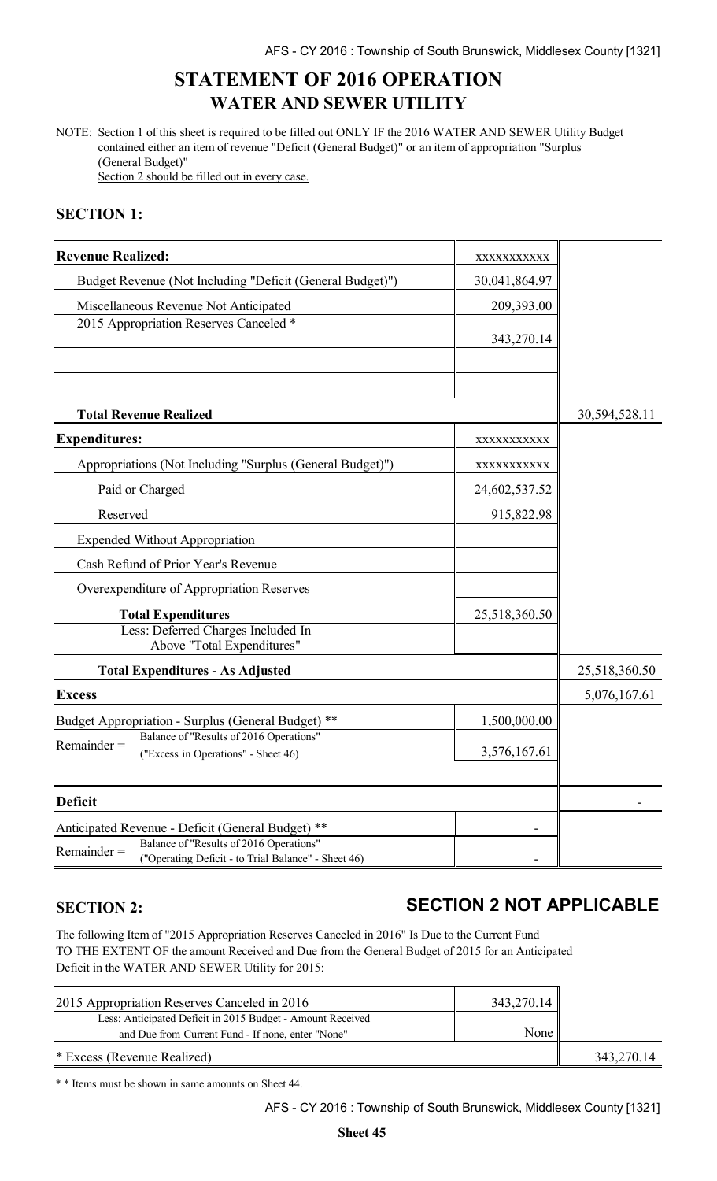### **STATEMENT OF 2016 OPERATION WATER AND SEWER UTILITY**

NOTE: Section 1 of this sheet is required to be filled out ONLY IF the 2016 WATER AND SEWER Utility Budget contained either an item of revenue "Deficit (General Budget)" or an item of appropriation "Surplus (General Budget)"

Section 2 should be filled out in every case.

#### **SECTION 1:**

| <b>Revenue Realized:</b>                                                                                                                                             | XXXXXXXXXX    |               |
|----------------------------------------------------------------------------------------------------------------------------------------------------------------------|---------------|---------------|
| Budget Revenue (Not Including "Deficit (General Budget)")                                                                                                            | 30,041,864.97 |               |
| Miscellaneous Revenue Not Anticipated                                                                                                                                | 209,393.00    |               |
| 2015 Appropriation Reserves Canceled *                                                                                                                               | 343,270.14    |               |
|                                                                                                                                                                      |               |               |
| <b>Total Revenue Realized</b>                                                                                                                                        |               | 30,594,528.11 |
| <b>Expenditures:</b>                                                                                                                                                 | XXXXXXXXXX    |               |
| Appropriations (Not Including "Surplus (General Budget)")                                                                                                            | XXXXXXXXXX    |               |
| Paid or Charged                                                                                                                                                      | 24,602,537.52 |               |
| Reserved                                                                                                                                                             | 915,822.98    |               |
| <b>Expended Without Appropriation</b>                                                                                                                                |               |               |
| Cash Refund of Prior Year's Revenue                                                                                                                                  |               |               |
| Overexpenditure of Appropriation Reserves                                                                                                                            |               |               |
| <b>Total Expenditures</b>                                                                                                                                            | 25,518,360.50 |               |
| Less: Deferred Charges Included In<br>Above "Total Expenditures"                                                                                                     |               |               |
| <b>Total Expenditures - As Adjusted</b>                                                                                                                              |               | 25,518,360.50 |
| <b>Excess</b>                                                                                                                                                        |               | 5,076,167.61  |
| <b>Budget Appropriation - Surplus (General Budget)</b><br>**                                                                                                         | 1,500,000.00  |               |
| Balance of "Results of 2016 Operations"<br>$Remainder =$<br>("Excess in Operations" - Sheet 46)                                                                      | 3,576,167.61  |               |
| <b>Deficit</b>                                                                                                                                                       |               |               |
|                                                                                                                                                                      |               |               |
| Anticipated Revenue - Deficit (General Budget) **<br>Balance of "Results of 2016 Operations"<br>$Remainder =$<br>("Operating Deficit - to Trial Balance" - Sheet 46) |               |               |

### **SECTION 2: SECTION 2 NOT APPLICABLE**

The following Item of "2015 Appropriation Reserves Canceled in 2016" Is Due to the Current Fund TO THE EXTENT OF the amount Received and Due from the General Budget of 2015 for an Anticipated Deficit in the WATER AND SEWER Utility for 2015:

| 2015 Appropriation Reserves Canceled in 2016               | 343,270.14 |            |
|------------------------------------------------------------|------------|------------|
| Less: Anticipated Deficit in 2015 Budget - Amount Received |            |            |
| and Due from Current Fund - If none, enter "None"          | None       |            |
| * Excess (Revenue Realized)                                |            | 343,270.14 |

\* \* Items must be shown in same amounts on Sheet 44.

AFS - CY 2016 : Township of South Brunswick, Middlesex County [1321]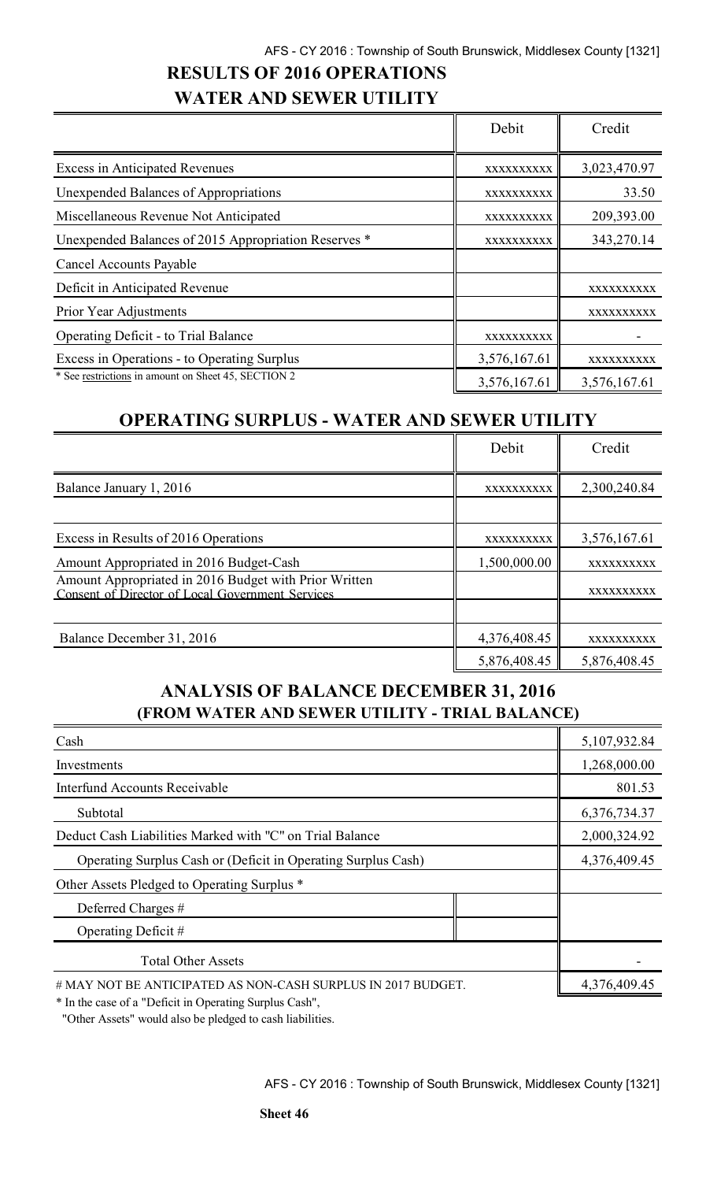### **RESULTS OF 2016 OPERATIONS WATER AND SEWER UTILITY**

|                                                      | Debit        | Credit       |
|------------------------------------------------------|--------------|--------------|
| <b>Excess in Anticipated Revenues</b>                | XXXXXXXXXX   | 3,023,470.97 |
| <b>Unexpended Balances of Appropriations</b>         | XXXXXXXXXX   | 33.50        |
| Miscellaneous Revenue Not Anticipated                | XXXXXXXXXX   | 209,393.00   |
| Unexpended Balances of 2015 Appropriation Reserves * | XXXXXXXXXX   | 343,270.14   |
| Cancel Accounts Payable                              |              |              |
| Deficit in Anticipated Revenue                       |              | XXXXXXXXXX   |
| Prior Year Adjustments                               |              | XXXXXXXXXX   |
| <b>Operating Deficit - to Trial Balance</b>          | XXXXXXXXXX   |              |
| Excess in Operations - to Operating Surplus          | 3,576,167.61 | XXXXXXXXXX   |
| * See restrictions in amount on Sheet 45, SECTION 2  | 3,576,167.61 | 3,576,167.61 |

### **OPERATING SURPLUS - WATER AND SEWER UTILITY**

|                                                                                                           | Debit        | Credit       |
|-----------------------------------------------------------------------------------------------------------|--------------|--------------|
| Balance January 1, 2016                                                                                   | XXXXXXXXXX   | 2,300,240.84 |
|                                                                                                           |              |              |
| Excess in Results of 2016 Operations                                                                      | XXXXXXXXXX   | 3,576,167.61 |
| Amount Appropriated in 2016 Budget-Cash                                                                   | 1,500,000.00 | XXXXXXXXXX   |
| Amount Appropriated in 2016 Budget with Prior Written<br>Consent of Director of Local Government Services |              | XXXXXXXXXX   |
|                                                                                                           |              |              |
| Balance December 31, 2016                                                                                 | 4,376,408.45 | XXXXXXXXXX   |
|                                                                                                           | 5,876,408.45 | 5,876,408.45 |

### **ANALYSIS OF BALANCE DECEMBER 31, 2016 (FROM WATER AND SEWER UTILITY - TRIAL BALANCE)**

| Cash                                                          | 5,107,932.84 |
|---------------------------------------------------------------|--------------|
| Investments                                                   | 1,268,000.00 |
| <b>Interfund Accounts Receivable</b>                          | 801.53       |
| Subtotal                                                      | 6,376,734.37 |
| Deduct Cash Liabilities Marked with "C" on Trial Balance      | 2,000,324.92 |
| Operating Surplus Cash or (Deficit in Operating Surplus Cash) | 4,376,409.45 |
| Other Assets Pledged to Operating Surplus *                   |              |
| Deferred Charges #                                            |              |
| Operating Deficit $#$                                         |              |
| <b>Total Other Assets</b>                                     |              |
| # MAY NOT BE ANTICIPATED AS NON-CASH SURPLUS IN 2017 BUDGET.  | 4,376,409.45 |

\* In the case of a "Deficit in Operating Surplus Cash",

"Other Assets" would also be pledged to cash liabilities.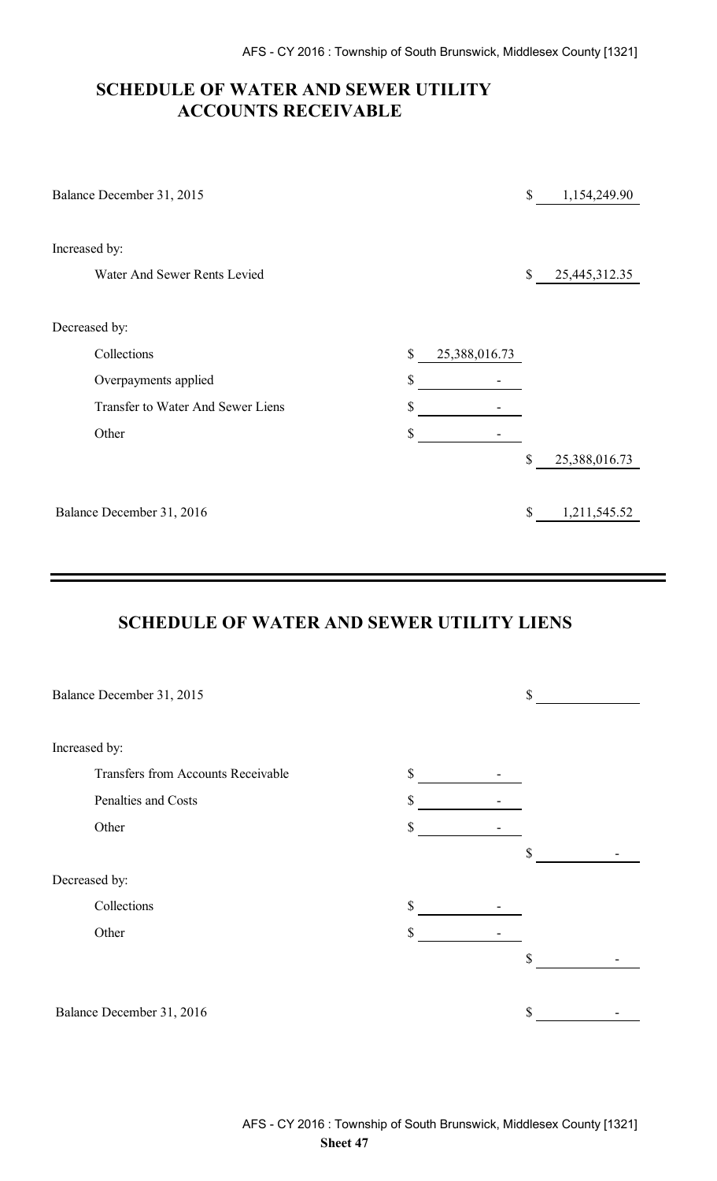### **SCHEDULE OF WATER AND SEWER UTILITY ACCOUNTS RECEIVABLE**

| Balance December 31, 2015         |                     | \$                        | 1,154,249.90  |
|-----------------------------------|---------------------|---------------------------|---------------|
| Increased by:                     |                     |                           |               |
| Water And Sewer Rents Levied      |                     | \$                        | 25,445,312.35 |
| Decreased by:                     |                     |                           |               |
| Collections                       | \$<br>25,388,016.73 |                           |               |
| Overpayments applied              | \$                  |                           |               |
| Transfer to Water And Sewer Liens | \$                  |                           |               |
| Other                             | \$                  |                           |               |
|                                   |                     | $\boldsymbol{\mathsf{S}}$ | 25,388,016.73 |
| Balance December 31, 2016         |                     | $\boldsymbol{\mathsf{S}}$ | 1,211,545.52  |

### **SCHEDULE OF WATER AND SEWER UTILITY LIENS**

| Balance December 31, 2015 |                                           |    | \$ |
|---------------------------|-------------------------------------------|----|----|
|                           |                                           |    |    |
| Increased by:             |                                           |    |    |
|                           | <b>Transfers from Accounts Receivable</b> | \$ |    |
|                           | Penalties and Costs                       | \$ |    |
| Other                     |                                           | \$ |    |
|                           |                                           |    | \$ |
| Decreased by:             |                                           |    |    |
| Collections               |                                           | \$ |    |
| Other                     |                                           | \$ |    |
|                           |                                           |    | \$ |
|                           |                                           |    |    |
| Balance December 31, 2016 |                                           |    | \$ |
|                           |                                           |    |    |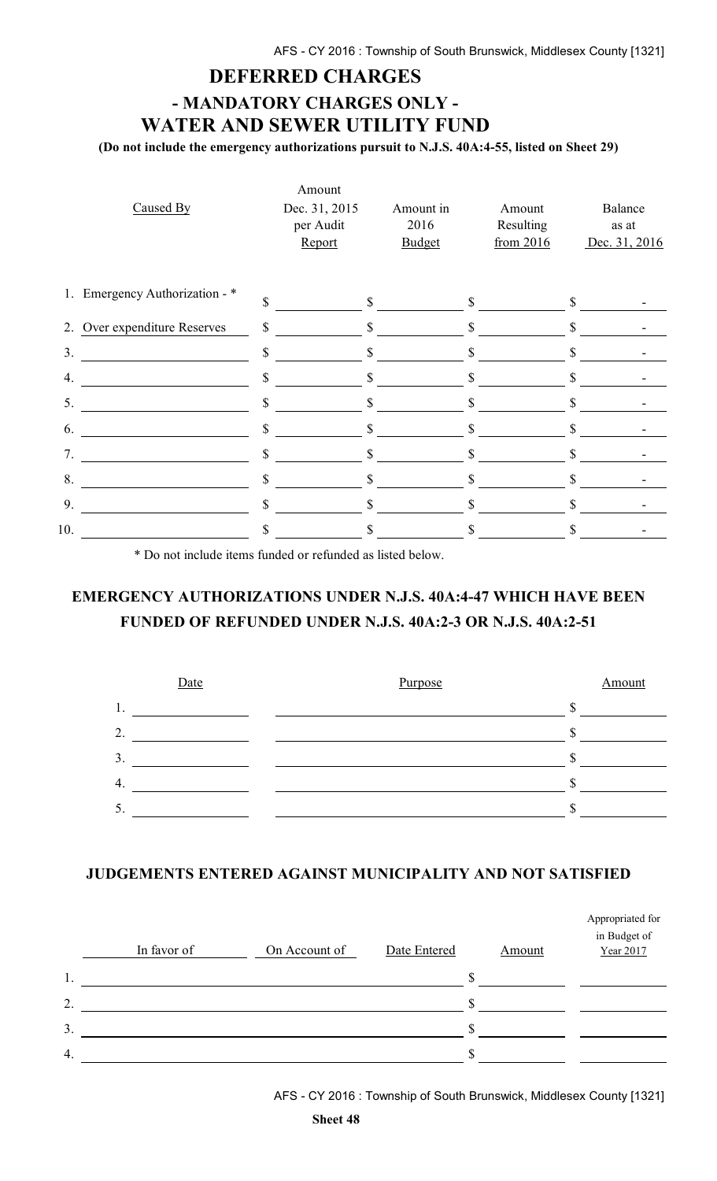#### **DEFERRED CHARGES**

# **- MANDATORY CHARGES ONLY - WATER AND SEWER UTILITY FUND**

**(Do not include the emergency authorizations pursuit to N.J.S. 40A:4-55, listed on Sheet 29)**

|                  |                                |              | Amount                               |                                    |              |                                  |              |                                   |
|------------------|--------------------------------|--------------|--------------------------------------|------------------------------------|--------------|----------------------------------|--------------|-----------------------------------|
|                  | Caused By                      |              | Dec. 31, 2015<br>per Audit<br>Report | Amount in<br>2016<br><b>Budget</b> |              | Amount<br>Resulting<br>from 2016 |              | Balance<br>as at<br>Dec. 31, 2016 |
|                  | 1. Emergency Authorization - * | \$           | S.                                   |                                    | \$           |                                  |              |                                   |
|                  | 2. Over expenditure Reserves   | \$           | \$                                   |                                    | \$           |                                  | \$           |                                   |
| 3.               |                                | $\mathbb{S}$ | $\mathbb{S}$                         |                                    | $\mathbb{S}$ |                                  | $\mathbb{S}$ |                                   |
| $\overline{4}$ . |                                | \$           | \$                                   |                                    | \$           |                                  |              |                                   |
| 5.               |                                | \$           | \$                                   |                                    |              |                                  |              |                                   |
| 6.               |                                | $\mathbf S$  | $\mathbb{S}$                         |                                    | \$           |                                  | \$           |                                   |
| 7.               |                                | \$           | \$                                   |                                    | \$           |                                  |              |                                   |
| 8.               |                                | \$           |                                      |                                    |              |                                  |              |                                   |
| 9.               |                                | \$           | \$                                   |                                    |              |                                  | \$           |                                   |
| 10.              |                                | \$           |                                      |                                    |              |                                  |              |                                   |
|                  |                                |              |                                      |                                    |              |                                  |              |                                   |

\* Do not include items funded or refunded as listed below.

### **EMERGENCY AUTHORIZATIONS UNDER N.J.S. 40A:4-47 WHICH HAVE BEEN FUNDED OF REFUNDED UNDER N.J.S. 40A:2-3 OR N.J.S. 40A:2-51**



#### **JUDGEMENTS ENTERED AGAINST MUNICIPALITY AND NOT SATISFIED**

|                  | In favor of | On Account of | Date Entered | Amount | Appropriated for<br>in Budget of<br>Year 2017 |
|------------------|-------------|---------------|--------------|--------|-----------------------------------------------|
| $\mathbf{1}$ .   |             |               |              |        |                                               |
| 2.               |             |               |              |        |                                               |
| 3.               |             |               |              |        |                                               |
| $\overline{4}$ . |             |               |              |        |                                               |

AFS - CY 2016 : Township of South Brunswick, Middlesex County [1321]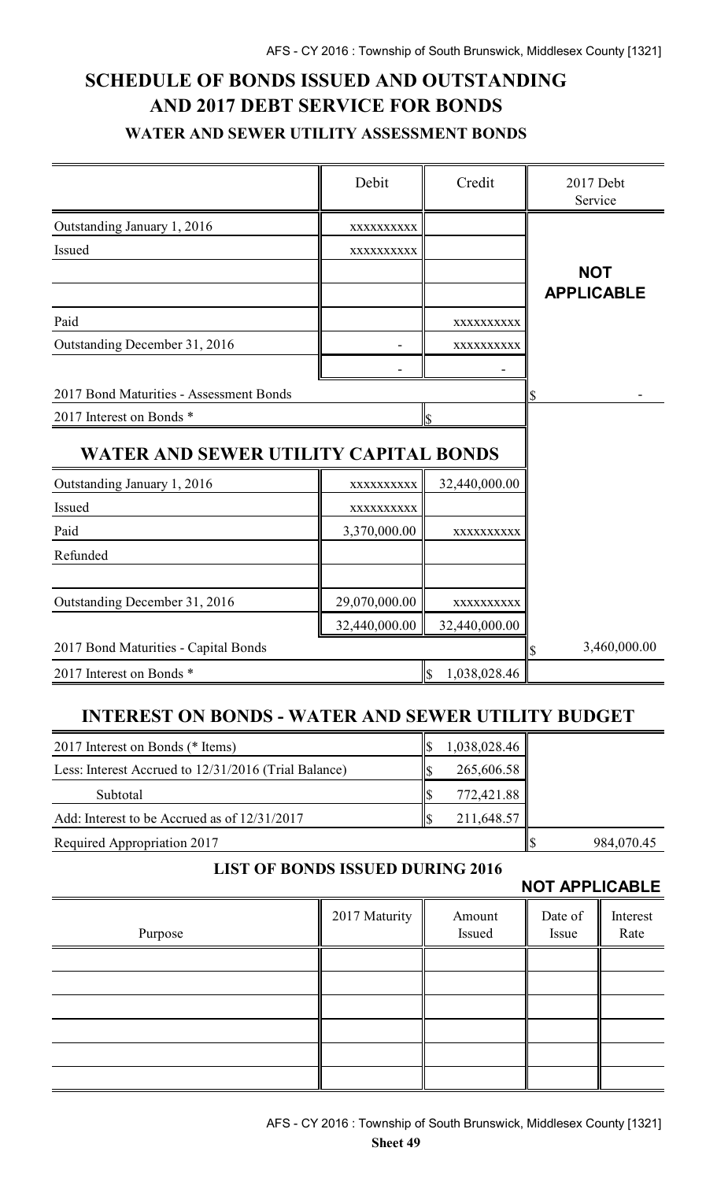# **SCHEDULE OF BONDS ISSUED AND OUTSTANDING AND 2017 DEBT SERVICE FOR BONDS WATER AND SEWER UTILITY ASSESSMENT BONDS**

|                                                           | Debit         | Credit                                  | 2017 Debt<br>Service |
|-----------------------------------------------------------|---------------|-----------------------------------------|----------------------|
| Outstanding January 1, 2016                               | XXXXXXXXXX    |                                         |                      |
| Issued                                                    | XXXXXXXXXX    |                                         |                      |
|                                                           |               |                                         | <b>NOT</b>           |
|                                                           |               |                                         | <b>APPLICABLE</b>    |
| Paid                                                      |               | XXXXXXXXXX                              |                      |
| Outstanding December 31, 2016                             |               | XXXXXXXXXX                              |                      |
|                                                           |               |                                         |                      |
| 2017 Bond Maturities - Assessment Bonds                   |               |                                         |                      |
| 2017 Interest on Bonds *                                  |               | \$                                      |                      |
| WATER AND SEWER UTILITY CAPITAL BONDS                     |               |                                         |                      |
| Outstanding January 1, 2016                               | XXXXXXXXXX    | 32,440,000.00                           |                      |
| Issued                                                    | XXXXXXXXX     |                                         |                      |
| Paid                                                      | 3,370,000.00  | XXXXXXXXXX                              |                      |
| Refunded                                                  |               |                                         |                      |
|                                                           |               |                                         |                      |
| Outstanding December 31, 2016                             | 29,070,000.00 | XXXXXXXXXX                              |                      |
|                                                           | 32,440,000.00 | 32,440,000.00                           |                      |
| 2017 Bond Maturities - Capital Bonds                      |               |                                         | 3,460,000.00<br>S    |
| 2017 Interest on Bonds *                                  |               | 1,038,028.46<br>$\mathbf{\overline{S}}$ |                      |
| <b>INTEREST ON BONDS - WATER AND SEWER UTILITY BUDGET</b> |               |                                         |                      |
| 2017 Interest on Bonds (* Items)                          |               | \$<br>1,038,028.46                      |                      |
| Less: Interest Accrued to 12/31/2016 (Trial Balance)      |               | $\boldsymbol{\mathsf{S}}$<br>265,606.58 |                      |

| <b>Subtotal</b>                              | lS | 772,421.88 |             |            |
|----------------------------------------------|----|------------|-------------|------------|
| Add: Interest to be Accrued as of 12/31/2017 |    | 211,648.57 |             |            |
| Required Appropriation 2017                  |    |            | <u>  \$</u> | 984,070.45 |

### **LIST OF BONDS ISSUED DURING 2016**

**NOT APPLICABLE**

| Purpose | 2017 Maturity | Amount<br>Issued | Date of<br>Issue | Interest<br>Rate |
|---------|---------------|------------------|------------------|------------------|
|         |               |                  |                  |                  |
|         |               |                  |                  |                  |
|         |               |                  |                  |                  |
|         |               |                  |                  |                  |
|         |               |                  |                  |                  |
|         |               |                  |                  |                  |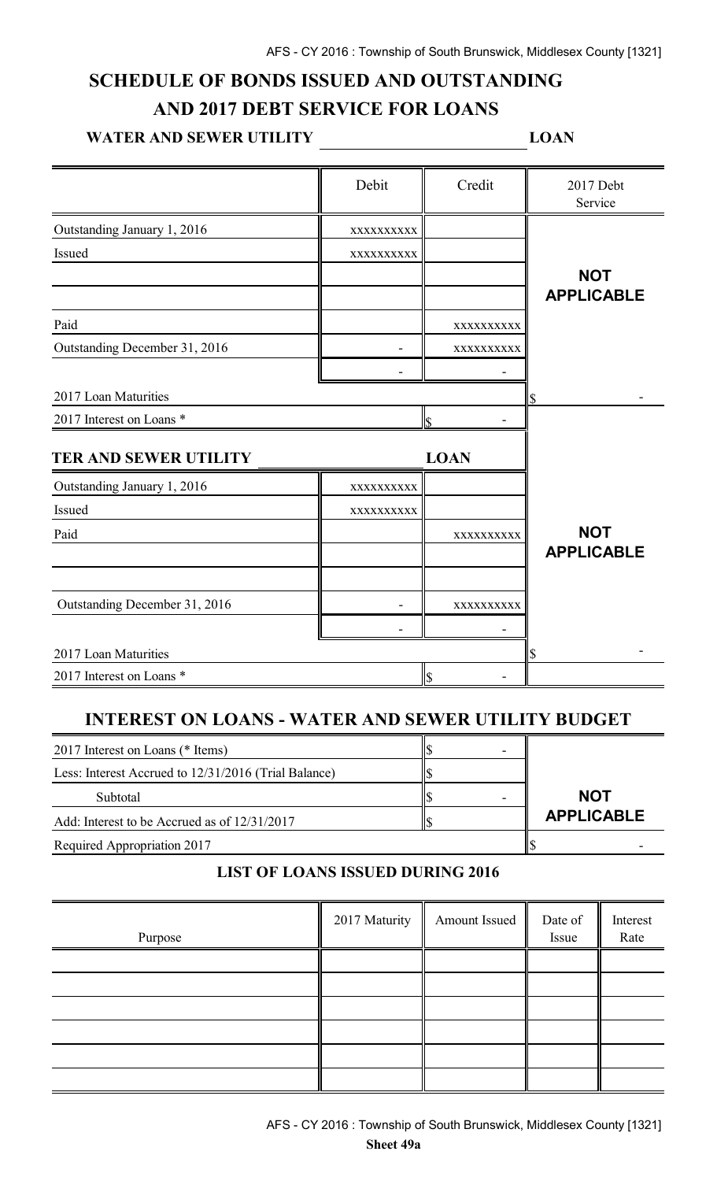### **SCHEDULE OF BONDS ISSUED AND OUTSTANDING AND 2017 DEBT SERVICE FOR LOANS**

# WATER AND SEWER UTILITY \_\_\_\_\_\_\_\_\_\_\_\_\_\_\_\_\_\_\_\_\_\_\_\_\_\_\_\_\_\_LOAN

|                               | Debit      | Credit                  | 2017 Debt<br>Service |
|-------------------------------|------------|-------------------------|----------------------|
| Outstanding January 1, 2016   | XXXXXXXXXX |                         |                      |
| Issued                        | XXXXXXXXXX |                         |                      |
|                               |            |                         | <b>NOT</b>           |
|                               |            |                         | <b>APPLICABLE</b>    |
| Paid                          |            | XXXXXXXXX               |                      |
| Outstanding December 31, 2016 |            | XXXXXXXXXX              |                      |
|                               |            |                         |                      |
| 2017 Loan Maturities          |            |                         |                      |
| 2017 Interest on Loans *      |            | \$                      |                      |
| TER AND SEWER UTILITY         |            | <b>LOAN</b>             |                      |
| Outstanding January 1, 2016   | XXXXXXXXXX |                         |                      |
| Issued                        | XXXXXXXXXX |                         |                      |
| Paid                          |            | XXXXXXXXXX              | <b>NOT</b>           |
|                               |            |                         | <b>APPLICABLE</b>    |
|                               |            |                         |                      |
| Outstanding December 31, 2016 |            | XXXXXXXXX               |                      |
|                               |            |                         |                      |
| 2017 Loan Maturities          |            |                         | \$                   |
| 2017 Interest on Loans *      |            | $\overline{\mathbb{S}}$ |                      |

### **INTEREST ON LOANS - WATER AND SEWER UTILITY BUDGET**

| 2017 Interest on Loans (* Items)                     |  |                   |
|------------------------------------------------------|--|-------------------|
| Less: Interest Accrued to 12/31/2016 (Trial Balance) |  |                   |
| Subtotal                                             |  | <b>NOT</b>        |
| Add: Interest to be Accrued as of 12/31/2017         |  | <b>APPLICABLE</b> |
| Required Appropriation 2017                          |  |                   |

#### **LIST OF LOANS ISSUED DURING 2016**

| Purpose | 2017 Maturity | Amount Issued | Date of<br>Issue | Interest<br>Rate |
|---------|---------------|---------------|------------------|------------------|
|         |               |               |                  |                  |
|         |               |               |                  |                  |
|         |               |               |                  |                  |
|         |               |               |                  |                  |
|         |               |               |                  |                  |
|         |               |               |                  |                  |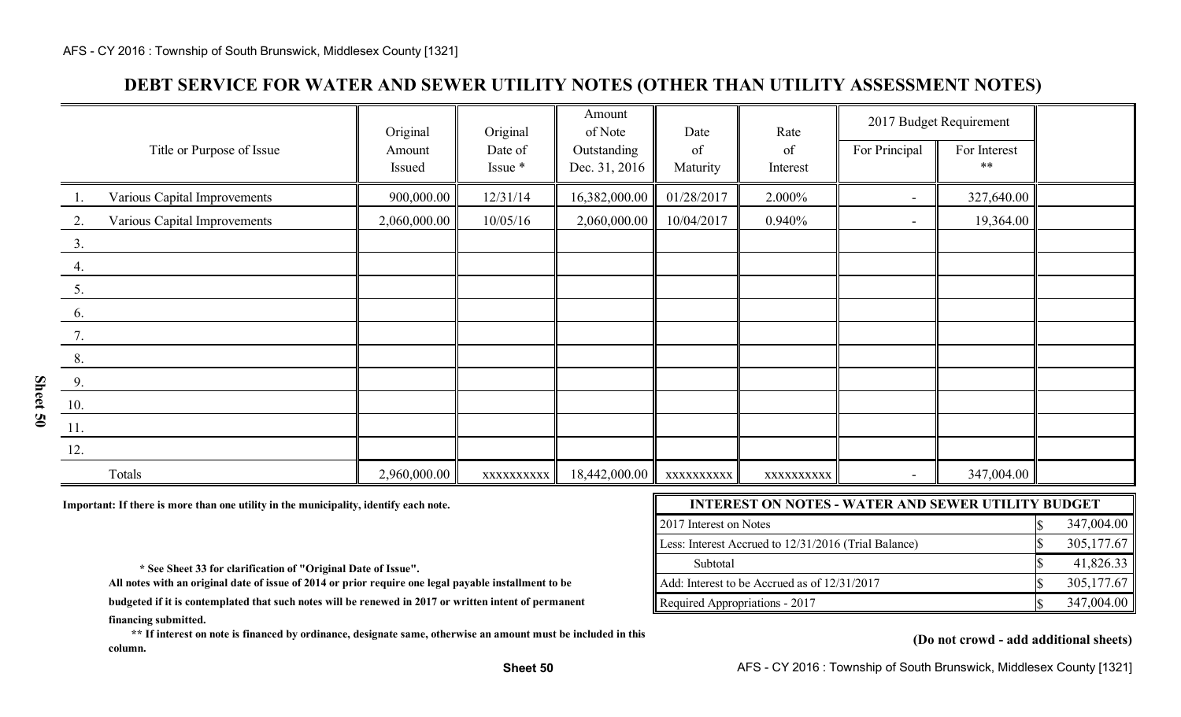### **DEBT SERVICE FOR WATER AND SEWER UTILITY NOTES (OTHER THAN UTILITY ASSESSMENT NOTES)**

|                                           | Original     | Original   | Amount<br>of Note | Date       | Rate       |                          | 2017 Budget Requirement |  |
|-------------------------------------------|--------------|------------|-------------------|------------|------------|--------------------------|-------------------------|--|
| Title or Purpose of Issue                 | Amount       | Date of    | Outstanding       | of         | of         | For Principal            | For Interest<br>$***$   |  |
|                                           | Issued       | Issue *    | Dec. 31, 2016     | Maturity   | Interest   |                          |                         |  |
| Various Capital Improvements<br>$\perp$ . | 900,000.00   | 12/31/14   | 16,382,000.00     | 01/28/2017 | 2.000%     |                          | 327,640.00              |  |
| Various Capital Improvements<br>2.        | 2,060,000.00 | 10/05/16   | 2,060,000.00      | 10/04/2017 | 0.940%     | $\overline{\phantom{a}}$ | 19,364.00               |  |
| 3.                                        |              |            |                   |            |            |                          |                         |  |
| 4.                                        |              |            |                   |            |            |                          |                         |  |
| 5.                                        |              |            |                   |            |            |                          |                         |  |
| 6.                                        |              |            |                   |            |            |                          |                         |  |
| 7.                                        |              |            |                   |            |            |                          |                         |  |
| 8.                                        |              |            |                   |            |            |                          |                         |  |
| 9.                                        |              |            |                   |            |            |                          |                         |  |
| 10.                                       |              |            |                   |            |            |                          |                         |  |
| 11.                                       |              |            |                   |            |            |                          |                         |  |
| 12.                                       |              |            |                   |            |            |                          |                         |  |
| Totals                                    | 2,960,000.00 | XXXXXXXXXX | 18,442,000.00     | XXXXXXXXXX | XXXXXXXXXX |                          | 347,004.00              |  |

Important: If there is more than one utility in the municipality, identify each note.

| <b>INTEREST ON NOTES - WATER AND SEWER UTILITY BUDGET</b> |  |            |  |  |  |
|-----------------------------------------------------------|--|------------|--|--|--|
| 2017 Interest on Notes                                    |  | 347,004.00 |  |  |  |
| Less: Interest Accrued to 12/31/2016 (Trial Balance)      |  | 305,177.67 |  |  |  |
| Subtotal                                                  |  | 41,826.33  |  |  |  |
| Add: Interest to be Accrued as of 12/31/2017              |  | 305,177.67 |  |  |  |
| Required Appropriations - 2017                            |  | 347,004.00 |  |  |  |

 **\* See Sheet 33 for clarification of "Original Date of Issue".** 

**All notes with an original date of issue of 2014 or prior require one legal payable installment to be**

**financing submitted. budgeted if it is contemplated that such notes will be renewed in 2017 or written intent of permanent**

 **\*\* If interest on note is financed by ordinance, designate same, otherwise an amount must be included in this column.**

#### **(Do not crowd - add additional sheets)**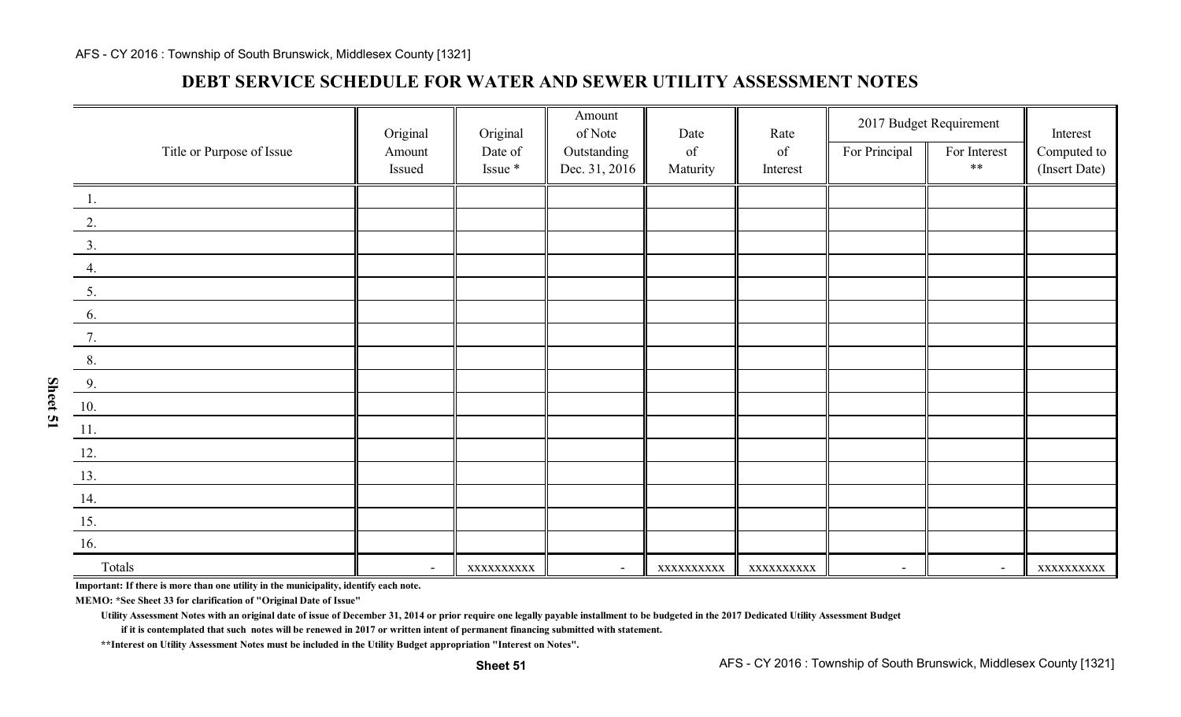### **DEBT SERVICE SCHEDULE FOR WATER AND SEWER UTILITY ASSESSMENT NOTES**

| Title or Purpose of Issue | Original<br>Amount       | Original<br>Date of | Amount<br>of Note<br>Outstanding | Date<br>$% \left( \left( \mathcal{A},\mathcal{A}\right) \right) =\left( \mathcal{A},\mathcal{A}\right)$ of | Rate<br>of | For Principal            | 2017 Budget Requirement<br>For Interest | Interest<br>Computed to |
|---------------------------|--------------------------|---------------------|----------------------------------|------------------------------------------------------------------------------------------------------------|------------|--------------------------|-----------------------------------------|-------------------------|
|                           | Issued                   | Issue *             | Dec. 31, 2016                    | Maturity                                                                                                   | Interest   |                          | $**$                                    | (Insert Date)           |
| <sup>1</sup>              |                          |                     |                                  |                                                                                                            |            |                          |                                         |                         |
| 2.                        |                          |                     |                                  |                                                                                                            |            |                          |                                         |                         |
| 3.                        |                          |                     |                                  |                                                                                                            |            |                          |                                         |                         |
| 4.                        |                          |                     |                                  |                                                                                                            |            |                          |                                         |                         |
| 5.                        |                          |                     |                                  |                                                                                                            |            |                          |                                         |                         |
| 6.                        |                          |                     |                                  |                                                                                                            |            |                          |                                         |                         |
| 7.                        |                          |                     |                                  |                                                                                                            |            |                          |                                         |                         |
| 8.                        |                          |                     |                                  |                                                                                                            |            |                          |                                         |                         |
| 9.                        |                          |                     |                                  |                                                                                                            |            |                          |                                         |                         |
| 10.                       |                          |                     |                                  |                                                                                                            |            |                          |                                         |                         |
| $\overline{11}$ .         |                          |                     |                                  |                                                                                                            |            |                          |                                         |                         |
| 12.                       |                          |                     |                                  |                                                                                                            |            |                          |                                         |                         |
| 13.                       |                          |                     |                                  |                                                                                                            |            |                          |                                         |                         |
| 14.                       |                          |                     |                                  |                                                                                                            |            |                          |                                         |                         |
| 15.                       |                          |                     |                                  |                                                                                                            |            |                          |                                         |                         |
| 16.                       |                          |                     |                                  |                                                                                                            |            |                          |                                         |                         |
| Totals                    | $\overline{\phantom{a}}$ | XXXXXXXXXX          | $\blacksquare$                   | XXXXXXXXX                                                                                                  | XXXXXXXXXX | $\overline{\phantom{a}}$ | $\blacksquare$                          | XXXXXXXXXX              |

**Important: If there is more than one utility in the municipality, identify each note.**

**MEMO: \*See Sheet 33 for clarification of "Original Date of Issue"**

**Utility Assessment Notes with an original date of issue of December 31, 2014 or prior require one legally payable installment to be budgeted in the 2017 Dedicated Utility Assessment Budget**

**if it is contemplated that such notes will be renewed in 2017 or written intent of permanent financing submitted with statement.**

**\*\*Interest on Utility Assessment Notes must be included in the Utility Budget appropriation "Interest on Notes".**

**Sheet 51**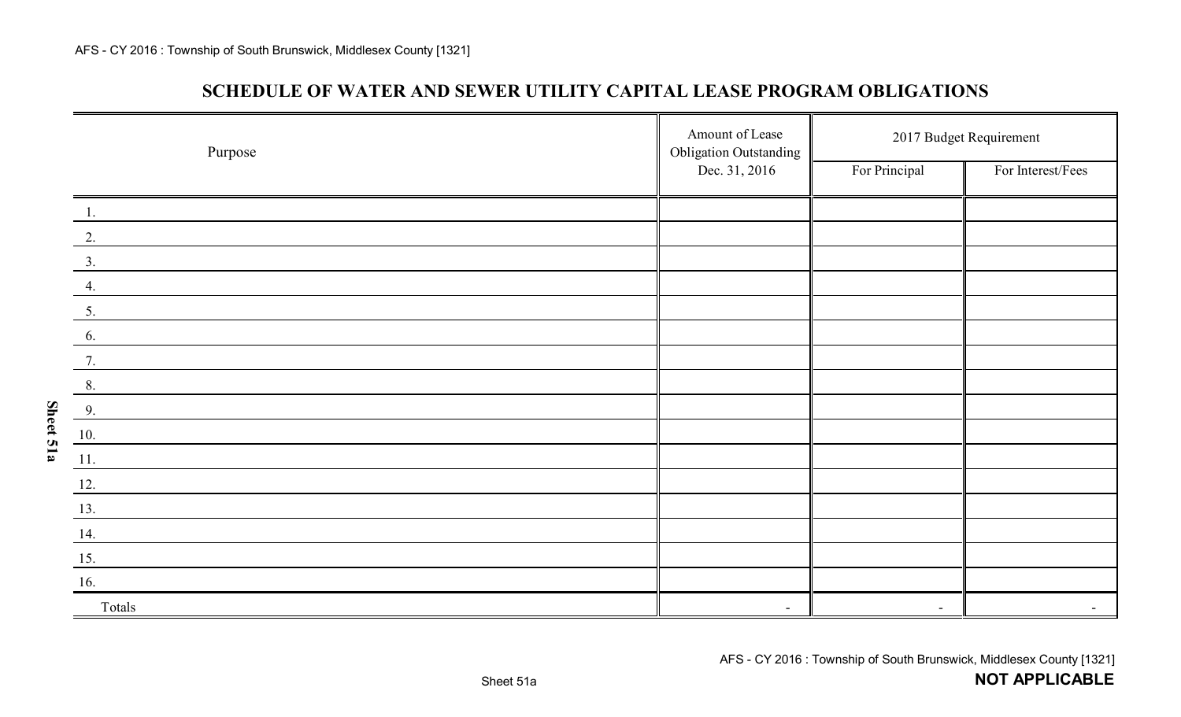**Sheet 51a**

### **SCHEDULE OF WATER AND SEWER UTILITY CAPITAL LEASE PROGRAM OBLIGATIONS**

| Purpose          | Amount of Lease<br><b>Obligation Outstanding</b> | 2017 Budget Requirement  |                   |  |
|------------------|--------------------------------------------------|--------------------------|-------------------|--|
|                  | Dec. 31, 2016                                    | For Principal            | For Interest/Fees |  |
| $\overline{1}$ . |                                                  |                          |                   |  |
| 2.               |                                                  |                          |                   |  |
| $\overline{3}$ . |                                                  |                          |                   |  |
| 4.               |                                                  |                          |                   |  |
| 5.               |                                                  |                          |                   |  |
| 6.               |                                                  |                          |                   |  |
| 7.               |                                                  |                          |                   |  |
| 8.               |                                                  |                          |                   |  |
| 9.               |                                                  |                          |                   |  |
| 10.              |                                                  |                          |                   |  |
| 11.              |                                                  |                          |                   |  |
| 12.              |                                                  |                          |                   |  |
| 13.              |                                                  |                          |                   |  |
| 14.              |                                                  |                          |                   |  |
| 15.              |                                                  |                          |                   |  |
| 16.              |                                                  |                          |                   |  |
| Totals           | $\overline{\phantom{a}}$                         | $\overline{\phantom{a}}$ |                   |  |

**NOT APPLICABLE**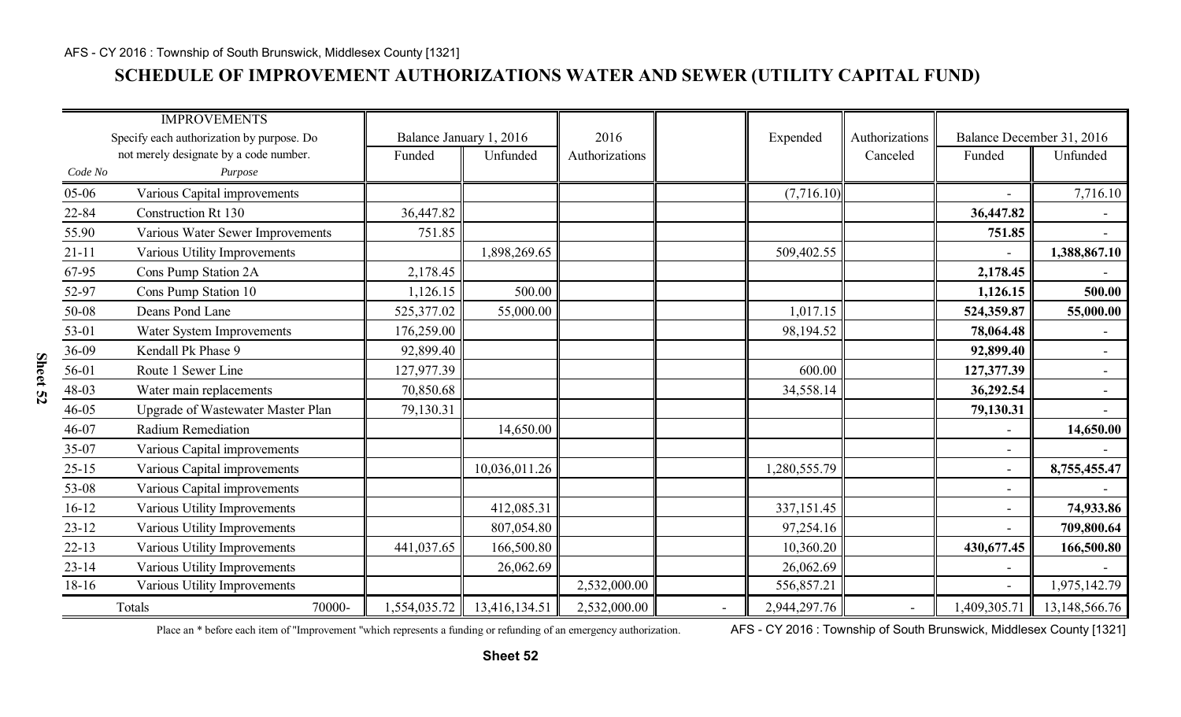### **SCHEDULE OF IMPROVEMENT AUTHORIZATIONS WATER AND SEWER (UTILITY CAPITAL FUND)**

|           | <b>IMPROVEMENTS</b>                       |              |                         |                |              |                |                              |                           |
|-----------|-------------------------------------------|--------------|-------------------------|----------------|--------------|----------------|------------------------------|---------------------------|
|           | Specify each authorization by purpose. Do |              | Balance January 1, 2016 | 2016           | Expended     | Authorizations |                              | Balance December 31, 2016 |
|           | not merely designate by a code number.    | Funded       | Unfunded                | Authorizations |              | Canceled       | Funded                       | Unfunded                  |
| Code No   | Purpose                                   |              |                         |                |              |                |                              |                           |
| 05-06     | Various Capital improvements              |              |                         |                | (7,716.10)   |                | $\overline{\phantom{a}}$     | 7,716.10                  |
| 22-84     | <b>Construction Rt 130</b>                | 36,447.82    |                         |                |              |                | 36,447.82                    | $\sim$                    |
| 55.90     | Various Water Sewer Improvements          | 751.85       |                         |                |              |                | 751.85                       | $\blacksquare$            |
| $21 - 11$ | Various Utility Improvements              |              | 1,898,269.65            |                | 509,402.55   |                |                              | 1,388,867.10              |
| 67-95     | Cons Pump Station 2A                      | 2,178.45     |                         |                |              |                | 2,178.45                     |                           |
| 52-97     | Cons Pump Station 10                      | 1,126.15     | 500.00                  |                |              |                | 1,126.15                     | 500.00                    |
| 50-08     | Deans Pond Lane                           | 525,377.02   | 55,000.00               |                | 1,017.15     |                | 524,359.87                   | 55,000.00                 |
| 53-01     | Water System Improvements                 | 176,259.00   |                         |                | 98,194.52    |                | 78,064.48                    |                           |
| 36-09     | Kendall Pk Phase 9                        | 92,899.40    |                         |                |              |                | 92,899.40                    | $\overline{\phantom{0}}$  |
| 56-01     | Route 1 Sewer Line                        | 127,977.39   |                         |                | 600.00       |                | 127,377.39                   | $\overline{\phantom{0}}$  |
| 48-03     | Water main replacements                   | 70,850.68    |                         |                | 34,558.14    |                | 36,292.54                    | $\blacksquare$            |
| 46-05     | <b>Upgrade of Wastewater Master Plan</b>  | 79,130.31    |                         |                |              |                | 79,130.31                    | $\overline{\phantom{0}}$  |
| 46-07     | <b>Radium Remediation</b>                 |              | 14,650.00               |                |              |                |                              | 14,650.00                 |
| 35-07     | Various Capital improvements              |              |                         |                |              |                | $\overline{\phantom{0}}$     | $\overline{\phantom{0}}$  |
| $25 - 15$ | Various Capital improvements              |              | 10,036,011.26           |                | 1,280,555.79 |                | $\overline{\phantom{a}}$     | 8,755,455.47              |
| 53-08     | Various Capital improvements              |              |                         |                |              |                | $\qquad \qquad \blacksquare$ |                           |
| $16 - 12$ | Various Utility Improvements              |              | 412,085.31              |                | 337, 151. 45 |                |                              | 74,933.86                 |
| $23 - 12$ | Various Utility Improvements              |              | 807,054.80              |                | 97,254.16    |                |                              | 709,800.64                |
| $22 - 13$ | Various Utility Improvements              | 441,037.65   | 166,500.80              |                | 10,360.20    |                | 430,677.45                   | 166,500.80                |
| $23 - 14$ | Various Utility Improvements              |              | 26,062.69               |                | 26,062.69    |                | $\overline{\phantom{a}}$     |                           |
| $18-16$   | Various Utility Improvements              |              |                         | 2,532,000.00   | 556,857.21   |                | $\overline{a}$               | 1,975,142.79              |
|           | Totals<br>70000-                          | 1,554,035.72 | 13,416,134.51           | 2,532,000.00   | 2,944,297.76 |                | 1,409,305.71                 | 13,148,566.76             |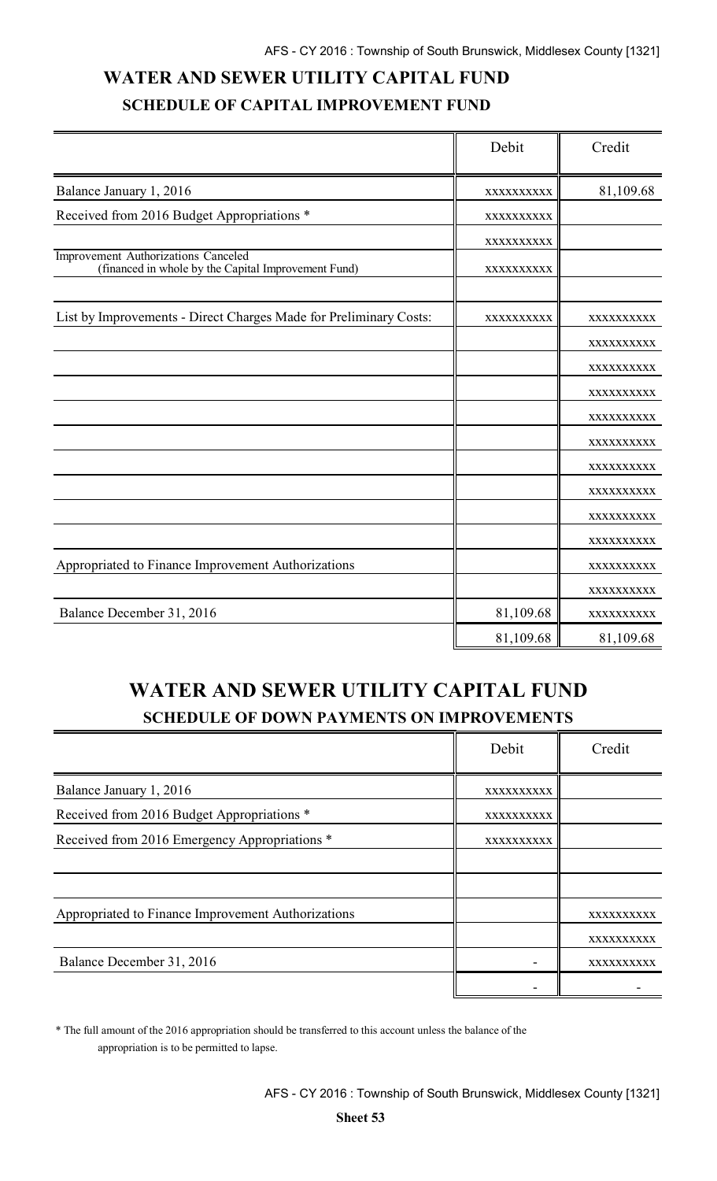# **WATER AND SEWER UTILITY CAPITAL FUND SCHEDULE OF CAPITAL IMPROVEMENT FUND**

|                                                                                            | Debit      | Credit     |
|--------------------------------------------------------------------------------------------|------------|------------|
| Balance January 1, 2016                                                                    | XXXXXXXXXX | 81,109.68  |
| Received from 2016 Budget Appropriations *                                                 | XXXXXXXXXX |            |
|                                                                                            | XXXXXXXXXX |            |
| Improvement Authorizations Canceled<br>(financed in whole by the Capital Improvement Fund) | XXXXXXXXXX |            |
| List by Improvements - Direct Charges Made for Preliminary Costs:                          | XXXXXXXXXX | XXXXXXXXXX |
|                                                                                            |            | XXXXXXXXXX |
|                                                                                            |            | XXXXXXXXXX |
|                                                                                            |            | XXXXXXXXXX |
|                                                                                            |            | XXXXXXXXXX |
|                                                                                            |            | XXXXXXXXXX |
|                                                                                            |            | XXXXXXXXXX |
|                                                                                            |            | XXXXXXXXXX |
|                                                                                            |            | XXXXXXXXXX |
|                                                                                            |            | XXXXXXXXXX |
| Appropriated to Finance Improvement Authorizations                                         |            | XXXXXXXXXX |
|                                                                                            |            | XXXXXXXXXX |
| Balance December 31, 2016                                                                  | 81,109.68  | XXXXXXXXXX |
|                                                                                            | 81,109.68  | 81,109.68  |

# **WATER AND SEWER UTILITY CAPITAL FUND SCHEDULE OF DOWN PAYMENTS ON IMPROVEMENTS**

|                                                    | Debit      | Credit     |
|----------------------------------------------------|------------|------------|
| Balance January 1, 2016                            | XXXXXXXXXX |            |
| Received from 2016 Budget Appropriations *         | XXXXXXXXXX |            |
| Received from 2016 Emergency Appropriations *      | XXXXXXXXXX |            |
|                                                    |            |            |
|                                                    |            |            |
| Appropriated to Finance Improvement Authorizations |            | XXXXXXXXXX |
|                                                    |            | XXXXXXXXXX |
| Balance December 31, 2016                          |            | XXXXXXXXXX |
|                                                    |            |            |

\* The full amount of the 2016 appropriation should be transferred to this account unless the balance of the appropriation is to be permitted to lapse.

AFS - CY 2016 : Township of South Brunswick, Middlesex County [1321]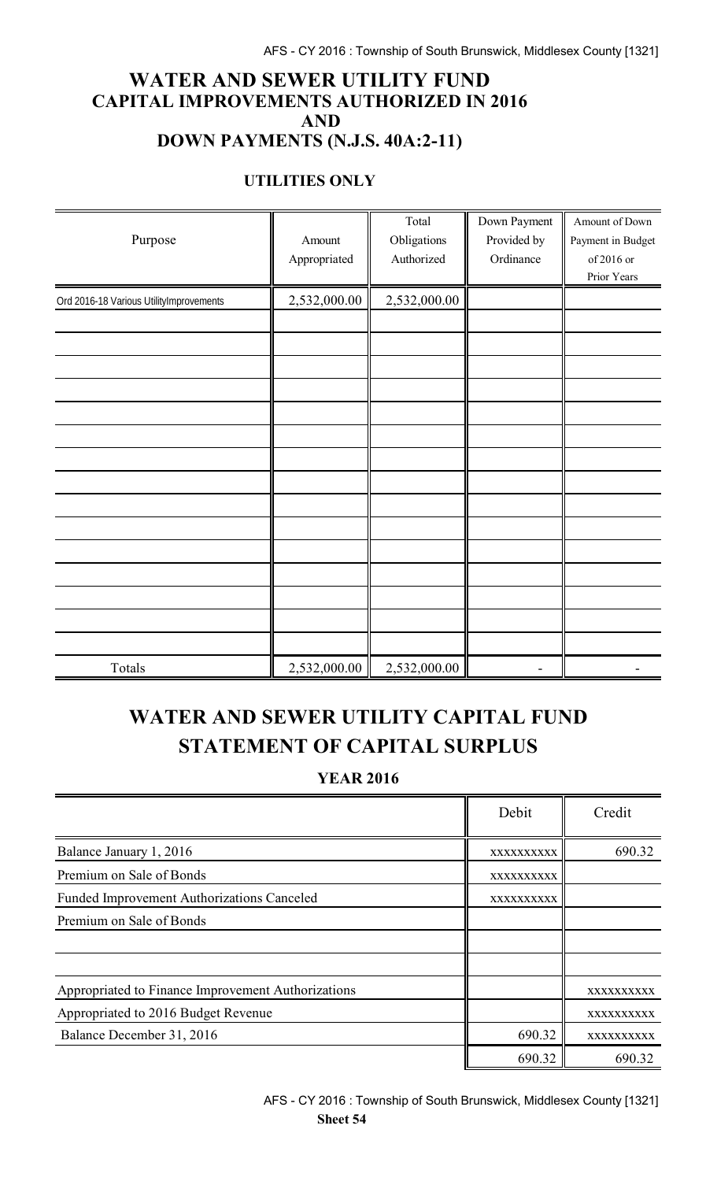### **WATER AND SEWER UTILITY FUND CAPITAL IMPROVEMENTS AUTHORIZED IN 2016 AND DOWN PAYMENTS (N.J.S. 40A:2-11)**

#### **UTILITIES ONLY**

|                                         |              | Total        | Down Payment | Amount of Down    |
|-----------------------------------------|--------------|--------------|--------------|-------------------|
| Purpose                                 | Amount       | Obligations  | Provided by  | Payment in Budget |
|                                         | Appropriated | Authorized   | Ordinance    | of 2016 or        |
|                                         |              |              |              | Prior Years       |
| Ord 2016-18 Various UtilityImprovements | 2,532,000.00 | 2,532,000.00 |              |                   |
|                                         |              |              |              |                   |
|                                         |              |              |              |                   |
|                                         |              |              |              |                   |
|                                         |              |              |              |                   |
|                                         |              |              |              |                   |
|                                         |              |              |              |                   |
|                                         |              |              |              |                   |
|                                         |              |              |              |                   |
|                                         |              |              |              |                   |
|                                         |              |              |              |                   |
|                                         |              |              |              |                   |
|                                         |              |              |              |                   |
|                                         |              |              |              |                   |
|                                         |              |              |              |                   |
|                                         |              |              |              |                   |
| Totals                                  | 2,532,000.00 | 2,532,000.00 |              |                   |

# **WATER AND SEWER UTILITY CAPITAL FUND STATEMENT OF CAPITAL SURPLUS**

**YEAR 2016**

|                                                    | Debit      | Credit     |
|----------------------------------------------------|------------|------------|
| Balance January 1, 2016                            | XXXXXXXXXX | 690.32     |
| Premium on Sale of Bonds                           | XXXXXXXXXX |            |
| <b>Funded Improvement Authorizations Canceled</b>  | XXXXXXXXXX |            |
| Premium on Sale of Bonds                           |            |            |
|                                                    |            |            |
|                                                    |            |            |
| Appropriated to Finance Improvement Authorizations |            | XXXXXXXXXX |
| Appropriated to 2016 Budget Revenue                |            | XXXXXXXXXX |
| Balance December 31, 2016                          | 690.32     | XXXXXXXXXX |
|                                                    | 690.32     | 690.32     |

AFS - CY 2016 : Township of South Brunswick, Middlesex County [1321] **Sheet 54**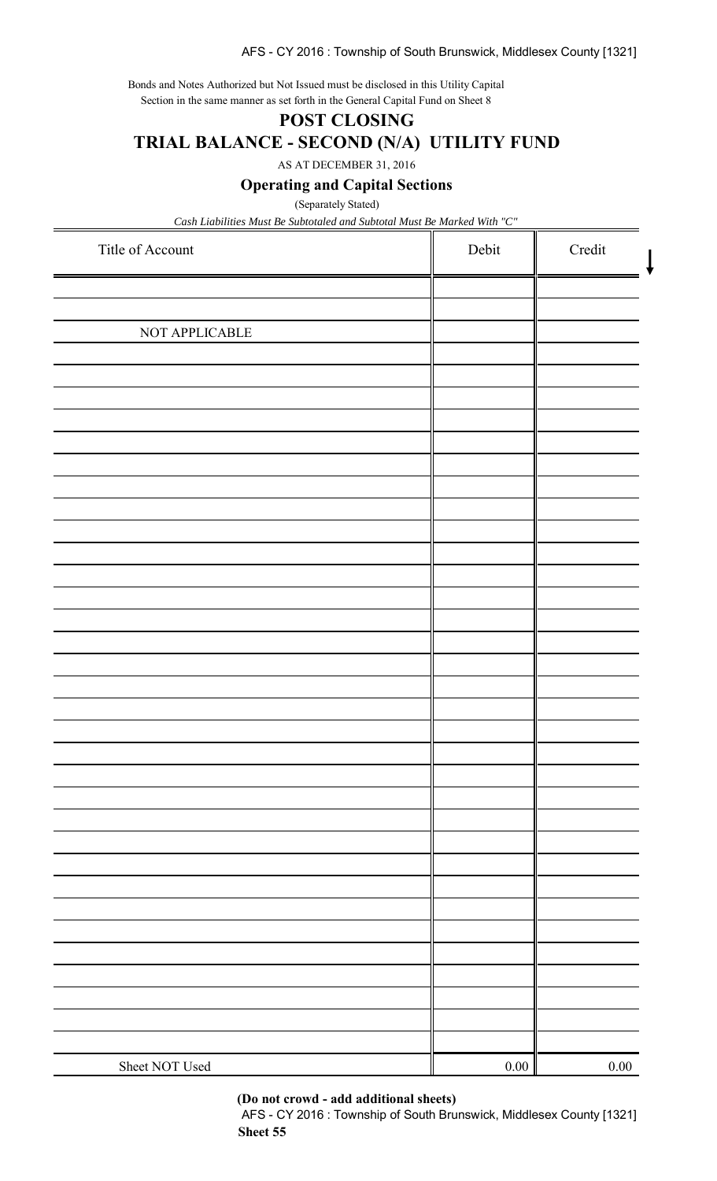#### AFS - CY 2016 : Township of South Brunswick, Middlesex County [1321]

Bonds and Notes Authorized but Not Issued must be disclosed in this Utility Capital Section in the same manner as set forth in the General Capital Fund on Sheet 8

#### **POST CLOSING**

**TRIAL BALANCE - SECOND (N/A) UTILITY FUND**

AS AT DECEMBER 31, 2016

**Operating and Capital Sections**

(Separately Stated)

*Cash Liabilities Must Be Subtotaled and Subtotal Must Be Marked With "C"*

| Title of Account | Debit    | Credit   |
|------------------|----------|----------|
|                  |          |          |
| NOT APPLICABLE   |          |          |
|                  |          |          |
|                  |          |          |
|                  |          |          |
|                  |          |          |
|                  |          |          |
|                  |          |          |
|                  |          |          |
|                  |          |          |
|                  |          |          |
|                  |          |          |
|                  |          |          |
|                  |          |          |
|                  |          |          |
|                  |          |          |
|                  |          |          |
|                  |          |          |
|                  |          |          |
|                  |          |          |
|                  |          |          |
|                  |          |          |
|                  |          |          |
| Sheet NOT Used   | $0.00\,$ | $0.00\,$ |

**(Do not crowd - add additional sheets)**

AFS - CY 2016 : Township of South Brunswick, Middlesex County [1321] **Sheet 55**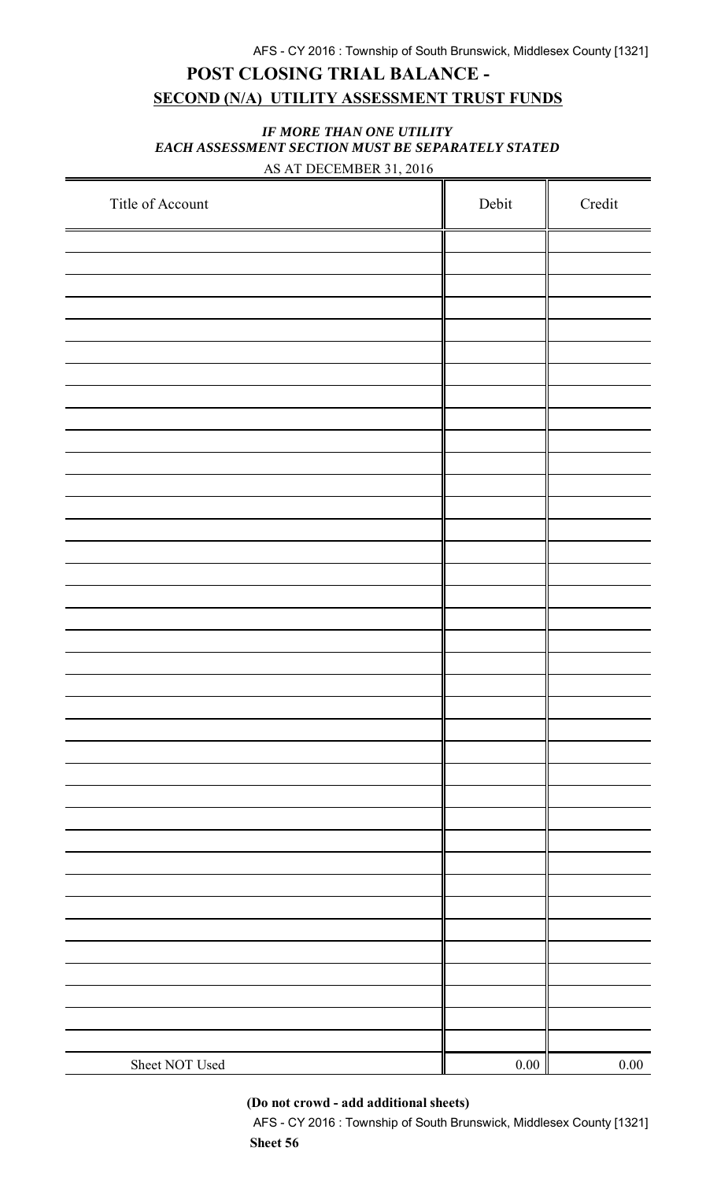## **POST CLOSING TRIAL BALANCE - SECOND (N/A) UTILITY ASSESSMENT TRUST FUNDS**

#### *IF MORE THAN ONE UTILITY EACH ASSESSMENT SECTION MUST BE SEPARATELY STATED* AS AT DECEMBER 31, 2016

| Title of Account | Debit | $\bf Credit$ |
|------------------|-------|--------------|
|                  |       |              |
|                  |       |              |
|                  |       |              |
|                  |       |              |
|                  |       |              |
|                  |       |              |
|                  |       |              |
|                  |       |              |
|                  |       |              |
|                  |       |              |
|                  |       |              |
|                  |       |              |
|                  |       |              |
|                  |       |              |
|                  |       |              |
|                  |       |              |
|                  |       |              |
|                  |       |              |
|                  |       |              |
|                  |       |              |
|                  |       |              |
|                  |       |              |
|                  |       |              |
|                  |       |              |
|                  |       |              |
|                  |       |              |
|                  |       |              |
|                  |       |              |
|                  |       |              |
|                  |       |              |
|                  |       |              |
|                  |       |              |
|                  |       |              |
|                  |       |              |
|                  |       |              |
|                  |       |              |
|                  |       |              |
| Sheet NOT Used   | 0.00  | $0.00\,$     |

**(Do not crowd - add additional sheets)**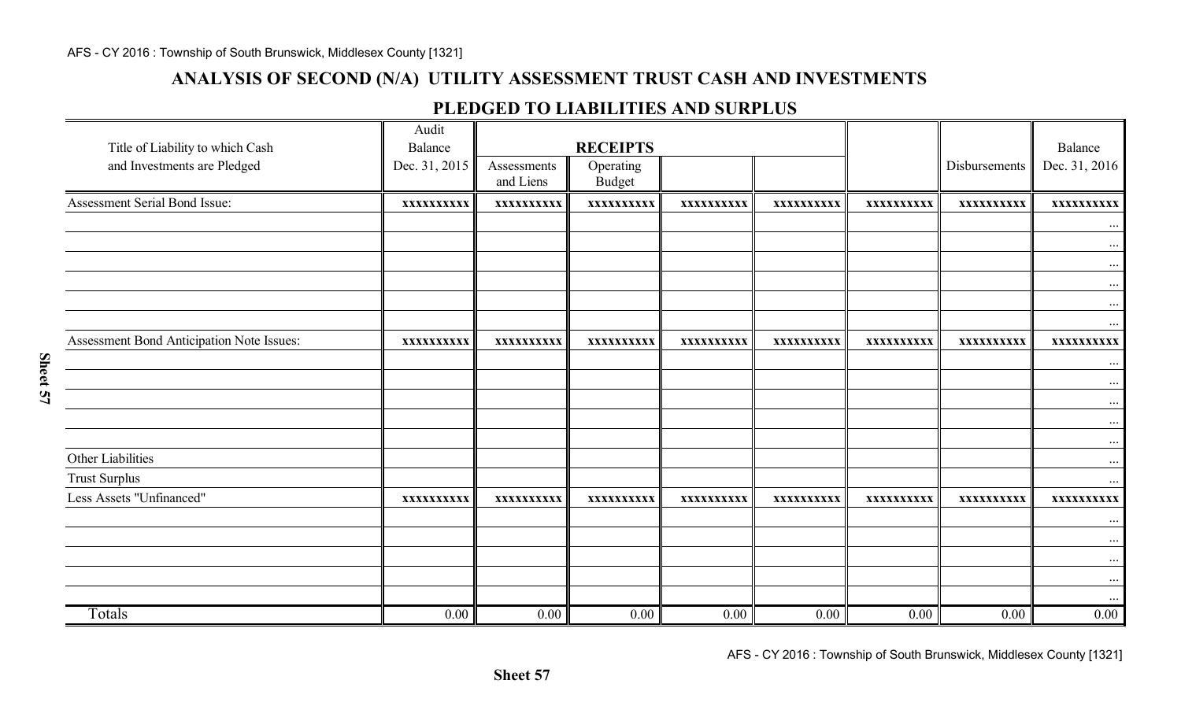## **ANALYSIS OF SECOND (N/A) UTILITY ASSESSMENT TRUST CASH AND INVESTMENTS**

### **PLEDGED TO LIABILITIES AND SURPLUS**

| Title of Liability to which Cash<br>and Investments are Pledged | Audit<br>Balance<br>Dec. 31, 2015 | Assessments<br>and Liens | <b>RECEIPTS</b><br>Operating<br><b>Budget</b> |            |            |            | Disbursements | Balance<br>Dec. 31, 2016 |
|-----------------------------------------------------------------|-----------------------------------|--------------------------|-----------------------------------------------|------------|------------|------------|---------------|--------------------------|
| Assessment Serial Bond Issue:                                   | XXXXXXXXXX                        | XXXXXXXXXX               | XXXXXXXXXX                                    | XXXXXXXXXX | XXXXXXXXXX | XXXXXXXXXX | XXXXXXXXXX    | XXXXXXXXXX               |
|                                                                 |                                   |                          |                                               |            |            |            |               | $\cdots$                 |
|                                                                 |                                   |                          |                                               |            |            |            |               | $\cdots$                 |
|                                                                 |                                   |                          |                                               |            |            |            |               | $\cdots$<br>$\cdots$     |
|                                                                 |                                   |                          |                                               |            |            |            |               | $\cdots$                 |
|                                                                 |                                   |                          |                                               |            |            |            |               | $\cdots$                 |
| Assessment Bond Anticipation Note Issues:                       | XXXXXXXXXX                        | XXXXXXXXXX               | XXXXXXXXXX                                    | XXXXXXXXXX | XXXXXXXXXX | XXXXXXXXXX | XXXXXXXXXX    | XXXXXXXXXX               |
|                                                                 |                                   |                          |                                               |            |            |            |               | $\cdots$                 |
|                                                                 |                                   |                          |                                               |            |            |            |               | $\cdots$                 |
|                                                                 |                                   |                          |                                               |            |            |            |               | $\cdots$<br>$\ddotsc$    |
|                                                                 |                                   |                          |                                               |            |            |            |               | $\cdots$                 |
| Other Liabilities                                               |                                   |                          |                                               |            |            |            |               |                          |
| <b>Trust Surplus</b>                                            |                                   |                          |                                               |            |            |            |               | $\cdots$                 |
| Less Assets "Unfinanced"                                        | XXXXXXXXXX                        | XXXXXXXXXX               | XXXXXXXXXX                                    | XXXXXXXXXX | XXXXXXXXXX | XXXXXXXXXX | XXXXXXXXXX    | XXXXXXXXXX               |
|                                                                 |                                   |                          |                                               |            |            |            |               | $\cdots$                 |
|                                                                 |                                   |                          |                                               |            |            |            |               | $\cdots$                 |
|                                                                 |                                   |                          |                                               |            |            |            |               | $\cdots$                 |
|                                                                 |                                   |                          |                                               |            |            |            |               |                          |
| Totals                                                          | 0.00                              | 0.00                     | 0.00                                          | 0.00       | 0.00       | 0.00       | 0.00          | $0.00\,$                 |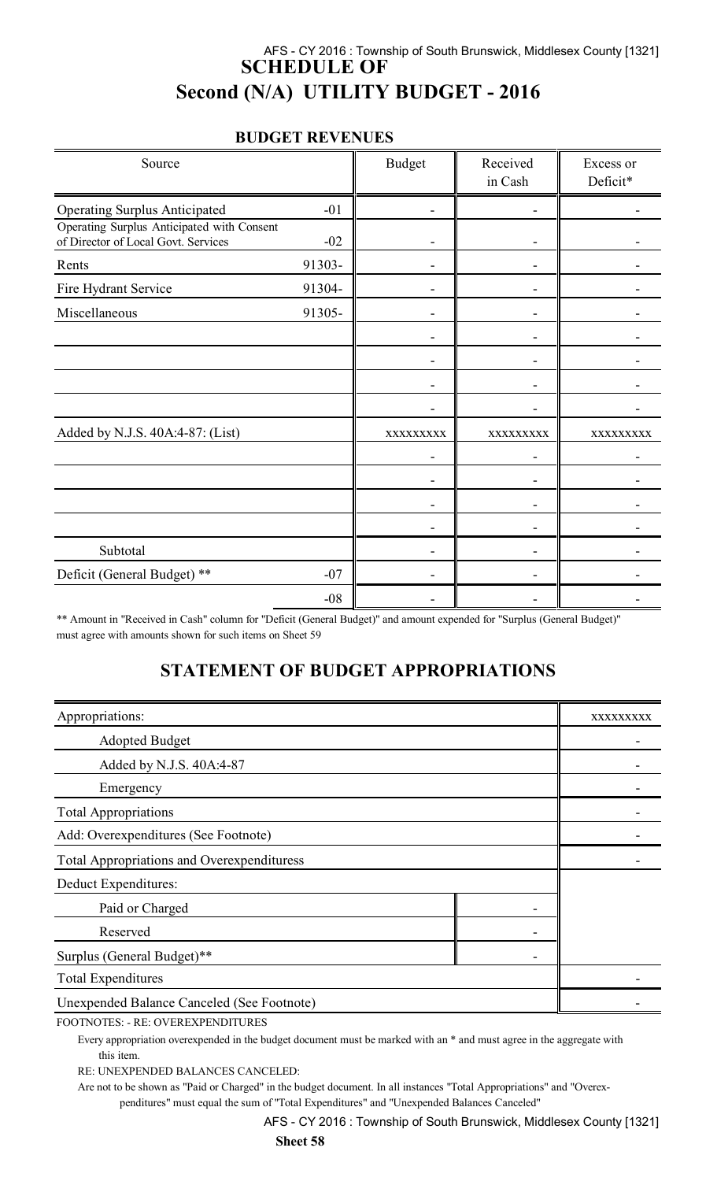### AFS - CY 2016 : Township of South Brunswick, Middlesex County [1321] **SCHEDULE OF Second (N/A) UTILITY BUDGET - 2016**

#### **BUDGET REVENUES**

| Source                                                                            |        | <b>Budget</b> | Received<br>in Cash | Excess or<br>Deficit* |
|-----------------------------------------------------------------------------------|--------|---------------|---------------------|-----------------------|
| <b>Operating Surplus Anticipated</b>                                              | $-01$  |               |                     |                       |
| Operating Surplus Anticipated with Consent<br>of Director of Local Govt. Services | $-02$  |               |                     |                       |
| Rents                                                                             | 91303- |               |                     |                       |
| Fire Hydrant Service                                                              | 91304- |               |                     |                       |
| Miscellaneous                                                                     | 91305- |               |                     |                       |
|                                                                                   |        |               |                     |                       |
|                                                                                   |        |               |                     |                       |
|                                                                                   |        |               |                     |                       |
|                                                                                   |        |               |                     |                       |
| Added by N.J.S. 40A:4-87: (List)                                                  |        | XXXXXXXXX     | XXXXXXXXX           | XXXXXXXXX             |
|                                                                                   |        |               |                     |                       |
|                                                                                   |        |               |                     |                       |
|                                                                                   |        |               |                     |                       |
|                                                                                   |        |               |                     |                       |
| Subtotal                                                                          |        |               |                     |                       |
| Deficit (General Budget) **                                                       | $-07$  |               |                     |                       |
|                                                                                   | $-08$  |               |                     |                       |

\*\* Amount in "Received in Cash" column for "Deficit (General Budget)" and amount expended for "Surplus (General Budget)" must agree with amounts shown for such items on Sheet 59

### **STATEMENT OF BUDGET APPROPRIATIONS**

| Appropriations:                                   |  | XXXXXXXXX |
|---------------------------------------------------|--|-----------|
| <b>Adopted Budget</b>                             |  |           |
| Added by N.J.S. 40A:4-87                          |  |           |
| Emergency                                         |  |           |
| <b>Total Appropriations</b>                       |  |           |
| Add: Overexpenditures (See Footnote)              |  |           |
| <b>Total Appropriations and Overexpendituress</b> |  |           |
| Deduct Expenditures:                              |  |           |
| Paid or Charged                                   |  |           |
| Reserved                                          |  |           |
| Surplus (General Budget)**                        |  |           |
| <b>Total Expenditures</b>                         |  |           |
| <b>Unexpended Balance Canceled (See Footnote)</b> |  |           |
|                                                   |  |           |

FOOTNOTES: - RE: OVEREXPENDITURES

Every appropriation overexpended in the budget document must be marked with an \* and must agree in the aggregate with this item.

RE: UNEXPENDED BALANCES CANCELED:

Are not to be shown as "Paid or Charged" in the budget document. In all instances "Total Appropriations" and "Overexpenditures" must equal the sum of "Total Expenditures" and "Unexpended Balances Canceled"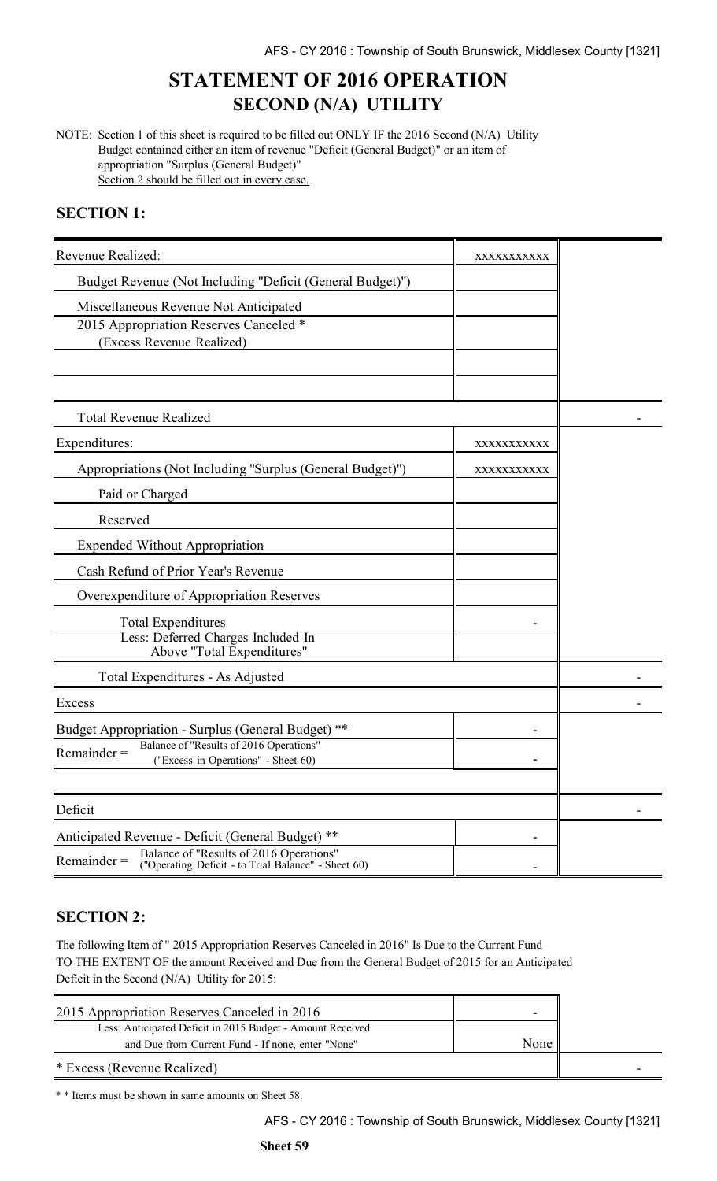# **STATEMENT OF 2016 OPERATION SECOND (N/A) UTILITY**

NOTE: Section 1 of this sheet is required to be filled out ONLY IF the 2016 Second (N/A) Utility Budget contained either an item of revenue "Deficit (General Budget)" or an item of appropriation "Surplus (General Budget)" Section 2 should be filled out in every case.

### **SECTION 1:**

| Revenue Realized:                                                                                                                                                    | XXXXXXXXXXX              |  |
|----------------------------------------------------------------------------------------------------------------------------------------------------------------------|--------------------------|--|
| Budget Revenue (Not Including "Deficit (General Budget)")                                                                                                            |                          |  |
| Miscellaneous Revenue Not Anticipated<br>2015 Appropriation Reserves Canceled *<br>(Excess Revenue Realized)                                                         |                          |  |
| <b>Total Revenue Realized</b>                                                                                                                                        |                          |  |
| Expenditures:                                                                                                                                                        | XXXXXXXXXX               |  |
| Appropriations (Not Including "Surplus (General Budget)")                                                                                                            | XXXXXXXXXXX              |  |
| Paid or Charged                                                                                                                                                      |                          |  |
| Reserved                                                                                                                                                             |                          |  |
| <b>Expended Without Appropriation</b>                                                                                                                                |                          |  |
| Cash Refund of Prior Year's Revenue                                                                                                                                  |                          |  |
| Overexpenditure of Appropriation Reserves                                                                                                                            |                          |  |
| <b>Total Expenditures</b><br>Less: Deferred Charges Included In<br>Above "Total Expenditures"                                                                        |                          |  |
| Total Expenditures - As Adjusted                                                                                                                                     |                          |  |
| Excess                                                                                                                                                               |                          |  |
| Budget Appropriation - Surplus (General Budget) **<br>Balance of "Results of 2016 Operations"<br>$Remainder =$<br>("Excess in Operations" - Sheet 60)                |                          |  |
| Deficit                                                                                                                                                              |                          |  |
| Anticipated Revenue - Deficit (General Budget) **<br>Balance of "Results of 2016 Operations"<br>$Remainder =$<br>("Operating Deficit - to Trial Balance" - Sheet 60) | $\overline{\phantom{a}}$ |  |

### **SECTION 2:**

The following Item of " 2015 Appropriation Reserves Canceled in 2016" Is Due to the Current Fund TO THE EXTENT OF the amount Received and Due from the General Budget of 2015 for an Anticipated Deficit in the Second (N/A) Utility for 2015:

| 2015 Appropriation Reserves Canceled in 2016               |      |  |
|------------------------------------------------------------|------|--|
| Less: Anticipated Deficit in 2015 Budget - Amount Received |      |  |
| and Due from Current Fund - If none, enter "None"          | None |  |
| * Excess (Revenue Realized)                                |      |  |

\* \* Items must be shown in same amounts on Sheet 58.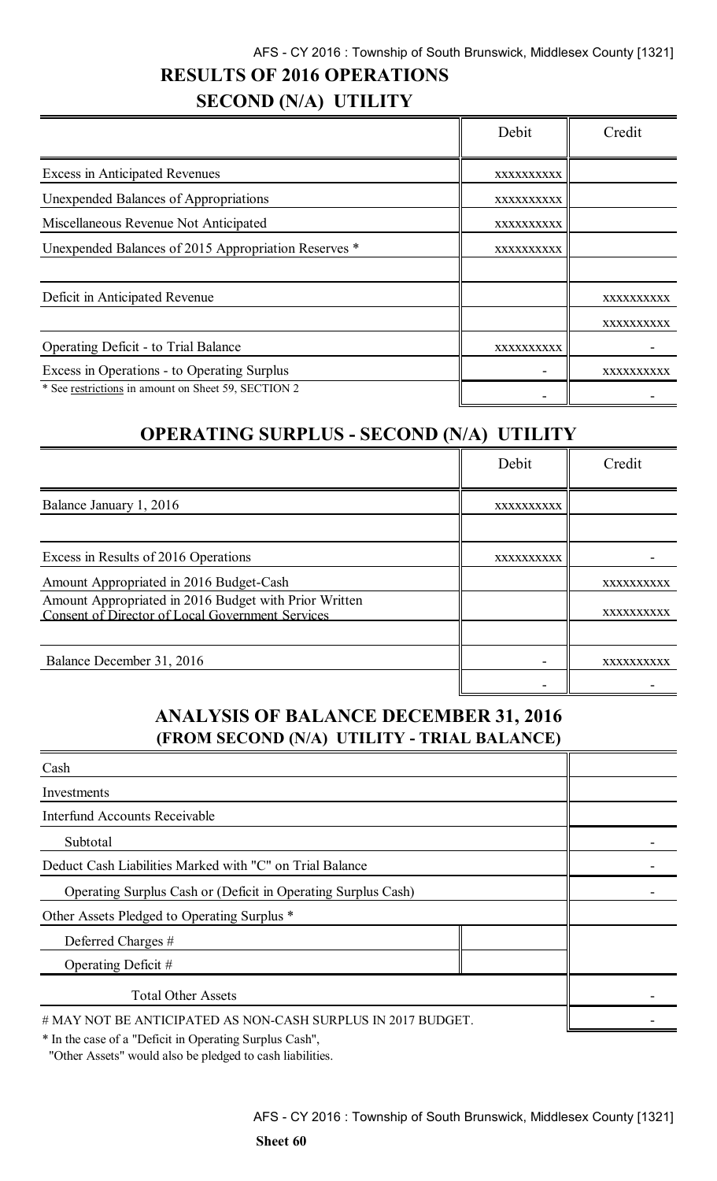# **RESULTS OF 2016 OPERATIONS**

# **SECOND (N/A) UTILITY**

|                                                      | Debit      | Credit     |
|------------------------------------------------------|------------|------------|
| <b>Excess in Anticipated Revenues</b>                | XXXXXXXXXX |            |
| Unexpended Balances of Appropriations                | XXXXXXXXXX |            |
| Miscellaneous Revenue Not Anticipated                | XXXXXXXXXX |            |
| Unexpended Balances of 2015 Appropriation Reserves * | XXXXXXXXXX |            |
|                                                      |            |            |
| Deficit in Anticipated Revenue                       |            | XXXXXXXXXX |
|                                                      |            | XXXXXXXXXX |
| <b>Operating Deficit - to Trial Balance</b>          | XXXXXXXXXX |            |
| Excess in Operations - to Operating Surplus          |            | XXXXXXXXXX |
| * See restrictions in amount on Sheet 59, SECTION 2  |            |            |

# **OPERATING SURPLUS - SECOND (N/A) UTILITY**

|                                                                                                           | Debit      | Credit     |
|-----------------------------------------------------------------------------------------------------------|------------|------------|
| Balance January 1, 2016                                                                                   | XXXXXXXXXX |            |
| Excess in Results of 2016 Operations                                                                      | XXXXXXXXXX |            |
| Amount Appropriated in 2016 Budget-Cash                                                                   |            | XXXXXXXXXX |
| Amount Appropriated in 2016 Budget with Prior Written<br>Consent of Director of Local Government Services |            | XXXXXXXXXX |
| Balance December 31, 2016                                                                                 |            | XXXXXXXXXX |
|                                                                                                           |            |            |

## **ANALYSIS OF BALANCE DECEMBER 31, 2016 (FROM SECOND (N/A) UTILITY - TRIAL BALANCE)**

| Cash                                                                                                                                                                                                          |  |  |
|---------------------------------------------------------------------------------------------------------------------------------------------------------------------------------------------------------------|--|--|
| Investments                                                                                                                                                                                                   |  |  |
| <b>Interfund Accounts Receivable</b>                                                                                                                                                                          |  |  |
| Subtotal                                                                                                                                                                                                      |  |  |
| Deduct Cash Liabilities Marked with "C" on Trial Balance                                                                                                                                                      |  |  |
| Operating Surplus Cash or (Deficit in Operating Surplus Cash)                                                                                                                                                 |  |  |
| Other Assets Pledged to Operating Surplus *                                                                                                                                                                   |  |  |
| Deferred Charges #                                                                                                                                                                                            |  |  |
| Operating Deficit #                                                                                                                                                                                           |  |  |
| <b>Total Other Assets</b>                                                                                                                                                                                     |  |  |
| # MAY NOT BE ANTICIPATED AS NON-CASH SURPLUS IN 2017 BUDGET.<br>$\alpha$ up $\alpha$ . $\alpha$ . $\alpha$ . $\alpha$ . $\alpha$ . $\alpha$ . $\alpha$<br>$\mathbf{d} = \mathbf{r}$ . The set of $\mathbf{r}$ |  |  |

\* In the case of a "Deficit in Operating Surplus Cash",

"Other Assets" would also be pledged to cash liabilities.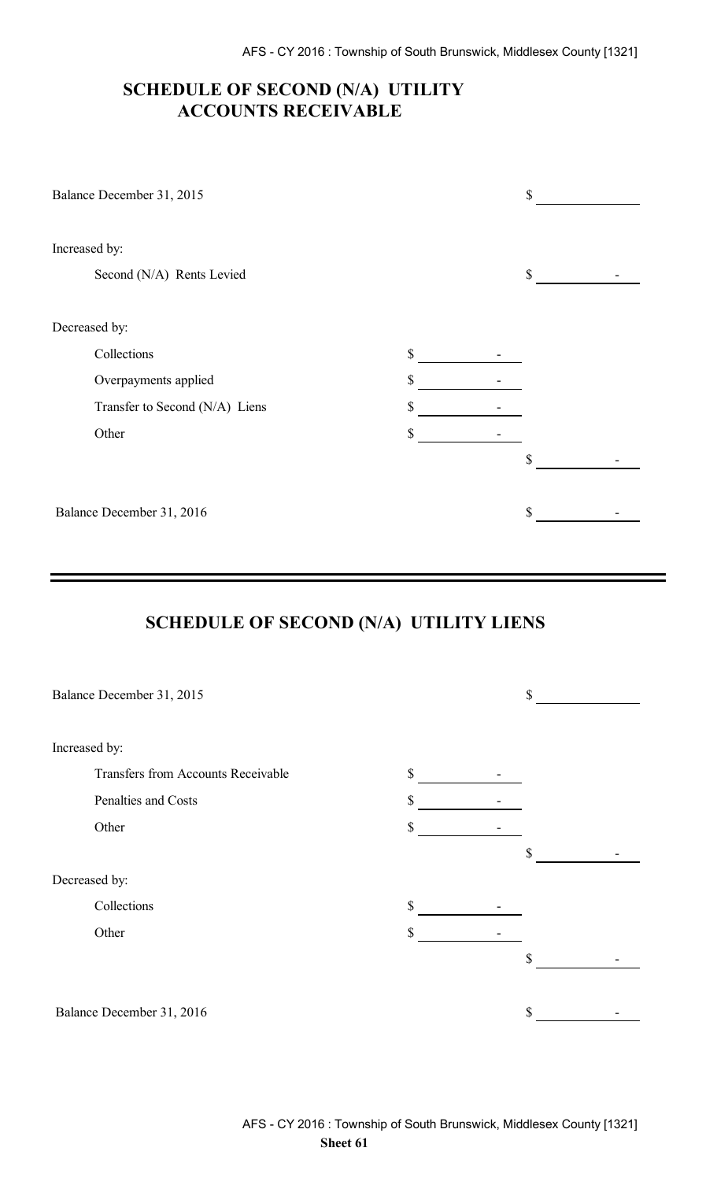## **SCHEDULE OF SECOND (N/A) UTILITY ACCOUNTS RECEIVABLE**

| Balance December 31, 2015      |    | \$ |
|--------------------------------|----|----|
| Increased by:                  |    |    |
| Second (N/A) Rents Levied      |    | \$ |
| Decreased by:                  |    |    |
| Collections                    | \$ |    |
| Overpayments applied           | \$ |    |
| Transfer to Second (N/A) Liens | \$ |    |
| Other                          | \$ |    |
|                                |    | \$ |
| Balance December 31, 2016      |    | \$ |

# **SCHEDULE OF SECOND (N/A) UTILITY LIENS**

|               | Balance December 31, 2015          |              | \$ |  |
|---------------|------------------------------------|--------------|----|--|
|               |                                    |              |    |  |
| Increased by: |                                    |              |    |  |
|               | Transfers from Accounts Receivable | $\mathbb{S}$ |    |  |
|               | Penalties and Costs                | \$           |    |  |
|               | Other                              | \$           |    |  |
|               |                                    |              | \$ |  |
| Decreased by: |                                    |              |    |  |
|               | Collections                        | \$           |    |  |
|               | Other                              | \$           |    |  |
|               |                                    |              | \$ |  |
|               |                                    |              |    |  |
|               | Balance December 31, 2016          |              | \$ |  |
|               |                                    |              |    |  |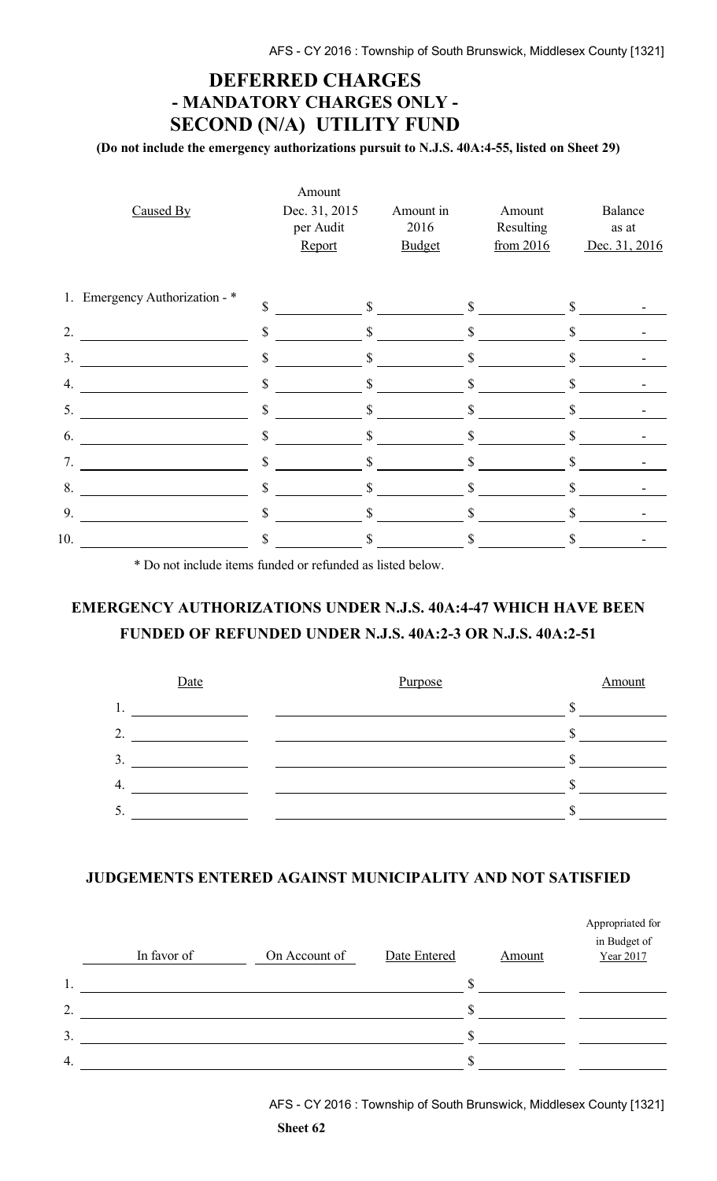## **DEFERRED CHARGES - MANDATORY CHARGES ONLY - SECOND (N/A) UTILITY FUND**

**(Do not include the emergency authorizations pursuit to N.J.S. 40A:4-55, listed on Sheet 29)**

| Caused By                      | Amount<br>Dec. 31, 2015<br>per Audit<br>Report | Amount in<br>2016<br><b>Budget</b> | Amount<br>Resulting<br>from 2016 |              | Balance<br>as at<br>Dec. 31, 2016 |
|--------------------------------|------------------------------------------------|------------------------------------|----------------------------------|--------------|-----------------------------------|
| 1. Emergency Authorization - * | \$                                             | $\mathbb{S}$                       | $\mathbb{S}$                     | \$           |                                   |
| 2.                             | \$                                             | \$                                 | \$                               | \$           |                                   |
| 3 <sub>1</sub>                 | \$                                             | $\mathbf S$                        | \$                               | \$           |                                   |
| 4.                             | \$                                             | \$                                 | \$                               | \$           |                                   |
| 5.                             | \$                                             | \$                                 | \$                               | $\mathbb{S}$ |                                   |
| 6.                             | \$                                             | $\mathbf S$                        | \$                               |              |                                   |
| 7.                             | \$                                             | \$                                 | \$                               |              |                                   |
| 8.                             | $\mathbf S$                                    | $\mathbb{S}$                       | $\mathbb{S}$                     | $\mathbb{S}$ |                                   |
| 9.                             | \$                                             | \$                                 | \$                               |              |                                   |
| 10.                            | \$                                             | \$                                 | \$                               |              |                                   |

\* Do not include items funded or refunded as listed below.

## **EMERGENCY AUTHORIZATIONS UNDER N.J.S. 40A:4-47 WHICH HAVE BEEN FUNDED OF REFUNDED UNDER N.J.S. 40A:2-3 OR N.J.S. 40A:2-51**



### **JUDGEMENTS ENTERED AGAINST MUNICIPALITY AND NOT SATISFIED**

|                  | In favor of | On Account of | Date Entered | Amount | Appropriated for<br>in Budget of<br>Year 2017 |
|------------------|-------------|---------------|--------------|--------|-----------------------------------------------|
| 1.               |             |               |              |        |                                               |
| $\overline{2}$ . |             |               |              |        |                                               |
| 3.               |             |               |              |        |                                               |
| $\overline{4}$ . |             |               | Я            |        |                                               |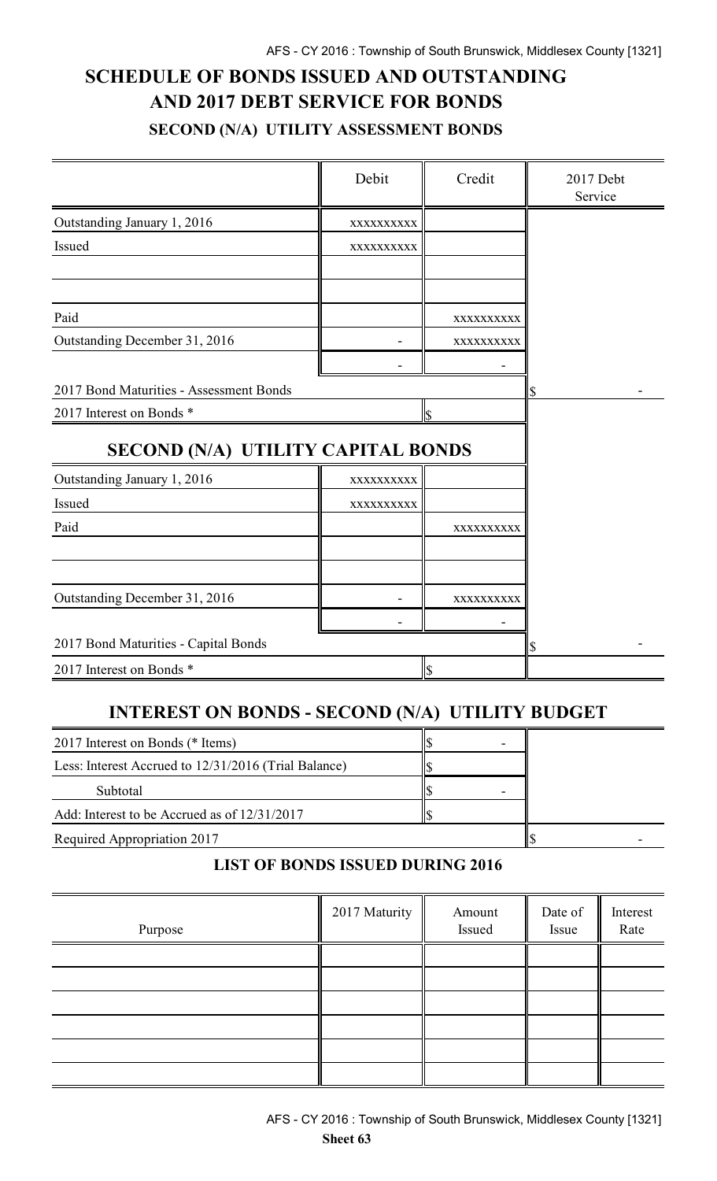# **SCHEDULE OF BONDS ISSUED AND OUTSTANDING AND 2017 DEBT SERVICE FOR BONDS SECOND (N/A) UTILITY ASSESSMENT BONDS**

|                                         | Debit      | Credit     | 2017 Debt<br>Service |
|-----------------------------------------|------------|------------|----------------------|
| Outstanding January 1, 2016             | XXXXXXXXXX |            |                      |
| Issued                                  | XXXXXXXXXX |            |                      |
|                                         |            |            |                      |
| Paid                                    |            | XXXXXXXXXX |                      |
| Outstanding December 31, 2016           |            | XXXXXXXXXX |                      |
|                                         |            |            |                      |
| 2017 Bond Maturities - Assessment Bonds |            |            | \$                   |
| 2017 Interest on Bonds *                |            | \$         |                      |
| SECOND (N/A) UTILITY CAPITAL BONDS      |            |            |                      |
| Outstanding January 1, 2016             | XXXXXXXXXX |            |                      |
| Issued                                  | XXXXXXXXXX |            |                      |
| Paid                                    |            | XXXXXXXXXX |                      |
|                                         |            |            |                      |
| Outstanding December 31, 2016           |            | XXXXXXXXXX |                      |
| 2017 Bond Maturities - Capital Bonds    |            |            |                      |
|                                         |            |            |                      |
| 2017 Interest on Bonds *                |            | \$         |                      |

## **INTEREST ON BONDS - SECOND (N/A) UTILITY BUDGET**

| 2017 Interest on Bonds (* Items)                     |  |  |
|------------------------------------------------------|--|--|
| Less: Interest Accrued to 12/31/2016 (Trial Balance) |  |  |
| Subtotal                                             |  |  |
| Add: Interest to be Accrued as of 12/31/2017         |  |  |
| Required Appropriation 2017                          |  |  |

### **LIST OF BONDS ISSUED DURING 2016**

| Purpose | 2017 Maturity | Amount<br>Issued | Date of<br>Issue | Interest<br>Rate |
|---------|---------------|------------------|------------------|------------------|
|         |               |                  |                  |                  |
|         |               |                  |                  |                  |
|         |               |                  |                  |                  |
|         |               |                  |                  |                  |
|         |               |                  |                  |                  |
|         |               |                  |                  |                  |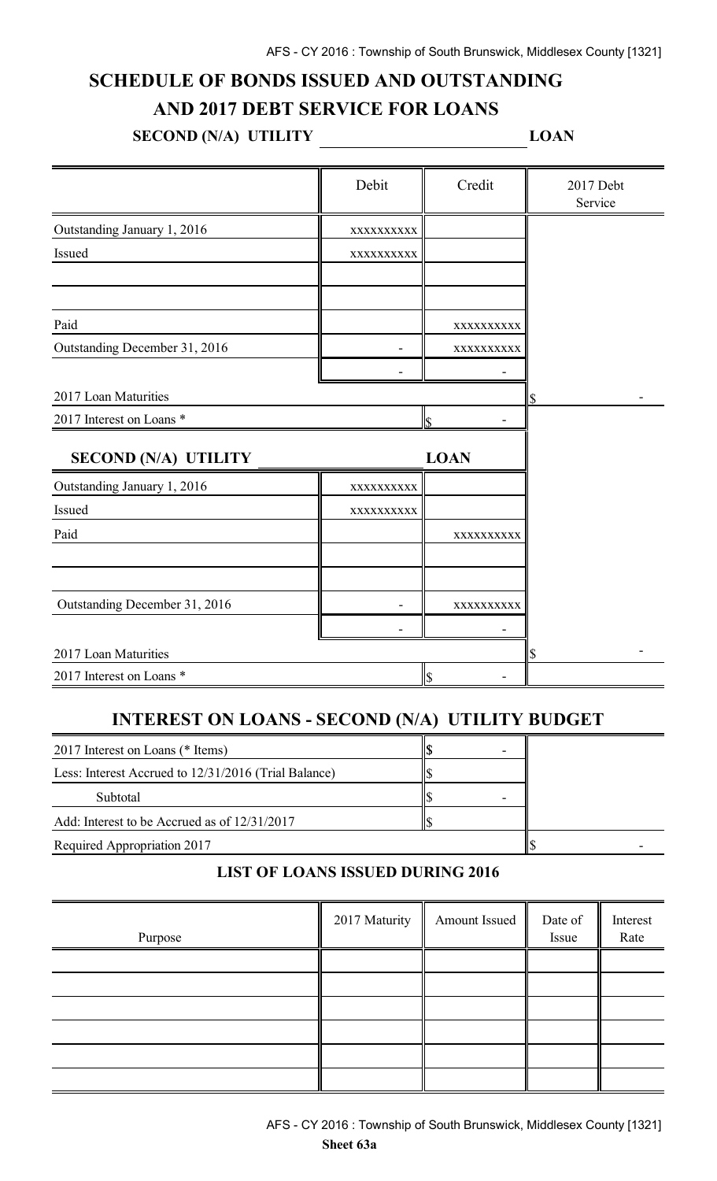# **SCHEDULE OF BONDS ISSUED AND OUTSTANDING**

## **AND 2017 DEBT SERVICE FOR LOANS**

**SECOND (N/A) UTILITY LOAN** 

|                               | Debit                   | Credit                   | 2017 Debt<br>Service |
|-------------------------------|-------------------------|--------------------------|----------------------|
| Outstanding January 1, 2016   | XXXXXXXXX               |                          |                      |
| Issued                        | XXXXXXXXX               |                          |                      |
|                               |                         |                          |                      |
| Paid                          |                         | XXXXXXXXXX               |                      |
| Outstanding December 31, 2016 |                         | XXXXXXXXX                |                      |
|                               |                         |                          |                      |
| 2017 Loan Maturities          |                         |                          | S                    |
| 2017 Interest on Loans *      |                         | $\overline{\mathcal{S}}$ |                      |
| <b>SECOND (N/A) UTILITY</b>   |                         | <b>LOAN</b>              |                      |
| Outstanding January 1, 2016   | XXXXXXXXXX              |                          |                      |
| Issued                        | XXXXXXXXXX              |                          |                      |
| Paid                          |                         | XXXXXXXXXX               |                      |
|                               |                         |                          |                      |
| Outstanding December 31, 2016 |                         | XXXXXXXXX                |                      |
|                               |                         |                          |                      |
| 2017 Loan Maturities          | \$                      |                          |                      |
| 2017 Interest on Loans *      | $\overline{\mathbb{S}}$ |                          |                      |

## **INTEREST ON LOANS - SECOND (N/A) UTILITY BUDGET**

| 2017 Interest on Loans (* Items)                     |  |  |
|------------------------------------------------------|--|--|
| Less: Interest Accrued to 12/31/2016 (Trial Balance) |  |  |
| Subtotal                                             |  |  |
| Add: Interest to be Accrued as of 12/31/2017         |  |  |
| Required Appropriation 2017                          |  |  |

### **LIST OF LOANS ISSUED DURING 2016**

| Purpose | 2017 Maturity | Amount Issued | Date of<br>Issue | Interest<br>Rate |
|---------|---------------|---------------|------------------|------------------|
|         |               |               |                  |                  |
|         |               |               |                  |                  |
|         |               |               |                  |                  |
|         |               |               |                  |                  |
|         |               |               |                  |                  |
|         |               |               |                  |                  |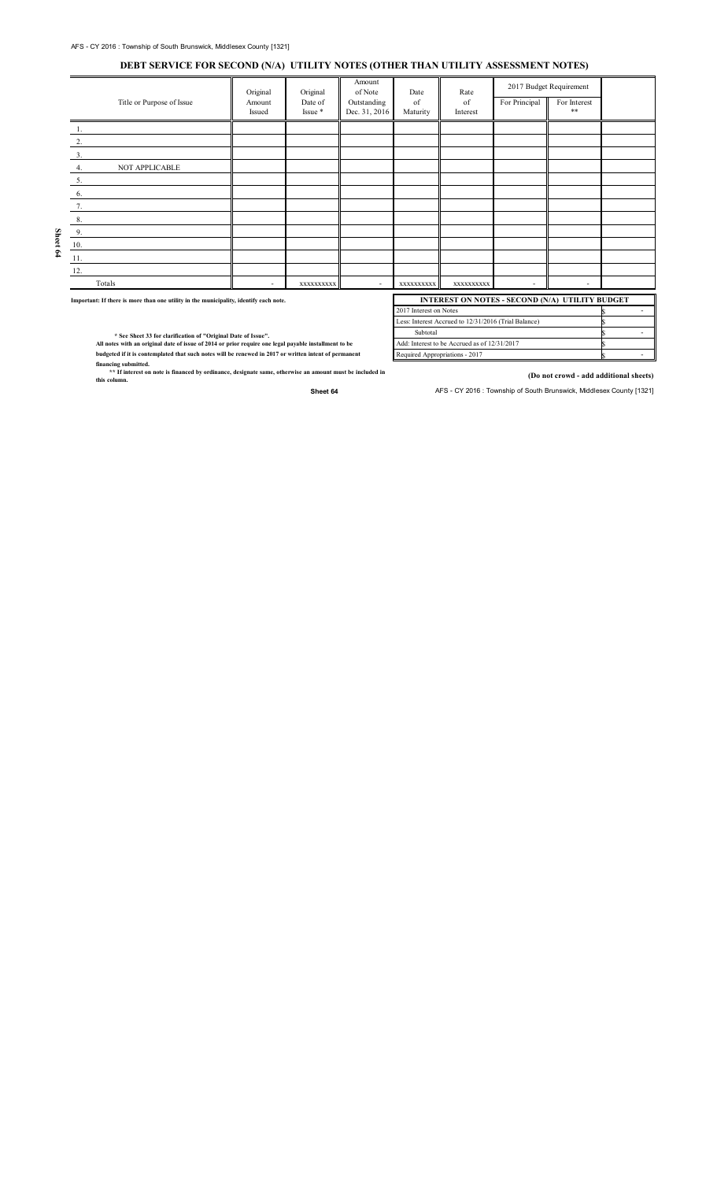#### **DEBT SERVICE FOR SECOND (N/A) UTILITY NOTES (OTHER THAN UTILITY ASSESSMENT NOTES)**

|                                                                                       | Title or Purpose of Issue                                    | Original<br>Amount<br>Issued | Original<br>Date of<br>Issue * | Amount<br>of Note<br>Outstanding<br>Dec. 31, 2016 | Date<br>of<br>Maturity | Rate<br>of<br>Interest                               | For Principal  | 2017 Budget Requirement<br>For Interest<br>$**$ |             |
|---------------------------------------------------------------------------------------|--------------------------------------------------------------|------------------------------|--------------------------------|---------------------------------------------------|------------------------|------------------------------------------------------|----------------|-------------------------------------------------|-------------|
|                                                                                       |                                                              |                              |                                |                                                   |                        |                                                      |                |                                                 |             |
|                                                                                       | 2.                                                           |                              |                                |                                                   |                        |                                                      |                |                                                 |             |
|                                                                                       | 3.                                                           |                              |                                |                                                   |                        |                                                      |                |                                                 |             |
|                                                                                       | NOT APPLICABLE<br>4.                                         |                              |                                |                                                   |                        |                                                      |                |                                                 |             |
|                                                                                       | 5.                                                           |                              |                                |                                                   |                        |                                                      |                |                                                 |             |
|                                                                                       | 6.                                                           |                              |                                |                                                   |                        |                                                      |                |                                                 |             |
|                                                                                       | 7.                                                           |                              |                                |                                                   |                        |                                                      |                |                                                 |             |
|                                                                                       | 8.                                                           |                              |                                |                                                   |                        |                                                      |                |                                                 |             |
|                                                                                       | 9.                                                           |                              |                                |                                                   |                        |                                                      |                |                                                 |             |
| Sheet 64                                                                              | 10.                                                          |                              |                                |                                                   |                        |                                                      |                |                                                 |             |
|                                                                                       | 11.                                                          |                              |                                |                                                   |                        |                                                      |                |                                                 |             |
|                                                                                       | 12.                                                          |                              |                                |                                                   |                        |                                                      |                |                                                 |             |
|                                                                                       | Totals                                                       | $\sim$                       | XXXXXXXXX                      | $\sim$                                            | XXXXXXXXX              | XXXXXXXXX                                            | $\blacksquare$ | $\blacksquare$                                  |             |
| Important: If there is more than one utility in the municipality, identify each note. |                                                              |                              |                                | INTEREST ON NOTES - SECOND (N/A) UTILITY BUDGET   |                        |                                                      |                |                                                 |             |
|                                                                                       |                                                              |                              |                                |                                                   | 2017 Interest on Notes |                                                      |                |                                                 | $\sim$      |
|                                                                                       | * See Sheet 33 for clarification of "Original Date of Issue" |                              |                                |                                                   | Subtotal               | Less: Interest Accrued to 12/31/2016 (Trial Balance) |                |                                                 | S<br>$\sim$ |

 **\* See Sheet 33 for clarification of "Original Date of Issue". All notes with an original date of issue of 2014 or prior require one legal payable installment to be**

**budgeted if it is contemplated that such notes will be renewed in 2017 or written intent of permanent**

**financing submitted. \*\* If interest on note is financed by ordinance, designate same, otherwise an amount must be included in this column.**

**(Do not crowd - add additional sheets)**

\$ \$

Sheet 64 **AFS** - CY 2016 : Township of South Brunswick, Middlesex County [1321]

Add: Interest to be Accrued as of 12/31/2017

Required Appropriations - 2017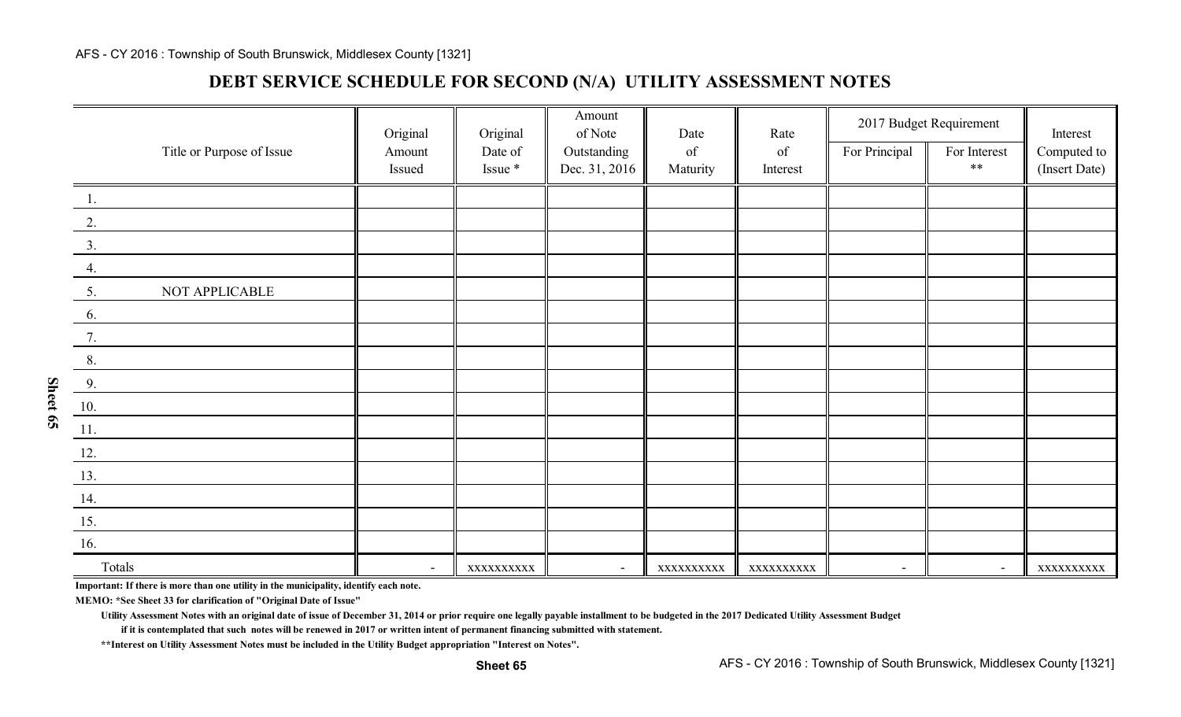### **DEBT SERVICE SCHEDULE FOR SECOND (N/A) UTILITY ASSESSMENT NOTE S**

|                  |                           | Original                 | Original                             | Amount<br>of Note | Date                                                                                               | Rate       | 2017 Budget Requirement  |                          | Interest      |
|------------------|---------------------------|--------------------------|--------------------------------------|-------------------|----------------------------------------------------------------------------------------------------|------------|--------------------------|--------------------------|---------------|
|                  | Title or Purpose of Issue | Amount                   | Date of                              | Outstanding       | $% \left( \left( \mathcal{A},\mathcal{A}\right) \right) =\left( \mathcal{A},\mathcal{A}\right)$ of | of         | For Principal            | For Interest             | Computed to   |
|                  |                           | Issued                   | Issue $\displaystyle{\mathop{\ast}}$ | Dec. 31, 2016     | Maturity                                                                                           | Interest   |                          | $***$                    | (Insert Date) |
| $\overline{1}$ . |                           |                          |                                      |                   |                                                                                                    |            |                          |                          |               |
| 2.               |                           |                          |                                      |                   |                                                                                                    |            |                          |                          |               |
| 3.               |                           |                          |                                      |                   |                                                                                                    |            |                          |                          |               |
| 4.               |                           |                          |                                      |                   |                                                                                                    |            |                          |                          |               |
| 5.               | NOT APPLICABLE            |                          |                                      |                   |                                                                                                    |            |                          |                          |               |
| 6.               |                           |                          |                                      |                   |                                                                                                    |            |                          |                          |               |
| 7.               |                           |                          |                                      |                   |                                                                                                    |            |                          |                          |               |
| 8.               |                           |                          |                                      |                   |                                                                                                    |            |                          |                          |               |
| 9.               |                           |                          |                                      |                   |                                                                                                    |            |                          |                          |               |
| 10.              |                           |                          |                                      |                   |                                                                                                    |            |                          |                          |               |
| 11.              |                           |                          |                                      |                   |                                                                                                    |            |                          |                          |               |
| 12.              |                           |                          |                                      |                   |                                                                                                    |            |                          |                          |               |
| 13.              |                           |                          |                                      |                   |                                                                                                    |            |                          |                          |               |
| 14.              |                           |                          |                                      |                   |                                                                                                    |            |                          |                          |               |
| 15.              |                           |                          |                                      |                   |                                                                                                    |            |                          |                          |               |
| 16.              |                           |                          |                                      |                   |                                                                                                    |            |                          |                          |               |
| Totals           |                           | $\overline{\phantom{a}}$ | XXXXXXXXXX                           | $\blacksquare$    | XXXXXXXXXX                                                                                         | XXXXXXXXXX | $\overline{\phantom{a}}$ | $\overline{\phantom{a}}$ | XXXXXXXXXX    |

**Important: If there is more than one utility in the municipality, identify each note.**

**MEMO: \*See Sheet 33 for clarification of "Original Date of Issue"**

**Utility Assessment Notes with an original date of issue of December 31, 2014 or prior require one legally payable installment to be budgeted in the 2017 Dedicated Utility Assessment Budget**

**if it is contemplated that such notes will be renewed in 2017 or written intent of permanent financing submitted with statement.**

**\*\*Interest on Utility Assessment Notes must be included in the Utility Budget appropriation "Interest on Notes".**

**Sheet 65**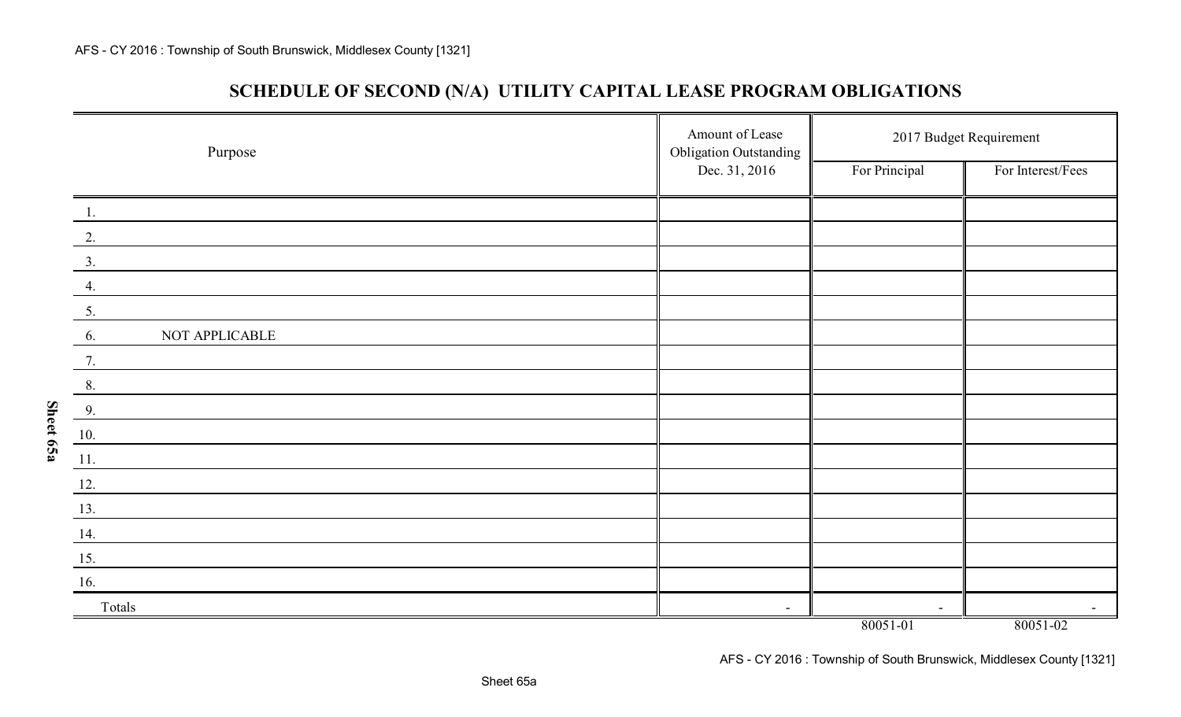**Sheet 65a**

## **SCHEDULE OF SECOND (N/A) UTILITY CAPITAL LEASE PROGRAM OBLIGATIONS**

| Purpose              | Amount of Lease<br><b>Obligation Outstanding</b> | 2017 Budget Requirement |                   |  |  |
|----------------------|--------------------------------------------------|-------------------------|-------------------|--|--|
|                      | Dec. 31, 2016                                    | For Principal           | For Interest/Fees |  |  |
| $\overline{1}$ .     |                                                  |                         |                   |  |  |
| 2.                   |                                                  |                         |                   |  |  |
| 3.                   |                                                  |                         |                   |  |  |
| 4.                   |                                                  |                         |                   |  |  |
| 5.                   |                                                  |                         |                   |  |  |
| NOT APPLICABLE<br>6. |                                                  |                         |                   |  |  |
| 7.                   |                                                  |                         |                   |  |  |
| 8.                   |                                                  |                         |                   |  |  |
| 9.                   |                                                  |                         |                   |  |  |
| 10.                  |                                                  |                         |                   |  |  |
| 11.                  |                                                  |                         |                   |  |  |
| $\frac{12}{1}$       |                                                  |                         |                   |  |  |
| 13.                  |                                                  |                         |                   |  |  |
| 14.                  |                                                  |                         |                   |  |  |
| 15.                  |                                                  |                         |                   |  |  |
| 16.                  |                                                  |                         |                   |  |  |
| Totals               |                                                  | $\sim$                  |                   |  |  |
|                      |                                                  | 80051-01                | 80051-02          |  |  |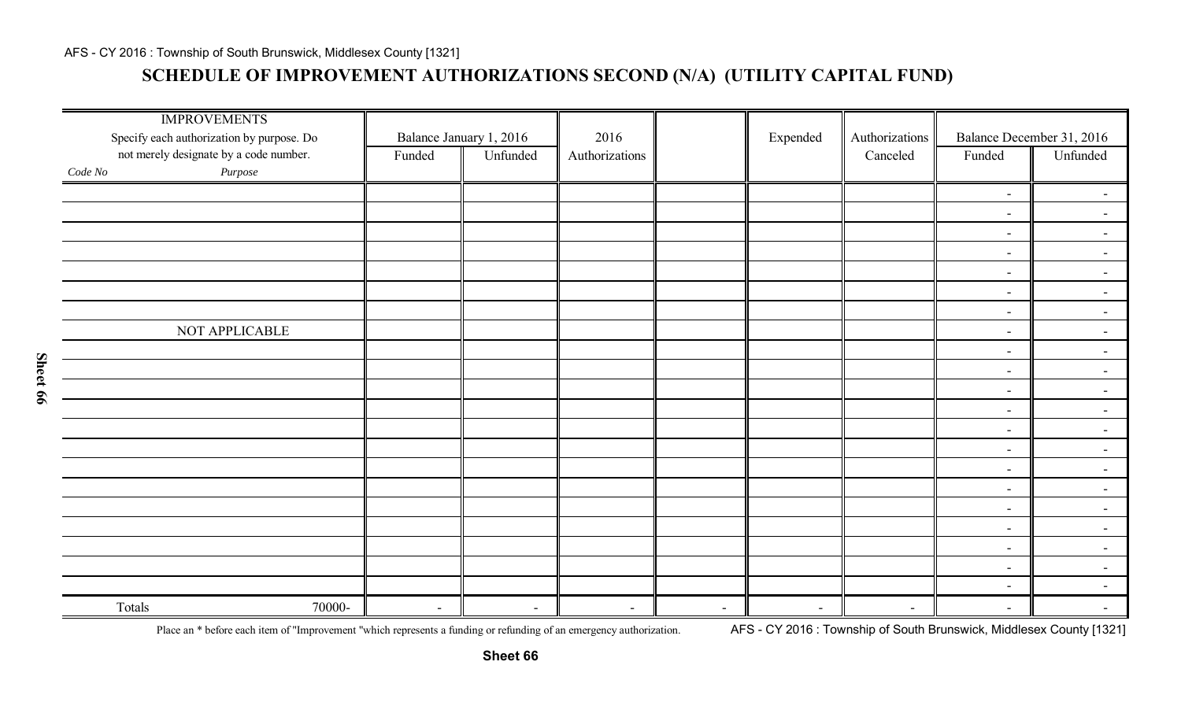## **SCHEDULE OF IMPROVEMENT AUTHORIZATIONS SECOND (N/A) (UTILITY CAPITAL FUND)**

| <b>IMPROVEMENTS</b><br>Specify each authorization by purpose. Do<br>not merely designate by a code number. | Funded                             | Balance January 1, 2016<br>Unfunded | 2016<br>Authorizations |                          | Expended                 | Authorizations<br>Canceled | Funded                   | Balance December 31, 2016<br>Unfunded |
|------------------------------------------------------------------------------------------------------------|------------------------------------|-------------------------------------|------------------------|--------------------------|--------------------------|----------------------------|--------------------------|---------------------------------------|
| $\it Purpose$<br>Code No                                                                                   |                                    |                                     |                        |                          |                          |                            |                          |                                       |
|                                                                                                            |                                    |                                     |                        |                          |                          |                            | $\overline{\phantom{a}}$ | $\overline{\phantom{a}}$              |
|                                                                                                            |                                    |                                     |                        |                          |                          |                            | $\blacksquare$           | $\overline{\phantom{a}}$              |
|                                                                                                            |                                    |                                     |                        |                          |                          |                            | $\blacksquare$           | $\sim$                                |
|                                                                                                            |                                    |                                     |                        |                          |                          |                            | $\blacksquare$           | $\sim$                                |
|                                                                                                            |                                    |                                     |                        |                          |                          |                            | $\blacksquare$           | $\sim$                                |
|                                                                                                            |                                    |                                     |                        |                          |                          |                            | $\blacksquare$           | $\blacksquare$                        |
|                                                                                                            |                                    |                                     |                        |                          |                          |                            | $-$                      | $\sim$                                |
| NOT APPLICABLE                                                                                             |                                    |                                     |                        |                          |                          |                            | $\blacksquare$           | $\sim$                                |
|                                                                                                            |                                    |                                     |                        |                          |                          |                            | $\blacksquare$           | $\sim$                                |
|                                                                                                            |                                    |                                     |                        |                          |                          |                            | $\blacksquare$           | $\blacksquare$                        |
|                                                                                                            |                                    |                                     |                        |                          |                          |                            | $\overline{\phantom{a}}$ | $\sim$                                |
|                                                                                                            |                                    |                                     |                        |                          |                          |                            | $\overline{\phantom{a}}$ | $\blacksquare$                        |
|                                                                                                            |                                    |                                     |                        |                          |                          |                            | $\blacksquare$           | $\sim$                                |
|                                                                                                            |                                    |                                     |                        |                          |                          |                            | $\blacksquare$           | $\sim$                                |
|                                                                                                            |                                    |                                     |                        |                          |                          |                            | $\blacksquare$           | $\overline{\phantom{0}}$              |
|                                                                                                            |                                    |                                     |                        |                          |                          |                            | $\blacksquare$           | $\sim$                                |
|                                                                                                            |                                    |                                     |                        |                          |                          |                            | $\overline{\phantom{a}}$ | $\sim$                                |
|                                                                                                            |                                    |                                     |                        |                          |                          |                            | $\blacksquare$           | $\blacksquare$                        |
|                                                                                                            |                                    |                                     |                        |                          |                          |                            | $\blacksquare$           | $\sim$                                |
|                                                                                                            |                                    |                                     |                        |                          |                          |                            | $\blacksquare$           | $\blacksquare$                        |
|                                                                                                            |                                    |                                     |                        |                          |                          |                            | $\blacksquare$           | $\sim$                                |
| Totals                                                                                                     | 70000-<br>$\overline{\phantom{a}}$ | $\overline{\phantom{a}}$            | $\blacksquare$         | $\overline{\phantom{a}}$ | $\overline{\phantom{0}}$ | $\blacksquare$             | $\blacksquare$           | $\overline{\phantom{0}}$              |

Place an \* before each item of "Improvement "which represents a funding or refunding of an emergency authorization. AFS - CY 2016: Township of South Brunswick, Middlesex County [1321]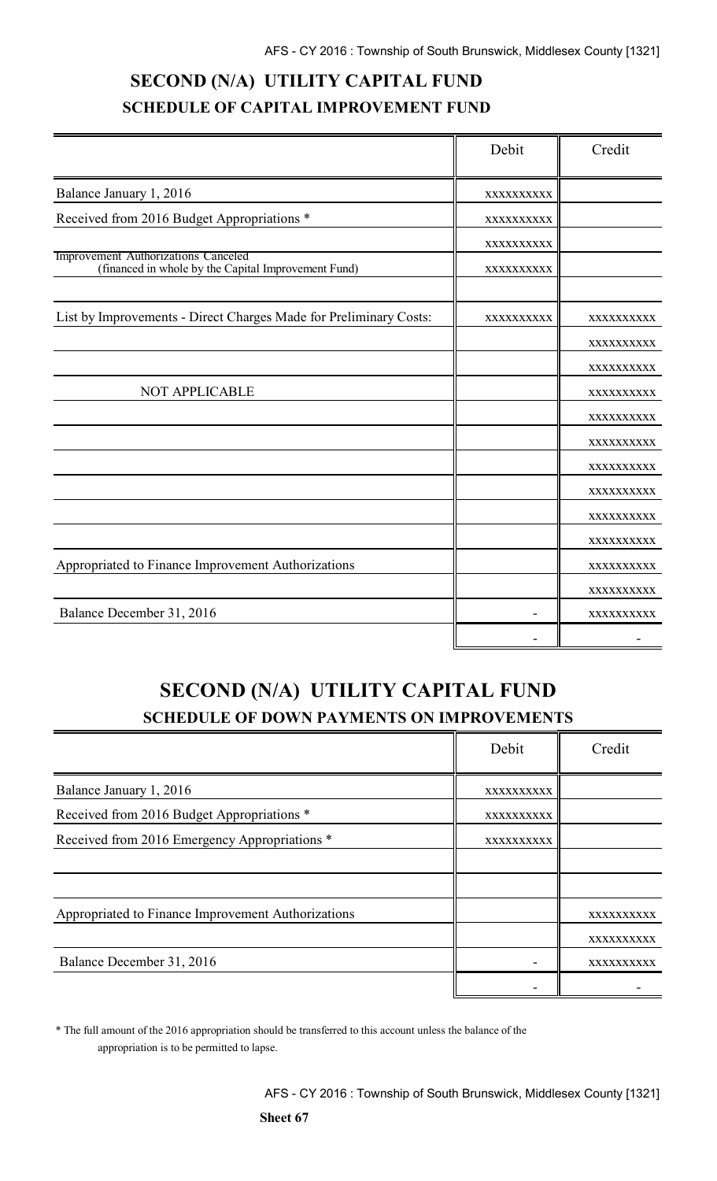# **SECOND (N/A) UTILITY CAPITAL FUND SCHEDULE OF CAPITAL IMPROVEMENT FUND**

|                                                                                            | Debit      | Credit     |
|--------------------------------------------------------------------------------------------|------------|------------|
| Balance January 1, 2016                                                                    | XXXXXXXXXX |            |
| Received from 2016 Budget Appropriations *                                                 | XXXXXXXXXX |            |
|                                                                                            | XXXXXXXXXX |            |
| Improvement Authorizations Canceled<br>(financed in whole by the Capital Improvement Fund) | XXXXXXXXXX |            |
| List by Improvements - Direct Charges Made for Preliminary Costs:                          | XXXXXXXXXX | XXXXXXXXXX |
|                                                                                            |            | XXXXXXXXXX |
|                                                                                            |            | XXXXXXXXXX |
| NOT APPLICABLE                                                                             |            | XXXXXXXXXX |
|                                                                                            |            | XXXXXXXXXX |
|                                                                                            |            | XXXXXXXXXX |
|                                                                                            |            | XXXXXXXXXX |
|                                                                                            |            | XXXXXXXXXX |
|                                                                                            |            | XXXXXXXXXX |
|                                                                                            |            | XXXXXXXXXX |
| Appropriated to Finance Improvement Authorizations                                         |            | XXXXXXXXXX |
|                                                                                            |            | XXXXXXXXXX |
| Balance December 31, 2016                                                                  |            | XXXXXXXXXX |
|                                                                                            |            |            |

# **SECOND (N/A) UTILITY CAPITAL FUND SCHEDULE OF DOWN PAYMENTS ON IMPROVEMENTS**

|                                                    | Debit      | Credit     |
|----------------------------------------------------|------------|------------|
| Balance January 1, 2016                            | XXXXXXXXXX |            |
| Received from 2016 Budget Appropriations *         | XXXXXXXXXX |            |
| Received from 2016 Emergency Appropriations *      | XXXXXXXXXX |            |
|                                                    |            |            |
|                                                    |            |            |
| Appropriated to Finance Improvement Authorizations |            | XXXXXXXXXX |
|                                                    |            | XXXXXXXXXX |
| Balance December 31, 2016                          |            | XXXXXXXXXX |
|                                                    |            |            |

\* The full amount of the 2016 appropriation should be transferred to this account unless the balance of the appropriation is to be permitted to lapse.